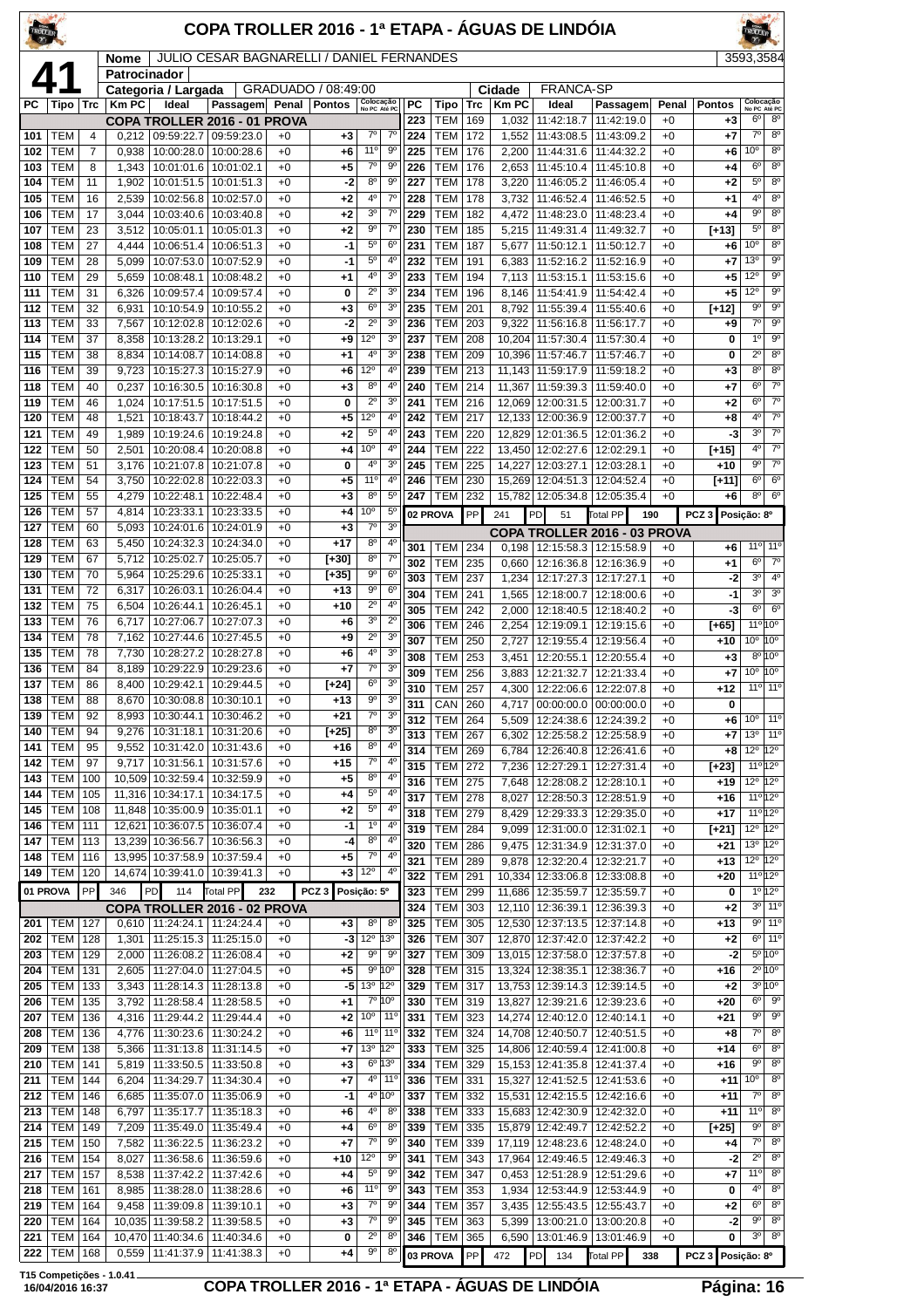| <b>JULIO CESAR BAGNARELLI / DANIEL FERNANDES</b><br>3593,3584<br>Nome<br>Patrocinador<br><b>FRANCA-SP</b><br>GRADUADO / 08:49:00<br>Categoria / Largada<br>Cidade<br>Colocação<br>No PC Até PC<br>Colocação<br>PC<br><b>Km PC</b><br>Ideal<br>РC<br>Tipo   Trc<br><b>Km PC</b><br>Ideal<br>Passagem Penal Pontos<br>Tipo<br>Passagem<br>Penal<br><b>Pontos</b><br>Trc<br>6 <sup>o</sup><br>8 <sup>o</sup><br><b>TEM</b><br>223<br>169<br>1,032<br>11:42:18.7<br>11:42:19.0<br>$+0$<br>COPA TROLLER 2016 - 01 PROVA<br>$+3$<br>$7^\circ$<br>$7^\circ$<br>TEM<br>09:59:22.7 09:59:23.0<br>$7^\circ$<br>224<br><b>TEM</b><br>172<br>1,552<br>11:43:08.5<br>11:43:09.2<br>$+7$<br>101<br>$\overline{4}$<br>0,212<br>$+3$<br>$+0$<br>$+0$<br>11°<br>$9^{\circ}$<br>10 <sup>o</sup><br>102<br>TEM<br>$\overline{7}$<br>10:00:28.0<br>225<br><b>TEM</b><br>176<br>2,200<br>11:44:31.6<br>0,938<br>10:00:28.6<br>$+0$<br>$+6$<br>11:44:32.2<br>$+0$<br>+6<br>$7^\circ$<br>$9^{\circ}$<br>6 <sup>o</sup><br><b>TEM</b><br>10:01:02.1<br>$+0$<br><b>TEM</b><br>2,653<br>11:45:10.4<br>103<br>8<br>1,343<br>10:01:01.6<br>$+5$<br>226<br>176<br>11:45:10.8<br>$+0$<br>$^{+4}$<br>$\overline{8^0}$<br>$8^{\circ}$<br>$9^{\circ}$<br>$5^{\circ}$<br>TEM<br>11<br>1,902<br>10:01:51.5<br>$+0$<br>$-2$<br>227<br><b>TEM</b><br>178<br>3,220<br>104<br>10:01:51.3<br>11:46:05.2 11:46:05.4<br>$+0$<br>$+2$<br>$4^{\circ}$<br>$7^{\circ}$<br>40<br>$8^{\circ}$<br>105<br><b>TEM</b><br>2.539<br>10:02:56.8<br>10:02:57.0<br>228<br><b>TEM</b><br>3,732<br>11:46:52.4<br>11:46:52.5<br>16<br>$+0$<br>$+2$<br>178<br>$+0$<br>$+1$<br>3 <sup>o</sup><br>$7^\circ$<br>90<br><b>TEM</b><br>229<br><b>TEM</b><br>106<br>17<br>3,044<br>10:03:40.6<br>10:03:40.8<br>$+0$<br>$+2$<br>182<br>4,472<br>11:48:23.0<br>11:48:23.4<br>$+0$<br>$^{+4}$<br>$5^{\circ}$<br>$9^{\circ}$<br>$7^\circ$<br>TEM<br>23<br>10:05:01.1<br>$+0$<br>230<br><b>TEM</b><br>107<br>3,512<br>10:05:01.3<br>$+2$<br>185<br>5,215   11:49:31.4   11:49:32.7<br>$+0$<br>$[+13]$<br>$5^{\circ}$<br>6 <sup>o</sup><br>10 <sup>o</sup><br><b>TEM</b><br><b>TEM</b><br>108<br>27<br>4,444<br>10:06:51.4<br>10:06:51.3<br>$+0$<br>-1<br>231<br>187<br>5,677<br>11:50:12.1<br>11:50:12.7<br>$+0$<br>$+6$<br>$5^{\circ}$<br>$4^{\circ}$<br>13 <sup>0</sup><br>109<br>TEM<br>28<br>5,099<br>10:07:53.0<br>10:07:52.9<br>+0<br>-1<br>232<br>TEM<br>191<br>6,383<br>11:52:16.2<br>11:52:16.9<br>$+0$<br>$+7$<br>3 <sup>o</sup><br>$\overline{9^{\circ}}$<br>$4^{\circ}$<br>$12^{\circ}$<br>TEM<br>233<br><b>TEM</b><br>110<br>29<br>5,659<br>10:08:48.1<br>10:08:48.2<br>$+0$<br>194<br>7,113   11:53:15.1   11:53:15.6<br>$+0$<br>$^{+1}$<br>+5<br><b>TEM</b><br>$2^{\circ}$<br>3 <sup>o</sup><br>12°<br>10:09:57.4<br>$+0$<br><b>TEM</b><br>11:54:41.9<br>111<br>31<br>6,326<br>10:09:57.4<br>0<br>234<br>196<br>8,146<br>11:54:42.4<br>$+0$<br>$+5$<br>$6^{\circ}$<br>3 <sup>o</sup><br>90<br>112<br>TEM<br>32<br>235<br><b>TEM</b><br>201<br>$[+12]$<br>6,931<br>10:10:54.9<br>10:10:55.2<br>$+0$<br>+3<br>8,792<br>11:55:39.4<br>11:55:40.6<br>$+0$<br>$7^\circ$<br>$2^{\circ}$<br>3 <sup>0</sup><br>TEM<br>33<br>10:12:02.8<br>236<br><b>TEM</b><br>203<br>9,322<br>113<br>7,567<br>10:12:02.6<br>$+0$<br>-2<br>11:56:16.8<br>11:56:17.7<br>$+0$<br>$^{+9}$<br>$9^{\circ}$<br>1 <sup>0</sup><br>TEM<br>3 <sup>o</sup><br>237<br><b>TEM</b><br>10,204 11:57:30.4<br>114<br>37<br>8,358<br>10:13:28.2<br>10:13:29.1<br>$+0$<br>$12^{\circ}$<br>208<br>11:57:30.4<br>$+0$<br>0<br>+9<br>4°<br>3 <sup>0</sup><br>$2^{\circ}$<br>$8^{\circ}$<br>TEM<br>38<br>238<br><b>TEM</b><br>209<br>115<br>8,834<br>10:14:08.7<br>10:14:08.8<br>$+0$<br>$+1$<br>10.396 11:57:46.7<br>11:57:46.7<br>$+0$<br>0<br>8 <sup>o</sup><br>12°<br>$4^{\circ}$<br>TEM<br>39<br>9,723<br>10:15:27.3<br>239<br><b>TEM</b><br>213<br>116<br>10:15:27.9<br>$+0$<br>11,143 11:59:17.9<br>11:59:18.2<br>$+0$<br>+6<br>$+3$<br>118<br>TEM<br>40<br>0,237<br>10:16:30.5<br>10:16:30.8<br>$+0$<br>$8^{\circ}$<br>$4^{\circ}$<br>240<br><b>TEM</b><br>214<br>11.367<br>11:59:39.3<br>11:59:40.0<br>$+7$<br>$6^{\circ}$<br>$+3$<br>$+0$<br>$2^{\circ}$<br>3 <sup>o</sup><br>$6^{\circ}$<br>119<br>TEM<br>241<br><b>TEM</b><br>216<br>46<br>1,024<br>10:17:51.5<br>10:17:51.5<br>$+0$<br>0<br>12,069 12:00:31.5<br>12:00:31.7<br>$+0$<br>$+2$<br>$4^{\circ}$<br>120<br>TEM<br>1,521<br>$+0$<br>12°<br>4 <sup>0</sup><br>242<br><b>TEM</b><br>217<br>48<br>10:18:43.7<br>10:18:44.2<br>12,133 12:00:36.9<br>12:00:37.7<br>$+0$<br>+5<br>+8<br>3 <sup>0</sup><br>$7^\circ$<br>121<br>TEM<br>49<br>1,989<br>10:19:24.6<br>$+0$<br>$5^{\circ}$<br>$4^{\circ}$<br>243<br><b>TEM</b><br>220<br>12,829 12:01:36.5<br>12:01:36.2<br>-3<br>10:19:24.8<br>+2<br>$+0$<br>10 <sup>o</sup><br>4 <sup>0</sup><br>4 <sup>0</sup><br>122<br>TEM<br>10:20:08.4<br>10:20:08.8<br>244<br><b>TEM</b><br>222<br>13,450 12:02:27.6<br>12:02:29.1<br>50<br>2,501<br>$+0$<br>$+4$<br>$+0$<br>$[+15]$<br>3 <sup>o</sup><br>$9^{\circ}$<br>4°<br><b>TEM</b><br>$+0$<br>245<br><b>TEM</b><br>225<br>12:03:27.1<br>123<br>51<br>3,176<br>10:21:07.8<br>10:21:07.8<br>14,227<br>12:03:28.1<br>$+0$<br>$+10$<br>0<br>$6^{\circ}$<br>124<br>TEM<br>54<br>3,750<br>10:22:02.8<br>$+0$<br>11°<br>4 <sup>0</sup><br><b>TEM</b><br>230<br>15,269 12:04:51.3<br>10:22:03.3<br>$+5$<br>246<br>12:04:52.4<br>$+0$<br>[+11]<br>$8^{\circ}$<br>$5^{\circ}$<br>$8^{\circ}$<br>125<br>TEM<br>55<br>4,279<br>10:22:48.1<br>10:22:48.4<br>247<br><b>TEM</b><br>232<br>$+0$<br>+3<br>15,782 12:05:34.8<br>12:05:35.4<br>$+0$<br>+6<br>10 <sup>o</sup><br>$5^{\circ}$<br>126<br>TEM<br>57<br>4,814<br>10:23:33.1<br>10:23:33.5<br>$+0$<br>+4<br>02 PROVA<br>PP<br>241<br>PD<br>51<br><b>Total PP</b><br>190<br>PCZ <sub>3</sub><br>Posição: 8º<br>3 <sup>o</sup><br>$7^\circ$<br>TEM<br>60<br>10:24:01.6<br>$+0$<br>127<br>5,093<br>10:24:01.9<br>$+3$<br>COPA TROLLER 2016 - 03 PROVA<br>$8^{\circ}$<br>$4^{\circ}$<br>128<br>TEM<br>10:24:32.3<br>10:24:34.0<br>$+17$<br>63<br>5,450<br>$+0$<br>11 <sup>o</sup> 11 <sup>o</sup><br>301<br>TEM<br>234<br>0,198   12:15:58.3   12:15:58.9<br>$+0$<br>$+6$<br>$8^{\circ}$<br>129<br>TEM<br>10:25:02.7<br>$7^\circ$<br>67<br>5,712<br>10:25:05.7<br>$+0$<br>[+30]<br>$6^{\circ}$<br><b>TEM</b><br>235<br>302<br>0,660<br>12:16:36.8<br>12:16:36.9<br>$+0$<br>$+1$<br>$9^{\circ}$<br>$6^{\circ}$<br><b>TEM</b><br>70<br>10:25:29.6<br>130<br>5,964<br>10:25:33.1<br>$+0$<br>$[+35]$<br>3 <sup>0</sup><br>303<br><b>TEM</b><br>237<br>12:17:27.3<br>1,234<br>12:17:27.1<br>$+0$<br>-2<br><b>TEM</b><br>90<br>6 <sup>o</sup><br>131<br>72<br>10:26:03.1<br>6,317<br>10:26:04.4<br>$+0$<br>$+13$<br>3 <sup>o</sup><br><b>TEM</b><br>241<br>12:18:00.7   12:18:00.6<br>304<br>1,565<br>$+0$<br>-1<br>$2^{\circ}$<br>$4^{\circ}$<br>132<br>TEM<br>75<br>10:26:44.1<br>6,504<br>10:26:45.1<br>$+0$<br>+10<br>$6^{\circ}$<br><b>TEM</b><br>242<br>12:18:40.5<br>12:18:40.2<br>-3<br>305<br>2,000<br>$+0$<br>$3^{\circ}$<br>$2^{\circ}$<br><b>TEM</b><br>76<br>133<br>6,717<br>10:27:06.7<br>10:27:07.3<br>$+0$<br>+6<br>11º 10º<br><b>TEM</b><br>246<br>306<br>2,254<br>12:19:09.1<br>12:19:15.6<br>$+0$<br>$[+65]$<br>$2^{\circ}$<br>3 <sup>o</sup><br>134<br><b>TEM</b><br>10:27:44.6<br>10:27:45.5<br>78<br>7,162<br>$+0$<br>+9<br>10 <sup>o</sup><br><b>TEM</b><br>250<br>2,727<br>12:19:55.4<br>307<br>12:19:56.4<br>$+0$<br>+10<br>3 <sup>o</sup><br>135<br>TEM<br>78<br>7,730<br>10:28:27.2<br>10:28:27.8<br>$4^{\circ}$<br>$+0$<br>+6<br>$8^{\circ}10^{\circ}$<br><b>TEM</b><br>253<br>308<br>3,451<br>12:20:55.1<br>12:20:55.4<br>$+0$<br>$+3$<br>3 <sup>o</sup><br>TEM<br>10:29:22.9<br>7º  <br>136<br>84<br>8,189<br>10:29:23.6<br>$+0$<br>+7<br>10 <sup>o</sup><br><b>TEM</b><br>309<br>256<br>3,883<br>12:21:32.7<br>12:21:33.4<br>$+0$<br>+7<br>$6^{\circ}$<br>3 <sup>o</sup><br>137<br>TEM<br>10:29:42.1<br>10:29:44.5<br>$+0$<br>86<br>8,400<br>[+24]<br>$11^{\circ}$ 11 <sup>°</sup><br><b>TEM</b><br>257<br>12:22:06.6<br>12:22:07.8<br>310<br>4,300<br>$+0$<br>$+12$<br>$9^{\circ}$<br>3 <sup>o</sup><br><b>TEM</b><br>138<br>88<br>8,670<br>$10:30:08.8$ 10:30:10.1<br>$+0$<br>$+13$<br>311<br>CAN 260<br>4,717 00:00:00.0 00:00:00.0<br>$+0$<br>0<br>$7^\circ$<br>3 <sup>o</sup><br>TEM<br>$+21$<br>139<br>92<br>8,993<br>10:30:44.1   10:30:46.2<br>+0<br><b>TEM</b><br>10 <sup>o</sup><br>11°<br>312<br>264<br>5,509   12:24:38.6   12:24:39.2<br>$+0$<br>+6<br>$8^{\circ}$<br>3 <sup>o</sup><br>140<br>TEM<br>10:31:18.1<br>10:31:20.6<br>$+0$<br>[+25]<br>94<br>9,276<br>13 <sup>°</sup><br>313<br>TEM<br>267<br>12:25:58.2<br>12:25:58.9<br>+7<br>6,302<br>$+0$<br>$8^{\circ}$<br>$4^{\circ}$<br>141<br>TEM<br>95<br>10:31:42.0<br>10:31:43.6<br>9,552<br>$+0$<br>+16<br>$12^{\circ}$ 12 $^{\circ}$<br><b>TEM</b><br>269<br>12:26:40.8<br>12:26:41.6<br>314<br>6,784<br>$+0$<br>+8<br><b>TEM</b><br>$7^\circ$<br>$4^{\circ}$<br>9,717<br>10:31:56.1<br>142<br>97<br>10:31:57.6<br>$+0$<br>+15<br>315<br><b>TEM</b><br>$11^{\circ}$ $12^{\circ}$<br>272<br>7,236<br>12:27:29.1<br>12:27:31.4<br>$[+23]$<br>$+0$<br>$8^{\circ}$<br>4 <sup>0</sup><br><b>TEM</b><br>143<br>100<br>10,509 10:32:59.4<br>10:32:59.9<br>$+0$<br>$+5$<br>316<br>TEM<br>275<br>7,648<br>12:28:08.2<br>12:28:10.1<br>$+0$<br>+19<br>$12^{\circ}$ $12^{\circ}$<br>$5^{\circ}$<br>$4^{\circ}$<br>TEM<br>11,316 10:34:17.1<br>144<br>105<br>10:34:17.5<br>+4<br>$+0$<br>$11^{\circ}12^{\circ}$<br>278<br>TEM<br>8,027<br>12:28:50.3   12:28:51.9<br>$+16$<br>317<br>$+0$<br>$5^{\circ}$<br>TEM<br>11,848   10:35:00.9<br>$+0$<br>$4^{\circ}$<br>145<br>108<br>10:35:01.1<br>+2<br>$11^{\circ}$ $12^{\circ}$<br>318<br>TEM<br>279<br>8,429<br>12:29:33.3<br>12:29:35.0<br>$+17$<br>$+0$<br>$1^{\circ}$<br>4 <sup>0</sup><br><b>TEM 111</b><br>146<br>12,621   10:36:07.5   10:36:07.4<br>$+0$<br>-1<br>12º 12º<br>319<br>TEM<br>284<br>9,099<br>12:31:00.0<br>12:31:02.1<br>$[+21]$<br>$+0$<br>$8^{\circ}$<br>$4^{\circ}$<br><b>TEM</b><br>13,239 10:36:56.7<br>147<br>10:36:56.3<br>-4<br>113<br>$+0$<br>$13^{\circ}$ 12 $^{\circ}$<br><b>TEM</b><br>286<br>12:31:34.9<br>320<br>9,475<br>12:31:37.0<br>$+21$<br>$+0$<br>$7^\circ$<br>TEM<br>13,995 10:37:58.9 10:37:59.4<br>$+0$<br>4°<br>148<br>116<br>+5<br>12 <sup>o</sup> 12 <sup>o</sup><br>289<br>TEM<br>9,878<br>12:32:20.4<br>12:32:21.7<br>$+0$<br>$+13$<br>321<br>$12^{\circ}$<br>4 <sup>0</sup><br>149   TEM   120<br>14,674 10:39:41.0 10:39:41.3<br>$+0$<br>$+3$<br>322<br><b>TEM</b><br>12:33:06.8<br>$+20$<br>$11^{\circ}$ $12^{\circ}$<br>291<br>10,334<br>12:33:08.8<br>$+0$<br>01 PROVA<br>PP<br> PD <br>114<br>346<br>Total PP<br>PCZ <sub>3</sub><br>Posição: 5º<br>232<br><b>TEM</b><br>299<br>$1^{\circ}$ 12 $^{\circ}$<br>323<br>11,686 12:35:59.7<br>12:35:59.7<br>0<br>$+0$<br>3º 11º<br>COPA TROLLER 2016 - 02 PROVA<br>324<br>TEM<br>303<br>12,110   12:36:39.1  <br>$+2$<br>12:36:39.3<br>$+0$<br>$9°$ 11°<br>$8^{\circ}$<br>$8^{\circ}$<br>325<br><b>TEM</b><br>127<br>0,610   11:24:24.1   11:24:24.4<br>$+3$<br>TEM<br>305<br>12,530 12:37:13.5<br>12:37:14.8<br>$+13$<br>201<br>$+0$<br>$+0$<br>12º 13º<br>$6^{\circ}$ 11°<br>TEM<br>128<br><b>TEM</b><br>307<br>12,870 12:37:42.0<br>1,301<br>11:25:15.3   11:25:15.0<br>$-3$<br>326<br>12:37:42.2<br>202<br>$+0$<br>$+0$<br>$+2$<br>$5^{\circ}10^{\circ}$<br>$9^{\circ}$<br><b>TEM</b><br>203<br>TEM<br>129<br>11:26:08.2   11:26:08.4<br>$+0$<br>$+2$<br>90<br>327<br>309<br>13,015 12:37:58.0<br>12:37:57.8<br>-2<br>2,000<br>$+0$<br>9°10°<br>$2^{\circ}10^{\circ}$<br>204<br>TEM<br>131<br>2,605<br>11:27:04.0<br>11:27:04.5<br>$+0$<br>+5<br>328<br>TEM<br>315<br>13,324 12:38:35.1<br>12:38:36.7<br>$+16$<br>$+0$<br>$3^{\circ}10^{\circ}$<br>13º 12º<br><b>TEM</b><br>$-5$<br>11:28:14.3<br>11:28:13.8<br>$+0$<br>TEM<br>317<br>13,753 12:39:14.3<br>12:39:14.5<br>205<br>133<br>3,343<br>329<br>$+0$<br>$+2$<br>$6^{\circ}$<br>7º 10°<br><b>TEM</b><br>206<br>TEM<br>135<br>3,792<br>11:28:58.4<br>11:28:58.5<br>$+0$<br>+1<br>330<br>319<br>13,827 12:39:21.6<br>12:39:23.6<br>$+0$<br>$+20$<br>$9^{\circ}$ 9°<br>$10^{\circ}$   11°<br>207<br><b>TEM 136</b><br>  11:29:44.2   11:29:44.4<br>$+2$<br>331<br>TEM<br>323<br>14,274 12:40:12.0 12:40:14.1<br>$+21$<br>4,316<br>$+0$<br>$+0$<br>$7^\circ$<br>11 <sup>o</sup> 11 <sup>o</sup><br>TEM<br>11:30:23.6<br>11:30:24.2<br>332<br>TEM<br>324<br>14,708 12:40:50.7<br>208<br>136<br>4,776<br>$+0$<br>+6<br>12:40:51.5<br>$+0$<br>$+8$<br>11:31:13.8   11:31:14.5<br>13 <sup>o</sup> 12 <sup>o</sup><br>333<br>TEM<br>325<br>$6^{\circ}$<br>209<br>TEM<br>138<br>$+0$<br>14,806 12:40:59.4<br>12:41:00.8<br>$+14$<br>5,366<br>+7<br>$+0$<br>$9^{\circ}$<br>$6^{\circ}$ 13°<br>334<br><b>TEM</b><br>329<br>210<br>TEM<br>141<br>5,819<br>11:33:50.5<br>11:33:50.8<br>$+0$<br>$+3$<br>15,153 12:41:35.8<br>12:41:37.4<br>+16<br>$+0$<br>10 <sup>o</sup><br>$4^{\circ}$   11 $^{\circ}$<br><b>TEM</b><br>211<br>TEM<br>144<br>6,204<br>11:34:29.7<br>11:34:30.4<br>$+0$<br>+7<br>336<br>331<br>15,327 12:41:52.5<br>12:41:53.6<br>$+0$<br>$+11$<br>4º 10°<br>$7^\circ$<br>TEM<br>332<br>212<br>TEM<br>146<br>11:35:07.0   11:35:06.9<br>$+0$<br>337<br>15,531 12:42:15.5<br>12:42:16.6<br>+11<br>6,685<br>-1<br>$+0$<br><b>TEM</b><br>11:35:17.7<br>$4^{\circ}$<br>$8^{\circ}$<br><b>TEM</b><br>11°<br>213<br>148<br>6,797<br>11:35:18.3<br>338<br>333<br>15,683 12:42:30.9<br>12:42:32.0<br>$+0$<br>$+0$<br>+6<br>+11<br>$6^{\circ}$<br>$8^{\circ}$<br>$9^{\circ}$<br>$8^{\circ}$<br>214<br>TEM<br>149<br>7,209<br>11:35:49.0<br>11:35:49.4<br>$+0$<br>339<br>TEM<br>335<br>15,879 12:42:49.7<br>12:42:52.2<br>$+0$<br>$[+25]$<br>+4<br>$7^\circ$<br>$7^\circ$<br>$9^{\circ}$<br>215<br><b>TEM</b><br>339<br>TEM<br>150<br>7,582<br>11:36:22.5<br>11:36:23.2<br>$+0$<br>+7<br>340<br>17,119 12:48:23.6<br>12:48:24.0<br>$+0$<br>$^{+4}$<br>$2^{\circ}$<br>$12^{\circ}$<br>90<br><b>TEM</b><br><b>TEM</b><br>216<br>154<br>11:36:58.6<br>11:36:59.6<br>$+0$<br>341<br>343<br>17,964 12:49:46.5<br>12:49:46.3<br>-2<br>8,027<br>+10<br>$+0$<br>$5^{\circ}$<br>11 <sup>0</sup><br>217<br>11:37:42.2<br>9º<br>TEM<br>157<br>8,538<br>11:37:42.6<br>$+0$<br>342<br>TEM<br>347<br>0,453<br>12:51:28.9<br>12:51:29.6<br>$+0$<br>+7<br>+4<br>$9^{\circ}$<br>$4^{\circ}$<br>11°<br><b>TEM</b><br>353<br>218<br><b>TEM 161</b><br>8,985<br>11:38:28.0   11:38:28.6<br>$+0$<br>343<br>1,934   12:53:44.9   12:53:44.9<br>0<br>+6<br>$+0$<br>$6^{\circ}$<br>$7^{\circ}$<br>$9^{\circ}$<br>219<br>TEM<br>11:39:09.8<br>11:39:10.1<br>TEM<br>357<br>12:55:43.5   12:55:43.7<br>164<br>9,458<br>$+0$<br>$+3$<br>344<br>3,435<br>$+0$<br>$+2$<br>$7^\circ$<br>90<br>9º<br>220<br>TEM<br>10,035 11:39:58.2<br>11:39:58.5<br>$+0$<br>$+3$<br>345<br>TEM<br>5,399<br>13:00:21.0<br>-2<br>164<br>363<br>13:00:20.8<br>$+0$<br>$3^{\circ}$<br>$2^{\circ}$<br>TEM<br>$8^{\circ}$<br><b>TEM</b><br>221<br>164<br>10,470 11:40:34.6<br>11:40:34.6<br>$+0$<br>346<br>365<br>6,590   13:01:46.9<br>13:01:46.9<br>0<br>0<br>$+0$<br>$9^{\circ}$<br>222<br>TEM<br>168<br>0,559<br>11:41:37.9   11:41:38.3<br>$+0$<br>$8^{\circ}$<br>+4<br>03 PROVA<br>PP<br>PD<br>472<br>134<br>Total PP<br>PCZ 3 Posição: 8º<br>338 | <b>ROLL</b> |  |  | COPA TROLLER 2016 - 1ª ETAPA - ÁGUAS DE LINDÓIA |  |  |  |  |  |  |                               |
|---------------------------------------------------------------------------------------------------------------------------------------------------------------------------------------------------------------------------------------------------------------------------------------------------------------------------------------------------------------------------------------------------------------------------------------------------------------------------------------------------------------------------------------------------------------------------------------------------------------------------------------------------------------------------------------------------------------------------------------------------------------------------------------------------------------------------------------------------------------------------------------------------------------------------------------------------------------------------------------------------------------------------------------------------------------------------------------------------------------------------------------------------------------------------------------------------------------------------------------------------------------------------------------------------------------------------------------------------------------------------------------------------------------------------------------------------------------------------------------------------------------------------------------------------------------------------------------------------------------------------------------------------------------------------------------------------------------------------------------------------------------------------------------------------------------------------------------------------------------------------------------------------------------------------------------------------------------------------------------------------------------------------------------------------------------------------------------------------------------------------------------------------------------------------------------------------------------------------------------------------------------------------------------------------------------------------------------------------------------------------------------------------------------------------------------------------------------------------------------------------------------------------------------------------------------------------------------------------------------------------------------------------------------------------------------------------------------------------------------------------------------------------------------------------------------------------------------------------------------------------------------------------------------------------------------------------------------------------------------------------------------------------------------------------------------------------------------------------------------------------------------------------------------------------------------------------------------------------------------------------------------------------------------------------------------------------------------------------------------------------------------------------------------------------------------------------------------------------------------------------------------------------------------------------------------------------------------------------------------------------------------------------------------------------------------------------------------------------------------------------------------------------------------------------------------------------------------------------------------------------------------------------------------------------------------------------------------------------------------------------------------------------------------------------------------------------------------------------------------------------------------------------------------------------------------------------------------------------------------------------------------------------------------------------------------------------------------------------------------------------------------------------------------------------------------------------------------------------------------------------------------------------------------------------------------------------------------------------------------------------------------------------------------------------------------------------------------------------------------------------------------------------------------------------------------------------------------------------------------------------------------------------------------------------------------------------------------------------------------------------------------------------------------------------------------------------------------------------------------------------------------------------------------------------------------------------------------------------------------------------------------------------------------------------------------------------------------------------------------------------------------------------------------------------------------------------------------------------------------------------------------------------------------------------------------------------------------------------------------------------------------------------------------------------------------------------------------------------------------------------------------------------------------------------------------------------------------------------------------------------------------------------------------------------------------------------------------------------------------------------------------------------------------------------------------------------------------------------------------------------------------------------------------------------------------------------------------------------------------------------------------------------------------------------------------------------------------------------------------------------------------------------------------------------------------------------------------------------------------------------------------------------------------------------------------------------------------------------------------------------------------------------------------------------------------------------------------------------------------------------------------------------------------------------------------------------------------------------------------------------------------------------------------------------------------------------------------------------------------------------------------------------------------------------------------------------------------------------------------------------------------------------------------------------------------------------------------------------------------------------------------------------------------------------------------------------------------------------------------------------------------------------------------------------------------------------------------------------------------------------------------------------------------------------------------------------------------------------------------------------------------------------------------------------------------------------------------------------------------------------------------------------------------------------------------------------------------------------------------------------------------------------------------------------------------------------------------------------------------------------------------------------------------------------------------------------------------------------------------------------------------------------------------------------------------------------------------------------------------------------------------------------------------------------------------------------------------------------------------------------------------------------------------------------------------------------------------------------------------------------------------------------------------------------------------------------------------------------------------------------------------------------------------------------------------------------------------------------------------------------------------------------------------------------------------------------------------------------------------------------------------------------------------------------------------------------------------------------------------------------------------------------------------------------------------------------------------------------------------------------------------------------------------------------------------------------------------------------------------------------------------------------------------------------------------------------------------------------------------------------------------------------------------------------------------------------------------------------------------------------------------------------------------------------------------------------------------------------------------------------------------------------------------------------------------------------------------------------------------------------------------------------------------------------------------------------------------------------------------------------------------------------------------------------------------------------------------------------------------------------------------------------------------------------------------------------------------------------------------------------------------------------------------------------------------------------------------------------------------------------------------------------------------------------------------------------------------------------------------------------------------------------------------------------------------------------------------------------------------------------------------------------------------------------------------------------------------------------------------------------------------------------------------------------------------------------------------------------------------------------------------------------------------------------------------------------------------------------------------------------------------------------------------------------------------------------------------------------------------------------------------------------------------------------------------------------------------------------------------------------------------------------------------------------------------------------------------------------------------------------------------------------------------------------------------------------------------------------------------------------------------------------------------------------------------------------------------------------------------------------------------------------------------------------------------------------------------------------------------------------------------------------------------------------------------------------------------------------------------------------------------------------------------------------------------------------------------------------------------------------------------------------------------------------------------------------------------------------------------------------------------------------------------------------------------------------------------------------------------------------------------------------------------------------------------------------------------------------------------------------------------------------------------------------------------------------------------------------------------------------------------------------------------------------------------------------------------------------------------------------------------------------------------------------------------------------------------------------------------------------------------------------------------------------------------------------------------------------------------------------------------------------------------------------------------------------------------------------------------------------------------------------------------------------------------------------------------------------------------------------------------------------------------------------------------------------------------------------------------------------------------------------------------------------------------------------------------------------------------------------------------------------------------------------------------------------------------------------------------------------------------------------------------------------------------------------------------------------------------------------------------------------------------------------------------------------------------------------------------------------------------------------------------------------------------------------------------------------------------------------------------------------------------------------------------------------------------------------------------------------------------------------------------------------------------------------------------------------------------------------------------------------------------------------------------------------------------------------------------------------------------------------------------------------------------------------------------------------------------------------------------------------------------------------------------------------------------------------------------------------------------------------------------------------------------------------------------------------------------------------------------------------------------------------------------------------------------------------------------------------------------------------------------------------------------------------------------------------------------------------------------------------------------------------------------------------------------------------------------------------------------------------------------------------------------------------------------------------------------------------------------------------------------------------------------------------------------------------------------------------------------------------------------------------------------------------------------------------------------------------------------------------------|-------------|--|--|-------------------------------------------------|--|--|--|--|--|--|-------------------------------|
|                                                                                                                                                                                                                                                                                                                                                                                                                                                                                                                                                                                                                                                                                                                                                                                                                                                                                                                                                                                                                                                                                                                                                                                                                                                                                                                                                                                                                                                                                                                                                                                                                                                                                                                                                                                                                                                                                                                                                                                                                                                                                                                                                                                                                                                                                                                                                                                                                                                                                                                                                                                                                                                                                                                                                                                                                                                                                                                                                                                                                                                                                                                                                                                                                                                                                                                                                                                                                                                                                                                                                                                                                                                                                                                                                                                                                                                                                                                                                                                                                                                                                                                                                                                                                                                                                                                                                                                                                                                                                                                                                                                                                                                                                                                                                                                                                                                                                                                                                                                                                                                                                                                                                                                                                                                                                                                                                                                                                                                                                                                                                                                                                                                                                                                                                                                                                                                                                                                                                                                                                                                                                                                                                                                                                                                                                                                                                                                                                                                                                                                                                                                                                                                                                                                                                                                                                                                                                                                                                                                                                                                                                                                                                                                                                                                                                                                                                                                                                                                                                                                                                                                                                                                                                                                                                                                                                                                                                                                                                                                                                                                                                                                                                                                                                                                                                                                                                                                                                                                                                                                                                                                                                                                                                                                                                                                                                                                                                                                                                                                                                                                                                                                                                                                                                                                                                                                                                                                                                                                                                                                                                                                                                                                                                                                                                                                                                                                                                                                                                                                                                                                                                                                                                                                                                                                                                                                                                                                                                                                                                                                                                                                                                                                                                                                                                                                                                                                                                                                                                                                                                                                                                                                                                                                                                                                                                                                                                                                                                                                                                                                                                                                                                                                                                                                                                                                                                                                                                                                                                                                                                                                                                                                                                                                                                                                                                                                                                                                                                                                                                                                                                                                                                                                                                                                                                                                                                                                                                                                                                                                                                                                                                                                                                                                                                                                                                                                                                                                                                                                                                                                                                                                                                                                                                                                                                                                                                                                                                                                                                                                                                                                                                                                                                                                                                                                                                                                                                                                                                                                                                                                                                                                                                                                                                                                                                                                                                                                                                                                                                                                                                                                                                                                                                                                                                                                                                 |             |  |  |                                                 |  |  |  |  |  |  |                               |
|                                                                                                                                                                                                                                                                                                                                                                                                                                                                                                                                                                                                                                                                                                                                                                                                                                                                                                                                                                                                                                                                                                                                                                                                                                                                                                                                                                                                                                                                                                                                                                                                                                                                                                                                                                                                                                                                                                                                                                                                                                                                                                                                                                                                                                                                                                                                                                                                                                                                                                                                                                                                                                                                                                                                                                                                                                                                                                                                                                                                                                                                                                                                                                                                                                                                                                                                                                                                                                                                                                                                                                                                                                                                                                                                                                                                                                                                                                                                                                                                                                                                                                                                                                                                                                                                                                                                                                                                                                                                                                                                                                                                                                                                                                                                                                                                                                                                                                                                                                                                                                                                                                                                                                                                                                                                                                                                                                                                                                                                                                                                                                                                                                                                                                                                                                                                                                                                                                                                                                                                                                                                                                                                                                                                                                                                                                                                                                                                                                                                                                                                                                                                                                                                                                                                                                                                                                                                                                                                                                                                                                                                                                                                                                                                                                                                                                                                                                                                                                                                                                                                                                                                                                                                                                                                                                                                                                                                                                                                                                                                                                                                                                                                                                                                                                                                                                                                                                                                                                                                                                                                                                                                                                                                                                                                                                                                                                                                                                                                                                                                                                                                                                                                                                                                                                                                                                                                                                                                                                                                                                                                                                                                                                                                                                                                                                                                                                                                                                                                                                                                                                                                                                                                                                                                                                                                                                                                                                                                                                                                                                                                                                                                                                                                                                                                                                                                                                                                                                                                                                                                                                                                                                                                                                                                                                                                                                                                                                                                                                                                                                                                                                                                                                                                                                                                                                                                                                                                                                                                                                                                                                                                                                                                                                                                                                                                                                                                                                                                                                                                                                                                                                                                                                                                                                                                                                                                                                                                                                                                                                                                                                                                                                                                                                                                                                                                                                                                                                                                                                                                                                                                                                                                                                                                                                                                                                                                                                                                                                                                                                                                                                                                                                                                                                                                                                                                                                                                                                                                                                                                                                                                                                                                                                                                                                                                                                                                                                                                                                                                                                                                                                                                                                                                                                                                                                                                                 |             |  |  |                                                 |  |  |  |  |  |  |                               |
|                                                                                                                                                                                                                                                                                                                                                                                                                                                                                                                                                                                                                                                                                                                                                                                                                                                                                                                                                                                                                                                                                                                                                                                                                                                                                                                                                                                                                                                                                                                                                                                                                                                                                                                                                                                                                                                                                                                                                                                                                                                                                                                                                                                                                                                                                                                                                                                                                                                                                                                                                                                                                                                                                                                                                                                                                                                                                                                                                                                                                                                                                                                                                                                                                                                                                                                                                                                                                                                                                                                                                                                                                                                                                                                                                                                                                                                                                                                                                                                                                                                                                                                                                                                                                                                                                                                                                                                                                                                                                                                                                                                                                                                                                                                                                                                                                                                                                                                                                                                                                                                                                                                                                                                                                                                                                                                                                                                                                                                                                                                                                                                                                                                                                                                                                                                                                                                                                                                                                                                                                                                                                                                                                                                                                                                                                                                                                                                                                                                                                                                                                                                                                                                                                                                                                                                                                                                                                                                                                                                                                                                                                                                                                                                                                                                                                                                                                                                                                                                                                                                                                                                                                                                                                                                                                                                                                                                                                                                                                                                                                                                                                                                                                                                                                                                                                                                                                                                                                                                                                                                                                                                                                                                                                                                                                                                                                                                                                                                                                                                                                                                                                                                                                                                                                                                                                                                                                                                                                                                                                                                                                                                                                                                                                                                                                                                                                                                                                                                                                                                                                                                                                                                                                                                                                                                                                                                                                                                                                                                                                                                                                                                                                                                                                                                                                                                                                                                                                                                                                                                                                                                                                                                                                                                                                                                                                                                                                                                                                                                                                                                                                                                                                                                                                                                                                                                                                                                                                                                                                                                                                                                                                                                                                                                                                                                                                                                                                                                                                                                                                                                                                                                                                                                                                                                                                                                                                                                                                                                                                                                                                                                                                                                                                                                                                                                                                                                                                                                                                                                                                                                                                                                                                                                                                                                                                                                                                                                                                                                                                                                                                                                                                                                                                                                                                                                                                                                                                                                                                                                                                                                                                                                                                                                                                                                                                                                                                                                                                                                                                                                                                                                                                                                                                                                                                                                                                 |             |  |  |                                                 |  |  |  |  |  |  |                               |
|                                                                                                                                                                                                                                                                                                                                                                                                                                                                                                                                                                                                                                                                                                                                                                                                                                                                                                                                                                                                                                                                                                                                                                                                                                                                                                                                                                                                                                                                                                                                                                                                                                                                                                                                                                                                                                                                                                                                                                                                                                                                                                                                                                                                                                                                                                                                                                                                                                                                                                                                                                                                                                                                                                                                                                                                                                                                                                                                                                                                                                                                                                                                                                                                                                                                                                                                                                                                                                                                                                                                                                                                                                                                                                                                                                                                                                                                                                                                                                                                                                                                                                                                                                                                                                                                                                                                                                                                                                                                                                                                                                                                                                                                                                                                                                                                                                                                                                                                                                                                                                                                                                                                                                                                                                                                                                                                                                                                                                                                                                                                                                                                                                                                                                                                                                                                                                                                                                                                                                                                                                                                                                                                                                                                                                                                                                                                                                                                                                                                                                                                                                                                                                                                                                                                                                                                                                                                                                                                                                                                                                                                                                                                                                                                                                                                                                                                                                                                                                                                                                                                                                                                                                                                                                                                                                                                                                                                                                                                                                                                                                                                                                                                                                                                                                                                                                                                                                                                                                                                                                                                                                                                                                                                                                                                                                                                                                                                                                                                                                                                                                                                                                                                                                                                                                                                                                                                                                                                                                                                                                                                                                                                                                                                                                                                                                                                                                                                                                                                                                                                                                                                                                                                                                                                                                                                                                                                                                                                                                                                                                                                                                                                                                                                                                                                                                                                                                                                                                                                                                                                                                                                                                                                                                                                                                                                                                                                                                                                                                                                                                                                                                                                                                                                                                                                                                                                                                                                                                                                                                                                                                                                                                                                                                                                                                                                                                                                                                                                                                                                                                                                                                                                                                                                                                                                                                                                                                                                                                                                                                                                                                                                                                                                                                                                                                                                                                                                                                                                                                                                                                                                                                                                                                                                                                                                                                                                                                                                                                                                                                                                                                                                                                                                                                                                                                                                                                                                                                                                                                                                                                                                                                                                                                                                                                                                                                                                                                                                                                                                                                                                                                                                                                                                                                                                                                                                                 |             |  |  |                                                 |  |  |  |  |  |  | $8^{\circ}$                   |
|                                                                                                                                                                                                                                                                                                                                                                                                                                                                                                                                                                                                                                                                                                                                                                                                                                                                                                                                                                                                                                                                                                                                                                                                                                                                                                                                                                                                                                                                                                                                                                                                                                                                                                                                                                                                                                                                                                                                                                                                                                                                                                                                                                                                                                                                                                                                                                                                                                                                                                                                                                                                                                                                                                                                                                                                                                                                                                                                                                                                                                                                                                                                                                                                                                                                                                                                                                                                                                                                                                                                                                                                                                                                                                                                                                                                                                                                                                                                                                                                                                                                                                                                                                                                                                                                                                                                                                                                                                                                                                                                                                                                                                                                                                                                                                                                                                                                                                                                                                                                                                                                                                                                                                                                                                                                                                                                                                                                                                                                                                                                                                                                                                                                                                                                                                                                                                                                                                                                                                                                                                                                                                                                                                                                                                                                                                                                                                                                                                                                                                                                                                                                                                                                                                                                                                                                                                                                                                                                                                                                                                                                                                                                                                                                                                                                                                                                                                                                                                                                                                                                                                                                                                                                                                                                                                                                                                                                                                                                                                                                                                                                                                                                                                                                                                                                                                                                                                                                                                                                                                                                                                                                                                                                                                                                                                                                                                                                                                                                                                                                                                                                                                                                                                                                                                                                                                                                                                                                                                                                                                                                                                                                                                                                                                                                                                                                                                                                                                                                                                                                                                                                                                                                                                                                                                                                                                                                                                                                                                                                                                                                                                                                                                                                                                                                                                                                                                                                                                                                                                                                                                                                                                                                                                                                                                                                                                                                                                                                                                                                                                                                                                                                                                                                                                                                                                                                                                                                                                                                                                                                                                                                                                                                                                                                                                                                                                                                                                                                                                                                                                                                                                                                                                                                                                                                                                                                                                                                                                                                                                                                                                                                                                                                                                                                                                                                                                                                                                                                                                                                                                                                                                                                                                                                                                                                                                                                                                                                                                                                                                                                                                                                                                                                                                                                                                                                                                                                                                                                                                                                                                                                                                                                                                                                                                                                                                                                                                                                                                                                                                                                                                                                                                                                                                                                                                                                                 |             |  |  |                                                 |  |  |  |  |  |  | $8^{\circ}$                   |
|                                                                                                                                                                                                                                                                                                                                                                                                                                                                                                                                                                                                                                                                                                                                                                                                                                                                                                                                                                                                                                                                                                                                                                                                                                                                                                                                                                                                                                                                                                                                                                                                                                                                                                                                                                                                                                                                                                                                                                                                                                                                                                                                                                                                                                                                                                                                                                                                                                                                                                                                                                                                                                                                                                                                                                                                                                                                                                                                                                                                                                                                                                                                                                                                                                                                                                                                                                                                                                                                                                                                                                                                                                                                                                                                                                                                                                                                                                                                                                                                                                                                                                                                                                                                                                                                                                                                                                                                                                                                                                                                                                                                                                                                                                                                                                                                                                                                                                                                                                                                                                                                                                                                                                                                                                                                                                                                                                                                                                                                                                                                                                                                                                                                                                                                                                                                                                                                                                                                                                                                                                                                                                                                                                                                                                                                                                                                                                                                                                                                                                                                                                                                                                                                                                                                                                                                                                                                                                                                                                                                                                                                                                                                                                                                                                                                                                                                                                                                                                                                                                                                                                                                                                                                                                                                                                                                                                                                                                                                                                                                                                                                                                                                                                                                                                                                                                                                                                                                                                                                                                                                                                                                                                                                                                                                                                                                                                                                                                                                                                                                                                                                                                                                                                                                                                                                                                                                                                                                                                                                                                                                                                                                                                                                                                                                                                                                                                                                                                                                                                                                                                                                                                                                                                                                                                                                                                                                                                                                                                                                                                                                                                                                                                                                                                                                                                                                                                                                                                                                                                                                                                                                                                                                                                                                                                                                                                                                                                                                                                                                                                                                                                                                                                                                                                                                                                                                                                                                                                                                                                                                                                                                                                                                                                                                                                                                                                                                                                                                                                                                                                                                                                                                                                                                                                                                                                                                                                                                                                                                                                                                                                                                                                                                                                                                                                                                                                                                                                                                                                                                                                                                                                                                                                                                                                                                                                                                                                                                                                                                                                                                                                                                                                                                                                                                                                                                                                                                                                                                                                                                                                                                                                                                                                                                                                                                                                                                                                                                                                                                                                                                                                                                                                                                                                                                                                                                                 |             |  |  |                                                 |  |  |  |  |  |  | 8 <sup>o</sup>                |
|                                                                                                                                                                                                                                                                                                                                                                                                                                                                                                                                                                                                                                                                                                                                                                                                                                                                                                                                                                                                                                                                                                                                                                                                                                                                                                                                                                                                                                                                                                                                                                                                                                                                                                                                                                                                                                                                                                                                                                                                                                                                                                                                                                                                                                                                                                                                                                                                                                                                                                                                                                                                                                                                                                                                                                                                                                                                                                                                                                                                                                                                                                                                                                                                                                                                                                                                                                                                                                                                                                                                                                                                                                                                                                                                                                                                                                                                                                                                                                                                                                                                                                                                                                                                                                                                                                                                                                                                                                                                                                                                                                                                                                                                                                                                                                                                                                                                                                                                                                                                                                                                                                                                                                                                                                                                                                                                                                                                                                                                                                                                                                                                                                                                                                                                                                                                                                                                                                                                                                                                                                                                                                                                                                                                                                                                                                                                                                                                                                                                                                                                                                                                                                                                                                                                                                                                                                                                                                                                                                                                                                                                                                                                                                                                                                                                                                                                                                                                                                                                                                                                                                                                                                                                                                                                                                                                                                                                                                                                                                                                                                                                                                                                                                                                                                                                                                                                                                                                                                                                                                                                                                                                                                                                                                                                                                                                                                                                                                                                                                                                                                                                                                                                                                                                                                                                                                                                                                                                                                                                                                                                                                                                                                                                                                                                                                                                                                                                                                                                                                                                                                                                                                                                                                                                                                                                                                                                                                                                                                                                                                                                                                                                                                                                                                                                                                                                                                                                                                                                                                                                                                                                                                                                                                                                                                                                                                                                                                                                                                                                                                                                                                                                                                                                                                                                                                                                                                                                                                                                                                                                                                                                                                                                                                                                                                                                                                                                                                                                                                                                                                                                                                                                                                                                                                                                                                                                                                                                                                                                                                                                                                                                                                                                                                                                                                                                                                                                                                                                                                                                                                                                                                                                                                                                                                                                                                                                                                                                                                                                                                                                                                                                                                                                                                                                                                                                                                                                                                                                                                                                                                                                                                                                                                                                                                                                                                                                                                                                                                                                                                                                                                                                                                                                                                                                                                                                                 |             |  |  |                                                 |  |  |  |  |  |  |                               |
|                                                                                                                                                                                                                                                                                                                                                                                                                                                                                                                                                                                                                                                                                                                                                                                                                                                                                                                                                                                                                                                                                                                                                                                                                                                                                                                                                                                                                                                                                                                                                                                                                                                                                                                                                                                                                                                                                                                                                                                                                                                                                                                                                                                                                                                                                                                                                                                                                                                                                                                                                                                                                                                                                                                                                                                                                                                                                                                                                                                                                                                                                                                                                                                                                                                                                                                                                                                                                                                                                                                                                                                                                                                                                                                                                                                                                                                                                                                                                                                                                                                                                                                                                                                                                                                                                                                                                                                                                                                                                                                                                                                                                                                                                                                                                                                                                                                                                                                                                                                                                                                                                                                                                                                                                                                                                                                                                                                                                                                                                                                                                                                                                                                                                                                                                                                                                                                                                                                                                                                                                                                                                                                                                                                                                                                                                                                                                                                                                                                                                                                                                                                                                                                                                                                                                                                                                                                                                                                                                                                                                                                                                                                                                                                                                                                                                                                                                                                                                                                                                                                                                                                                                                                                                                                                                                                                                                                                                                                                                                                                                                                                                                                                                                                                                                                                                                                                                                                                                                                                                                                                                                                                                                                                                                                                                                                                                                                                                                                                                                                                                                                                                                                                                                                                                                                                                                                                                                                                                                                                                                                                                                                                                                                                                                                                                                                                                                                                                                                                                                                                                                                                                                                                                                                                                                                                                                                                                                                                                                                                                                                                                                                                                                                                                                                                                                                                                                                                                                                                                                                                                                                                                                                                                                                                                                                                                                                                                                                                                                                                                                                                                                                                                                                                                                                                                                                                                                                                                                                                                                                                                                                                                                                                                                                                                                                                                                                                                                                                                                                                                                                                                                                                                                                                                                                                                                                                                                                                                                                                                                                                                                                                                                                                                                                                                                                                                                                                                                                                                                                                                                                                                                                                                                                                                                                                                                                                                                                                                                                                                                                                                                                                                                                                                                                                                                                                                                                                                                                                                                                                                                                                                                                                                                                                                                                                                                                                                                                                                                                                                                                                                                                                                                                                                                                                                                                                                 |             |  |  |                                                 |  |  |  |  |  |  | 8 <sup>o</sup>                |
|                                                                                                                                                                                                                                                                                                                                                                                                                                                                                                                                                                                                                                                                                                                                                                                                                                                                                                                                                                                                                                                                                                                                                                                                                                                                                                                                                                                                                                                                                                                                                                                                                                                                                                                                                                                                                                                                                                                                                                                                                                                                                                                                                                                                                                                                                                                                                                                                                                                                                                                                                                                                                                                                                                                                                                                                                                                                                                                                                                                                                                                                                                                                                                                                                                                                                                                                                                                                                                                                                                                                                                                                                                                                                                                                                                                                                                                                                                                                                                                                                                                                                                                                                                                                                                                                                                                                                                                                                                                                                                                                                                                                                                                                                                                                                                                                                                                                                                                                                                                                                                                                                                                                                                                                                                                                                                                                                                                                                                                                                                                                                                                                                                                                                                                                                                                                                                                                                                                                                                                                                                                                                                                                                                                                                                                                                                                                                                                                                                                                                                                                                                                                                                                                                                                                                                                                                                                                                                                                                                                                                                                                                                                                                                                                                                                                                                                                                                                                                                                                                                                                                                                                                                                                                                                                                                                                                                                                                                                                                                                                                                                                                                                                                                                                                                                                                                                                                                                                                                                                                                                                                                                                                                                                                                                                                                                                                                                                                                                                                                                                                                                                                                                                                                                                                                                                                                                                                                                                                                                                                                                                                                                                                                                                                                                                                                                                                                                                                                                                                                                                                                                                                                                                                                                                                                                                                                                                                                                                                                                                                                                                                                                                                                                                                                                                                                                                                                                                                                                                                                                                                                                                                                                                                                                                                                                                                                                                                                                                                                                                                                                                                                                                                                                                                                                                                                                                                                                                                                                                                                                                                                                                                                                                                                                                                                                                                                                                                                                                                                                                                                                                                                                                                                                                                                                                                                                                                                                                                                                                                                                                                                                                                                                                                                                                                                                                                                                                                                                                                                                                                                                                                                                                                                                                                                                                                                                                                                                                                                                                                                                                                                                                                                                                                                                                                                                                                                                                                                                                                                                                                                                                                                                                                                                                                                                                                                                                                                                                                                                                                                                                                                                                                                                                                                                                                                                                                 |             |  |  |                                                 |  |  |  |  |  |  | 8 <sup>o</sup>                |
|                                                                                                                                                                                                                                                                                                                                                                                                                                                                                                                                                                                                                                                                                                                                                                                                                                                                                                                                                                                                                                                                                                                                                                                                                                                                                                                                                                                                                                                                                                                                                                                                                                                                                                                                                                                                                                                                                                                                                                                                                                                                                                                                                                                                                                                                                                                                                                                                                                                                                                                                                                                                                                                                                                                                                                                                                                                                                                                                                                                                                                                                                                                                                                                                                                                                                                                                                                                                                                                                                                                                                                                                                                                                                                                                                                                                                                                                                                                                                                                                                                                                                                                                                                                                                                                                                                                                                                                                                                                                                                                                                                                                                                                                                                                                                                                                                                                                                                                                                                                                                                                                                                                                                                                                                                                                                                                                                                                                                                                                                                                                                                                                                                                                                                                                                                                                                                                                                                                                                                                                                                                                                                                                                                                                                                                                                                                                                                                                                                                                                                                                                                                                                                                                                                                                                                                                                                                                                                                                                                                                                                                                                                                                                                                                                                                                                                                                                                                                                                                                                                                                                                                                                                                                                                                                                                                                                                                                                                                                                                                                                                                                                                                                                                                                                                                                                                                                                                                                                                                                                                                                                                                                                                                                                                                                                                                                                                                                                                                                                                                                                                                                                                                                                                                                                                                                                                                                                                                                                                                                                                                                                                                                                                                                                                                                                                                                                                                                                                                                                                                                                                                                                                                                                                                                                                                                                                                                                                                                                                                                                                                                                                                                                                                                                                                                                                                                                                                                                                                                                                                                                                                                                                                                                                                                                                                                                                                                                                                                                                                                                                                                                                                                                                                                                                                                                                                                                                                                                                                                                                                                                                                                                                                                                                                                                                                                                                                                                                                                                                                                                                                                                                                                                                                                                                                                                                                                                                                                                                                                                                                                                                                                                                                                                                                                                                                                                                                                                                                                                                                                                                                                                                                                                                                                                                                                                                                                                                                                                                                                                                                                                                                                                                                                                                                                                                                                                                                                                                                                                                                                                                                                                                                                                                                                                                                                                                                                                                                                                                                                                                                                                                                                                                                                                                                                                                                                                 |             |  |  |                                                 |  |  |  |  |  |  | 8 <sup>o</sup>                |
|                                                                                                                                                                                                                                                                                                                                                                                                                                                                                                                                                                                                                                                                                                                                                                                                                                                                                                                                                                                                                                                                                                                                                                                                                                                                                                                                                                                                                                                                                                                                                                                                                                                                                                                                                                                                                                                                                                                                                                                                                                                                                                                                                                                                                                                                                                                                                                                                                                                                                                                                                                                                                                                                                                                                                                                                                                                                                                                                                                                                                                                                                                                                                                                                                                                                                                                                                                                                                                                                                                                                                                                                                                                                                                                                                                                                                                                                                                                                                                                                                                                                                                                                                                                                                                                                                                                                                                                                                                                                                                                                                                                                                                                                                                                                                                                                                                                                                                                                                                                                                                                                                                                                                                                                                                                                                                                                                                                                                                                                                                                                                                                                                                                                                                                                                                                                                                                                                                                                                                                                                                                                                                                                                                                                                                                                                                                                                                                                                                                                                                                                                                                                                                                                                                                                                                                                                                                                                                                                                                                                                                                                                                                                                                                                                                                                                                                                                                                                                                                                                                                                                                                                                                                                                                                                                                                                                                                                                                                                                                                                                                                                                                                                                                                                                                                                                                                                                                                                                                                                                                                                                                                                                                                                                                                                                                                                                                                                                                                                                                                                                                                                                                                                                                                                                                                                                                                                                                                                                                                                                                                                                                                                                                                                                                                                                                                                                                                                                                                                                                                                                                                                                                                                                                                                                                                                                                                                                                                                                                                                                                                                                                                                                                                                                                                                                                                                                                                                                                                                                                                                                                                                                                                                                                                                                                                                                                                                                                                                                                                                                                                                                                                                                                                                                                                                                                                                                                                                                                                                                                                                                                                                                                                                                                                                                                                                                                                                                                                                                                                                                                                                                                                                                                                                                                                                                                                                                                                                                                                                                                                                                                                                                                                                                                                                                                                                                                                                                                                                                                                                                                                                                                                                                                                                                                                                                                                                                                                                                                                                                                                                                                                                                                                                                                                                                                                                                                                                                                                                                                                                                                                                                                                                                                                                                                                                                                                                                                                                                                                                                                                                                                                                                                                                                                                                                                                                                 |             |  |  |                                                 |  |  |  |  |  |  | $9^{\circ}$                   |
|                                                                                                                                                                                                                                                                                                                                                                                                                                                                                                                                                                                                                                                                                                                                                                                                                                                                                                                                                                                                                                                                                                                                                                                                                                                                                                                                                                                                                                                                                                                                                                                                                                                                                                                                                                                                                                                                                                                                                                                                                                                                                                                                                                                                                                                                                                                                                                                                                                                                                                                                                                                                                                                                                                                                                                                                                                                                                                                                                                                                                                                                                                                                                                                                                                                                                                                                                                                                                                                                                                                                                                                                                                                                                                                                                                                                                                                                                                                                                                                                                                                                                                                                                                                                                                                                                                                                                                                                                                                                                                                                                                                                                                                                                                                                                                                                                                                                                                                                                                                                                                                                                                                                                                                                                                                                                                                                                                                                                                                                                                                                                                                                                                                                                                                                                                                                                                                                                                                                                                                                                                                                                                                                                                                                                                                                                                                                                                                                                                                                                                                                                                                                                                                                                                                                                                                                                                                                                                                                                                                                                                                                                                                                                                                                                                                                                                                                                                                                                                                                                                                                                                                                                                                                                                                                                                                                                                                                                                                                                                                                                                                                                                                                                                                                                                                                                                                                                                                                                                                                                                                                                                                                                                                                                                                                                                                                                                                                                                                                                                                                                                                                                                                                                                                                                                                                                                                                                                                                                                                                                                                                                                                                                                                                                                                                                                                                                                                                                                                                                                                                                                                                                                                                                                                                                                                                                                                                                                                                                                                                                                                                                                                                                                                                                                                                                                                                                                                                                                                                                                                                                                                                                                                                                                                                                                                                                                                                                                                                                                                                                                                                                                                                                                                                                                                                                                                                                                                                                                                                                                                                                                                                                                                                                                                                                                                                                                                                                                                                                                                                                                                                                                                                                                                                                                                                                                                                                                                                                                                                                                                                                                                                                                                                                                                                                                                                                                                                                                                                                                                                                                                                                                                                                                                                                                                                                                                                                                                                                                                                                                                                                                                                                                                                                                                                                                                                                                                                                                                                                                                                                                                                                                                                                                                                                                                                                                                                                                                                                                                                                                                                                                                                                                                                                                                                                                                                                 |             |  |  |                                                 |  |  |  |  |  |  | $9^{\circ}$                   |
|                                                                                                                                                                                                                                                                                                                                                                                                                                                                                                                                                                                                                                                                                                                                                                                                                                                                                                                                                                                                                                                                                                                                                                                                                                                                                                                                                                                                                                                                                                                                                                                                                                                                                                                                                                                                                                                                                                                                                                                                                                                                                                                                                                                                                                                                                                                                                                                                                                                                                                                                                                                                                                                                                                                                                                                                                                                                                                                                                                                                                                                                                                                                                                                                                                                                                                                                                                                                                                                                                                                                                                                                                                                                                                                                                                                                                                                                                                                                                                                                                                                                                                                                                                                                                                                                                                                                                                                                                                                                                                                                                                                                                                                                                                                                                                                                                                                                                                                                                                                                                                                                                                                                                                                                                                                                                                                                                                                                                                                                                                                                                                                                                                                                                                                                                                                                                                                                                                                                                                                                                                                                                                                                                                                                                                                                                                                                                                                                                                                                                                                                                                                                                                                                                                                                                                                                                                                                                                                                                                                                                                                                                                                                                                                                                                                                                                                                                                                                                                                                                                                                                                                                                                                                                                                                                                                                                                                                                                                                                                                                                                                                                                                                                                                                                                                                                                                                                                                                                                                                                                                                                                                                                                                                                                                                                                                                                                                                                                                                                                                                                                                                                                                                                                                                                                                                                                                                                                                                                                                                                                                                                                                                                                                                                                                                                                                                                                                                                                                                                                                                                                                                                                                                                                                                                                                                                                                                                                                                                                                                                                                                                                                                                                                                                                                                                                                                                                                                                                                                                                                                                                                                                                                                                                                                                                                                                                                                                                                                                                                                                                                                                                                                                                                                                                                                                                                                                                                                                                                                                                                                                                                                                                                                                                                                                                                                                                                                                                                                                                                                                                                                                                                                                                                                                                                                                                                                                                                                                                                                                                                                                                                                                                                                                                                                                                                                                                                                                                                                                                                                                                                                                                                                                                                                                                                                                                                                                                                                                                                                                                                                                                                                                                                                                                                                                                                                                                                                                                                                                                                                                                                                                                                                                                                                                                                                                                                                                                                                                                                                                                                                                                                                                                                                                                                                                                                                                 |             |  |  |                                                 |  |  |  |  |  |  | $9^{\circ}$                   |
|                                                                                                                                                                                                                                                                                                                                                                                                                                                                                                                                                                                                                                                                                                                                                                                                                                                                                                                                                                                                                                                                                                                                                                                                                                                                                                                                                                                                                                                                                                                                                                                                                                                                                                                                                                                                                                                                                                                                                                                                                                                                                                                                                                                                                                                                                                                                                                                                                                                                                                                                                                                                                                                                                                                                                                                                                                                                                                                                                                                                                                                                                                                                                                                                                                                                                                                                                                                                                                                                                                                                                                                                                                                                                                                                                                                                                                                                                                                                                                                                                                                                                                                                                                                                                                                                                                                                                                                                                                                                                                                                                                                                                                                                                                                                                                                                                                                                                                                                                                                                                                                                                                                                                                                                                                                                                                                                                                                                                                                                                                                                                                                                                                                                                                                                                                                                                                                                                                                                                                                                                                                                                                                                                                                                                                                                                                                                                                                                                                                                                                                                                                                                                                                                                                                                                                                                                                                                                                                                                                                                                                                                                                                                                                                                                                                                                                                                                                                                                                                                                                                                                                                                                                                                                                                                                                                                                                                                                                                                                                                                                                                                                                                                                                                                                                                                                                                                                                                                                                                                                                                                                                                                                                                                                                                                                                                                                                                                                                                                                                                                                                                                                                                                                                                                                                                                                                                                                                                                                                                                                                                                                                                                                                                                                                                                                                                                                                                                                                                                                                                                                                                                                                                                                                                                                                                                                                                                                                                                                                                                                                                                                                                                                                                                                                                                                                                                                                                                                                                                                                                                                                                                                                                                                                                                                                                                                                                                                                                                                                                                                                                                                                                                                                                                                                                                                                                                                                                                                                                                                                                                                                                                                                                                                                                                                                                                                                                                                                                                                                                                                                                                                                                                                                                                                                                                                                                                                                                                                                                                                                                                                                                                                                                                                                                                                                                                                                                                                                                                                                                                                                                                                                                                                                                                                                                                                                                                                                                                                                                                                                                                                                                                                                                                                                                                                                                                                                                                                                                                                                                                                                                                                                                                                                                                                                                                                                                                                                                                                                                                                                                                                                                                                                                                                                                                                                                                                 |             |  |  |                                                 |  |  |  |  |  |  | 9 <sup>o</sup>                |
|                                                                                                                                                                                                                                                                                                                                                                                                                                                                                                                                                                                                                                                                                                                                                                                                                                                                                                                                                                                                                                                                                                                                                                                                                                                                                                                                                                                                                                                                                                                                                                                                                                                                                                                                                                                                                                                                                                                                                                                                                                                                                                                                                                                                                                                                                                                                                                                                                                                                                                                                                                                                                                                                                                                                                                                                                                                                                                                                                                                                                                                                                                                                                                                                                                                                                                                                                                                                                                                                                                                                                                                                                                                                                                                                                                                                                                                                                                                                                                                                                                                                                                                                                                                                                                                                                                                                                                                                                                                                                                                                                                                                                                                                                                                                                                                                                                                                                                                                                                                                                                                                                                                                                                                                                                                                                                                                                                                                                                                                                                                                                                                                                                                                                                                                                                                                                                                                                                                                                                                                                                                                                                                                                                                                                                                                                                                                                                                                                                                                                                                                                                                                                                                                                                                                                                                                                                                                                                                                                                                                                                                                                                                                                                                                                                                                                                                                                                                                                                                                                                                                                                                                                                                                                                                                                                                                                                                                                                                                                                                                                                                                                                                                                                                                                                                                                                                                                                                                                                                                                                                                                                                                                                                                                                                                                                                                                                                                                                                                                                                                                                                                                                                                                                                                                                                                                                                                                                                                                                                                                                                                                                                                                                                                                                                                                                                                                                                                                                                                                                                                                                                                                                                                                                                                                                                                                                                                                                                                                                                                                                                                                                                                                                                                                                                                                                                                                                                                                                                                                                                                                                                                                                                                                                                                                                                                                                                                                                                                                                                                                                                                                                                                                                                                                                                                                                                                                                                                                                                                                                                                                                                                                                                                                                                                                                                                                                                                                                                                                                                                                                                                                                                                                                                                                                                                                                                                                                                                                                                                                                                                                                                                                                                                                                                                                                                                                                                                                                                                                                                                                                                                                                                                                                                                                                                                                                                                                                                                                                                                                                                                                                                                                                                                                                                                                                                                                                                                                                                                                                                                                                                                                                                                                                                                                                                                                                                                                                                                                                                                                                                                                                                                                                                                                                                                                                                                                 |             |  |  |                                                 |  |  |  |  |  |  |                               |
|                                                                                                                                                                                                                                                                                                                                                                                                                                                                                                                                                                                                                                                                                                                                                                                                                                                                                                                                                                                                                                                                                                                                                                                                                                                                                                                                                                                                                                                                                                                                                                                                                                                                                                                                                                                                                                                                                                                                                                                                                                                                                                                                                                                                                                                                                                                                                                                                                                                                                                                                                                                                                                                                                                                                                                                                                                                                                                                                                                                                                                                                                                                                                                                                                                                                                                                                                                                                                                                                                                                                                                                                                                                                                                                                                                                                                                                                                                                                                                                                                                                                                                                                                                                                                                                                                                                                                                                                                                                                                                                                                                                                                                                                                                                                                                                                                                                                                                                                                                                                                                                                                                                                                                                                                                                                                                                                                                                                                                                                                                                                                                                                                                                                                                                                                                                                                                                                                                                                                                                                                                                                                                                                                                                                                                                                                                                                                                                                                                                                                                                                                                                                                                                                                                                                                                                                                                                                                                                                                                                                                                                                                                                                                                                                                                                                                                                                                                                                                                                                                                                                                                                                                                                                                                                                                                                                                                                                                                                                                                                                                                                                                                                                                                                                                                                                                                                                                                                                                                                                                                                                                                                                                                                                                                                                                                                                                                                                                                                                                                                                                                                                                                                                                                                                                                                                                                                                                                                                                                                                                                                                                                                                                                                                                                                                                                                                                                                                                                                                                                                                                                                                                                                                                                                                                                                                                                                                                                                                                                                                                                                                                                                                                                                                                                                                                                                                                                                                                                                                                                                                                                                                                                                                                                                                                                                                                                                                                                                                                                                                                                                                                                                                                                                                                                                                                                                                                                                                                                                                                                                                                                                                                                                                                                                                                                                                                                                                                                                                                                                                                                                                                                                                                                                                                                                                                                                                                                                                                                                                                                                                                                                                                                                                                                                                                                                                                                                                                                                                                                                                                                                                                                                                                                                                                                                                                                                                                                                                                                                                                                                                                                                                                                                                                                                                                                                                                                                                                                                                                                                                                                                                                                                                                                                                                                                                                                                                                                                                                                                                                                                                                                                                                                                                                                                                                                                                                 |             |  |  |                                                 |  |  |  |  |  |  | 8 <sup>o</sup>                |
|                                                                                                                                                                                                                                                                                                                                                                                                                                                                                                                                                                                                                                                                                                                                                                                                                                                                                                                                                                                                                                                                                                                                                                                                                                                                                                                                                                                                                                                                                                                                                                                                                                                                                                                                                                                                                                                                                                                                                                                                                                                                                                                                                                                                                                                                                                                                                                                                                                                                                                                                                                                                                                                                                                                                                                                                                                                                                                                                                                                                                                                                                                                                                                                                                                                                                                                                                                                                                                                                                                                                                                                                                                                                                                                                                                                                                                                                                                                                                                                                                                                                                                                                                                                                                                                                                                                                                                                                                                                                                                                                                                                                                                                                                                                                                                                                                                                                                                                                                                                                                                                                                                                                                                                                                                                                                                                                                                                                                                                                                                                                                                                                                                                                                                                                                                                                                                                                                                                                                                                                                                                                                                                                                                                                                                                                                                                                                                                                                                                                                                                                                                                                                                                                                                                                                                                                                                                                                                                                                                                                                                                                                                                                                                                                                                                                                                                                                                                                                                                                                                                                                                                                                                                                                                                                                                                                                                                                                                                                                                                                                                                                                                                                                                                                                                                                                                                                                                                                                                                                                                                                                                                                                                                                                                                                                                                                                                                                                                                                                                                                                                                                                                                                                                                                                                                                                                                                                                                                                                                                                                                                                                                                                                                                                                                                                                                                                                                                                                                                                                                                                                                                                                                                                                                                                                                                                                                                                                                                                                                                                                                                                                                                                                                                                                                                                                                                                                                                                                                                                                                                                                                                                                                                                                                                                                                                                                                                                                                                                                                                                                                                                                                                                                                                                                                                                                                                                                                                                                                                                                                                                                                                                                                                                                                                                                                                                                                                                                                                                                                                                                                                                                                                                                                                                                                                                                                                                                                                                                                                                                                                                                                                                                                                                                                                                                                                                                                                                                                                                                                                                                                                                                                                                                                                                                                                                                                                                                                                                                                                                                                                                                                                                                                                                                                                                                                                                                                                                                                                                                                                                                                                                                                                                                                                                                                                                                                                                                                                                                                                                                                                                                                                                                                                                                                                                                                                                 |             |  |  |                                                 |  |  |  |  |  |  | $7^\circ$                     |
|                                                                                                                                                                                                                                                                                                                                                                                                                                                                                                                                                                                                                                                                                                                                                                                                                                                                                                                                                                                                                                                                                                                                                                                                                                                                                                                                                                                                                                                                                                                                                                                                                                                                                                                                                                                                                                                                                                                                                                                                                                                                                                                                                                                                                                                                                                                                                                                                                                                                                                                                                                                                                                                                                                                                                                                                                                                                                                                                                                                                                                                                                                                                                                                                                                                                                                                                                                                                                                                                                                                                                                                                                                                                                                                                                                                                                                                                                                                                                                                                                                                                                                                                                                                                                                                                                                                                                                                                                                                                                                                                                                                                                                                                                                                                                                                                                                                                                                                                                                                                                                                                                                                                                                                                                                                                                                                                                                                                                                                                                                                                                                                                                                                                                                                                                                                                                                                                                                                                                                                                                                                                                                                                                                                                                                                                                                                                                                                                                                                                                                                                                                                                                                                                                                                                                                                                                                                                                                                                                                                                                                                                                                                                                                                                                                                                                                                                                                                                                                                                                                                                                                                                                                                                                                                                                                                                                                                                                                                                                                                                                                                                                                                                                                                                                                                                                                                                                                                                                                                                                                                                                                                                                                                                                                                                                                                                                                                                                                                                                                                                                                                                                                                                                                                                                                                                                                                                                                                                                                                                                                                                                                                                                                                                                                                                                                                                                                                                                                                                                                                                                                                                                                                                                                                                                                                                                                                                                                                                                                                                                                                                                                                                                                                                                                                                                                                                                                                                                                                                                                                                                                                                                                                                                                                                                                                                                                                                                                                                                                                                                                                                                                                                                                                                                                                                                                                                                                                                                                                                                                                                                                                                                                                                                                                                                                                                                                                                                                                                                                                                                                                                                                                                                                                                                                                                                                                                                                                                                                                                                                                                                                                                                                                                                                                                                                                                                                                                                                                                                                                                                                                                                                                                                                                                                                                                                                                                                                                                                                                                                                                                                                                                                                                                                                                                                                                                                                                                                                                                                                                                                                                                                                                                                                                                                                                                                                                                                                                                                                                                                                                                                                                                                                                                                                                                                                                                                 |             |  |  |                                                 |  |  |  |  |  |  | $7^\circ$                     |
|                                                                                                                                                                                                                                                                                                                                                                                                                                                                                                                                                                                                                                                                                                                                                                                                                                                                                                                                                                                                                                                                                                                                                                                                                                                                                                                                                                                                                                                                                                                                                                                                                                                                                                                                                                                                                                                                                                                                                                                                                                                                                                                                                                                                                                                                                                                                                                                                                                                                                                                                                                                                                                                                                                                                                                                                                                                                                                                                                                                                                                                                                                                                                                                                                                                                                                                                                                                                                                                                                                                                                                                                                                                                                                                                                                                                                                                                                                                                                                                                                                                                                                                                                                                                                                                                                                                                                                                                                                                                                                                                                                                                                                                                                                                                                                                                                                                                                                                                                                                                                                                                                                                                                                                                                                                                                                                                                                                                                                                                                                                                                                                                                                                                                                                                                                                                                                                                                                                                                                                                                                                                                                                                                                                                                                                                                                                                                                                                                                                                                                                                                                                                                                                                                                                                                                                                                                                                                                                                                                                                                                                                                                                                                                                                                                                                                                                                                                                                                                                                                                                                                                                                                                                                                                                                                                                                                                                                                                                                                                                                                                                                                                                                                                                                                                                                                                                                                                                                                                                                                                                                                                                                                                                                                                                                                                                                                                                                                                                                                                                                                                                                                                                                                                                                                                                                                                                                                                                                                                                                                                                                                                                                                                                                                                                                                                                                                                                                                                                                                                                                                                                                                                                                                                                                                                                                                                                                                                                                                                                                                                                                                                                                                                                                                                                                                                                                                                                                                                                                                                                                                                                                                                                                                                                                                                                                                                                                                                                                                                                                                                                                                                                                                                                                                                                                                                                                                                                                                                                                                                                                                                                                                                                                                                                                                                                                                                                                                                                                                                                                                                                                                                                                                                                                                                                                                                                                                                                                                                                                                                                                                                                                                                                                                                                                                                                                                                                                                                                                                                                                                                                                                                                                                                                                                                                                                                                                                                                                                                                                                                                                                                                                                                                                                                                                                                                                                                                                                                                                                                                                                                                                                                                                                                                                                                                                                                                                                                                                                                                                                                                                                                                                                                                                                                                                                                                                                 |             |  |  |                                                 |  |  |  |  |  |  | $7^\circ$                     |
|                                                                                                                                                                                                                                                                                                                                                                                                                                                                                                                                                                                                                                                                                                                                                                                                                                                                                                                                                                                                                                                                                                                                                                                                                                                                                                                                                                                                                                                                                                                                                                                                                                                                                                                                                                                                                                                                                                                                                                                                                                                                                                                                                                                                                                                                                                                                                                                                                                                                                                                                                                                                                                                                                                                                                                                                                                                                                                                                                                                                                                                                                                                                                                                                                                                                                                                                                                                                                                                                                                                                                                                                                                                                                                                                                                                                                                                                                                                                                                                                                                                                                                                                                                                                                                                                                                                                                                                                                                                                                                                                                                                                                                                                                                                                                                                                                                                                                                                                                                                                                                                                                                                                                                                                                                                                                                                                                                                                                                                                                                                                                                                                                                                                                                                                                                                                                                                                                                                                                                                                                                                                                                                                                                                                                                                                                                                                                                                                                                                                                                                                                                                                                                                                                                                                                                                                                                                                                                                                                                                                                                                                                                                                                                                                                                                                                                                                                                                                                                                                                                                                                                                                                                                                                                                                                                                                                                                                                                                                                                                                                                                                                                                                                                                                                                                                                                                                                                                                                                                                                                                                                                                                                                                                                                                                                                                                                                                                                                                                                                                                                                                                                                                                                                                                                                                                                                                                                                                                                                                                                                                                                                                                                                                                                                                                                                                                                                                                                                                                                                                                                                                                                                                                                                                                                                                                                                                                                                                                                                                                                                                                                                                                                                                                                                                                                                                                                                                                                                                                                                                                                                                                                                                                                                                                                                                                                                                                                                                                                                                                                                                                                                                                                                                                                                                                                                                                                                                                                                                                                                                                                                                                                                                                                                                                                                                                                                                                                                                                                                                                                                                                                                                                                                                                                                                                                                                                                                                                                                                                                                                                                                                                                                                                                                                                                                                                                                                                                                                                                                                                                                                                                                                                                                                                                                                                                                                                                                                                                                                                                                                                                                                                                                                                                                                                                                                                                                                                                                                                                                                                                                                                                                                                                                                                                                                                                                                                                                                                                                                                                                                                                                                                                                                                                                                                                                                                                 |             |  |  |                                                 |  |  |  |  |  |  | $\overline{7^{\circ}}$        |
|                                                                                                                                                                                                                                                                                                                                                                                                                                                                                                                                                                                                                                                                                                                                                                                                                                                                                                                                                                                                                                                                                                                                                                                                                                                                                                                                                                                                                                                                                                                                                                                                                                                                                                                                                                                                                                                                                                                                                                                                                                                                                                                                                                                                                                                                                                                                                                                                                                                                                                                                                                                                                                                                                                                                                                                                                                                                                                                                                                                                                                                                                                                                                                                                                                                                                                                                                                                                                                                                                                                                                                                                                                                                                                                                                                                                                                                                                                                                                                                                                                                                                                                                                                                                                                                                                                                                                                                                                                                                                                                                                                                                                                                                                                                                                                                                                                                                                                                                                                                                                                                                                                                                                                                                                                                                                                                                                                                                                                                                                                                                                                                                                                                                                                                                                                                                                                                                                                                                                                                                                                                                                                                                                                                                                                                                                                                                                                                                                                                                                                                                                                                                                                                                                                                                                                                                                                                                                                                                                                                                                                                                                                                                                                                                                                                                                                                                                                                                                                                                                                                                                                                                                                                                                                                                                                                                                                                                                                                                                                                                                                                                                                                                                                                                                                                                                                                                                                                                                                                                                                                                                                                                                                                                                                                                                                                                                                                                                                                                                                                                                                                                                                                                                                                                                                                                                                                                                                                                                                                                                                                                                                                                                                                                                                                                                                                                                                                                                                                                                                                                                                                                                                                                                                                                                                                                                                                                                                                                                                                                                                                                                                                                                                                                                                                                                                                                                                                                                                                                                                                                                                                                                                                                                                                                                                                                                                                                                                                                                                                                                                                                                                                                                                                                                                                                                                                                                                                                                                                                                                                                                                                                                                                                                                                                                                                                                                                                                                                                                                                                                                                                                                                                                                                                                                                                                                                                                                                                                                                                                                                                                                                                                                                                                                                                                                                                                                                                                                                                                                                                                                                                                                                                                                                                                                                                                                                                                                                                                                                                                                                                                                                                                                                                                                                                                                                                                                                                                                                                                                                                                                                                                                                                                                                                                                                                                                                                                                                                                                                                                                                                                                                                                                                                                                                                                                                                                 |             |  |  |                                                 |  |  |  |  |  |  | $7^\circ$                     |
|                                                                                                                                                                                                                                                                                                                                                                                                                                                                                                                                                                                                                                                                                                                                                                                                                                                                                                                                                                                                                                                                                                                                                                                                                                                                                                                                                                                                                                                                                                                                                                                                                                                                                                                                                                                                                                                                                                                                                                                                                                                                                                                                                                                                                                                                                                                                                                                                                                                                                                                                                                                                                                                                                                                                                                                                                                                                                                                                                                                                                                                                                                                                                                                                                                                                                                                                                                                                                                                                                                                                                                                                                                                                                                                                                                                                                                                                                                                                                                                                                                                                                                                                                                                                                                                                                                                                                                                                                                                                                                                                                                                                                                                                                                                                                                                                                                                                                                                                                                                                                                                                                                                                                                                                                                                                                                                                                                                                                                                                                                                                                                                                                                                                                                                                                                                                                                                                                                                                                                                                                                                                                                                                                                                                                                                                                                                                                                                                                                                                                                                                                                                                                                                                                                                                                                                                                                                                                                                                                                                                                                                                                                                                                                                                                                                                                                                                                                                                                                                                                                                                                                                                                                                                                                                                                                                                                                                                                                                                                                                                                                                                                                                                                                                                                                                                                                                                                                                                                                                                                                                                                                                                                                                                                                                                                                                                                                                                                                                                                                                                                                                                                                                                                                                                                                                                                                                                                                                                                                                                                                                                                                                                                                                                                                                                                                                                                                                                                                                                                                                                                                                                                                                                                                                                                                                                                                                                                                                                                                                                                                                                                                                                                                                                                                                                                                                                                                                                                                                                                                                                                                                                                                                                                                                                                                                                                                                                                                                                                                                                                                                                                                                                                                                                                                                                                                                                                                                                                                                                                                                                                                                                                                                                                                                                                                                                                                                                                                                                                                                                                                                                                                                                                                                                                                                                                                                                                                                                                                                                                                                                                                                                                                                                                                                                                                                                                                                                                                                                                                                                                                                                                                                                                                                                                                                                                                                                                                                                                                                                                                                                                                                                                                                                                                                                                                                                                                                                                                                                                                                                                                                                                                                                                                                                                                                                                                                                                                                                                                                                                                                                                                                                                                                                                                                                                                                                                 |             |  |  |                                                 |  |  |  |  |  |  | 6 <sup>o</sup>                |
|                                                                                                                                                                                                                                                                                                                                                                                                                                                                                                                                                                                                                                                                                                                                                                                                                                                                                                                                                                                                                                                                                                                                                                                                                                                                                                                                                                                                                                                                                                                                                                                                                                                                                                                                                                                                                                                                                                                                                                                                                                                                                                                                                                                                                                                                                                                                                                                                                                                                                                                                                                                                                                                                                                                                                                                                                                                                                                                                                                                                                                                                                                                                                                                                                                                                                                                                                                                                                                                                                                                                                                                                                                                                                                                                                                                                                                                                                                                                                                                                                                                                                                                                                                                                                                                                                                                                                                                                                                                                                                                                                                                                                                                                                                                                                                                                                                                                                                                                                                                                                                                                                                                                                                                                                                                                                                                                                                                                                                                                                                                                                                                                                                                                                                                                                                                                                                                                                                                                                                                                                                                                                                                                                                                                                                                                                                                                                                                                                                                                                                                                                                                                                                                                                                                                                                                                                                                                                                                                                                                                                                                                                                                                                                                                                                                                                                                                                                                                                                                                                                                                                                                                                                                                                                                                                                                                                                                                                                                                                                                                                                                                                                                                                                                                                                                                                                                                                                                                                                                                                                                                                                                                                                                                                                                                                                                                                                                                                                                                                                                                                                                                                                                                                                                                                                                                                                                                                                                                                                                                                                                                                                                                                                                                                                                                                                                                                                                                                                                                                                                                                                                                                                                                                                                                                                                                                                                                                                                                                                                                                                                                                                                                                                                                                                                                                                                                                                                                                                                                                                                                                                                                                                                                                                                                                                                                                                                                                                                                                                                                                                                                                                                                                                                                                                                                                                                                                                                                                                                                                                                                                                                                                                                                                                                                                                                                                                                                                                                                                                                                                                                                                                                                                                                                                                                                                                                                                                                                                                                                                                                                                                                                                                                                                                                                                                                                                                                                                                                                                                                                                                                                                                                                                                                                                                                                                                                                                                                                                                                                                                                                                                                                                                                                                                                                                                                                                                                                                                                                                                                                                                                                                                                                                                                                                                                                                                                                                                                                                                                                                                                                                                                                                                                                                                                                                                                                                 |             |  |  |                                                 |  |  |  |  |  |  | 6 <sup>o</sup>                |
|                                                                                                                                                                                                                                                                                                                                                                                                                                                                                                                                                                                                                                                                                                                                                                                                                                                                                                                                                                                                                                                                                                                                                                                                                                                                                                                                                                                                                                                                                                                                                                                                                                                                                                                                                                                                                                                                                                                                                                                                                                                                                                                                                                                                                                                                                                                                                                                                                                                                                                                                                                                                                                                                                                                                                                                                                                                                                                                                                                                                                                                                                                                                                                                                                                                                                                                                                                                                                                                                                                                                                                                                                                                                                                                                                                                                                                                                                                                                                                                                                                                                                                                                                                                                                                                                                                                                                                                                                                                                                                                                                                                                                                                                                                                                                                                                                                                                                                                                                                                                                                                                                                                                                                                                                                                                                                                                                                                                                                                                                                                                                                                                                                                                                                                                                                                                                                                                                                                                                                                                                                                                                                                                                                                                                                                                                                                                                                                                                                                                                                                                                                                                                                                                                                                                                                                                                                                                                                                                                                                                                                                                                                                                                                                                                                                                                                                                                                                                                                                                                                                                                                                                                                                                                                                                                                                                                                                                                                                                                                                                                                                                                                                                                                                                                                                                                                                                                                                                                                                                                                                                                                                                                                                                                                                                                                                                                                                                                                                                                                                                                                                                                                                                                                                                                                                                                                                                                                                                                                                                                                                                                                                                                                                                                                                                                                                                                                                                                                                                                                                                                                                                                                                                                                                                                                                                                                                                                                                                                                                                                                                                                                                                                                                                                                                                                                                                                                                                                                                                                                                                                                                                                                                                                                                                                                                                                                                                                                                                                                                                                                                                                                                                                                                                                                                                                                                                                                                                                                                                                                                                                                                                                                                                                                                                                                                                                                                                                                                                                                                                                                                                                                                                                                                                                                                                                                                                                                                                                                                                                                                                                                                                                                                                                                                                                                                                                                                                                                                                                                                                                                                                                                                                                                                                                                                                                                                                                                                                                                                                                                                                                                                                                                                                                                                                                                                                                                                                                                                                                                                                                                                                                                                                                                                                                                                                                                                                                                                                                                                                                                                                                                                                                                                                                                                                                                                                                 |             |  |  |                                                 |  |  |  |  |  |  |                               |
|                                                                                                                                                                                                                                                                                                                                                                                                                                                                                                                                                                                                                                                                                                                                                                                                                                                                                                                                                                                                                                                                                                                                                                                                                                                                                                                                                                                                                                                                                                                                                                                                                                                                                                                                                                                                                                                                                                                                                                                                                                                                                                                                                                                                                                                                                                                                                                                                                                                                                                                                                                                                                                                                                                                                                                                                                                                                                                                                                                                                                                                                                                                                                                                                                                                                                                                                                                                                                                                                                                                                                                                                                                                                                                                                                                                                                                                                                                                                                                                                                                                                                                                                                                                                                                                                                                                                                                                                                                                                                                                                                                                                                                                                                                                                                                                                                                                                                                                                                                                                                                                                                                                                                                                                                                                                                                                                                                                                                                                                                                                                                                                                                                                                                                                                                                                                                                                                                                                                                                                                                                                                                                                                                                                                                                                                                                                                                                                                                                                                                                                                                                                                                                                                                                                                                                                                                                                                                                                                                                                                                                                                                                                                                                                                                                                                                                                                                                                                                                                                                                                                                                                                                                                                                                                                                                                                                                                                                                                                                                                                                                                                                                                                                                                                                                                                                                                                                                                                                                                                                                                                                                                                                                                                                                                                                                                                                                                                                                                                                                                                                                                                                                                                                                                                                                                                                                                                                                                                                                                                                                                                                                                                                                                                                                                                                                                                                                                                                                                                                                                                                                                                                                                                                                                                                                                                                                                                                                                                                                                                                                                                                                                                                                                                                                                                                                                                                                                                                                                                                                                                                                                                                                                                                                                                                                                                                                                                                                                                                                                                                                                                                                                                                                                                                                                                                                                                                                                                                                                                                                                                                                                                                                                                                                                                                                                                                                                                                                                                                                                                                                                                                                                                                                                                                                                                                                                                                                                                                                                                                                                                                                                                                                                                                                                                                                                                                                                                                                                                                                                                                                                                                                                                                                                                                                                                                                                                                                                                                                                                                                                                                                                                                                                                                                                                                                                                                                                                                                                                                                                                                                                                                                                                                                                                                                                                                                                                                                                                                                                                                                                                                                                                                                                                                                                                                                                                                 |             |  |  |                                                 |  |  |  |  |  |  |                               |
|                                                                                                                                                                                                                                                                                                                                                                                                                                                                                                                                                                                                                                                                                                                                                                                                                                                                                                                                                                                                                                                                                                                                                                                                                                                                                                                                                                                                                                                                                                                                                                                                                                                                                                                                                                                                                                                                                                                                                                                                                                                                                                                                                                                                                                                                                                                                                                                                                                                                                                                                                                                                                                                                                                                                                                                                                                                                                                                                                                                                                                                                                                                                                                                                                                                                                                                                                                                                                                                                                                                                                                                                                                                                                                                                                                                                                                                                                                                                                                                                                                                                                                                                                                                                                                                                                                                                                                                                                                                                                                                                                                                                                                                                                                                                                                                                                                                                                                                                                                                                                                                                                                                                                                                                                                                                                                                                                                                                                                                                                                                                                                                                                                                                                                                                                                                                                                                                                                                                                                                                                                                                                                                                                                                                                                                                                                                                                                                                                                                                                                                                                                                                                                                                                                                                                                                                                                                                                                                                                                                                                                                                                                                                                                                                                                                                                                                                                                                                                                                                                                                                                                                                                                                                                                                                                                                                                                                                                                                                                                                                                                                                                                                                                                                                                                                                                                                                                                                                                                                                                                                                                                                                                                                                                                                                                                                                                                                                                                                                                                                                                                                                                                                                                                                                                                                                                                                                                                                                                                                                                                                                                                                                                                                                                                                                                                                                                                                                                                                                                                                                                                                                                                                                                                                                                                                                                                                                                                                                                                                                                                                                                                                                                                                                                                                                                                                                                                                                                                                                                                                                                                                                                                                                                                                                                                                                                                                                                                                                                                                                                                                                                                                                                                                                                                                                                                                                                                                                                                                                                                                                                                                                                                                                                                                                                                                                                                                                                                                                                                                                                                                                                                                                                                                                                                                                                                                                                                                                                                                                                                                                                                                                                                                                                                                                                                                                                                                                                                                                                                                                                                                                                                                                                                                                                                                                                                                                                                                                                                                                                                                                                                                                                                                                                                                                                                                                                                                                                                                                                                                                                                                                                                                                                                                                                                                                                                                                                                                                                                                                                                                                                                                                                                                                                                                                                                                                                 |             |  |  |                                                 |  |  |  |  |  |  | $7^\circ$                     |
|                                                                                                                                                                                                                                                                                                                                                                                                                                                                                                                                                                                                                                                                                                                                                                                                                                                                                                                                                                                                                                                                                                                                                                                                                                                                                                                                                                                                                                                                                                                                                                                                                                                                                                                                                                                                                                                                                                                                                                                                                                                                                                                                                                                                                                                                                                                                                                                                                                                                                                                                                                                                                                                                                                                                                                                                                                                                                                                                                                                                                                                                                                                                                                                                                                                                                                                                                                                                                                                                                                                                                                                                                                                                                                                                                                                                                                                                                                                                                                                                                                                                                                                                                                                                                                                                                                                                                                                                                                                                                                                                                                                                                                                                                                                                                                                                                                                                                                                                                                                                                                                                                                                                                                                                                                                                                                                                                                                                                                                                                                                                                                                                                                                                                                                                                                                                                                                                                                                                                                                                                                                                                                                                                                                                                                                                                                                                                                                                                                                                                                                                                                                                                                                                                                                                                                                                                                                                                                                                                                                                                                                                                                                                                                                                                                                                                                                                                                                                                                                                                                                                                                                                                                                                                                                                                                                                                                                                                                                                                                                                                                                                                                                                                                                                                                                                                                                                                                                                                                                                                                                                                                                                                                                                                                                                                                                                                                                                                                                                                                                                                                                                                                                                                                                                                                                                                                                                                                                                                                                                                                                                                                                                                                                                                                                                                                                                                                                                                                                                                                                                                                                                                                                                                                                                                                                                                                                                                                                                                                                                                                                                                                                                                                                                                                                                                                                                                                                                                                                                                                                                                                                                                                                                                                                                                                                                                                                                                                                                                                                                                                                                                                                                                                                                                                                                                                                                                                                                                                                                                                                                                                                                                                                                                                                                                                                                                                                                                                                                                                                                                                                                                                                                                                                                                                                                                                                                                                                                                                                                                                                                                                                                                                                                                                                                                                                                                                                                                                                                                                                                                                                                                                                                                                                                                                                                                                                                                                                                                                                                                                                                                                                                                                                                                                                                                                                                                                                                                                                                                                                                                                                                                                                                                                                                                                                                                                                                                                                                                                                                                                                                                                                                                                                                                                                                                                                                                 |             |  |  |                                                 |  |  |  |  |  |  | 4 <sup>0</sup>                |
|                                                                                                                                                                                                                                                                                                                                                                                                                                                                                                                                                                                                                                                                                                                                                                                                                                                                                                                                                                                                                                                                                                                                                                                                                                                                                                                                                                                                                                                                                                                                                                                                                                                                                                                                                                                                                                                                                                                                                                                                                                                                                                                                                                                                                                                                                                                                                                                                                                                                                                                                                                                                                                                                                                                                                                                                                                                                                                                                                                                                                                                                                                                                                                                                                                                                                                                                                                                                                                                                                                                                                                                                                                                                                                                                                                                                                                                                                                                                                                                                                                                                                                                                                                                                                                                                                                                                                                                                                                                                                                                                                                                                                                                                                                                                                                                                                                                                                                                                                                                                                                                                                                                                                                                                                                                                                                                                                                                                                                                                                                                                                                                                                                                                                                                                                                                                                                                                                                                                                                                                                                                                                                                                                                                                                                                                                                                                                                                                                                                                                                                                                                                                                                                                                                                                                                                                                                                                                                                                                                                                                                                                                                                                                                                                                                                                                                                                                                                                                                                                                                                                                                                                                                                                                                                                                                                                                                                                                                                                                                                                                                                                                                                                                                                                                                                                                                                                                                                                                                                                                                                                                                                                                                                                                                                                                                                                                                                                                                                                                                                                                                                                                                                                                                                                                                                                                                                                                                                                                                                                                                                                                                                                                                                                                                                                                                                                                                                                                                                                                                                                                                                                                                                                                                                                                                                                                                                                                                                                                                                                                                                                                                                                                                                                                                                                                                                                                                                                                                                                                                                                                                                                                                                                                                                                                                                                                                                                                                                                                                                                                                                                                                                                                                                                                                                                                                                                                                                                                                                                                                                                                                                                                                                                                                                                                                                                                                                                                                                                                                                                                                                                                                                                                                                                                                                                                                                                                                                                                                                                                                                                                                                                                                                                                                                                                                                                                                                                                                                                                                                                                                                                                                                                                                                                                                                                                                                                                                                                                                                                                                                                                                                                                                                                                                                                                                                                                                                                                                                                                                                                                                                                                                                                                                                                                                                                                                                                                                                                                                                                                                                                                                                                                                                                                                                                                                                                                 |             |  |  |                                                 |  |  |  |  |  |  | 3 <sup>o</sup>                |
|                                                                                                                                                                                                                                                                                                                                                                                                                                                                                                                                                                                                                                                                                                                                                                                                                                                                                                                                                                                                                                                                                                                                                                                                                                                                                                                                                                                                                                                                                                                                                                                                                                                                                                                                                                                                                                                                                                                                                                                                                                                                                                                                                                                                                                                                                                                                                                                                                                                                                                                                                                                                                                                                                                                                                                                                                                                                                                                                                                                                                                                                                                                                                                                                                                                                                                                                                                                                                                                                                                                                                                                                                                                                                                                                                                                                                                                                                                                                                                                                                                                                                                                                                                                                                                                                                                                                                                                                                                                                                                                                                                                                                                                                                                                                                                                                                                                                                                                                                                                                                                                                                                                                                                                                                                                                                                                                                                                                                                                                                                                                                                                                                                                                                                                                                                                                                                                                                                                                                                                                                                                                                                                                                                                                                                                                                                                                                                                                                                                                                                                                                                                                                                                                                                                                                                                                                                                                                                                                                                                                                                                                                                                                                                                                                                                                                                                                                                                                                                                                                                                                                                                                                                                                                                                                                                                                                                                                                                                                                                                                                                                                                                                                                                                                                                                                                                                                                                                                                                                                                                                                                                                                                                                                                                                                                                                                                                                                                                                                                                                                                                                                                                                                                                                                                                                                                                                                                                                                                                                                                                                                                                                                                                                                                                                                                                                                                                                                                                                                                                                                                                                                                                                                                                                                                                                                                                                                                                                                                                                                                                                                                                                                                                                                                                                                                                                                                                                                                                                                                                                                                                                                                                                                                                                                                                                                                                                                                                                                                                                                                                                                                                                                                                                                                                                                                                                                                                                                                                                                                                                                                                                                                                                                                                                                                                                                                                                                                                                                                                                                                                                                                                                                                                                                                                                                                                                                                                                                                                                                                                                                                                                                                                                                                                                                                                                                                                                                                                                                                                                                                                                                                                                                                                                                                                                                                                                                                                                                                                                                                                                                                                                                                                                                                                                                                                                                                                                                                                                                                                                                                                                                                                                                                                                                                                                                                                                                                                                                                                                                                                                                                                                                                                                                                                                                                                                                                 |             |  |  |                                                 |  |  |  |  |  |  | $6^{\circ}$                   |
|                                                                                                                                                                                                                                                                                                                                                                                                                                                                                                                                                                                                                                                                                                                                                                                                                                                                                                                                                                                                                                                                                                                                                                                                                                                                                                                                                                                                                                                                                                                                                                                                                                                                                                                                                                                                                                                                                                                                                                                                                                                                                                                                                                                                                                                                                                                                                                                                                                                                                                                                                                                                                                                                                                                                                                                                                                                                                                                                                                                                                                                                                                                                                                                                                                                                                                                                                                                                                                                                                                                                                                                                                                                                                                                                                                                                                                                                                                                                                                                                                                                                                                                                                                                                                                                                                                                                                                                                                                                                                                                                                                                                                                                                                                                                                                                                                                                                                                                                                                                                                                                                                                                                                                                                                                                                                                                                                                                                                                                                                                                                                                                                                                                                                                                                                                                                                                                                                                                                                                                                                                                                                                                                                                                                                                                                                                                                                                                                                                                                                                                                                                                                                                                                                                                                                                                                                                                                                                                                                                                                                                                                                                                                                                                                                                                                                                                                                                                                                                                                                                                                                                                                                                                                                                                                                                                                                                                                                                                                                                                                                                                                                                                                                                                                                                                                                                                                                                                                                                                                                                                                                                                                                                                                                                                                                                                                                                                                                                                                                                                                                                                                                                                                                                                                                                                                                                                                                                                                                                                                                                                                                                                                                                                                                                                                                                                                                                                                                                                                                                                                                                                                                                                                                                                                                                                                                                                                                                                                                                                                                                                                                                                                                                                                                                                                                                                                                                                                                                                                                                                                                                                                                                                                                                                                                                                                                                                                                                                                                                                                                                                                                                                                                                                                                                                                                                                                                                                                                                                                                                                                                                                                                                                                                                                                                                                                                                                                                                                                                                                                                                                                                                                                                                                                                                                                                                                                                                                                                                                                                                                                                                                                                                                                                                                                                                                                                                                                                                                                                                                                                                                                                                                                                                                                                                                                                                                                                                                                                                                                                                                                                                                                                                                                                                                                                                                                                                                                                                                                                                                                                                                                                                                                                                                                                                                                                                                                                                                                                                                                                                                                                                                                                                                                                                                                                                                                                 |             |  |  |                                                 |  |  |  |  |  |  | 10 <sup>o</sup>               |
|                                                                                                                                                                                                                                                                                                                                                                                                                                                                                                                                                                                                                                                                                                                                                                                                                                                                                                                                                                                                                                                                                                                                                                                                                                                                                                                                                                                                                                                                                                                                                                                                                                                                                                                                                                                                                                                                                                                                                                                                                                                                                                                                                                                                                                                                                                                                                                                                                                                                                                                                                                                                                                                                                                                                                                                                                                                                                                                                                                                                                                                                                                                                                                                                                                                                                                                                                                                                                                                                                                                                                                                                                                                                                                                                                                                                                                                                                                                                                                                                                                                                                                                                                                                                                                                                                                                                                                                                                                                                                                                                                                                                                                                                                                                                                                                                                                                                                                                                                                                                                                                                                                                                                                                                                                                                                                                                                                                                                                                                                                                                                                                                                                                                                                                                                                                                                                                                                                                                                                                                                                                                                                                                                                                                                                                                                                                                                                                                                                                                                                                                                                                                                                                                                                                                                                                                                                                                                                                                                                                                                                                                                                                                                                                                                                                                                                                                                                                                                                                                                                                                                                                                                                                                                                                                                                                                                                                                                                                                                                                                                                                                                                                                                                                                                                                                                                                                                                                                                                                                                                                                                                                                                                                                                                                                                                                                                                                                                                                                                                                                                                                                                                                                                                                                                                                                                                                                                                                                                                                                                                                                                                                                                                                                                                                                                                                                                                                                                                                                                                                                                                                                                                                                                                                                                                                                                                                                                                                                                                                                                                                                                                                                                                                                                                                                                                                                                                                                                                                                                                                                                                                                                                                                                                                                                                                                                                                                                                                                                                                                                                                                                                                                                                                                                                                                                                                                                                                                                                                                                                                                                                                                                                                                                                                                                                                                                                                                                                                                                                                                                                                                                                                                                                                                                                                                                                                                                                                                                                                                                                                                                                                                                                                                                                                                                                                                                                                                                                                                                                                                                                                                                                                                                                                                                                                                                                                                                                                                                                                                                                                                                                                                                                                                                                                                                                                                                                                                                                                                                                                                                                                                                                                                                                                                                                                                                                                                                                                                                                                                                                                                                                                                                                                                                                                                                                                                                 |             |  |  |                                                 |  |  |  |  |  |  |                               |
|                                                                                                                                                                                                                                                                                                                                                                                                                                                                                                                                                                                                                                                                                                                                                                                                                                                                                                                                                                                                                                                                                                                                                                                                                                                                                                                                                                                                                                                                                                                                                                                                                                                                                                                                                                                                                                                                                                                                                                                                                                                                                                                                                                                                                                                                                                                                                                                                                                                                                                                                                                                                                                                                                                                                                                                                                                                                                                                                                                                                                                                                                                                                                                                                                                                                                                                                                                                                                                                                                                                                                                                                                                                                                                                                                                                                                                                                                                                                                                                                                                                                                                                                                                                                                                                                                                                                                                                                                                                                                                                                                                                                                                                                                                                                                                                                                                                                                                                                                                                                                                                                                                                                                                                                                                                                                                                                                                                                                                                                                                                                                                                                                                                                                                                                                                                                                                                                                                                                                                                                                                                                                                                                                                                                                                                                                                                                                                                                                                                                                                                                                                                                                                                                                                                                                                                                                                                                                                                                                                                                                                                                                                                                                                                                                                                                                                                                                                                                                                                                                                                                                                                                                                                                                                                                                                                                                                                                                                                                                                                                                                                                                                                                                                                                                                                                                                                                                                                                                                                                                                                                                                                                                                                                                                                                                                                                                                                                                                                                                                                                                                                                                                                                                                                                                                                                                                                                                                                                                                                                                                                                                                                                                                                                                                                                                                                                                                                                                                                                                                                                                                                                                                                                                                                                                                                                                                                                                                                                                                                                                                                                                                                                                                                                                                                                                                                                                                                                                                                                                                                                                                                                                                                                                                                                                                                                                                                                                                                                                                                                                                                                                                                                                                                                                                                                                                                                                                                                                                                                                                                                                                                                                                                                                                                                                                                                                                                                                                                                                                                                                                                                                                                                                                                                                                                                                                                                                                                                                                                                                                                                                                                                                                                                                                                                                                                                                                                                                                                                                                                                                                                                                                                                                                                                                                                                                                                                                                                                                                                                                                                                                                                                                                                                                                                                                                                                                                                                                                                                                                                                                                                                                                                                                                                                                                                                                                                                                                                                                                                                                                                                                                                                                                                                                                                                                                                                                 |             |  |  |                                                 |  |  |  |  |  |  | 10 <sup>o</sup>               |
|                                                                                                                                                                                                                                                                                                                                                                                                                                                                                                                                                                                                                                                                                                                                                                                                                                                                                                                                                                                                                                                                                                                                                                                                                                                                                                                                                                                                                                                                                                                                                                                                                                                                                                                                                                                                                                                                                                                                                                                                                                                                                                                                                                                                                                                                                                                                                                                                                                                                                                                                                                                                                                                                                                                                                                                                                                                                                                                                                                                                                                                                                                                                                                                                                                                                                                                                                                                                                                                                                                                                                                                                                                                                                                                                                                                                                                                                                                                                                                                                                                                                                                                                                                                                                                                                                                                                                                                                                                                                                                                                                                                                                                                                                                                                                                                                                                                                                                                                                                                                                                                                                                                                                                                                                                                                                                                                                                                                                                                                                                                                                                                                                                                                                                                                                                                                                                                                                                                                                                                                                                                                                                                                                                                                                                                                                                                                                                                                                                                                                                                                                                                                                                                                                                                                                                                                                                                                                                                                                                                                                                                                                                                                                                                                                                                                                                                                                                                                                                                                                                                                                                                                                                                                                                                                                                                                                                                                                                                                                                                                                                                                                                                                                                                                                                                                                                                                                                                                                                                                                                                                                                                                                                                                                                                                                                                                                                                                                                                                                                                                                                                                                                                                                                                                                                                                                                                                                                                                                                                                                                                                                                                                                                                                                                                                                                                                                                                                                                                                                                                                                                                                                                                                                                                                                                                                                                                                                                                                                                                                                                                                                                                                                                                                                                                                                                                                                                                                                                                                                                                                                                                                                                                                                                                                                                                                                                                                                                                                                                                                                                                                                                                                                                                                                                                                                                                                                                                                                                                                                                                                                                                                                                                                                                                                                                                                                                                                                                                                                                                                                                                                                                                                                                                                                                                                                                                                                                                                                                                                                                                                                                                                                                                                                                                                                                                                                                                                                                                                                                                                                                                                                                                                                                                                                                                                                                                                                                                                                                                                                                                                                                                                                                                                                                                                                                                                                                                                                                                                                                                                                                                                                                                                                                                                                                                                                                                                                                                                                                                                                                                                                                                                                                                                                                                                                                                                                 |             |  |  |                                                 |  |  |  |  |  |  |                               |
|                                                                                                                                                                                                                                                                                                                                                                                                                                                                                                                                                                                                                                                                                                                                                                                                                                                                                                                                                                                                                                                                                                                                                                                                                                                                                                                                                                                                                                                                                                                                                                                                                                                                                                                                                                                                                                                                                                                                                                                                                                                                                                                                                                                                                                                                                                                                                                                                                                                                                                                                                                                                                                                                                                                                                                                                                                                                                                                                                                                                                                                                                                                                                                                                                                                                                                                                                                                                                                                                                                                                                                                                                                                                                                                                                                                                                                                                                                                                                                                                                                                                                                                                                                                                                                                                                                                                                                                                                                                                                                                                                                                                                                                                                                                                                                                                                                                                                                                                                                                                                                                                                                                                                                                                                                                                                                                                                                                                                                                                                                                                                                                                                                                                                                                                                                                                                                                                                                                                                                                                                                                                                                                                                                                                                                                                                                                                                                                                                                                                                                                                                                                                                                                                                                                                                                                                                                                                                                                                                                                                                                                                                                                                                                                                                                                                                                                                                                                                                                                                                                                                                                                                                                                                                                                                                                                                                                                                                                                                                                                                                                                                                                                                                                                                                                                                                                                                                                                                                                                                                                                                                                                                                                                                                                                                                                                                                                                                                                                                                                                                                                                                                                                                                                                                                                                                                                                                                                                                                                                                                                                                                                                                                                                                                                                                                                                                                                                                                                                                                                                                                                                                                                                                                                                                                                                                                                                                                                                                                                                                                                                                                                                                                                                                                                                                                                                                                                                                                                                                                                                                                                                                                                                                                                                                                                                                                                                                                                                                                                                                                                                                                                                                                                                                                                                                                                                                                                                                                                                                                                                                                                                                                                                                                                                                                                                                                                                                                                                                                                                                                                                                                                                                                                                                                                                                                                                                                                                                                                                                                                                                                                                                                                                                                                                                                                                                                                                                                                                                                                                                                                                                                                                                                                                                                                                                                                                                                                                                                                                                                                                                                                                                                                                                                                                                                                                                                                                                                                                                                                                                                                                                                                                                                                                                                                                                                                                                                                                                                                                                                                                                                                                                                                                                                                                                                                                                                 |             |  |  |                                                 |  |  |  |  |  |  |                               |
|                                                                                                                                                                                                                                                                                                                                                                                                                                                                                                                                                                                                                                                                                                                                                                                                                                                                                                                                                                                                                                                                                                                                                                                                                                                                                                                                                                                                                                                                                                                                                                                                                                                                                                                                                                                                                                                                                                                                                                                                                                                                                                                                                                                                                                                                                                                                                                                                                                                                                                                                                                                                                                                                                                                                                                                                                                                                                                                                                                                                                                                                                                                                                                                                                                                                                                                                                                                                                                                                                                                                                                                                                                                                                                                                                                                                                                                                                                                                                                                                                                                                                                                                                                                                                                                                                                                                                                                                                                                                                                                                                                                                                                                                                                                                                                                                                                                                                                                                                                                                                                                                                                                                                                                                                                                                                                                                                                                                                                                                                                                                                                                                                                                                                                                                                                                                                                                                                                                                                                                                                                                                                                                                                                                                                                                                                                                                                                                                                                                                                                                                                                                                                                                                                                                                                                                                                                                                                                                                                                                                                                                                                                                                                                                                                                                                                                                                                                                                                                                                                                                                                                                                                                                                                                                                                                                                                                                                                                                                                                                                                                                                                                                                                                                                                                                                                                                                                                                                                                                                                                                                                                                                                                                                                                                                                                                                                                                                                                                                                                                                                                                                                                                                                                                                                                                                                                                                                                                                                                                                                                                                                                                                                                                                                                                                                                                                                                                                                                                                                                                                                                                                                                                                                                                                                                                                                                                                                                                                                                                                                                                                                                                                                                                                                                                                                                                                                                                                                                                                                                                                                                                                                                                                                                                                                                                                                                                                                                                                                                                                                                                                                                                                                                                                                                                                                                                                                                                                                                                                                                                                                                                                                                                                                                                                                                                                                                                                                                                                                                                                                                                                                                                                                                                                                                                                                                                                                                                                                                                                                                                                                                                                                                                                                                                                                                                                                                                                                                                                                                                                                                                                                                                                                                                                                                                                                                                                                                                                                                                                                                                                                                                                                                                                                                                                                                                                                                                                                                                                                                                                                                                                                                                                                                                                                                                                                                                                                                                                                                                                                                                                                                                                                                                                                                                                                                                                                 |             |  |  |                                                 |  |  |  |  |  |  | 11°                           |
|                                                                                                                                                                                                                                                                                                                                                                                                                                                                                                                                                                                                                                                                                                                                                                                                                                                                                                                                                                                                                                                                                                                                                                                                                                                                                                                                                                                                                                                                                                                                                                                                                                                                                                                                                                                                                                                                                                                                                                                                                                                                                                                                                                                                                                                                                                                                                                                                                                                                                                                                                                                                                                                                                                                                                                                                                                                                                                                                                                                                                                                                                                                                                                                                                                                                                                                                                                                                                                                                                                                                                                                                                                                                                                                                                                                                                                                                                                                                                                                                                                                                                                                                                                                                                                                                                                                                                                                                                                                                                                                                                                                                                                                                                                                                                                                                                                                                                                                                                                                                                                                                                                                                                                                                                                                                                                                                                                                                                                                                                                                                                                                                                                                                                                                                                                                                                                                                                                                                                                                                                                                                                                                                                                                                                                                                                                                                                                                                                                                                                                                                                                                                                                                                                                                                                                                                                                                                                                                                                                                                                                                                                                                                                                                                                                                                                                                                                                                                                                                                                                                                                                                                                                                                                                                                                                                                                                                                                                                                                                                                                                                                                                                                                                                                                                                                                                                                                                                                                                                                                                                                                                                                                                                                                                                                                                                                                                                                                                                                                                                                                                                                                                                                                                                                                                                                                                                                                                                                                                                                                                                                                                                                                                                                                                                                                                                                                                                                                                                                                                                                                                                                                                                                                                                                                                                                                                                                                                                                                                                                                                                                                                                                                                                                                                                                                                                                                                                                                                                                                                                                                                                                                                                                                                                                                                                                                                                                                                                                                                                                                                                                                                                                                                                                                                                                                                                                                                                                                                                                                                                                                                                                                                                                                                                                                                                                                                                                                                                                                                                                                                                                                                                                                                                                                                                                                                                                                                                                                                                                                                                                                                                                                                                                                                                                                                                                                                                                                                                                                                                                                                                                                                                                                                                                                                                                                                                                                                                                                                                                                                                                                                                                                                                                                                                                                                                                                                                                                                                                                                                                                                                                                                                                                                                                                                                                                                                                                                                                                                                                                                                                                                                                                                                                                                                                                                                                                 |             |  |  |                                                 |  |  |  |  |  |  |                               |
|                                                                                                                                                                                                                                                                                                                                                                                                                                                                                                                                                                                                                                                                                                                                                                                                                                                                                                                                                                                                                                                                                                                                                                                                                                                                                                                                                                                                                                                                                                                                                                                                                                                                                                                                                                                                                                                                                                                                                                                                                                                                                                                                                                                                                                                                                                                                                                                                                                                                                                                                                                                                                                                                                                                                                                                                                                                                                                                                                                                                                                                                                                                                                                                                                                                                                                                                                                                                                                                                                                                                                                                                                                                                                                                                                                                                                                                                                                                                                                                                                                                                                                                                                                                                                                                                                                                                                                                                                                                                                                                                                                                                                                                                                                                                                                                                                                                                                                                                                                                                                                                                                                                                                                                                                                                                                                                                                                                                                                                                                                                                                                                                                                                                                                                                                                                                                                                                                                                                                                                                                                                                                                                                                                                                                                                                                                                                                                                                                                                                                                                                                                                                                                                                                                                                                                                                                                                                                                                                                                                                                                                                                                                                                                                                                                                                                                                                                                                                                                                                                                                                                                                                                                                                                                                                                                                                                                                                                                                                                                                                                                                                                                                                                                                                                                                                                                                                                                                                                                                                                                                                                                                                                                                                                                                                                                                                                                                                                                                                                                                                                                                                                                                                                                                                                                                                                                                                                                                                                                                                                                                                                                                                                                                                                                                                                                                                                                                                                                                                                                                                                                                                                                                                                                                                                                                                                                                                                                                                                                                                                                                                                                                                                                                                                                                                                                                                                                                                                                                                                                                                                                                                                                                                                                                                                                                                                                                                                                                                                                                                                                                                                                                                                                                                                                                                                                                                                                                                                                                                                                                                                                                                                                                                                                                                                                                                                                                                                                                                                                                                                                                                                                                                                                                                                                                                                                                                                                                                                                                                                                                                                                                                                                                                                                                                                                                                                                                                                                                                                                                                                                                                                                                                                                                                                                                                                                                                                                                                                                                                                                                                                                                                                                                                                                                                                                                                                                                                                                                                                                                                                                                                                                                                                                                                                                                                                                                                                                                                                                                                                                                                                                                                                                                                                                                                                                                                                 |             |  |  |                                                 |  |  |  |  |  |  |                               |
|                                                                                                                                                                                                                                                                                                                                                                                                                                                                                                                                                                                                                                                                                                                                                                                                                                                                                                                                                                                                                                                                                                                                                                                                                                                                                                                                                                                                                                                                                                                                                                                                                                                                                                                                                                                                                                                                                                                                                                                                                                                                                                                                                                                                                                                                                                                                                                                                                                                                                                                                                                                                                                                                                                                                                                                                                                                                                                                                                                                                                                                                                                                                                                                                                                                                                                                                                                                                                                                                                                                                                                                                                                                                                                                                                                                                                                                                                                                                                                                                                                                                                                                                                                                                                                                                                                                                                                                                                                                                                                                                                                                                                                                                                                                                                                                                                                                                                                                                                                                                                                                                                                                                                                                                                                                                                                                                                                                                                                                                                                                                                                                                                                                                                                                                                                                                                                                                                                                                                                                                                                                                                                                                                                                                                                                                                                                                                                                                                                                                                                                                                                                                                                                                                                                                                                                                                                                                                                                                                                                                                                                                                                                                                                                                                                                                                                                                                                                                                                                                                                                                                                                                                                                                                                                                                                                                                                                                                                                                                                                                                                                                                                                                                                                                                                                                                                                                                                                                                                                                                                                                                                                                                                                                                                                                                                                                                                                                                                                                                                                                                                                                                                                                                                                                                                                                                                                                                                                                                                                                                                                                                                                                                                                                                                                                                                                                                                                                                                                                                                                                                                                                                                                                                                                                                                                                                                                                                                                                                                                                                                                                                                                                                                                                                                                                                                                                                                                                                                                                                                                                                                                                                                                                                                                                                                                                                                                                                                                                                                                                                                                                                                                                                                                                                                                                                                                                                                                                                                                                                                                                                                                                                                                                                                                                                                                                                                                                                                                                                                                                                                                                                                                                                                                                                                                                                                                                                                                                                                                                                                                                                                                                                                                                                                                                                                                                                                                                                                                                                                                                                                                                                                                                                                                                                                                                                                                                                                                                                                                                                                                                                                                                                                                                                                                                                                                                                                                                                                                                                                                                                                                                                                                                                                                                                                                                                                                                                                                                                                                                                                                                                                                                                                                                                                                                                                                                                 |             |  |  |                                                 |  |  |  |  |  |  |                               |
|                                                                                                                                                                                                                                                                                                                                                                                                                                                                                                                                                                                                                                                                                                                                                                                                                                                                                                                                                                                                                                                                                                                                                                                                                                                                                                                                                                                                                                                                                                                                                                                                                                                                                                                                                                                                                                                                                                                                                                                                                                                                                                                                                                                                                                                                                                                                                                                                                                                                                                                                                                                                                                                                                                                                                                                                                                                                                                                                                                                                                                                                                                                                                                                                                                                                                                                                                                                                                                                                                                                                                                                                                                                                                                                                                                                                                                                                                                                                                                                                                                                                                                                                                                                                                                                                                                                                                                                                                                                                                                                                                                                                                                                                                                                                                                                                                                                                                                                                                                                                                                                                                                                                                                                                                                                                                                                                                                                                                                                                                                                                                                                                                                                                                                                                                                                                                                                                                                                                                                                                                                                                                                                                                                                                                                                                                                                                                                                                                                                                                                                                                                                                                                                                                                                                                                                                                                                                                                                                                                                                                                                                                                                                                                                                                                                                                                                                                                                                                                                                                                                                                                                                                                                                                                                                                                                                                                                                                                                                                                                                                                                                                                                                                                                                                                                                                                                                                                                                                                                                                                                                                                                                                                                                                                                                                                                                                                                                                                                                                                                                                                                                                                                                                                                                                                                                                                                                                                                                                                                                                                                                                                                                                                                                                                                                                                                                                                                                                                                                                                                                                                                                                                                                                                                                                                                                                                                                                                                                                                                                                                                                                                                                                                                                                                                                                                                                                                                                                                                                                                                                                                                                                                                                                                                                                                                                                                                                                                                                                                                                                                                                                                                                                                                                                                                                                                                                                                                                                                                                                                                                                                                                                                                                                                                                                                                                                                                                                                                                                                                                                                                                                                                                                                                                                                                                                                                                                                                                                                                                                                                                                                                                                                                                                                                                                                                                                                                                                                                                                                                                                                                                                                                                                                                                                                                                                                                                                                                                                                                                                                                                                                                                                                                                                                                                                                                                                                                                                                                                                                                                                                                                                                                                                                                                                                                                                                                                                                                                                                                                                                                                                                                                                                                                                                                                                                                                                 |             |  |  |                                                 |  |  |  |  |  |  |                               |
|                                                                                                                                                                                                                                                                                                                                                                                                                                                                                                                                                                                                                                                                                                                                                                                                                                                                                                                                                                                                                                                                                                                                                                                                                                                                                                                                                                                                                                                                                                                                                                                                                                                                                                                                                                                                                                                                                                                                                                                                                                                                                                                                                                                                                                                                                                                                                                                                                                                                                                                                                                                                                                                                                                                                                                                                                                                                                                                                                                                                                                                                                                                                                                                                                                                                                                                                                                                                                                                                                                                                                                                                                                                                                                                                                                                                                                                                                                                                                                                                                                                                                                                                                                                                                                                                                                                                                                                                                                                                                                                                                                                                                                                                                                                                                                                                                                                                                                                                                                                                                                                                                                                                                                                                                                                                                                                                                                                                                                                                                                                                                                                                                                                                                                                                                                                                                                                                                                                                                                                                                                                                                                                                                                                                                                                                                                                                                                                                                                                                                                                                                                                                                                                                                                                                                                                                                                                                                                                                                                                                                                                                                                                                                                                                                                                                                                                                                                                                                                                                                                                                                                                                                                                                                                                                                                                                                                                                                                                                                                                                                                                                                                                                                                                                                                                                                                                                                                                                                                                                                                                                                                                                                                                                                                                                                                                                                                                                                                                                                                                                                                                                                                                                                                                                                                                                                                                                                                                                                                                                                                                                                                                                                                                                                                                                                                                                                                                                                                                                                                                                                                                                                                                                                                                                                                                                                                                                                                                                                                                                                                                                                                                                                                                                                                                                                                                                                                                                                                                                                                                                                                                                                                                                                                                                                                                                                                                                                                                                                                                                                                                                                                                                                                                                                                                                                                                                                                                                                                                                                                                                                                                                                                                                                                                                                                                                                                                                                                                                                                                                                                                                                                                                                                                                                                                                                                                                                                                                                                                                                                                                                                                                                                                                                                                                                                                                                                                                                                                                                                                                                                                                                                                                                                                                                                                                                                                                                                                                                                                                                                                                                                                                                                                                                                                                                                                                                                                                                                                                                                                                                                                                                                                                                                                                                                                                                                                                                                                                                                                                                                                                                                                                                                                                                                                                                                                                                 |             |  |  |                                                 |  |  |  |  |  |  |                               |
|                                                                                                                                                                                                                                                                                                                                                                                                                                                                                                                                                                                                                                                                                                                                                                                                                                                                                                                                                                                                                                                                                                                                                                                                                                                                                                                                                                                                                                                                                                                                                                                                                                                                                                                                                                                                                                                                                                                                                                                                                                                                                                                                                                                                                                                                                                                                                                                                                                                                                                                                                                                                                                                                                                                                                                                                                                                                                                                                                                                                                                                                                                                                                                                                                                                                                                                                                                                                                                                                                                                                                                                                                                                                                                                                                                                                                                                                                                                                                                                                                                                                                                                                                                                                                                                                                                                                                                                                                                                                                                                                                                                                                                                                                                                                                                                                                                                                                                                                                                                                                                                                                                                                                                                                                                                                                                                                                                                                                                                                                                                                                                                                                                                                                                                                                                                                                                                                                                                                                                                                                                                                                                                                                                                                                                                                                                                                                                                                                                                                                                                                                                                                                                                                                                                                                                                                                                                                                                                                                                                                                                                                                                                                                                                                                                                                                                                                                                                                                                                                                                                                                                                                                                                                                                                                                                                                                                                                                                                                                                                                                                                                                                                                                                                                                                                                                                                                                                                                                                                                                                                                                                                                                                                                                                                                                                                                                                                                                                                                                                                                                                                                                                                                                                                                                                                                                                                                                                                                                                                                                                                                                                                                                                                                                                                                                                                                                                                                                                                                                                                                                                                                                                                                                                                                                                                                                                                                                                                                                                                                                                                                                                                                                                                                                                                                                                                                                                                                                                                                                                                                                                                                                                                                                                                                                                                                                                                                                                                                                                                                                                                                                                                                                                                                                                                                                                                                                                                                                                                                                                                                                                                                                                                                                                                                                                                                                                                                                                                                                                                                                                                                                                                                                                                                                                                                                                                                                                                                                                                                                                                                                                                                                                                                                                                                                                                                                                                                                                                                                                                                                                                                                                                                                                                                                                                                                                                                                                                                                                                                                                                                                                                                                                                                                                                                                                                                                                                                                                                                                                                                                                                                                                                                                                                                                                                                                                                                                                                                                                                                                                                                                                                                                                                                                                                                                                                                                 |             |  |  |                                                 |  |  |  |  |  |  |                               |
|                                                                                                                                                                                                                                                                                                                                                                                                                                                                                                                                                                                                                                                                                                                                                                                                                                                                                                                                                                                                                                                                                                                                                                                                                                                                                                                                                                                                                                                                                                                                                                                                                                                                                                                                                                                                                                                                                                                                                                                                                                                                                                                                                                                                                                                                                                                                                                                                                                                                                                                                                                                                                                                                                                                                                                                                                                                                                                                                                                                                                                                                                                                                                                                                                                                                                                                                                                                                                                                                                                                                                                                                                                                                                                                                                                                                                                                                                                                                                                                                                                                                                                                                                                                                                                                                                                                                                                                                                                                                                                                                                                                                                                                                                                                                                                                                                                                                                                                                                                                                                                                                                                                                                                                                                                                                                                                                                                                                                                                                                                                                                                                                                                                                                                                                                                                                                                                                                                                                                                                                                                                                                                                                                                                                                                                                                                                                                                                                                                                                                                                                                                                                                                                                                                                                                                                                                                                                                                                                                                                                                                                                                                                                                                                                                                                                                                                                                                                                                                                                                                                                                                                                                                                                                                                                                                                                                                                                                                                                                                                                                                                                                                                                                                                                                                                                                                                                                                                                                                                                                                                                                                                                                                                                                                                                                                                                                                                                                                                                                                                                                                                                                                                                                                                                                                                                                                                                                                                                                                                                                                                                                                                                                                                                                                                                                                                                                                                                                                                                                                                                                                                                                                                                                                                                                                                                                                                                                                                                                                                                                                                                                                                                                                                                                                                                                                                                                                                                                                                                                                                                                                                                                                                                                                                                                                                                                                                                                                                                                                                                                                                                                                                                                                                                                                                                                                                                                                                                                                                                                                                                                                                                                                                                                                                                                                                                                                                                                                                                                                                                                                                                                                                                                                                                                                                                                                                                                                                                                                                                                                                                                                                                                                                                                                                                                                                                                                                                                                                                                                                                                                                                                                                                                                                                                                                                                                                                                                                                                                                                                                                                                                                                                                                                                                                                                                                                                                                                                                                                                                                                                                                                                                                                                                                                                                                                                                                                                                                                                                                                                                                                                                                                                                                                                                                                                                                                                 |             |  |  |                                                 |  |  |  |  |  |  |                               |
|                                                                                                                                                                                                                                                                                                                                                                                                                                                                                                                                                                                                                                                                                                                                                                                                                                                                                                                                                                                                                                                                                                                                                                                                                                                                                                                                                                                                                                                                                                                                                                                                                                                                                                                                                                                                                                                                                                                                                                                                                                                                                                                                                                                                                                                                                                                                                                                                                                                                                                                                                                                                                                                                                                                                                                                                                                                                                                                                                                                                                                                                                                                                                                                                                                                                                                                                                                                                                                                                                                                                                                                                                                                                                                                                                                                                                                                                                                                                                                                                                                                                                                                                                                                                                                                                                                                                                                                                                                                                                                                                                                                                                                                                                                                                                                                                                                                                                                                                                                                                                                                                                                                                                                                                                                                                                                                                                                                                                                                                                                                                                                                                                                                                                                                                                                                                                                                                                                                                                                                                                                                                                                                                                                                                                                                                                                                                                                                                                                                                                                                                                                                                                                                                                                                                                                                                                                                                                                                                                                                                                                                                                                                                                                                                                                                                                                                                                                                                                                                                                                                                                                                                                                                                                                                                                                                                                                                                                                                                                                                                                                                                                                                                                                                                                                                                                                                                                                                                                                                                                                                                                                                                                                                                                                                                                                                                                                                                                                                                                                                                                                                                                                                                                                                                                                                                                                                                                                                                                                                                                                                                                                                                                                                                                                                                                                                                                                                                                                                                                                                                                                                                                                                                                                                                                                                                                                                                                                                                                                                                                                                                                                                                                                                                                                                                                                                                                                                                                                                                                                                                                                                                                                                                                                                                                                                                                                                                                                                                                                                                                                                                                                                                                                                                                                                                                                                                                                                                                                                                                                                                                                                                                                                                                                                                                                                                                                                                                                                                                                                                                                                                                                                                                                                                                                                                                                                                                                                                                                                                                                                                                                                                                                                                                                                                                                                                                                                                                                                                                                                                                                                                                                                                                                                                                                                                                                                                                                                                                                                                                                                                                                                                                                                                                                                                                                                                                                                                                                                                                                                                                                                                                                                                                                                                                                                                                                                                                                                                                                                                                                                                                                                                                                                                                                                                                                                                                 |             |  |  |                                                 |  |  |  |  |  |  |                               |
|                                                                                                                                                                                                                                                                                                                                                                                                                                                                                                                                                                                                                                                                                                                                                                                                                                                                                                                                                                                                                                                                                                                                                                                                                                                                                                                                                                                                                                                                                                                                                                                                                                                                                                                                                                                                                                                                                                                                                                                                                                                                                                                                                                                                                                                                                                                                                                                                                                                                                                                                                                                                                                                                                                                                                                                                                                                                                                                                                                                                                                                                                                                                                                                                                                                                                                                                                                                                                                                                                                                                                                                                                                                                                                                                                                                                                                                                                                                                                                                                                                                                                                                                                                                                                                                                                                                                                                                                                                                                                                                                                                                                                                                                                                                                                                                                                                                                                                                                                                                                                                                                                                                                                                                                                                                                                                                                                                                                                                                                                                                                                                                                                                                                                                                                                                                                                                                                                                                                                                                                                                                                                                                                                                                                                                                                                                                                                                                                                                                                                                                                                                                                                                                                                                                                                                                                                                                                                                                                                                                                                                                                                                                                                                                                                                                                                                                                                                                                                                                                                                                                                                                                                                                                                                                                                                                                                                                                                                                                                                                                                                                                                                                                                                                                                                                                                                                                                                                                                                                                                                                                                                                                                                                                                                                                                                                                                                                                                                                                                                                                                                                                                                                                                                                                                                                                                                                                                                                                                                                                                                                                                                                                                                                                                                                                                                                                                                                                                                                                                                                                                                                                                                                                                                                                                                                                                                                                                                                                                                                                                                                                                                                                                                                                                                                                                                                                                                                                                                                                                                                                                                                                                                                                                                                                                                                                                                                                                                                                                                                                                                                                                                                                                                                                                                                                                                                                                                                                                                                                                                                                                                                                                                                                                                                                                                                                                                                                                                                                                                                                                                                                                                                                                                                                                                                                                                                                                                                                                                                                                                                                                                                                                                                                                                                                                                                                                                                                                                                                                                                                                                                                                                                                                                                                                                                                                                                                                                                                                                                                                                                                                                                                                                                                                                                                                                                                                                                                                                                                                                                                                                                                                                                                                                                                                                                                                                                                                                                                                                                                                                                                                                                                                                                                                                                                                                                                                 |             |  |  |                                                 |  |  |  |  |  |  |                               |
|                                                                                                                                                                                                                                                                                                                                                                                                                                                                                                                                                                                                                                                                                                                                                                                                                                                                                                                                                                                                                                                                                                                                                                                                                                                                                                                                                                                                                                                                                                                                                                                                                                                                                                                                                                                                                                                                                                                                                                                                                                                                                                                                                                                                                                                                                                                                                                                                                                                                                                                                                                                                                                                                                                                                                                                                                                                                                                                                                                                                                                                                                                                                                                                                                                                                                                                                                                                                                                                                                                                                                                                                                                                                                                                                                                                                                                                                                                                                                                                                                                                                                                                                                                                                                                                                                                                                                                                                                                                                                                                                                                                                                                                                                                                                                                                                                                                                                                                                                                                                                                                                                                                                                                                                                                                                                                                                                                                                                                                                                                                                                                                                                                                                                                                                                                                                                                                                                                                                                                                                                                                                                                                                                                                                                                                                                                                                                                                                                                                                                                                                                                                                                                                                                                                                                                                                                                                                                                                                                                                                                                                                                                                                                                                                                                                                                                                                                                                                                                                                                                                                                                                                                                                                                                                                                                                                                                                                                                                                                                                                                                                                                                                                                                                                                                                                                                                                                                                                                                                                                                                                                                                                                                                                                                                                                                                                                                                                                                                                                                                                                                                                                                                                                                                                                                                                                                                                                                                                                                                                                                                                                                                                                                                                                                                                                                                                                                                                                                                                                                                                                                                                                                                                                                                                                                                                                                                                                                                                                                                                                                                                                                                                                                                                                                                                                                                                                                                                                                                                                                                                                                                                                                                                                                                                                                                                                                                                                                                                                                                                                                                                                                                                                                                                                                                                                                                                                                                                                                                                                                                                                                                                                                                                                                                                                                                                                                                                                                                                                                                                                                                                                                                                                                                                                                                                                                                                                                                                                                                                                                                                                                                                                                                                                                                                                                                                                                                                                                                                                                                                                                                                                                                                                                                                                                                                                                                                                                                                                                                                                                                                                                                                                                                                                                                                                                                                                                                                                                                                                                                                                                                                                                                                                                                                                                                                                                                                                                                                                                                                                                                                                                                                                                                                                                                                                                                                                 |             |  |  |                                                 |  |  |  |  |  |  |                               |
|                                                                                                                                                                                                                                                                                                                                                                                                                                                                                                                                                                                                                                                                                                                                                                                                                                                                                                                                                                                                                                                                                                                                                                                                                                                                                                                                                                                                                                                                                                                                                                                                                                                                                                                                                                                                                                                                                                                                                                                                                                                                                                                                                                                                                                                                                                                                                                                                                                                                                                                                                                                                                                                                                                                                                                                                                                                                                                                                                                                                                                                                                                                                                                                                                                                                                                                                                                                                                                                                                                                                                                                                                                                                                                                                                                                                                                                                                                                                                                                                                                                                                                                                                                                                                                                                                                                                                                                                                                                                                                                                                                                                                                                                                                                                                                                                                                                                                                                                                                                                                                                                                                                                                                                                                                                                                                                                                                                                                                                                                                                                                                                                                                                                                                                                                                                                                                                                                                                                                                                                                                                                                                                                                                                                                                                                                                                                                                                                                                                                                                                                                                                                                                                                                                                                                                                                                                                                                                                                                                                                                                                                                                                                                                                                                                                                                                                                                                                                                                                                                                                                                                                                                                                                                                                                                                                                                                                                                                                                                                                                                                                                                                                                                                                                                                                                                                                                                                                                                                                                                                                                                                                                                                                                                                                                                                                                                                                                                                                                                                                                                                                                                                                                                                                                                                                                                                                                                                                                                                                                                                                                                                                                                                                                                                                                                                                                                                                                                                                                                                                                                                                                                                                                                                                                                                                                                                                                                                                                                                                                                                                                                                                                                                                                                                                                                                                                                                                                                                                                                                                                                                                                                                                                                                                                                                                                                                                                                                                                                                                                                                                                                                                                                                                                                                                                                                                                                                                                                                                                                                                                                                                                                                                                                                                                                                                                                                                                                                                                                                                                                                                                                                                                                                                                                                                                                                                                                                                                                                                                                                                                                                                                                                                                                                                                                                                                                                                                                                                                                                                                                                                                                                                                                                                                                                                                                                                                                                                                                                                                                                                                                                                                                                                                                                                                                                                                                                                                                                                                                                                                                                                                                                                                                                                                                                                                                                                                                                                                                                                                                                                                                                                                                                                                                                                                                                                                                 |             |  |  |                                                 |  |  |  |  |  |  |                               |
|                                                                                                                                                                                                                                                                                                                                                                                                                                                                                                                                                                                                                                                                                                                                                                                                                                                                                                                                                                                                                                                                                                                                                                                                                                                                                                                                                                                                                                                                                                                                                                                                                                                                                                                                                                                                                                                                                                                                                                                                                                                                                                                                                                                                                                                                                                                                                                                                                                                                                                                                                                                                                                                                                                                                                                                                                                                                                                                                                                                                                                                                                                                                                                                                                                                                                                                                                                                                                                                                                                                                                                                                                                                                                                                                                                                                                                                                                                                                                                                                                                                                                                                                                                                                                                                                                                                                                                                                                                                                                                                                                                                                                                                                                                                                                                                                                                                                                                                                                                                                                                                                                                                                                                                                                                                                                                                                                                                                                                                                                                                                                                                                                                                                                                                                                                                                                                                                                                                                                                                                                                                                                                                                                                                                                                                                                                                                                                                                                                                                                                                                                                                                                                                                                                                                                                                                                                                                                                                                                                                                                                                                                                                                                                                                                                                                                                                                                                                                                                                                                                                                                                                                                                                                                                                                                                                                                                                                                                                                                                                                                                                                                                                                                                                                                                                                                                                                                                                                                                                                                                                                                                                                                                                                                                                                                                                                                                                                                                                                                                                                                                                                                                                                                                                                                                                                                                                                                                                                                                                                                                                                                                                                                                                                                                                                                                                                                                                                                                                                                                                                                                                                                                                                                                                                                                                                                                                                                                                                                                                                                                                                                                                                                                                                                                                                                                                                                                                                                                                                                                                                                                                                                                                                                                                                                                                                                                                                                                                                                                                                                                                                                                                                                                                                                                                                                                                                                                                                                                                                                                                                                                                                                                                                                                                                                                                                                                                                                                                                                                                                                                                                                                                                                                                                                                                                                                                                                                                                                                                                                                                                                                                                                                                                                                                                                                                                                                                                                                                                                                                                                                                                                                                                                                                                                                                                                                                                                                                                                                                                                                                                                                                                                                                                                                                                                                                                                                                                                                                                                                                                                                                                                                                                                                                                                                                                                                                                                                                                                                                                                                                                                                                                                                                                                                                                                                                                                 |             |  |  |                                                 |  |  |  |  |  |  |                               |
|                                                                                                                                                                                                                                                                                                                                                                                                                                                                                                                                                                                                                                                                                                                                                                                                                                                                                                                                                                                                                                                                                                                                                                                                                                                                                                                                                                                                                                                                                                                                                                                                                                                                                                                                                                                                                                                                                                                                                                                                                                                                                                                                                                                                                                                                                                                                                                                                                                                                                                                                                                                                                                                                                                                                                                                                                                                                                                                                                                                                                                                                                                                                                                                                                                                                                                                                                                                                                                                                                                                                                                                                                                                                                                                                                                                                                                                                                                                                                                                                                                                                                                                                                                                                                                                                                                                                                                                                                                                                                                                                                                                                                                                                                                                                                                                                                                                                                                                                                                                                                                                                                                                                                                                                                                                                                                                                                                                                                                                                                                                                                                                                                                                                                                                                                                                                                                                                                                                                                                                                                                                                                                                                                                                                                                                                                                                                                                                                                                                                                                                                                                                                                                                                                                                                                                                                                                                                                                                                                                                                                                                                                                                                                                                                                                                                                                                                                                                                                                                                                                                                                                                                                                                                                                                                                                                                                                                                                                                                                                                                                                                                                                                                                                                                                                                                                                                                                                                                                                                                                                                                                                                                                                                                                                                                                                                                                                                                                                                                                                                                                                                                                                                                                                                                                                                                                                                                                                                                                                                                                                                                                                                                                                                                                                                                                                                                                                                                                                                                                                                                                                                                                                                                                                                                                                                                                                                                                                                                                                                                                                                                                                                                                                                                                                                                                                                                                                                                                                                                                                                                                                                                                                                                                                                                                                                                                                                                                                                                                                                                                                                                                                                                                                                                                                                                                                                                                                                                                                                                                                                                                                                                                                                                                                                                                                                                                                                                                                                                                                                                                                                                                                                                                                                                                                                                                                                                                                                                                                                                                                                                                                                                                                                                                                                                                                                                                                                                                                                                                                                                                                                                                                                                                                                                                                                                                                                                                                                                                                                                                                                                                                                                                                                                                                                                                                                                                                                                                                                                                                                                                                                                                                                                                                                                                                                                                                                                                                                                                                                                                                                                                                                                                                                                                                                                                                                                                 |             |  |  |                                                 |  |  |  |  |  |  |                               |
|                                                                                                                                                                                                                                                                                                                                                                                                                                                                                                                                                                                                                                                                                                                                                                                                                                                                                                                                                                                                                                                                                                                                                                                                                                                                                                                                                                                                                                                                                                                                                                                                                                                                                                                                                                                                                                                                                                                                                                                                                                                                                                                                                                                                                                                                                                                                                                                                                                                                                                                                                                                                                                                                                                                                                                                                                                                                                                                                                                                                                                                                                                                                                                                                                                                                                                                                                                                                                                                                                                                                                                                                                                                                                                                                                                                                                                                                                                                                                                                                                                                                                                                                                                                                                                                                                                                                                                                                                                                                                                                                                                                                                                                                                                                                                                                                                                                                                                                                                                                                                                                                                                                                                                                                                                                                                                                                                                                                                                                                                                                                                                                                                                                                                                                                                                                                                                                                                                                                                                                                                                                                                                                                                                                                                                                                                                                                                                                                                                                                                                                                                                                                                                                                                                                                                                                                                                                                                                                                                                                                                                                                                                                                                                                                                                                                                                                                                                                                                                                                                                                                                                                                                                                                                                                                                                                                                                                                                                                                                                                                                                                                                                                                                                                                                                                                                                                                                                                                                                                                                                                                                                                                                                                                                                                                                                                                                                                                                                                                                                                                                                                                                                                                                                                                                                                                                                                                                                                                                                                                                                                                                                                                                                                                                                                                                                                                                                                                                                                                                                                                                                                                                                                                                                                                                                                                                                                                                                                                                                                                                                                                                                                                                                                                                                                                                                                                                                                                                                                                                                                                                                                                                                                                                                                                                                                                                                                                                                                                                                                                                                                                                                                                                                                                                                                                                                                                                                                                                                                                                                                                                                                                                                                                                                                                                                                                                                                                                                                                                                                                                                                                                                                                                                                                                                                                                                                                                                                                                                                                                                                                                                                                                                                                                                                                                                                                                                                                                                                                                                                                                                                                                                                                                                                                                                                                                                                                                                                                                                                                                                                                                                                                                                                                                                                                                                                                                                                                                                                                                                                                                                                                                                                                                                                                                                                                                                                                                                                                                                                                                                                                                                                                                                                                                                                                                                                                                 |             |  |  |                                                 |  |  |  |  |  |  | 9°                            |
|                                                                                                                                                                                                                                                                                                                                                                                                                                                                                                                                                                                                                                                                                                                                                                                                                                                                                                                                                                                                                                                                                                                                                                                                                                                                                                                                                                                                                                                                                                                                                                                                                                                                                                                                                                                                                                                                                                                                                                                                                                                                                                                                                                                                                                                                                                                                                                                                                                                                                                                                                                                                                                                                                                                                                                                                                                                                                                                                                                                                                                                                                                                                                                                                                                                                                                                                                                                                                                                                                                                                                                                                                                                                                                                                                                                                                                                                                                                                                                                                                                                                                                                                                                                                                                                                                                                                                                                                                                                                                                                                                                                                                                                                                                                                                                                                                                                                                                                                                                                                                                                                                                                                                                                                                                                                                                                                                                                                                                                                                                                                                                                                                                                                                                                                                                                                                                                                                                                                                                                                                                                                                                                                                                                                                                                                                                                                                                                                                                                                                                                                                                                                                                                                                                                                                                                                                                                                                                                                                                                                                                                                                                                                                                                                                                                                                                                                                                                                                                                                                                                                                                                                                                                                                                                                                                                                                                                                                                                                                                                                                                                                                                                                                                                                                                                                                                                                                                                                                                                                                                                                                                                                                                                                                                                                                                                                                                                                                                                                                                                                                                                                                                                                                                                                                                                                                                                                                                                                                                                                                                                                                                                                                                                                                                                                                                                                                                                                                                                                                                                                                                                                                                                                                                                                                                                                                                                                                                                                                                                                                                                                                                                                                                                                                                                                                                                                                                                                                                                                                                                                                                                                                                                                                                                                                                                                                                                                                                                                                                                                                                                                                                                                                                                                                                                                                                                                                                                                                                                                                                                                                                                                                                                                                                                                                                                                                                                                                                                                                                                                                                                                                                                                                                                                                                                                                                                                                                                                                                                                                                                                                                                                                                                                                                                                                                                                                                                                                                                                                                                                                                                                                                                                                                                                                                                                                                                                                                                                                                                                                                                                                                                                                                                                                                                                                                                                                                                                                                                                                                                                                                                                                                                                                                                                                                                                                                                                                                                                                                                                                                                                                                                                                                                                                                                                                                                                                 |             |  |  |                                                 |  |  |  |  |  |  |                               |
|                                                                                                                                                                                                                                                                                                                                                                                                                                                                                                                                                                                                                                                                                                                                                                                                                                                                                                                                                                                                                                                                                                                                                                                                                                                                                                                                                                                                                                                                                                                                                                                                                                                                                                                                                                                                                                                                                                                                                                                                                                                                                                                                                                                                                                                                                                                                                                                                                                                                                                                                                                                                                                                                                                                                                                                                                                                                                                                                                                                                                                                                                                                                                                                                                                                                                                                                                                                                                                                                                                                                                                                                                                                                                                                                                                                                                                                                                                                                                                                                                                                                                                                                                                                                                                                                                                                                                                                                                                                                                                                                                                                                                                                                                                                                                                                                                                                                                                                                                                                                                                                                                                                                                                                                                                                                                                                                                                                                                                                                                                                                                                                                                                                                                                                                                                                                                                                                                                                                                                                                                                                                                                                                                                                                                                                                                                                                                                                                                                                                                                                                                                                                                                                                                                                                                                                                                                                                                                                                                                                                                                                                                                                                                                                                                                                                                                                                                                                                                                                                                                                                                                                                                                                                                                                                                                                                                                                                                                                                                                                                                                                                                                                                                                                                                                                                                                                                                                                                                                                                                                                                                                                                                                                                                                                                                                                                                                                                                                                                                                                                                                                                                                                                                                                                                                                                                                                                                                                                                                                                                                                                                                                                                                                                                                                                                                                                                                                                                                                                                                                                                                                                                                                                                                                                                                                                                                                                                                                                                                                                                                                                                                                                                                                                                                                                                                                                                                                                                                                                                                                                                                                                                                                                                                                                                                                                                                                                                                                                                                                                                                                                                                                                                                                                                                                                                                                                                                                                                                                                                                                                                                                                                                                                                                                                                                                                                                                                                                                                                                                                                                                                                                                                                                                                                                                                                                                                                                                                                                                                                                                                                                                                                                                                                                                                                                                                                                                                                                                                                                                                                                                                                                                                                                                                                                                                                                                                                                                                                                                                                                                                                                                                                                                                                                                                                                                                                                                                                                                                                                                                                                                                                                                                                                                                                                                                                                                                                                                                                                                                                                                                                                                                                                                                                                                                                                                                                 |             |  |  |                                                 |  |  |  |  |  |  | $8^{\circ}$<br>8 <sup>o</sup> |
|                                                                                                                                                                                                                                                                                                                                                                                                                                                                                                                                                                                                                                                                                                                                                                                                                                                                                                                                                                                                                                                                                                                                                                                                                                                                                                                                                                                                                                                                                                                                                                                                                                                                                                                                                                                                                                                                                                                                                                                                                                                                                                                                                                                                                                                                                                                                                                                                                                                                                                                                                                                                                                                                                                                                                                                                                                                                                                                                                                                                                                                                                                                                                                                                                                                                                                                                                                                                                                                                                                                                                                                                                                                                                                                                                                                                                                                                                                                                                                                                                                                                                                                                                                                                                                                                                                                                                                                                                                                                                                                                                                                                                                                                                                                                                                                                                                                                                                                                                                                                                                                                                                                                                                                                                                                                                                                                                                                                                                                                                                                                                                                                                                                                                                                                                                                                                                                                                                                                                                                                                                                                                                                                                                                                                                                                                                                                                                                                                                                                                                                                                                                                                                                                                                                                                                                                                                                                                                                                                                                                                                                                                                                                                                                                                                                                                                                                                                                                                                                                                                                                                                                                                                                                                                                                                                                                                                                                                                                                                                                                                                                                                                                                                                                                                                                                                                                                                                                                                                                                                                                                                                                                                                                                                                                                                                                                                                                                                                                                                                                                                                                                                                                                                                                                                                                                                                                                                                                                                                                                                                                                                                                                                                                                                                                                                                                                                                                                                                                                                                                                                                                                                                                                                                                                                                                                                                                                                                                                                                                                                                                                                                                                                                                                                                                                                                                                                                                                                                                                                                                                                                                                                                                                                                                                                                                                                                                                                                                                                                                                                                                                                                                                                                                                                                                                                                                                                                                                                                                                                                                                                                                                                                                                                                                                                                                                                                                                                                                                                                                                                                                                                                                                                                                                                                                                                                                                                                                                                                                                                                                                                                                                                                                                                                                                                                                                                                                                                                                                                                                                                                                                                                                                                                                                                                                                                                                                                                                                                                                                                                                                                                                                                                                                                                                                                                                                                                                                                                                                                                                                                                                                                                                                                                                                                                                                                                                                                                                                                                                                                                                                                                                                                                                                                                                                                                                                                 |             |  |  |                                                 |  |  |  |  |  |  | $8^{\circ}$                   |
|                                                                                                                                                                                                                                                                                                                                                                                                                                                                                                                                                                                                                                                                                                                                                                                                                                                                                                                                                                                                                                                                                                                                                                                                                                                                                                                                                                                                                                                                                                                                                                                                                                                                                                                                                                                                                                                                                                                                                                                                                                                                                                                                                                                                                                                                                                                                                                                                                                                                                                                                                                                                                                                                                                                                                                                                                                                                                                                                                                                                                                                                                                                                                                                                                                                                                                                                                                                                                                                                                                                                                                                                                                                                                                                                                                                                                                                                                                                                                                                                                                                                                                                                                                                                                                                                                                                                                                                                                                                                                                                                                                                                                                                                                                                                                                                                                                                                                                                                                                                                                                                                                                                                                                                                                                                                                                                                                                                                                                                                                                                                                                                                                                                                                                                                                                                                                                                                                                                                                                                                                                                                                                                                                                                                                                                                                                                                                                                                                                                                                                                                                                                                                                                                                                                                                                                                                                                                                                                                                                                                                                                                                                                                                                                                                                                                                                                                                                                                                                                                                                                                                                                                                                                                                                                                                                                                                                                                                                                                                                                                                                                                                                                                                                                                                                                                                                                                                                                                                                                                                                                                                                                                                                                                                                                                                                                                                                                                                                                                                                                                                                                                                                                                                                                                                                                                                                                                                                                                                                                                                                                                                                                                                                                                                                                                                                                                                                                                                                                                                                                                                                                                                                                                                                                                                                                                                                                                                                                                                                                                                                                                                                                                                                                                                                                                                                                                                                                                                                                                                                                                                                                                                                                                                                                                                                                                                                                                                                                                                                                                                                                                                                                                                                                                                                                                                                                                                                                                                                                                                                                                                                                                                                                                                                                                                                                                                                                                                                                                                                                                                                                                                                                                                                                                                                                                                                                                                                                                                                                                                                                                                                                                                                                                                                                                                                                                                                                                                                                                                                                                                                                                                                                                                                                                                                                                                                                                                                                                                                                                                                                                                                                                                                                                                                                                                                                                                                                                                                                                                                                                                                                                                                                                                                                                                                                                                                                                                                                                                                                                                                                                                                                                                                                                                                                                                                                                                 |             |  |  |                                                 |  |  |  |  |  |  | $8^{\circ}$                   |
|                                                                                                                                                                                                                                                                                                                                                                                                                                                                                                                                                                                                                                                                                                                                                                                                                                                                                                                                                                                                                                                                                                                                                                                                                                                                                                                                                                                                                                                                                                                                                                                                                                                                                                                                                                                                                                                                                                                                                                                                                                                                                                                                                                                                                                                                                                                                                                                                                                                                                                                                                                                                                                                                                                                                                                                                                                                                                                                                                                                                                                                                                                                                                                                                                                                                                                                                                                                                                                                                                                                                                                                                                                                                                                                                                                                                                                                                                                                                                                                                                                                                                                                                                                                                                                                                                                                                                                                                                                                                                                                                                                                                                                                                                                                                                                                                                                                                                                                                                                                                                                                                                                                                                                                                                                                                                                                                                                                                                                                                                                                                                                                                                                                                                                                                                                                                                                                                                                                                                                                                                                                                                                                                                                                                                                                                                                                                                                                                                                                                                                                                                                                                                                                                                                                                                                                                                                                                                                                                                                                                                                                                                                                                                                                                                                                                                                                                                                                                                                                                                                                                                                                                                                                                                                                                                                                                                                                                                                                                                                                                                                                                                                                                                                                                                                                                                                                                                                                                                                                                                                                                                                                                                                                                                                                                                                                                                                                                                                                                                                                                                                                                                                                                                                                                                                                                                                                                                                                                                                                                                                                                                                                                                                                                                                                                                                                                                                                                                                                                                                                                                                                                                                                                                                                                                                                                                                                                                                                                                                                                                                                                                                                                                                                                                                                                                                                                                                                                                                                                                                                                                                                                                                                                                                                                                                                                                                                                                                                                                                                                                                                                                                                                                                                                                                                                                                                                                                                                                                                                                                                                                                                                                                                                                                                                                                                                                                                                                                                                                                                                                                                                                                                                                                                                                                                                                                                                                                                                                                                                                                                                                                                                                                                                                                                                                                                                                                                                                                                                                                                                                                                                                                                                                                                                                                                                                                                                                                                                                                                                                                                                                                                                                                                                                                                                                                                                                                                                                                                                                                                                                                                                                                                                                                                                                                                                                                                                                                                                                                                                                                                                                                                                                                                                                                                                                                                                                 |             |  |  |                                                 |  |  |  |  |  |  | 8 <sup>o</sup>                |
|                                                                                                                                                                                                                                                                                                                                                                                                                                                                                                                                                                                                                                                                                                                                                                                                                                                                                                                                                                                                                                                                                                                                                                                                                                                                                                                                                                                                                                                                                                                                                                                                                                                                                                                                                                                                                                                                                                                                                                                                                                                                                                                                                                                                                                                                                                                                                                                                                                                                                                                                                                                                                                                                                                                                                                                                                                                                                                                                                                                                                                                                                                                                                                                                                                                                                                                                                                                                                                                                                                                                                                                                                                                                                                                                                                                                                                                                                                                                                                                                                                                                                                                                                                                                                                                                                                                                                                                                                                                                                                                                                                                                                                                                                                                                                                                                                                                                                                                                                                                                                                                                                                                                                                                                                                                                                                                                                                                                                                                                                                                                                                                                                                                                                                                                                                                                                                                                                                                                                                                                                                                                                                                                                                                                                                                                                                                                                                                                                                                                                                                                                                                                                                                                                                                                                                                                                                                                                                                                                                                                                                                                                                                                                                                                                                                                                                                                                                                                                                                                                                                                                                                                                                                                                                                                                                                                                                                                                                                                                                                                                                                                                                                                                                                                                                                                                                                                                                                                                                                                                                                                                                                                                                                                                                                                                                                                                                                                                                                                                                                                                                                                                                                                                                                                                                                                                                                                                                                                                                                                                                                                                                                                                                                                                                                                                                                                                                                                                                                                                                                                                                                                                                                                                                                                                                                                                                                                                                                                                                                                                                                                                                                                                                                                                                                                                                                                                                                                                                                                                                                                                                                                                                                                                                                                                                                                                                                                                                                                                                                                                                                                                                                                                                                                                                                                                                                                                                                                                                                                                                                                                                                                                                                                                                                                                                                                                                                                                                                                                                                                                                                                                                                                                                                                                                                                                                                                                                                                                                                                                                                                                                                                                                                                                                                                                                                                                                                                                                                                                                                                                                                                                                                                                                                                                                                                                                                                                                                                                                                                                                                                                                                                                                                                                                                                                                                                                                                                                                                                                                                                                                                                                                                                                                                                                                                                                                                                                                                                                                                                                                                                                                                                                                                                                                                                                                                                                 |             |  |  |                                                 |  |  |  |  |  |  | $8^{\circ}$                   |
|                                                                                                                                                                                                                                                                                                                                                                                                                                                                                                                                                                                                                                                                                                                                                                                                                                                                                                                                                                                                                                                                                                                                                                                                                                                                                                                                                                                                                                                                                                                                                                                                                                                                                                                                                                                                                                                                                                                                                                                                                                                                                                                                                                                                                                                                                                                                                                                                                                                                                                                                                                                                                                                                                                                                                                                                                                                                                                                                                                                                                                                                                                                                                                                                                                                                                                                                                                                                                                                                                                                                                                                                                                                                                                                                                                                                                                                                                                                                                                                                                                                                                                                                                                                                                                                                                                                                                                                                                                                                                                                                                                                                                                                                                                                                                                                                                                                                                                                                                                                                                                                                                                                                                                                                                                                                                                                                                                                                                                                                                                                                                                                                                                                                                                                                                                                                                                                                                                                                                                                                                                                                                                                                                                                                                                                                                                                                                                                                                                                                                                                                                                                                                                                                                                                                                                                                                                                                                                                                                                                                                                                                                                                                                                                                                                                                                                                                                                                                                                                                                                                                                                                                                                                                                                                                                                                                                                                                                                                                                                                                                                                                                                                                                                                                                                                                                                                                                                                                                                                                                                                                                                                                                                                                                                                                                                                                                                                                                                                                                                                                                                                                                                                                                                                                                                                                                                                                                                                                                                                                                                                                                                                                                                                                                                                                                                                                                                                                                                                                                                                                                                                                                                                                                                                                                                                                                                                                                                                                                                                                                                                                                                                                                                                                                                                                                                                                                                                                                                                                                                                                                                                                                                                                                                                                                                                                                                                                                                                                                                                                                                                                                                                                                                                                                                                                                                                                                                                                                                                                                                                                                                                                                                                                                                                                                                                                                                                                                                                                                                                                                                                                                                                                                                                                                                                                                                                                                                                                                                                                                                                                                                                                                                                                                                                                                                                                                                                                                                                                                                                                                                                                                                                                                                                                                                                                                                                                                                                                                                                                                                                                                                                                                                                                                                                                                                                                                                                                                                                                                                                                                                                                                                                                                                                                                                                                                                                                                                                                                                                                                                                                                                                                                                                                                                                                                                                                                 |             |  |  |                                                 |  |  |  |  |  |  | $8^{\circ}$                   |
|                                                                                                                                                                                                                                                                                                                                                                                                                                                                                                                                                                                                                                                                                                                                                                                                                                                                                                                                                                                                                                                                                                                                                                                                                                                                                                                                                                                                                                                                                                                                                                                                                                                                                                                                                                                                                                                                                                                                                                                                                                                                                                                                                                                                                                                                                                                                                                                                                                                                                                                                                                                                                                                                                                                                                                                                                                                                                                                                                                                                                                                                                                                                                                                                                                                                                                                                                                                                                                                                                                                                                                                                                                                                                                                                                                                                                                                                                                                                                                                                                                                                                                                                                                                                                                                                                                                                                                                                                                                                                                                                                                                                                                                                                                                                                                                                                                                                                                                                                                                                                                                                                                                                                                                                                                                                                                                                                                                                                                                                                                                                                                                                                                                                                                                                                                                                                                                                                                                                                                                                                                                                                                                                                                                                                                                                                                                                                                                                                                                                                                                                                                                                                                                                                                                                                                                                                                                                                                                                                                                                                                                                                                                                                                                                                                                                                                                                                                                                                                                                                                                                                                                                                                                                                                                                                                                                                                                                                                                                                                                                                                                                                                                                                                                                                                                                                                                                                                                                                                                                                                                                                                                                                                                                                                                                                                                                                                                                                                                                                                                                                                                                                                                                                                                                                                                                                                                                                                                                                                                                                                                                                                                                                                                                                                                                                                                                                                                                                                                                                                                                                                                                                                                                                                                                                                                                                                                                                                                                                                                                                                                                                                                                                                                                                                                                                                                                                                                                                                                                                                                                                                                                                                                                                                                                                                                                                                                                                                                                                                                                                                                                                                                                                                                                                                                                                                                                                                                                                                                                                                                                                                                                                                                                                                                                                                                                                                                                                                                                                                                                                                                                                                                                                                                                                                                                                                                                                                                                                                                                                                                                                                                                                                                                                                                                                                                                                                                                                                                                                                                                                                                                                                                                                                                                                                                                                                                                                                                                                                                                                                                                                                                                                                                                                                                                                                                                                                                                                                                                                                                                                                                                                                                                                                                                                                                                                                                                                                                                                                                                                                                                                                                                                                                                                                                                                                                                                 |             |  |  |                                                 |  |  |  |  |  |  | 8 <sup>o</sup>                |
|                                                                                                                                                                                                                                                                                                                                                                                                                                                                                                                                                                                                                                                                                                                                                                                                                                                                                                                                                                                                                                                                                                                                                                                                                                                                                                                                                                                                                                                                                                                                                                                                                                                                                                                                                                                                                                                                                                                                                                                                                                                                                                                                                                                                                                                                                                                                                                                                                                                                                                                                                                                                                                                                                                                                                                                                                                                                                                                                                                                                                                                                                                                                                                                                                                                                                                                                                                                                                                                                                                                                                                                                                                                                                                                                                                                                                                                                                                                                                                                                                                                                                                                                                                                                                                                                                                                                                                                                                                                                                                                                                                                                                                                                                                                                                                                                                                                                                                                                                                                                                                                                                                                                                                                                                                                                                                                                                                                                                                                                                                                                                                                                                                                                                                                                                                                                                                                                                                                                                                                                                                                                                                                                                                                                                                                                                                                                                                                                                                                                                                                                                                                                                                                                                                                                                                                                                                                                                                                                                                                                                                                                                                                                                                                                                                                                                                                                                                                                                                                                                                                                                                                                                                                                                                                                                                                                                                                                                                                                                                                                                                                                                                                                                                                                                                                                                                                                                                                                                                                                                                                                                                                                                                                                                                                                                                                                                                                                                                                                                                                                                                                                                                                                                                                                                                                                                                                                                                                                                                                                                                                                                                                                                                                                                                                                                                                                                                                                                                                                                                                                                                                                                                                                                                                                                                                                                                                                                                                                                                                                                                                                                                                                                                                                                                                                                                                                                                                                                                                                                                                                                                                                                                                                                                                                                                                                                                                                                                                                                                                                                                                                                                                                                                                                                                                                                                                                                                                                                                                                                                                                                                                                                                                                                                                                                                                                                                                                                                                                                                                                                                                                                                                                                                                                                                                                                                                                                                                                                                                                                                                                                                                                                                                                                                                                                                                                                                                                                                                                                                                                                                                                                                                                                                                                                                                                                                                                                                                                                                                                                                                                                                                                                                                                                                                                                                                                                                                                                                                                                                                                                                                                                                                                                                                                                                                                                                                                                                                                                                                                                                                                                                                                                                                                                                                                                                                                                 |             |  |  |                                                 |  |  |  |  |  |  | $8^{\circ}$                   |
|                                                                                                                                                                                                                                                                                                                                                                                                                                                                                                                                                                                                                                                                                                                                                                                                                                                                                                                                                                                                                                                                                                                                                                                                                                                                                                                                                                                                                                                                                                                                                                                                                                                                                                                                                                                                                                                                                                                                                                                                                                                                                                                                                                                                                                                                                                                                                                                                                                                                                                                                                                                                                                                                                                                                                                                                                                                                                                                                                                                                                                                                                                                                                                                                                                                                                                                                                                                                                                                                                                                                                                                                                                                                                                                                                                                                                                                                                                                                                                                                                                                                                                                                                                                                                                                                                                                                                                                                                                                                                                                                                                                                                                                                                                                                                                                                                                                                                                                                                                                                                                                                                                                                                                                                                                                                                                                                                                                                                                                                                                                                                                                                                                                                                                                                                                                                                                                                                                                                                                                                                                                                                                                                                                                                                                                                                                                                                                                                                                                                                                                                                                                                                                                                                                                                                                                                                                                                                                                                                                                                                                                                                                                                                                                                                                                                                                                                                                                                                                                                                                                                                                                                                                                                                                                                                                                                                                                                                                                                                                                                                                                                                                                                                                                                                                                                                                                                                                                                                                                                                                                                                                                                                                                                                                                                                                                                                                                                                                                                                                                                                                                                                                                                                                                                                                                                                                                                                                                                                                                                                                                                                                                                                                                                                                                                                                                                                                                                                                                                                                                                                                                                                                                                                                                                                                                                                                                                                                                                                                                                                                                                                                                                                                                                                                                                                                                                                                                                                                                                                                                                                                                                                                                                                                                                                                                                                                                                                                                                                                                                                                                                                                                                                                                                                                                                                                                                                                                                                                                                                                                                                                                                                                                                                                                                                                                                                                                                                                                                                                                                                                                                                                                                                                                                                                                                                                                                                                                                                                                                                                                                                                                                                                                                                                                                                                                                                                                                                                                                                                                                                                                                                                                                                                                                                                                                                                                                                                                                                                                                                                                                                                                                                                                                                                                                                                                                                                                                                                                                                                                                                                                                                                                                                                                                                                                                                                                                                                                                                                                                                                                                                                                                                                                                                                                                                                                                                 |             |  |  |                                                 |  |  |  |  |  |  | $8^{\circ}$                   |
|                                                                                                                                                                                                                                                                                                                                                                                                                                                                                                                                                                                                                                                                                                                                                                                                                                                                                                                                                                                                                                                                                                                                                                                                                                                                                                                                                                                                                                                                                                                                                                                                                                                                                                                                                                                                                                                                                                                                                                                                                                                                                                                                                                                                                                                                                                                                                                                                                                                                                                                                                                                                                                                                                                                                                                                                                                                                                                                                                                                                                                                                                                                                                                                                                                                                                                                                                                                                                                                                                                                                                                                                                                                                                                                                                                                                                                                                                                                                                                                                                                                                                                                                                                                                                                                                                                                                                                                                                                                                                                                                                                                                                                                                                                                                                                                                                                                                                                                                                                                                                                                                                                                                                                                                                                                                                                                                                                                                                                                                                                                                                                                                                                                                                                                                                                                                                                                                                                                                                                                                                                                                                                                                                                                                                                                                                                                                                                                                                                                                                                                                                                                                                                                                                                                                                                                                                                                                                                                                                                                                                                                                                                                                                                                                                                                                                                                                                                                                                                                                                                                                                                                                                                                                                                                                                                                                                                                                                                                                                                                                                                                                                                                                                                                                                                                                                                                                                                                                                                                                                                                                                                                                                                                                                                                                                                                                                                                                                                                                                                                                                                                                                                                                                                                                                                                                                                                                                                                                                                                                                                                                                                                                                                                                                                                                                                                                                                                                                                                                                                                                                                                                                                                                                                                                                                                                                                                                                                                                                                                                                                                                                                                                                                                                                                                                                                                                                                                                                                                                                                                                                                                                                                                                                                                                                                                                                                                                                                                                                                                                                                                                                                                                                                                                                                                                                                                                                                                                                                                                                                                                                                                                                                                                                                                                                                                                                                                                                                                                                                                                                                                                                                                                                                                                                                                                                                                                                                                                                                                                                                                                                                                                                                                                                                                                                                                                                                                                                                                                                                                                                                                                                                                                                                                                                                                                                                                                                                                                                                                                                                                                                                                                                                                                                                                                                                                                                                                                                                                                                                                                                                                                                                                                                                                                                                                                                                                                                                                                                                                                                                                                                                                                                                                                                                                                                                                                                 |             |  |  |                                                 |  |  |  |  |  |  | 8 <sup>o</sup><br>$8^{\circ}$ |
|                                                                                                                                                                                                                                                                                                                                                                                                                                                                                                                                                                                                                                                                                                                                                                                                                                                                                                                                                                                                                                                                                                                                                                                                                                                                                                                                                                                                                                                                                                                                                                                                                                                                                                                                                                                                                                                                                                                                                                                                                                                                                                                                                                                                                                                                                                                                                                                                                                                                                                                                                                                                                                                                                                                                                                                                                                                                                                                                                                                                                                                                                                                                                                                                                                                                                                                                                                                                                                                                                                                                                                                                                                                                                                                                                                                                                                                                                                                                                                                                                                                                                                                                                                                                                                                                                                                                                                                                                                                                                                                                                                                                                                                                                                                                                                                                                                                                                                                                                                                                                                                                                                                                                                                                                                                                                                                                                                                                                                                                                                                                                                                                                                                                                                                                                                                                                                                                                                                                                                                                                                                                                                                                                                                                                                                                                                                                                                                                                                                                                                                                                                                                                                                                                                                                                                                                                                                                                                                                                                                                                                                                                                                                                                                                                                                                                                                                                                                                                                                                                                                                                                                                                                                                                                                                                                                                                                                                                                                                                                                                                                                                                                                                                                                                                                                                                                                                                                                                                                                                                                                                                                                                                                                                                                                                                                                                                                                                                                                                                                                                                                                                                                                                                                                                                                                                                                                                                                                                                                                                                                                                                                                                                                                                                                                                                                                                                                                                                                                                                                                                                                                                                                                                                                                                                                                                                                                                                                                                                                                                                                                                                                                                                                                                                                                                                                                                                                                                                                                                                                                                                                                                                                                                                                                                                                                                                                                                                                                                                                                                                                                                                                                                                                                                                                                                                                                                                                                                                                                                                                                                                                                                                                                                                                                                                                                                                                                                                                                                                                                                                                                                                                                                                                                                                                                                                                                                                                                                                                                                                                                                                                                                                                                                                                                                                                                                                                                                                                                                                                                                                                                                                                                                                                                                                                                                                                                                                                                                                                                                                                                                                                                                                                                                                                                                                                                                                                                                                                                                                                                                                                                                                                                                                                                                                                                                                                                                                                                                                                                                                                                                                                                                                                                                                                                                                                                                                 |             |  |  |                                                 |  |  |  |  |  |  | $8^{\circ}$                   |
|                                                                                                                                                                                                                                                                                                                                                                                                                                                                                                                                                                                                                                                                                                                                                                                                                                                                                                                                                                                                                                                                                                                                                                                                                                                                                                                                                                                                                                                                                                                                                                                                                                                                                                                                                                                                                                                                                                                                                                                                                                                                                                                                                                                                                                                                                                                                                                                                                                                                                                                                                                                                                                                                                                                                                                                                                                                                                                                                                                                                                                                                                                                                                                                                                                                                                                                                                                                                                                                                                                                                                                                                                                                                                                                                                                                                                                                                                                                                                                                                                                                                                                                                                                                                                                                                                                                                                                                                                                                                                                                                                                                                                                                                                                                                                                                                                                                                                                                                                                                                                                                                                                                                                                                                                                                                                                                                                                                                                                                                                                                                                                                                                                                                                                                                                                                                                                                                                                                                                                                                                                                                                                                                                                                                                                                                                                                                                                                                                                                                                                                                                                                                                                                                                                                                                                                                                                                                                                                                                                                                                                                                                                                                                                                                                                                                                                                                                                                                                                                                                                                                                                                                                                                                                                                                                                                                                                                                                                                                                                                                                                                                                                                                                                                                                                                                                                                                                                                                                                                                                                                                                                                                                                                                                                                                                                                                                                                                                                                                                                                                                                                                                                                                                                                                                                                                                                                                                                                                                                                                                                                                                                                                                                                                                                                                                                                                                                                                                                                                                                                                                                                                                                                                                                                                                                                                                                                                                                                                                                                                                                                                                                                                                                                                                                                                                                                                                                                                                                                                                                                                                                                                                                                                                                                                                                                                                                                                                                                                                                                                                                                                                                                                                                                                                                                                                                                                                                                                                                                                                                                                                                                                                                                                                                                                                                                                                                                                                                                                                                                                                                                                                                                                                                                                                                                                                                                                                                                                                                                                                                                                                                                                                                                                                                                                                                                                                                                                                                                                                                                                                                                                                                                                                                                                                                                                                                                                                                                                                                                                                                                                                                                                                                                                                                                                                                                                                                                                                                                                                                                                                                                                                                                                                                                                                                                                                                                                                                                                                                                                                                                                                                                                                                                                                                                                                                                                                 |             |  |  |                                                 |  |  |  |  |  |  |                               |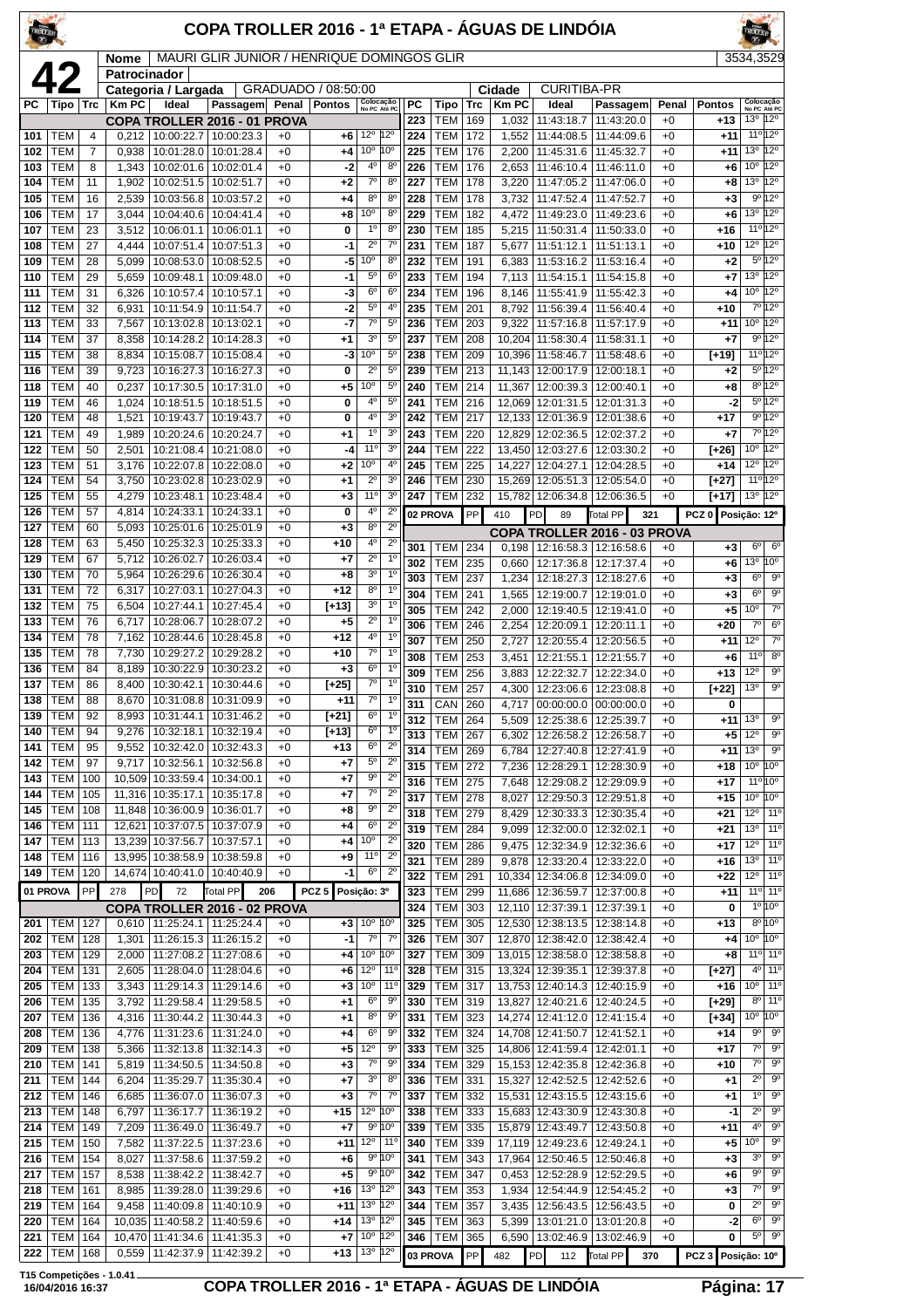| <b>TROLLER</b> |                           |                     |                      |                                        | COPA TROLLER 2016 - 1ª ETAPA - ÁGUAS DE LINDÓIA |              |                     |                                           |                                  |            |                          |            |                        |                                                        |                               |                 |                           |                                    |                                              |
|----------------|---------------------------|---------------------|----------------------|----------------------------------------|-------------------------------------------------|--------------|---------------------|-------------------------------------------|----------------------------------|------------|--------------------------|------------|------------------------|--------------------------------------------------------|-------------------------------|-----------------|---------------------------|------------------------------------|----------------------------------------------|
|                | 42                        |                     | Nome<br>Patrocinador |                                        | MAURI GLIR JUNIOR / HENRIQUE DOMINGOS GLIR      |              |                     |                                           |                                  |            |                          |            |                        |                                                        |                               |                 |                           | 3534,3529                          |                                              |
|                |                           |                     |                      | Categoria / Largada                    |                                                 |              | GRADUADO / 08:50:00 |                                           |                                  |            |                          |            | Cidade<br><b>Km PC</b> | <b>CURITIBA-PR</b>                                     |                               |                 |                           |                                    | Colocação                                    |
| PC.            | Tipo                      | Trc                 | <b>Km PC</b>         | Ideal<br>COPA TROLLER 2016 - 01 PROVA  | Passagem                                        | Penal        | <b>Pontos</b>       | Colocação<br>No PC Até PC                 |                                  | PC<br>223  | Tipo<br>TEM              | Trc<br>169 | 1,032                  | Ideal<br>11:43:18.7                                    | Passagem<br>11:43:20.0        | Penal<br>$+0$   | <b>Pontos</b><br>$+13$    | No PC Até PC<br>13°                | $12^{\circ}$                                 |
| 101            | <b>TEM</b>                | $\overline{4}$      | 0,212                | 10:00:22.7                             | 10:00:23.3                                      | $+0$         | +6                  | 12°                                       | $12^{\circ}$                     | 224        | TEM                      | 172        | 1,552                  | 11:44:08.5                                             | 11:44:09.6                    | $+0$            | $+11$                     |                                    | $11^{\circ}12^{\circ}$                       |
| 102<br>103     | <b>TEM</b><br>TEM         | $\overline{7}$<br>8 | 0,938<br>1,343       | 10:01:28.0<br>10:02:01.6               | 10:01:28.4<br>10:02:01.4                        | $+0$<br>$+0$ | $+4$<br>-2          | 10 <sup>o</sup><br>4 <sup>0</sup>         | 10°<br>$8^{\circ}$               | 225<br>226 | <b>TEM</b><br><b>TEM</b> | 176<br>176 | 2,200<br>2,653         | 11:45:31.6<br>11:46:10.4                               | 11:45:32.7<br>11:46:11.0      | $+0$<br>$+0$    | +11<br>+6                 | 13 <sup>o</sup><br>10 <sup>o</sup> | 12°<br>12°                                   |
| 104            | <b>TEM</b>                | 11                  | 1,902                | 10:02:51.5                             | 10:02:51.7                                      | $+0$         | $+2$                | $7^\circ$                                 | $8^{\circ}$                      | 227        | <b>TEM</b>               | 178        | 3,220                  | 11:47:05.2                                             | 11:47:06.0                    | $+0$            | +8                        | 13 <sup>o</sup>                    | $12^{\circ}$                                 |
| 105<br>106     | TEM<br><b>TEM</b>         | 16<br>17            | 2,539<br>3,044       | 10:03:56.8<br>10:04:40.6               | 10:03:57.2<br>10:04:41.4                        | $+0$<br>$+0$ | $+4$<br>$+8$        | 8 <sup>o</sup><br>10°                     | 8 <sup>0</sup><br>$8^{\circ}$    | 228<br>229 | <b>TEM</b><br><b>TEM</b> | 178<br>182 | 3,732<br>4,472         | 11:47:52.4<br>11:49:23.0                               | 11:47:52.7<br>11:49:23.6      | $+0$<br>$+0$    | $+3$<br>+6                | $9^{\circ}$<br>13 <sup>o</sup>     | 12°<br>$12^{\circ}$                          |
| 107            | <b>TEM</b>                | 23                  | 3,512                | 10:06:01.1                             | 10:06:01.1                                      | $+0$         | 0                   | $1^{\circ}$                               | 8 <sup>0</sup>                   | 230        | <b>TEM</b>               | 185        | 5,215                  | 11:50:31.4                                             | 11:50:33.0                    | $+0$            | $+16$                     |                                    | 11°12°                                       |
| 108            | TEM                       | 27                  | 4,444                | 10:07:51.4                             | 10:07:51.3                                      | +0           | $-1$                | $2^{\circ}$                               | $7^\circ$                        | 231        | <b>TEM</b>               | 187        | 5,677                  | 11:51:12.1                                             | 11:51:13.1                    | $+0$            | $+10$                     | $12^{\circ}$                       | 12°                                          |
| 109<br>110     | TEM<br>TEM                | 28<br>29            | 5,099<br>5,659       | 10:08:53.0<br>10:09:48.1               | 10:08:52.5<br>10:09:48.0                        | $+0$<br>$+0$ | -5<br>-1            | 10 <sup>o</sup><br>$5^{\circ}$            | 8 <sup>o</sup><br>6 <sup>c</sup> | 232<br>233 | <b>TEM</b><br>TEM        | 191<br>194 | 6,383<br>7,113         | 11:53:16.2<br>11:54:15.1                               | 11:53:16.4<br>11:54:15.8      | $+0$<br>$+0$    | $+2$<br>+7                | 13 <sup>o</sup>                    | $5^{\circ}12^{\circ}$<br>$12^{\circ}$        |
| 111            | TEM                       | 31                  | 6,326                | 10:10:57.4                             | 10:10:57.1                                      | $+0$         | -3                  | 6 <sup>o</sup>                            | $6^{\circ}$                      | 234        | <b>TEM</b>               | 196        | 8,146                  | 11:55:41.9                                             | 11:55:42.3                    | $+0$            | +4                        | 10 <sup>o</sup>                    | 12°                                          |
| 112<br>113     | <b>TEM</b><br><b>TEM</b>  | 32<br>33            | 6,931<br>7,567       | 10:11:54.9<br>10:13:02.8               | 10:11:54.7<br>10:13:02.1                        | $+0$<br>$+0$ | -2<br>-7            | $5^{\circ}$<br>$7^\circ$                  | 4 <sup>0</sup><br>5 <sup>0</sup> | 235<br>236 | <b>TEM</b><br><b>TEM</b> | 201<br>203 | 9,322                  | 8,792 11:56:39.4<br>11:57:16.8                         | 11:56:40.4<br>11:57:17.9      | $+0$<br>$+0$    | $+10$<br>+11              | 10 <sup>o</sup>                    | 7°12°<br>$12^{\circ}$                        |
| 114            | TEM                       | 37                  | 8,358                | 10:14:28.2                             | 10:14:28.3                                      | $+0$         | $+1$                | 3 <sup>o</sup>                            | $5^{\circ}$                      | 237        | <b>TEM</b>               | 208        | 10,204                 | 11:58:30.4                                             | 11:58:31.1                    | $+0$            | $+7$                      |                                    | 9º 12º                                       |
| 115            | TEM                       | 38                  | 8,834                | 10:15:08.7                             | 10:15:08.4                                      | $+0$         | -3                  | 10 <sup>o</sup>                           | $5^{\rm o}$                      | 238        | <b>TEM</b>               | 209        |                        | 10,396 11:58:46.7                                      | 11:58:48.6                    | $+0$            | [+19]                     |                                    | 11º 12º                                      |
| 116<br>118     | TEM<br>TEM                | 39<br>40            | 9,723<br>0,237       | 10:16:27.3<br>10:17:30.5               | 10:16:27.3<br>10:17:31.0                        | $+0$<br>$+0$ | 0<br>$+5$           | $2^{\circ}$<br>10 <sup>o</sup>            | $5^{\circ}$<br>$5^{\rm o}$       | 239<br>240 | <b>TEM</b><br><b>TEM</b> | 213<br>214 | 11,367                 | 11,143 12:00:17.9<br>12:00:39.3                        | 12:00:18.1<br>12:00:40.1      | $+0$<br>$+0$    | $+2$<br>+8                |                                    | $5^{\circ}12^{\circ}$<br>8º 12º              |
| 119            | TEM                       | 46                  | 1,024                | 10:18:51.5                             | 10:18:51.5                                      | $+0$         | 0                   | 4 <sup>0</sup>                            | $5^{\circ}$                      | 241        | <b>TEM</b>               | 216        | 12.069                 | 12:01:31.5                                             | 12:01:31.3                    | $+0$            | -2                        |                                    | 5º 12º                                       |
| 120            | TEM                       | 48                  | 1,521                | 10:19:43.7                             | 10:19:43.7                                      | $+0$         | 0                   | 4 <sup>0</sup>                            | 3 <sup>o</sup>                   | 242        | <b>TEM</b>               | 217        |                        | 12,133 12:01:36.9                                      | 12:01:38.6                    | $+0$            | $+17$                     |                                    | 9°12°                                        |
| 121<br>122     | TEM<br>TEM                | 49<br>50            | 1,989<br>2,501       | 10:20:24.6<br>10:21:08.4               | 10:20:24.7<br>10:21:08.0                        | $+0$<br>$+0$ | $+1$<br>-4          | $1^{\circ}$<br>$11^{\circ}$               | 3 <sup>o</sup><br>3 <sup>o</sup> | 243<br>244 | <b>TEM</b><br><b>TEM</b> | 220<br>222 |                        | 12,829 12:02:36.5<br>13,450 12:03:27.6                 | 12:02:37.2<br>12:03:30.2      | $+0$<br>$+0$    | +7<br>[+26]               | 10 <sup>o</sup>                    | 7º 12º<br>$12^{\circ}$                       |
| 123            | TEM                       | 51                  | 3,176                | 10:22:07.8                             | 10:22:08.0                                      | $+0$         | $+2$                | $10^{\circ}$                              | 4°                               | 245        | <b>TEM</b>               | 225        | 14.227                 | 12:04:27.1                                             | 12:04:28.5                    | $+0$            | $+14$                     | 12°                                | $12^{\circ}$                                 |
| 124            | <b>TEM</b>                | 54                  | 3,750                | 10:23:02.8   10:23:02.9                |                                                 | $+0$         | $^{+1}$             | $2^{\circ}$<br>11 <sup>0</sup>            | 3 <sup>o</sup><br>3 <sup>o</sup> | 246        | <b>TEM</b>               | 230        |                        | 15,269 12:05:51.3                                      | 12:05:54.0                    | $+0$            | [+27]                     |                                    | 11º 12º                                      |
| 125<br>126     | TEM<br>TEM                | 55<br>57            | 4,279<br>4,814       | 10:23:48.1<br>10:24:33.1               | 10:23:48.4<br>10:24:33.1                        | $+0$<br>$+0$ | $+3$<br>0           | 4 <sup>0</sup>                            | 2 <sup>c</sup>                   | 247        | <b>TEM</b><br>02 PROVA   | 232<br>PP  | 15,782<br>410          | 12:06:34.8<br>PD<br>89                                 | 12:06:36.5<br>Total PP<br>321 | $+0$            | [+17]<br>PCZ <sub>0</sub> | 13 <sup>o</sup><br>Posição: 12º    | $12^{\circ}$                                 |
| 127            | TEM                       | 60                  | 5,093                | 10:25:01.6                             | 10:25:01.9                                      | $+0$         | $+3$                | 8 <sup>0</sup>                            | $2^{\circ}$                      |            |                          |            |                        |                                                        | COPA TROLLER 2016 - 03 PROVA  |                 |                           |                                    |                                              |
| 128<br>129     | TEM<br><b>TEM</b>         | 63<br>67            | 5,450<br>5,712       | 10:25:32.3<br>10:26:02.7               | 10:25:33.3<br>10:26:03.4                        | +0<br>$+0$   | $+10$<br>$+7$       | 4 <sup>0</sup><br>$2^{\circ}$             | $2^{\circ}$<br>1 <sup>0</sup>    | 301        | <b>TEM</b>               | 234        | 0.198                  |                                                        | 12:16:58.3   12:16:58.6       | $+0$            | $+3$                      | 6 <sup>o</sup>                     | $6^{\circ}$                                  |
| 130            | TEM                       | 70                  | 5,964                | 10:26:29.6                             | 10:26:30.4                                      | $+0$         | $+8$                | 3 <sup>o</sup>                            | 1 <sup>0</sup>                   | 302<br>303 | <b>TEM</b><br><b>TEM</b> | 235<br>237 | 0,660                  | 12:17:36.8<br>1,234   12:18:27.3   12:18:27.6          | 12:17:37.4                    | $+0$<br>$+0$    | +6<br>$+3$                | 13 <sup>o</sup><br>$6^{\circ}$     | $10^{\circ}$<br>$\overline{9^{\circ}}$       |
| 131            | TEM                       | 72                  | 6,317                | 10:27:03.1                             | 10:27:04.3                                      | +0           | $+12$               | 8 <sup>o</sup>                            | 1 <sup>0</sup>                   | 304        | <b>TEM</b>               | 241        | 1,565                  | 12:19:00.7                                             | 12:19:01.0                    | $+0$            | $+3$                      | $6^{\circ}$                        | $9^{\circ}$                                  |
| 132<br>133     | <b>TEM</b><br>TEM         | 75<br>76            | 6,504<br>6,717       | 10:27:44.1<br>10:28:06.7               | 10:27:45.4<br>10:28:07.2                        | $+0$<br>$+0$ | [+13]<br>$+5$       | 3 <sup>o</sup><br>$2^{\circ}$             | 1 <sup>0</sup><br>1 <sup>0</sup> | 305        | <b>TEM</b>               | 242        | 2,000                  | 12:19:40.5                                             | 12:19:41.0                    | $+0$            | +5                        | 10 <sup>o</sup>                    | $7^\circ$                                    |
| 134            | TEM                       | 78                  | 7,162                | 10:28:44.6                             | 10:28:45.8                                      | $+0$         | $+12$               | 4°                                        | $1^{\circ}$                      | 306<br>307 | <b>TEM</b><br><b>TEM</b> | 246<br>250 | 2,254<br>2,727         | 12:20:09.1<br>12:20:55.4                               | 12:20:11.1<br>12:20:56.5      | $+0$<br>$+0$    | $+20$<br>$+11$            | $7^\circ$<br>12°                   | 6 <sup>o</sup><br>7 <sup>o</sup>             |
| 135            | <b>TEM</b>                | 78                  |                      | 7,730 10:29:27.2                       | 10:29:28.2                                      | $+0$         | $+10$               | $\overline{7^{\circ}}$                    | $\overline{1^{\circ}}$           | 308        | <b>TEM</b>               | 253        | 3,451                  | 12:21:55.1                                             | 12:21:55.7                    | $+0$            | +6                        | 11°                                | $8^{\circ}$                                  |
| 136<br>137     | TEM<br>TEM                | 84<br>86            | 8,189<br>8,400       | 10:30:22.9<br>10:30:42.1               | 10:30:23.2<br>10:30:44.6                        | $+0$<br>$+0$ | $^{+3}$<br>$[+25]$  | $6^{\circ}$<br>70                         | $1^{\circ}$<br>$1^{\circ}$       | 309        | <b>TEM</b>               | 256        | 3,883                  | 12:22:32.7                                             | 12:22:34.0                    | $+0$            | $+13$                     | 12°                                | $9^{\circ}$<br>$\overline{9^{\circ}}$        |
| 138            | <b>TEM</b>                | 88                  | 8.670                | 10:31:08.8                             | 10:31:09.9                                      | $+0$         | +11                 | $7^\circ$                                 | $1^{\circ}$                      | 310<br>311 | <b>TEM</b><br>CAN 260    | 257        | 4,300                  | 12:23:06.6   12:23:08.8<br>4,717 00:00:00.0 00:00:00.0 |                               | $+0$<br>$+0$    | $[+22]$<br>0              | 13 <sup>o</sup>                    |                                              |
| 139            | TEM                       | 92                  |                      | 8,993   10:31:44.1                     | 10:31:46.2                                      | $+0$         | [+21]               | $6^{\circ}$                               | $1^{\circ}$                      | 312        | <b>TEM</b>               | 264        | 5,509                  | 12:25:38.6   12:25:39.7                                |                               | $+0$            | +11                       | 13 <sup>o</sup>                    | $9^{\rm o}$                                  |
| 140<br>141     | <b>TEM</b><br><b>TEM</b>  | 94<br>95            | 9,276<br>9,552       | 10:32:18.1<br>10:32:42.0               | 10:32:19.4<br>10:32:43.3                        | +0<br>+0     | [+13]<br>+13        | 6 <sup>o</sup><br>6 <sup>o</sup>          | $1^{\circ}$<br>$2^{\circ}$       | 313<br>314 | <b>TEM</b><br><b>TEM</b> | 267<br>269 | 6,302                  | 12:26:58.2<br>12:27:40.8                               | 12:26:58.7<br>12:27:41.9      | $+0$            | $+5$<br>$+11$             | $12^{\circ}$<br>13 <sup>o</sup>    | $9^{\circ}$<br>$9^{\circ}$                   |
| 142            | <b>TEM</b>                | 97                  | 9,717                | 10:32:56.1                             | 10:32:56.8                                      | $+0$         | +7                  | $5^{\circ}$                               | $2^{\circ}$                      | 315        | <b>TEM</b>               | 272        | 6,784<br>7,236         | 12:28:29.1                                             | 12:28:30.9                    | $^{+0}$<br>$+0$ | +18                       | 10 <sup>o</sup>                    | 10 <sup>o</sup>                              |
| 143            | <b>TEM</b><br><b>TEM</b>  | 100<br>105          |                      | 10,509 10:33:59.4<br>11,316 10:35:17.1 | 10:34:00.1                                      | $+0$<br>$+0$ | +7                  | 9 <sup>o</sup><br>$7^\circ$               | $\overline{2^0}$<br>$2^{\circ}$  | 316        | <b>TEM</b>               | 275        | 7,648                  | 12:29:08.2                                             | 12:29:09.9                    | $+0$            | $+17$                     |                                    | 11°10°                                       |
| 144<br>145     | <b>TEM</b>                | 108                 |                      | 11,848 10:36:00.9                      | 10:35:17.8<br>10:36:01.7                        | $^{+0}$      | +7<br>+8            | $9^{\circ}$                               | $2^{\circ}$                      | 317<br>318 | <b>TEM</b><br><b>TEM</b> | 278<br>279 | 8,027<br>8,429         | 12:29:50.3<br>12:30:33.3                               | 12:29:51.8<br>12:30:35.4      | $^{+0}$<br>$+0$ | $+15$<br>$+21$            | 10 <sup>o</sup><br>12°             | 10 <sup>o</sup><br>$11^{\circ}$              |
| 146            | <b>TEM</b>                | 111                 |                      | 12,621 10:37:07.5                      | 10:37:07.9                                      | $+0$         | +4                  | 6 <sup>o</sup>                            | $2^{\circ}$                      | 319        | <b>TEM</b>               | 284        | 9,099                  | 12:32:00.0                                             | 12:32:02.1                    | $+0$            | $+21$                     | 13 <sup>o</sup>                    | 11 <sup>o</sup>                              |
| 147<br>148     | <b>TEM</b><br><b>TEM</b>  | 113<br>116          |                      | 13,239 10:37:56.7<br>13,995 10:38:58.9 | 10:37:57.1<br>10:38:59.8                        | $+0$<br>$+0$ | $+4$<br>$+9$        | 10 <sup>o</sup><br>$11^{\circ}$           | $2^{\circ}$<br>$2^{\circ}$       | 320        | <b>TEM</b>               | 286        | 9,475                  | 12:32:34.9                                             | 12:32:36.6                    | $^{+0}$         | +17                       | $12^{\circ}$                       | 11 <sup>o</sup>                              |
| 149            | <b>TEM</b>                | 120                 |                      | 14,674 10:40:41.0                      | 10:40:40.9                                      | $+0$         | -1                  | $6^{\circ}$                               | $2^{\circ}$                      | 321<br>322 | <b>TEM</b><br><b>TEM</b> | 289<br>291 | 9,878                  | 12:33:20.4<br>10,334   12:34:06.8   12:34:09.0         | 12:33:22.0                    | $+0$<br>$+0$    | $+16$<br>$+22$            | 13 <sup>o</sup><br>$12^{\circ}$    | $11^{\circ}$<br>110                          |
| 01 PROVA       |                           | PP                  | 278                  | PD<br>72                               | Total PP                                        | 206          | PCZ <sub>5</sub>    | Posição: 3º                               |                                  | 323        | <b>TEM</b>               | 299        |                        | 11,686 12:36:59.7                                      | 12:37:00.8                    | $+0$            | +11                       |                                    | 11 <sup>o</sup> 11 <sup>o</sup>              |
|                |                           |                     |                      | COPA TROLLER 2016 - 02 PROVA           |                                                 |              |                     |                                           |                                  | 324        | <b>TEM</b>               | 303        | 12,110                 | 12:37:39.1                                             | 12:37:39.1                    | $+0$            | 0                         |                                    | 1° 10°<br>$8^{\circ}10^{\circ}$              |
| 202            | 201   TEM  <br><b>TEM</b> | 127<br>128          | 1,301                | $0,610$   11:25:24.1<br>11:26:15.3     | 11:25:24.4<br>11:26:15.2                        | $+0$<br>$+0$ | $+3$<br>$-1$        | $10^{\circ}$ 10 <sup>°</sup><br>$7^\circ$ | $7^{\circ}$                      | 325<br>326 | TEM<br><b>TEM</b>        | 305<br>307 |                        | 12,530 12:38:13.5<br>12,870 12:38:42.0                 | 12:38:14.8<br>12:38:42.4      | $+0$<br>$+0$    | $+13$<br>$+4$             | $10^{\circ}$ $10^{\circ}$          |                                              |
| 203            | TEM                       | 129                 | 2,000                | 11:27:08.2                             | 11:27:08.6                                      | $+0$         | $+4$                | 10 <sup>o</sup>                           | 10°                              | 327        | <b>TEM</b>               | 309        |                        | 13,015 12:38:58.0                                      | 12:38:58.8                    | $+0$            | $+8$                      |                                    | 11 <sup>o</sup> 11 <sup>o</sup>              |
| 204<br>205     | TEM<br><b>TEM</b>         | 131<br>133          | 2,605<br>3,343       | 11:28:04.0<br>11:29:14.3               | 11:28:04.6<br>11:29:14.6                        | $+0$<br>+0   | +6<br>$+3$          | $12^{\circ}$<br>10 <sup>o</sup>           | $11^{\circ}$<br>$11^{\circ}$     | 328<br>329 | TEM<br><b>TEM</b>        | 315<br>317 |                        | 13,324 12:39:35.1<br>13,753 12:40:14.3                 | 12:39:37.8<br>12:40:15.9      | $+0$<br>$^{+0}$ | [+27]<br>$+16$            | 10 <sup>o</sup>                    | $4^{\circ}$ 11 <sup>°</sup><br>$ 11^{\circ}$ |
| 206            | <b>TEM</b>                | 135                 | 3,792                | 11:29:58.4                             | 11:29:58.5                                      | $+0$         | $+1$                | 6 <sup>o</sup>                            | $9^{\circ}$                      | 330        | <b>TEM</b>               | 319        |                        | 13,827 12:40:21.6                                      | 12:40:24.5                    | $+0$            | [+29]                     |                                    | 8º 11º                                       |
| 207            | <b>TEM</b>                | 136                 | 4,316                | 11:30:44.2                             | 11:30:44.3                                      | +0           | +1                  | 8 <sup>o</sup>                            | $9^{\circ}$                      | 331        | <b>TEM</b>               | 323        |                        | 14,274 12:41:12.0                                      | 12:41:15.4                    | $^{+0}$         | [+34]                     | 10 <sup>o</sup>                    | 10 <sup>o</sup>                              |
| 208<br>209     | TEM<br><b>TEM</b>         | 136<br>138          | 4,776<br>5,366       | 11:31:23.6<br>11:32:13.8               | 11:31:24.0<br>11:32:14.3                        | $+0$<br>$+0$ | +4<br>+5            | 6 <sup>o</sup><br>12 <sup>o</sup>         | $9^{\circ}$<br>9 <sup>o</sup>    | 332<br>333 | <b>TEM</b><br><b>TEM</b> | 324<br>325 |                        | 14,708 12:41:50.7<br>14,806 12:41:59.4                 | 12:41:52.1<br>12:42:01.1      | $+0$<br>$+0$    | $+14$<br>$+17$            | $9^{\circ}$<br>7°                  | 90<br>$\overline{9^{\circ}}$                 |
| 210            | <b>TEM</b>                | 141                 | 5,819                | 11:34:50.5                             | 11:34:50.8                                      | $+0$         | $^{+3}$             | $7^{\circ}$                               | $9^{\circ}$                      | 334        | <b>TEM</b>               | 329        |                        | 15,153 12:42:35.8                                      | 12:42:36.8                    | $+0$            | +10                       | $7^\circ$                          | 9 <sup>o</sup>                               |
| 211            | <b>TEM</b>                | 144                 | 6,204                | 11:35:29.7                             | 11:35:30.4                                      | $+0$         | $+7$                | 3 <sup>0</sup>                            | 8 <sup>0</sup>                   | 336        | <b>TEM</b>               | 331        |                        | 15,327 12:42:52.5                                      | 12:42:52.6                    | $+0$            | +1                        | $2^{\circ}$                        | $9^\circ$                                    |
| 212<br>213     | <b>TEM</b><br><b>TEM</b>  | 146<br>148          | 6,685<br>6,797       | 11:36:07.0<br>11:36:17.7               | 11:36:07.3<br>11:36:19.2                        | $+0$<br>$+0$ | $+3$<br>$+15$       | $7^{\circ}$<br>$12^{\circ}$               | $7^{\circ}$<br>10°               | 337<br>338 | <b>TEM</b><br><b>TEM</b> | 332<br>333 |                        | 15,531 12:43:15.5<br>15,683 12:43:30.9                 | 12:43:15.6<br>12:43:30.8      | $+0$<br>$+0$    | +1<br>$-1$                | $1^{\circ}$<br>$2^{\circ}$         | $9^{\circ}$<br>$9^{\rm o}$                   |
| 214            | <b>TEM</b>                | 149                 | 7,209                | 11:36:49.0                             | 11:36:49.7                                      | $+0$         | $+7$                | 9° 10°                                    |                                  | 339        | TEM                      | 335        |                        | 15,879 12:43:49.7                                      | 12:43:50.8                    | $+0$            | +11                       | $4^{\circ}$                        | $9^{\circ}$                                  |
| 215            | <b>TEM</b>                | 150                 | 7,582                | 11:37:22.5                             | 11:37:23.6                                      | $^{+0}$      | $+11$               | 12°                                       | $11^{\circ}$                     | 340        | <b>TEM</b>               | 339        |                        | 17,119 12:49:23.6                                      | 12:49:24.1                    | $+0$            | +5                        | 10 <sup>o</sup>                    | $9^{\circ}$                                  |
| 216<br>217     | <b>TEM</b><br><b>TEM</b>  | 154<br>157          | 8,027<br>8,538       | 11:37:58.6<br>11:38:42.2               | 11:37:59.2<br>11:38:42.7                        | $+0$<br>$+0$ | +6<br>$+5$          | $9^{\circ}$ 10 <sup>°</sup><br>9°10°      |                                  | 341<br>342 | <b>TEM</b><br><b>TEM</b> | 343<br>347 | 17,964<br>0,453        | 12:50:46.5<br>12:52:28.9                               | 12:50:46.8<br>12:52:29.5      | $+0$<br>$+0$    | $+3$<br>+6                | 3°<br>$9^{\circ}$                  | 9 <sup>o</sup><br>$\overline{9^{\circ}}$     |
| 218            | TEM                       | 161                 | 8,985                | 11:39:28.0                             | 11:39:29.6                                      | $+0$         | +16                 | 13 <sup>°</sup>                           | 12°                              | 343        | <b>TEM</b>               | 353        | 1,934                  | 12:54:44.9                                             | 12:54:45.2                    | $^{+0}$         | $+3$                      | $7^\circ$                          | $9^{\circ}$                                  |
| 219            | TEM<br><b>TEM</b>         | 164<br>164          | 9,458                | 11:40:09.8<br>10,035 11:40:58.2        | 11:40:10.9                                      | $^{+0}$      | $+11$               | 13 <sup>o</sup><br>13 <sup>°</sup>        | 12°<br>$12^{\circ}$              | 344<br>345 | <b>TEM</b><br><b>TEM</b> | 357        | 3,435                  | 12:56:43.5                                             | 12:56:43.5                    | $+0$<br>$+0$    | 0                         | $2^{\circ}$<br>$6^{\circ}$         | $9^{\circ}$<br>$\overline{9^{\circ}}$        |
| 220<br>221     | TEM                       | 164                 |                      | 10,470 11:41:34.6                      | 11:40:59.6<br>11:41:35.3                        | $+0$<br>$+0$ | +14<br>$+7$         | 10 <sup>o</sup>                           | 12°                              | 346        | <b>TEM</b>               | 363<br>365 | 5,399<br>6,590         | 13:01:21.0<br>13:02:46.9                               | 13:01:20.8<br>13:02:46.9      | $+0$            | -2<br>0                   | 5°                                 | $9^{\circ}$                                  |
| 222            | TEM                       | 168                 |                      | 0,559 11:42:37.9                       | 11:42:39.2                                      | $+0$         | $+13$               | 13 <sup>o</sup>                           | 12°                              | 03 PROVA   |                          | PP         | 482                    | <b>PD</b><br>112                                       | Total PP<br>370               |                 | PCZ 3 Posição: 10°        |                                    |                                              |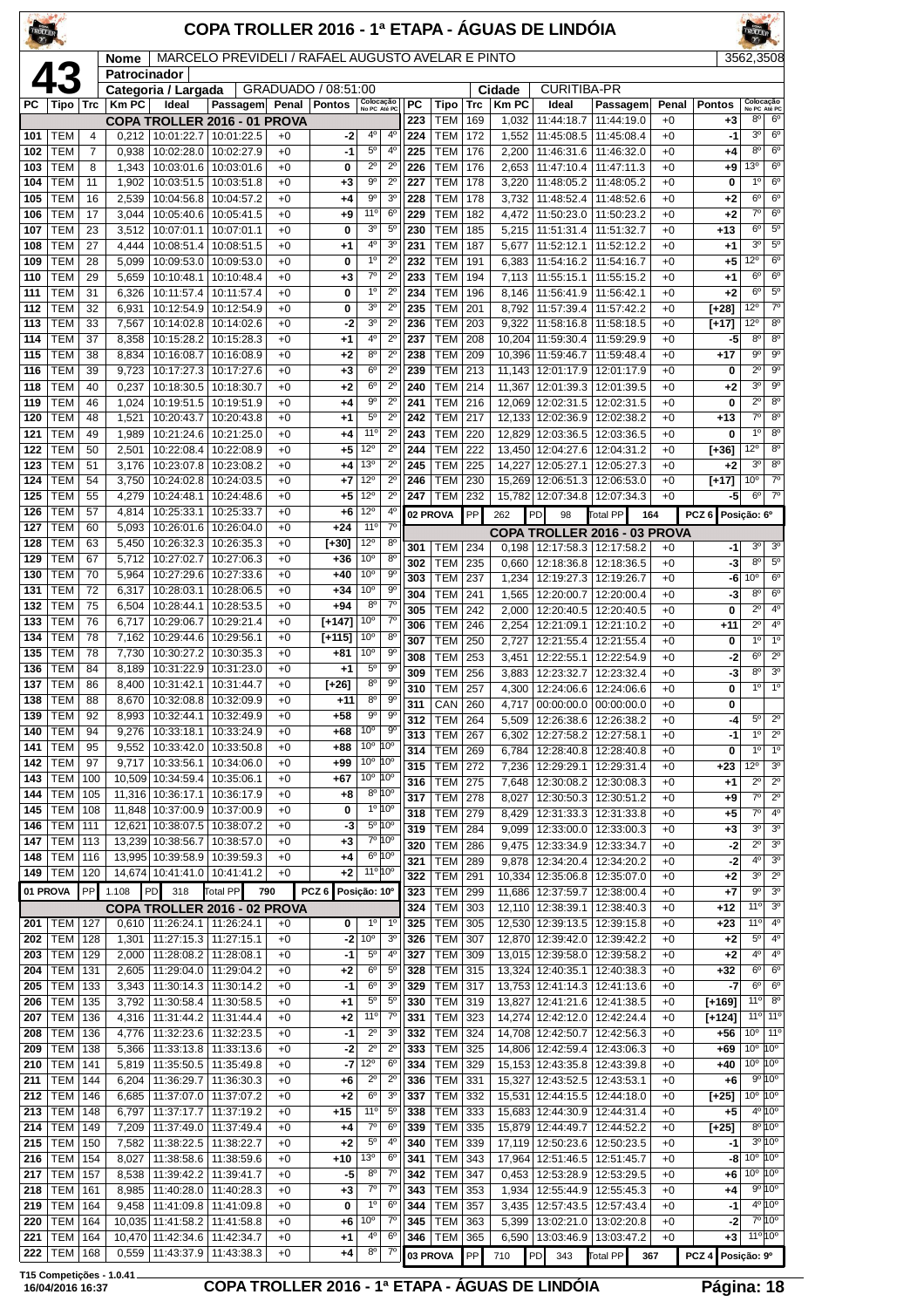|            |                          |                |                |                                          |                                                                   |              |                          |                                    |                                       |                         |                                  |            |                       | COPA TROLLER 2016 - 1ª ETAPA - ÁGUAS DE LINDÓIA |                                                                 |               |                         |                                                           |                                                       |
|------------|--------------------------|----------------|----------------|------------------------------------------|-------------------------------------------------------------------|--------------|--------------------------|------------------------------------|---------------------------------------|-------------------------|----------------------------------|------------|-----------------------|-------------------------------------------------|-----------------------------------------------------------------|---------------|-------------------------|-----------------------------------------------------------|-------------------------------------------------------|
|            |                          |                | Nome           |                                          | MARCELO PREVIDELI / RAFAEL AUGUSTO AVELAR E PINTO                 |              |                          |                                    |                                       |                         |                                  |            |                       |                                                 |                                                                 |               |                         | 3562,3508                                                 |                                                       |
|            |                          |                | Patrocinador   | Categoria / Largada                      |                                                                   |              | GRADUADO / 08:51:00      |                                    |                                       |                         |                                  |            | Cidade                | <b>CURITIBA-PR</b>                              |                                                                 |               |                         |                                                           |                                                       |
| РC         | Tipo                     | <b>Trc</b>     | <b>Km PC</b>   | Ideal                                    | Passagem Penal Pontos<br>COPA TROLLER 2016 - 01 PROVA             |              |                          | Colocação<br>No PC Até PC          |                                       | <b>PC</b><br>223        | Tipo<br><b>TEM</b>               | Trc<br>169 | <b>Km PC</b><br>1,032 | Ideal<br>11:44:18.7                             | Passagem<br>11:44:19.0                                          | Penal<br>$+0$ | <b>Pontos</b><br>+3     | Colocação<br>No PC Até PC<br>8 <sup>0</sup>               | 6 <sup>o</sup>                                        |
| 101        | TEM                      | $\overline{4}$ | 0,212          |                                          | 10:01:22.7   10:01:22.5                                           | $+0$         | -2                       | 4 <sup>0</sup>                     | $4^{\circ}$                           | 224                     | <b>TEM</b>                       | 172        | 1,552                 | 11:45:08.5                                      | 11:45:08.4                                                      | $+0$          | -1                      | 3 <sup>0</sup>                                            | 6 <sup>o</sup>                                        |
| 102        | TEM                      | 7              | 0,938          | 10:02:28.0                               | 10:02:27.9                                                        | $+0$         | -1                       | $5^{\circ}$                        | $4^{\circ}$                           | 225                     | <b>TEM</b>                       | 176        | 2,200                 | 11:46:31.6                                      | 11:46:32.0                                                      | $+0$          | +4                      | $8^{\circ}$                                               | 6 <sup>o</sup>                                        |
| 103<br>104 | TEM<br>TEM               | 8<br>11        | 1,343<br>1,902 | 10:03:01.6<br>10:03:51.5                 | 10:03:01.6<br>10:03:51.8                                          | $+0$<br>$+0$ | 0<br>$+3$                | $2^{\circ}$<br>$9^{\circ}$         | $2^{\circ}$<br>$2^{\circ}$            | 226<br>227              | <b>TEM</b><br><b>TEM</b>         | 176<br>178 | 2,653<br>3,220        | 11:47:10.4<br>11:48:05.2                        | 11:47:11.3<br>11:48:05.2                                        | $+0$<br>$+0$  | +9<br>0                 | 13°<br>$1^{\circ}$                                        | 6 <sup>o</sup><br>$6^{\circ}$                         |
| 105        | TEM                      | 16             | 2,539          | 10:04:56.8                               | 10:04:57.2                                                        | $+0$         | +4                       | 90                                 | 3 <sup>o</sup>                        | 228                     | <b>TEM</b>                       | 178        | 3,732                 | 11:48:52.4                                      | 11:48:52.6                                                      | $+0$          | $+2$                    | $6^{\circ}$                                               | 6 <sup>o</sup>                                        |
| 106<br>107 | TEM<br>TEM               | 17<br>23       | 3,044<br>3,512 | 10:05:40.6<br>10:07:01.1                 | 10:05:41.5<br>10:07:01.1                                          | $+0$<br>$+0$ | $+9$<br>0                | $11^{\circ}$<br>3 <sup>o</sup>     | 6 <sup>o</sup><br>5 <sup>o</sup>      | 229<br>230              | <b>TEM</b><br><b>TEM</b>         | 182<br>185 | 4,472                 | 11:50:23.0<br>5,215   11:51:31.4                | 11:50:23.2<br>11:51:32.7                                        | $+0$<br>$+0$  | $+2$<br>$+13$           | $\overline{7^{\circ}}$<br>$6^{\circ}$                     | $6^{\circ}$<br>$5^{\circ}$                            |
| 108        | TEM                      | 27             | 4,444          | 10:08:51.4                               | 10:08:51.5                                                        | $+0$         | $^{+1}$                  | 4º                                 | 3 <sup>o</sup>                        | 231                     | <b>TEM</b>                       | 187        | 5,677                 | 11:52:12.1                                      | 11:52:12.2                                                      | $+0$          | $+1$                    | 3 <sup>o</sup>                                            | 5 <sup>0</sup>                                        |
| 109        | тем                      | 28             | 5,099          | 10:09:53.0                               | 10:09:53.0                                                        | $+0$         | 0                        | $1^{\circ}$                        | $2^{\circ}$                           | 232                     | <b>TEM</b>                       | 191        | 6,383                 | 11:54:16.2                                      | 11:54:16.7                                                      | $+0$          | $+5$                    | 12°                                                       | $6^{\circ}$                                           |
| 110<br>111 | TEM<br><b>TEM</b>        | 29<br>31       | 5,659<br>6,326 | 10:10:48.1<br>10:11:57.4                 | 10:10:48.4<br>10:11:57.4                                          | $+0$<br>$+0$ | $^{+3}$<br>0             | $7^\circ$<br>1 <sup>0</sup>        | $2^{\circ}$<br>$2^{\circ}$            | 233<br>234              | <b>TEM</b><br><b>TEM</b>         | 194<br>196 | 8,146                 | 11:56:41.9                                      | 7,113   11:55:15.1   11:55:15.2<br>11:56:42.1                   | $+0$<br>$+0$  | $+1$<br>$+2$            | $6^{\circ}$<br>$6^{\circ}$                                | $6^{\circ}$<br>$5^{\circ}$                            |
| 112        | TEM                      | 32             | 6,931          | 10:12:54.9                               | 10:12:54.9                                                        | $+0$         | 0                        | 30                                 | $2^{\circ}$                           | 235                     | <b>TEM</b>                       | 201        | 8,792                 | 11:57:39.4                                      | 11:57:42.2                                                      | $+0$          | $[+28]$                 | 12°                                                       | $7^\circ$                                             |
| 113<br>114 | TEM<br>TEM               | 33<br>37       | 7,567<br>8,358 | 10:14:02.8<br>10:15:28.2                 | 10:14:02.6<br>10:15:28.3                                          | $+0$<br>$+0$ | -2<br>$+1$               | 3 <sup>o</sup><br>4°               | $2^{\circ}$<br>$2^{\circ}$            | 236<br>237              | <b>TEM</b><br><b>TEM</b>         | 203<br>208 | 9,322                 | 11:58:16.8<br>10,204 11:59:30.4                 | 11:58:18.5<br>11:59:29.9                                        | $+0$<br>$+0$  | $[+17]$<br>-5           | 12°<br>8 <sup>o</sup>                                     | 8 <sup>o</sup><br>8 <sup>0</sup>                      |
| 115        | TEM                      | 38             | 8,834          | 10:16:08.7                               | 10:16:08.9                                                        | $+0$         | $+2$                     | 8 <sup>0</sup>                     | $2^{\circ}$                           | 238                     | TEM                              | 209        |                       | 10,396 11:59:46.7                               | 11:59:48.4                                                      | $+0$          | $+17$                   | 90                                                        | 9 <sup>o</sup>                                        |
| 116        | <b>TEM</b>               | 39             | 9,723          | 10:17:27.3                               | 10:17:27.6                                                        | $+0$         | $+3$                     | $6^{\circ}$                        | $2^{\circ}$                           | 239                     | TEM                              | 213        |                       | 11,143 12:01:17.9                               | 12:01:17.9                                                      | $+0$          | 0                       | $2^{\circ}$                                               | 9 <sup>o</sup>                                        |
| 118<br>119 | TEM<br>TEM               | 40<br>46       | 0,237<br>1,024 | 10:18:30.5<br>10:19:51.5                 | 10:18:30.7<br>10:19:51.9                                          | $+0$<br>$+0$ | $+2$<br>$+4$             | 6 <sup>o</sup><br>$9^{\circ}$      | $2^{\circ}$<br>$2^{\circ}$            | 240<br>241              | <b>TEM</b><br><b>TEM</b>         | 214<br>216 | 11.367                | 12:01:39.3<br>12,069 12:02:31.5                 | 12:01:39.5<br>12:02:31.5                                        | $+0$<br>$+0$  | +2<br>0                 | 3 <sup>0</sup><br>$2^{\circ}$                             | $9^{\circ}$<br>8 <sup>o</sup>                         |
| 120        | TEM                      | 48             | 1,521          | 10:20:43.7                               | 10:20:43.8                                                        | $+0$         | $+1$                     | $5^{\circ}$                        | $2^{\circ}$                           | 242                     | <b>TEM</b>                       | 217        |                       | 12.133 12:02:36.9                               | 12:02:38.2                                                      | $+0$          | $+13$                   | $7^\circ$                                                 | 8 <sup>0</sup>                                        |
| 121        | TEM                      | 49             | 1,989          | 10:21:24.6                               | 10:21:25.0                                                        | $+0$         | $+4$                     | 11 <sup>0</sup>                    | $2^{\circ}$                           | 243                     | TEM                              | 220        |                       | 12,829 12:03:36.5                               | 12:03:36.5                                                      | $+0$          | 0                       | 1 <sup>°</sup>                                            | 8 <sup>0</sup>                                        |
| 122<br>123 | TEM<br>TEM               | 50<br>51       | 2,501<br>3,176 | 10:22:08.4<br>10:23:07.8                 | 10:22:08.9<br>10:23:08.2                                          | $+0$<br>$+0$ | $+5$<br>+4               | 12°<br>13 <sup>0</sup>             | $2^{\circ}$<br>$2^{\circ}$            | 244<br>245              | <b>TEM</b><br><b>TEM</b>         | 222<br>225 | 14,227                | 13.450 12:04:27.6<br>12:05:27.1                 | 12:04:31.2<br>12:05:27.3                                        | $+0$<br>$+0$  | [+36]<br>$+2$           | $12^{\circ}$<br>3 <sup>o</sup>                            | 8 <sup>o</sup><br>8 <sup>o</sup>                      |
| 124        | TEM                      | 54             | 3,750          | 10:24:02.8                               | 10:24:03.5                                                        | $+0$         | $+7$                     | 12°                                | $2^{\circ}$                           | 246                     | <b>TEM</b>                       | 230        |                       | 15,269 12:06:51.3                               | 12:06:53.0                                                      | $+0$          | $[+17]$                 | 10 <sup>o</sup>                                           | $7^\circ$                                             |
| 125        | TEM                      | 55             | 4,279          | 10:24:48.1                               | 10:24:48.6                                                        | $+0$         | $+5$                     | 12°                                | $2^{\circ}$                           | 247                     | <b>TEM</b>                       | 232        |                       | 15,782 12:07:34.8                               | 12:07:34.3                                                      | $+0$          | -5                      | $6^{\circ}$                                               | 7 <sup>0</sup>                                        |
| 126<br>127 | TEM<br><b>TEM</b>        | 57<br>60       | 4,814<br>5,093 | 10:25:33.1<br>10:26:01.6                 | 10:25:33.7<br>10:26:04.0                                          | $+0$<br>$+0$ | +6<br>$+24$              | $12^{\circ}$<br>11°                | $4^{\circ}$<br>$7^\circ$              |                         | 02 PROVA                         | PP         | 262                   | PD<br>98                                        | <b>Total PP</b><br>164                                          |               | PCZ 6                   | Posição: 6º                                               |                                                       |
| 128        | <b>TEM</b>               | 63             | 5,450          | 10:26:32.3                               | 10:26:35.3                                                        | $+0$         | [+30]                    | $12^{\circ}$                       | $8^{\circ}$                           | 301                     | TEM                              | 234        |                       |                                                 | COPA TROLLER 2016 - 03 PROVA<br>0,198   12:17:58.3   12:17:58.2 | $+0$          | -1                      | 3 <sup>o</sup>                                            | 3 <sup>o</sup>                                        |
| 129        | TEM                      | 67             | 5,712          | 10:27:02.7                               | 10:27:06.3                                                        | $+0$         | $+36$                    | 10 <sup>o</sup><br>10 <sup>o</sup> | $8^{\circ}$<br>$9^{\circ}$            | 302                     | <b>TEM</b>                       | 235        | 0.660                 | 12:18:36.8                                      | 12:18:36.5                                                      | $+0$          | -3                      | 8 <sup>o</sup>                                            | $5^{\circ}$                                           |
| 130<br>131 | <b>TEM</b><br><b>TEM</b> | 70<br>72       | 5,964<br>6,317 | 10:27:29.6<br>10:28:03.1                 | 10:27:33.6<br>10:28:06.5                                          | $+0$<br>$+0$ | $+40$<br>$+34$           | 10 <sup>o</sup>                    | 90                                    | 303<br>304              | <b>TEM</b><br><b>TEM</b>         | 237<br>241 | 1,234<br>1,565        | 12:19:27.3<br>12:20:00.7                        | 12:19:26.7<br>12:20:00.4                                        | $+0$<br>$+0$  | -6<br>-3                | 10 <sup>o</sup><br>$8^{\circ}$                            | 6 <sup>o</sup><br>6 <sup>o</sup>                      |
| 132        | TEM                      | 75             | 6,504          | 10:28:44.1                               | 10:28:53.5                                                        | $+0$         | $+94$                    | 8 <sup>0</sup>                     | $7^\circ$                             | 305                     | <b>TEM</b>                       | 242        | 2,000                 | 12:20:40.5                                      | 12:20:40.5                                                      | $+0$          | 0                       | $2^{\circ}$                                               | 4 <sup>0</sup>                                        |
| 133        | <b>TEM</b>               | 76             | 6.717          | 10:29:06.7                               | 10:29:21.4                                                        | $+0$         | $[+147]$                 | 10 <sup>o</sup><br>$10^{\circ}$    | $7^\circ$                             | 306                     | <b>TEM</b>                       | 246        | 2,254                 | 12:21:09.1                                      | 12:21:10.2                                                      | $+0$          | $+11$                   | $2^{\circ}$                                               | 4 <sup>0</sup>                                        |
| 134<br>135 | TEM<br>TEM               | 78<br>78       | 7,162<br>7,730 | 10:29:44.6<br>10:30:27.2                 | 10:29:56.1<br>10:30:35.3                                          | $+0$<br>$+0$ | $[+115]$<br>+81          | 10 <sup>o</sup>                    | $8^{\circ}$<br>$9^{\circ}$            | 307<br>308              | <b>TEM</b><br><b>TEM</b>         | 250<br>253 | 2,727<br>3,451        | 12:21:55.4<br>12:22:55.1                        | 12:21:55.4<br>12:22:54.9                                        | $+0$<br>$+0$  | 0<br>$-2$               | $1^{\circ}$<br>$6^{\circ}$                                | 1 <sup>0</sup><br>$2^{\circ}$                         |
| 136        | TEM                      | 84             | 8,189          | 10:31:22.9                               | 10:31:23.0                                                        | $+0$         | $^{+1}$                  | $5^{\circ}$                        | $9^{\circ}$                           | 309                     | <b>TEM</b>                       | 256        | 3,883                 | 12:23:32.7                                      | 12:23:32.4                                                      | $+0$          | -3                      | $8^{\circ}$                                               | 3 <sup>0</sup>                                        |
| 137<br>138 | <b>TEM</b><br><b>TEM</b> | 86<br>88       | 8,400          | 10:31:42.1                               | 10:31:44.7<br>8,670   10:32:08.8   10:32:09.9                     | $+0$<br>$+0$ | $[+26]$<br>$+11$         | 8 <sup>o</sup><br>$8^{\circ}$      | $9^{\circ}$<br>$9^{\circ}$            | 310                     | <b>TEM</b>                       | 257        | 4,300                 | 12:24:06.6                                      | 12:24:06.6                                                      | $+0$          | 0                       | $1^{\circ}$                                               | $1^{\circ}$                                           |
| 139        | TEM                      | 92             | 8,993          | 10:32:44.1                               | 10:32:49.9                                                        | $+0$         | $+58$                    | 90                                 | $9^{\circ}$                           | $\overline{311}$<br>312 | <b>CAN</b> 260<br><b>TEM 264</b> |            |                       | 5,509   12:26:38.6                              | 4,717 00:00:00.0 00:00:00.0<br>12:26:38.2                       | $+0$<br>$+0$  | 0<br>-4                 | $5^{\circ}$                                               | $2^{\circ}$                                           |
| 140        | <b>TEM</b>               | 94             | 9,276          | 10:33:18.1                               | 10:33:24.9                                                        | $+0$         | $+68$                    | 10 <sup>o</sup>                    | $9^{\rm o}$                           | 313                     | <b>TEM</b>                       | 267        | 6,302                 | 12:27:58.2                                      | 12:27:58.1                                                      | $+0$          | -1                      | 1 <sup>0</sup>                                            | $2^{\circ}$                                           |
| 141<br>142 | TEM<br>TEM               | 95<br>97       | 9,552<br>9,717 | 10:33:42.0<br>10:33:56.1                 | 10:33:50.8<br>10:34:06.0                                          | $+0$<br>$+0$ | +88<br>+99               | 10 <sup>o</sup><br>10 <sup>o</sup> | $10^{\circ}$<br>10°                   | 314                     | <b>TEM</b>                       | 269        | 6,784                 | 12:28:40.8                                      | 12:28:40.8                                                      | $+0$          | 0                       | 1 <sup>°</sup>                                            | 1 <sup>0</sup><br>3 <sup>o</sup>                      |
| 143        | <b>TEM</b>               | 100            |                | 10,509 10:34:59.4                        | 10:35:06.1                                                        | $+0$         | $+67$                    | 10 <sup>o</sup>                    | 10°                                   | 315<br>316              | <b>TEM</b><br><b>TEM</b>         | 272<br>275 | 7,236<br>7,648        | 12:29:29.1<br>12:30:08.2                        | 12:29:31.4<br>12:30:08.3                                        | $+0$<br>$+0$  | $+23$<br>$+1$           | 12°<br>$2^{\circ}$                                        | $2^{\circ}$                                           |
| 144        | <b>TEM</b>               | 105            |                | 11,316 10:36:17.1                        | 10:36:17.9                                                        | $+0$         | $+8$                     |                                    | $8^{\circ}$ 10°                       | 317                     | <b>TEM 278</b>                   |            | 8,027                 | 12:30:50.3                                      | 12:30:51.2                                                      | $+0$          | $+9$                    | $7^\circ$                                                 | $\overline{2^0}$                                      |
| 145<br>146 | <b>TEM</b><br><b>TEM</b> | 108<br>111     |                | 11,848   10:37:00.9<br>12,621 10:38:07.5 | 10:37:00.9<br>10:38:07.2                                          | $+0$<br>$+0$ | 0<br>-3                  |                                    | $1^{\circ}$ 10 <sup>°</sup><br>5º 10° | 318                     | <b>TEM</b>                       | 279        | 8,429                 | 12:31:33.3                                      | 12:31:33.8                                                      | $+0$          | $+5$                    | $7^\circ$<br>3 <sup>0</sup>                               | 4 <sup>0</sup><br>3 <sup>o</sup>                      |
| 147        | <b>TEM</b>               | 113            |                | 13,239 10:38:56.7                        | 10:38:57.0                                                        | $+0$         | $+3$                     |                                    | 7º 10°                                | 319<br>320              | <b>TEM</b><br>TEM                | 284<br>286 | 9,099<br>9.475        | 12:33:00.0<br>12:33:34.9                        | 12:33:00.3<br>12:33:34.7                                        | $+0$<br>$+0$  | +3<br>-2                | $2^{\circ}$                                               | 3 <sup>o</sup>                                        |
| 148        | <b>TEM</b>               | 116            |                | 13,995 10:39:58.9                        | 10:39:59.3                                                        | $+0$         | $+4$                     |                                    | $6^{\circ}$ 10°                       | 321                     | <b>TEM</b>                       | 289        | 9,878                 | 12:34:20.4                                      | 12:34:20.2                                                      | $+0$          | $-2$                    | $4^{\circ}$                                               | 3 <sup>o</sup>                                        |
| 149        | <b>TEM</b><br>01 PROVA   | 120<br>PP      | 1.108          | 318<br>PD                                | 14,674 10:41:41.0 10:41:41.2<br>Total PP                          | $+0$<br>790  | $+2$<br>PCZ <sub>6</sub> | 11° 10°<br>Posição: 10°            |                                       | 322<br>323              | <b>TEM</b><br>TEM                | 291<br>299 | 10,334<br>11,686      | 12:35:06.8<br>12:37:59.7                        | 12:35:07.0<br>12:38:00.4                                        | $+0$<br>$+0$  | $+2$<br>$+7$            | 3 <sup>o</sup><br>$9^{\circ}$                             | $2^{\circ}$<br>3 <sup>o</sup>                         |
|            |                          |                |                |                                          | COPA TROLLER 2016 - 02 PROVA                                      |              |                          |                                    |                                       | 324                     | <b>TEM</b>                       | 303        |                       | 12,110   12:38:39.1                             | 12:38:40.3                                                      | $+0$          | $+12$                   | 11°                                                       | 3 <sup>o</sup>                                        |
| 201        | TEM                      | 127            |                | $0,610$   11:26:24.1                     | 11:26:24.1                                                        | $+0$         | 0                        | 1 <sup>0</sup>                     | $1^{\circ}$                           | 325                     | TEM                              | 305        |                       | 12,530 12:39:13.5                               | 12:39:15.8                                                      | $+0$          | $+23$                   | 11°                                                       | 4 <sup>0</sup>                                        |
| 202<br>203 | <b>TEM</b><br><b>TEM</b> | 128<br>129     | 1,301<br>2,000 |                                          | 11:27:15.3   11:27:15.1<br>11:28:08.2   11:28:08.1                | $+0$<br>$+0$ | -2<br>-1                 | 10 <sup>o</sup><br>$5^{\circ}$     | 3 <sup>o</sup><br>$4^{\circ}$         | 326<br>327              | <b>TEM</b><br><b>TEM</b>         | 307<br>309 |                       | 12,870 12:39:42.0<br>13,015 12:39:58.0          | 12:39:42.2<br>12:39:58.2                                        | $+0$<br>$+0$  | $+2$<br>$+2$            | $5^{\circ}$<br>$4^{\circ}$                                | 4 <sup>0</sup><br>4 <sup>0</sup>                      |
| 204        | TEM                      | 131            | 2,605          | 11:29:04.0                               | 11:29:04.2                                                        | $+0$         | $+2$                     | $6^{\circ}$                        | 5 <sup>o</sup>                        | 328                     | TEM                              | 315        |                       | 13,324 12:40:35.1                               | 12:40:38.3                                                      | $+0$          | $+32$                   | $6^{\circ}$                                               | 6 <sup>o</sup>                                        |
| 205        | <b>TEM</b>               | 133            | 3,343          | 11:30:14.3                               | 11:30:14.2                                                        | $+0$         | -1                       | $6^{\circ}$                        | 3 <sup>0</sup>                        | 329                     | <b>TEM</b>                       | 317        |                       | 13,753 12:41:14.3                               | 12:41:13.6                                                      | $+0$          | -7                      | $6^{\circ}$                                               | 6 <sup>o</sup>                                        |
| 206<br>207 | <b>TEM</b><br>TEM        | 135<br>136     | 3,792          | 11:30:58.4                               | 11:30:58.5<br>4,316   11:31:44.2   11:31:44.4                     | $+0$<br>$+0$ | $+1$<br>$+2$             | $5^{\circ}$<br>11°                 | $5^{\circ}$<br>$7^{\circ}$            | 330<br>331              | <b>TEM</b><br>TEM                | 319<br>323 |                       | 13,827 12:41:21.6<br>14,274 12:42:12.0          | 12:41:38.5<br>12:42:24.4                                        | $+0$<br>$+0$  | [+169]<br>$[+124]$      | 11°                                                       | $8^{\circ}$<br>11 <sup>o</sup> 11 <sup>o</sup>        |
| 208        | <b>TEM</b>               | 136            | 4,776          | 11:32:23.6                               | 11:32:23.5                                                        | $+0$         | $-1$                     | $2^{\circ}$                        | 3 <sup>0</sup>                        | 332                     | <b>TEM</b>                       | 324        |                       | 14,708 12:42:50.7                               | 12:42:56.3                                                      | $+0$          | +56                     | 10 <sup>o</sup>                                           | 110                                                   |
| 209        | <b>TEM</b>               | 138            | 5,366          | 11:33:13.8                               | 11:33:13.6                                                        | $+0$         | -2                       | $2^{\circ}$<br>$12^{\circ}$        | $2^{\circ}$                           | 333                     | <b>TEM</b>                       | 325        |                       | 14,806 12:42:59.4                               | 12:43:06.3                                                      | $+0$          | $+69$                   | $10^{\circ}$ 10 <sup>°</sup><br>$10^{\circ}$ $10^{\circ}$ |                                                       |
| 210<br>211 | <b>TEM</b><br><b>TEM</b> | 141<br>144     | 5,819<br>6,204 | 11:35:50.5<br>11:36:29.7                 | 11:35:49.8<br>11:36:30.3                                          | $+0$<br>$+0$ | -7<br>+6                 | $2^{\circ}$                        | 6 <sup>o</sup><br>$2^{\circ}$         | 334<br>336              | <b>TEM 329</b><br>TEM            | 331        |                       | 15,153 12:43:35.8<br>15,327 12:43:52.5          | 12:43:39.8<br>12:43:53.1                                        | $+0$<br>$+0$  | $+40$<br>$+6$           |                                                           | 9°10°                                                 |
| 212        | <b>TEM</b>               | 146            | 6,685          |                                          | 11:37:07.0   11:37:07.2                                           | $+0$         | $+2$                     | $6^{\rm o}$                        | 3 <sup>0</sup>                        | 337                     | <b>TEM 332</b>                   |            |                       | 15,531 12:44:15.5                               | 12:44:18.0                                                      | $+0$          | $[+25]$                 | $10^{\circ}$ $10^{\circ}$                                 |                                                       |
| 213        | <b>TEM</b>               | 148            | 6,797          | 11:37:17.7                               | 11:37:19.2                                                        | $+0$         | $+15$                    | $11^{\circ}$<br>$7^{\circ}$        | $5^{\circ}$<br>6 <sup>o</sup>         | 338                     | <b>TEM</b>                       | 333        |                       | 15,683 12:44:30.9                               | 12:44:31.4                                                      | $+0$          | $+5$                    |                                                           | $4^{\circ}$ 10 <sup>°</sup><br>$8^{\circ} 10^{\circ}$ |
| 214<br>215 | <b>TEM</b><br><b>TEM</b> | 149<br>150     | 7,209<br>7,582 | 11:37:49.0<br>11:38:22.5                 | 11:37:49.4<br>11:38:22.7                                          | $+0$<br>$+0$ | $+4$<br>$+2$             | $5^{\rm o}$                        | 4 <sup>0</sup>                        | 339<br>340              | TEM<br>TEM                       | 335<br>339 |                       | 15,879 12:44:49.7<br>17,119 12:50:23.6          | 12:44:52.2<br>12:50:23.5                                        | $+0$<br>$+0$  | $[+25]$<br>-1           |                                                           | $3^{\circ}10^{\circ}$                                 |
| 216        | <b>TEM</b>               | 154            | 8,027          | 11:38:58.6                               | 11:38:59.6                                                        | $+0$         | $+10$                    | 13 <sup>o</sup>                    | 6 <sup>o</sup>                        | 341                     | <b>TEM</b>                       | 343        |                       | 17,964 12:51:46.5                               | 12:51:45.7                                                      | $+0$          | -8                      | $10^{\circ}$ $10^{\circ}$                                 |                                                       |
| 217        | <b>TEM</b><br><b>TEM</b> | 157            | 8,538          | 11:39:42.2                               | 11:39:41.7                                                        | $+0$<br>$+0$ | -5                       | $8^{\circ}$<br>$7^\circ$           | $7^{\circ}$<br>$7^\circ$              | 342<br>343              | TEM<br><b>TEM 353</b>            | 347        | 0,453                 | 12:53:28.9                                      | 12:53:29.5                                                      | $+0$<br>$+0$  | +6<br>$+4$              | $10^{\circ}$ $10^{\circ}$                                 | 9°10°                                                 |
| 218<br>219 | <b>TEM</b>               | 161<br>164     | 9,458          |                                          | 8,985   11:40:28.0   11:40:28.3<br>11:41:09.8   11:41:09.8        | $+0$         | $+3$<br>0                | $1^{\circ}$                        | $6^{\circ}$                           | 344                     | <b>TEM</b>                       | 357        |                       | 3,435   12:57:43.5                              | 1,934   12:55:44.9   12:55:45.3<br>12:57:43.4                   | $+0$          | -1                      |                                                           | $4^{\circ}10^{\circ}$                                 |
| 220        | <b>TEM</b>               | 164            |                | 10,035 11:41:58.2                        | 11:41:58.8                                                        | $+0$         | +6                       | 10 <sup>o</sup>                    | $7^{\circ}$                           | 345                     | <b>TEM</b>                       | 363        | 5,399                 | 13:02:21.0                                      | 13:02:20.8                                                      | $+0$          | $-2$                    |                                                           | 7°10°                                                 |
| 221<br>222 | <b>TEM</b><br><b>TEM</b> | 164<br>168     |                |                                          | 10,470 11:42:34.6 11:42:34.7<br>$0,559$   11:43:37.9   11:43:38.3 | $+0$<br>$+0$ | $+1$<br>$+4$             | 40<br>$8^{\circ}$                  | 6 <sup>o</sup><br>7°                  | 346                     | TEM<br>03 PROVA                  | 365<br>PP  | 710                   | 6,590   13:03:46.9<br>PD 343                    | 13:03:47.2<br>Total PP                                          | $+0$<br>367   | +3<br>PCZ 4 Posição: 9º | $11^{\circ} 10^{\circ}$                                   |                                                       |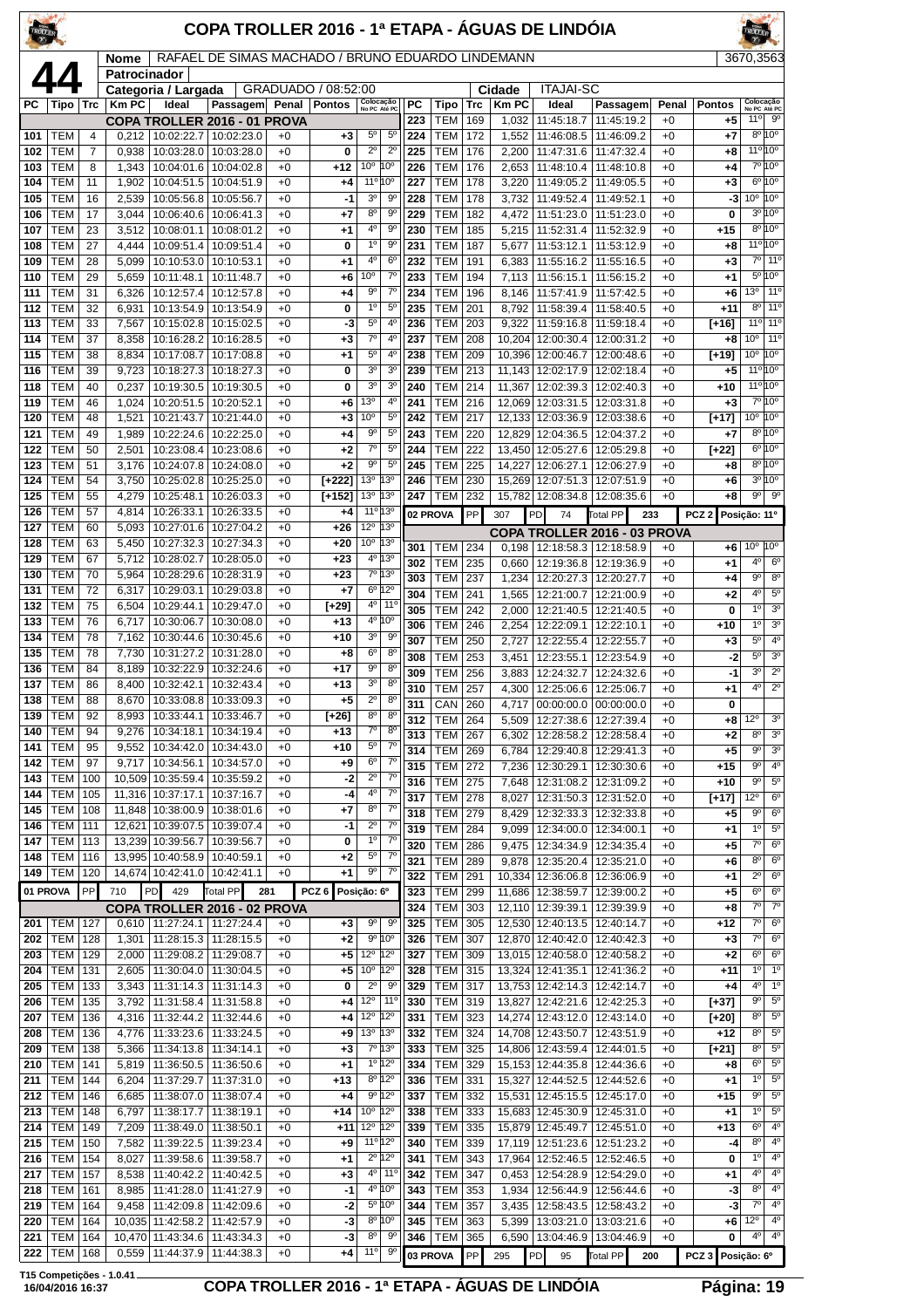| TROLLER    |                          |                |                      |                                 | COPA TROLLER 2016 - 1ª ETAPA - ÁGUAS DE LINDÓIA   |              |                     |                                                                      |                  |                              |            |                  |                                            |                                                       |              |                        | <b>FROLLER</b>                        |                                    |
|------------|--------------------------|----------------|----------------------|---------------------------------|---------------------------------------------------|--------------|---------------------|----------------------------------------------------------------------|------------------|------------------------------|------------|------------------|--------------------------------------------|-------------------------------------------------------|--------------|------------------------|---------------------------------------|------------------------------------|
|            |                          |                | Nome<br>Patrocinador |                                 | RAFAEL DE SIMAS MACHADO / BRUNO EDUARDO LINDEMANN |              |                     |                                                                      |                  |                              |            |                  |                                            |                                                       |              |                        | 3670,3563                             |                                    |
|            | 44                       |                |                      | Categoria / Largada             |                                                   |              | GRADUADO / 08:52:00 |                                                                      |                  |                              |            | Cidade           | <b>ITAJAI-SC</b>                           |                                                       |              |                        |                                       |                                    |
| PС         | Tipo                     | Trc            | <b>KmPC</b>          | Ideal                           | Passagem Penal                                    |              | <b>Pontos</b>       | Colocação<br>No PC Até PC                                            | РC               | Tipo                         | <b>Trc</b> | <b>Km PC</b>     | Ideal                                      | Passagem                                              | Penal        | <b>Pontos</b>          | Colocação<br>No PC Até PC<br>11°      | 90                                 |
| 101        | TEM                      | 4              | 0,212                | 10:02:22.7                      | COPA TROLLER 2016 - 01 PROVA<br>10:02:23.0        | $+0$         | $+3$                | $5^{\circ}$<br>$5^{\circ}$                                           | 223<br>224       | TEM<br>TEM                   | 169<br>172 | 1,032<br>1,552   | 11:45:18.7<br>11:46:08.5                   | 11:45:19.2<br>11:46:09.2                              | $+0$<br>$+0$ | +5<br>+7               |                                       | $8^{\circ}10^{\circ}$              |
| 102        | TEM                      | $\overline{7}$ | 0,938                | 10:03:28.0                      | 10:03:28.0                                        | $+0$         | 0                   | $2^{\circ}$<br>$2^{\circ}$                                           | 225              | <b>TEM</b>                   | 176        | 2,200            |                                            | 11:47:31.6   11:47:32.4                               | $+0$         | +8                     | $11^{\circ} 10^{\circ}$               |                                    |
| 103        | <b>TEM</b>               | 8              | 1,343                | 10:04:01.6                      | 10:04:02.8                                        | $+0$         | $+12$               | 10 <sup>o</sup><br>10 <sup>o</sup>                                   | 226              | <b>TEM</b>                   | 176        | 2,653            | 11:48:10.4                                 | 11:48:10.8                                            | $+0$         | +4                     |                                       | 7º 10°                             |
| 104<br>105 | TEM<br>TEM               | 11<br>16       | 1,902<br>2,539       | 10:04:51.5<br>10:05:56.8        | 10:04:51.9<br>10:05:56.7                          | $+0$<br>$+0$ | +4<br>$-1$          | 11 <sup>o</sup> 10 <sup>o</sup><br>3 <sup>0</sup><br>90              | 227<br>228       | <b>TEM</b><br><b>TEM</b>     | 178<br>178 | 3,220<br>3,732   | 11:49:05.2<br>11:49:52.4                   | 11:49:05.5<br>11:49:52.1                              | $+0$<br>$+0$ | +3<br>-3               | $10^{\circ}$ $10^{\circ}$             | $6^{\circ}10^{\circ}$              |
| 106        | TEM                      | 17             | 3,044                | 10:06:40.6                      | 10:06:41.3                                        | $+0$         | +7                  | 8 <sup>o</sup><br>9 <sup>o</sup>                                     | 229              | <b>TEM</b>                   | 182        | 4,472            | 11:51:23.0                                 | 11:51:23.0                                            | $+0$         | 0                      |                                       | $3^{\circ}10^{\circ}$              |
| 107        | TEM                      | 23             | 3,512                | 10:08:01.1                      | 10:08:01.2                                        | $+0$         | $+1$                | $4^{\circ}$<br>90                                                    | 230              | <b>TEM</b>                   | 185        | 5,215            | 11:52:31.4                                 | 11:52:32.9                                            | $+0$         | $+15$                  |                                       | $8^{\circ}10^{\circ}$              |
| 108<br>109 | TEM<br>TEM               | 27<br>28       | 4,444<br>5,099       | 10:09:51.4<br>10:10:53.0        | 10:09:51.4<br>10:10:53.1                          | $+0$<br>$+0$ | 0<br>+1             | 1 <sup>0</sup><br>9 <sup>o</sup><br>$4^{\circ}$<br>6 <sup>o</sup>    | 231<br>232       | <b>TEM</b><br>TEM            | 187<br>191 | 5,677<br>6,383   | 11:53:12.1<br>11:55:16.2                   | 11:53:12.9<br>11:55:16.5                              | $+0$<br>$+0$ | +8<br>+3               | $11^{\circ}10^{\circ}$<br>$7^{\circ}$ | 11 <sup>o</sup>                    |
| 110        | TEM                      | 29             | 5,659                | 10:11:48.1                      | 10:11:48.7                                        | $+0$         | +6                  | 10 <sup>o</sup><br>$7^\circ$                                         | 233              | <b>TEM</b>                   | 194        | 7,113            | 11:56:15.1                                 | 11:56:15.2                                            | $+0$         | +1                     |                                       | $5^{\circ}10^{\circ}$              |
| 111        | TEM                      | 31             | 6,326                | 10:12:57.4                      | 10:12:57.8                                        | $+0$         | $+4$                | $7^{\circ}$<br>9°                                                    | 234              | <b>TEM</b>                   | 196        | 8,146            | 11:57:41.9                                 | 11:57:42.5                                            | $+0$         | +6                     | 13 <sup>o</sup>                       | 11 <sup>0</sup>                    |
| 112<br>113 | TEM<br>TEM               | 32<br>33       | 6,931<br>7,567       | 10:13:54.9                      | 10:13:54.9<br>10:15:02.8   10:15:02.5             | $+0$<br>$+0$ | 0<br>-3             | $1^{\circ}$<br>$5^{\circ}$<br>5 <sup>0</sup><br>4 <sup>0</sup>       | 235<br>236       | <b>TEM</b><br><b>TEM</b>     | 201<br>203 | 8,792<br>9,322   | 11:58:39.4                                 | 11:58:40.5<br>11:59:16.8 11:59:18.4                   | $+0$<br>$+0$ | $+11$<br>[+16]         | $8^{\circ}$<br>11 <sup>o</sup>        | 11 <sup>o</sup><br>11 <sup>o</sup> |
| 114        | <b>TEM</b>               | 37             | 8,358                | 10:16:28.2                      | 10:16:28.5                                        | $+0$         | $+3$                | $7^\circ$<br>4°                                                      | 237              | TEM                          | 208        | 10,204           | 12:00:30.4                                 | 12:00:31.2                                            | $+0$         | +8                     | 10 <sup>o</sup>                       | 11 <sup>0</sup>                    |
| 115        | TEM                      | 38             | 8,834                | 10:17:08.7                      | 10:17:08.8                                        | $+0$         | $+1$                | $5^{\circ}$<br>4 <sup>0</sup>                                        | 238              | <b>TEM</b>                   | 209        | 10,396           | 12:00:46.7                                 | 12:00:48.6                                            | $+0$         | $[+19]$                | $10^{\circ}$                          | 10°                                |
| 116        | TEM<br>TEM               | 39<br>40       | 9,723                |                                 | 10:18:27.3   10:18:27.3                           | $+0$<br>$+0$ | 0                   | 3 <sup>o</sup><br>3 <sup>o</sup><br>3 <sup>o</sup><br>3 <sup>o</sup> | 239<br>240       | <b>TEM</b><br><b>TEM</b>     | 213        |                  | 11,143   12:02:17.9                        | 12:02:18.4                                            | $+0$         | +5                     | 11°10°<br>$11^{\circ}10^{\circ}$      |                                    |
| 118<br>119 | TEM                      | 46             | 0,237<br>1,024       | 10:19:30.5<br>10:20:51.5        | 10:19:30.5<br>10:20:52.1                          | $+0$         | 0<br>$+6$           | 13 <sup>o</sup><br>4º                                                | 241              | TEM                          | 214<br>216 | 11,367<br>12,069 | 12:02:39.3<br>12:03:31.5                   | 12:02:40.3<br>12:03:31.8                              | $+0$<br>$+0$ | $+10$<br>+3            |                                       | 7º 10°                             |
| 120        | TEM                      | 48             | 1,521                | 10:21:43.7                      | 10:21:44.0                                        | $+0$         | $+3$                | 10 <sup>o</sup><br>$5^{\circ}$                                       | 242              | <b>TEM</b>                   | 217        |                  | 12,133 12:03:36.9 12:03:38.6               |                                                       | $+0$         | [+17]                  | $10^{\circ}$ $10^{\circ}$             |                                    |
| 121        | <b>TEM</b>               | 49             | 1,989                | 10:22:24.6                      | 10:22:25.0                                        | $+0$         | $+4$                | $5^{\circ}$<br>90                                                    | 243              | <b>TEM</b>                   | 220        | 12,829           | 12:04:36.5                                 | 12:04:37.2                                            | $+0$         | +7                     | $8^{\circ}$                           | 10°<br>$6^{\circ}10^{\circ}$       |
| 122<br>123 | TEM<br>TEM               | 50<br>51       | 2,501<br>3,176       | 10:23:08.4<br>10:24:07.8        | 10:23:08.6<br>10:24:08.0                          | $+0$<br>$+0$ | $+2$<br>$+2$        | $7^\circ$<br>$5^{\circ}$<br>9 <sup>o</sup><br>$5^{\circ}$            | 244<br>245       | <b>TEM</b><br><b>TEM</b>     | 222<br>225 | 13,450<br>14,227 | 12:05:27.6<br>12:06:27.1                   | 12:05:29.8<br>12:06:27.9                              | $+0$<br>$+0$ | [+22]<br>+8            |                                       | $8^{\circ}10^{\circ}$              |
| 124        | TEM                      | 54             | 3,750                | 10:25:02.8                      | 10:25:25.0                                        | $+0$         | $[+222]$            | 13 <sup>o</sup><br>13°                                               | 246              | <b>TEM</b>                   | 230        | 15,269           | 12:07:51.3                                 | 12:07:51.9                                            | $+0$         | +6                     |                                       | $3^{\circ}10^{\circ}$              |
| 125        | TEM                      | 55             | 4,279                | 10:25:48.1                      | 10:26:03.3                                        | $+0$         | $[+152]$            | 13 <sup>o</sup><br>13°                                               | 247              | <b>TEM</b>                   | 232        | 15,782           |                                            | 12:08:34.8   12:08:35.6                               | $+0$         | +8                     | $9^{\circ}$                           | $9^{\circ}$                        |
| 126<br>127 | TEM<br>TEM               | 57<br>60       | 4,814<br>5,093       | 10:26:33.1<br>10:27:01.6        | 10:26:33.5<br>10:27:04.2                          | $+0$<br>$+0$ | +4<br>$+26$         | 11° 13°<br>$12^{\circ}$<br>13 <sup>0</sup>                           |                  | 02 PROVA                     | PP         | 307              | PD<br>74                                   | Total PP<br>233                                       |              | PCZ <sub>2</sub>       | Posição: 11º                          |                                    |
| 128        | TEM                      | 63             | 5,450                |                                 | 10:27:32.3   10:27:34.3                           | $+0$         | $+20$               | $10^{\circ}$<br>13 <sup>o</sup>                                      | 301              | TEM                          | 234        | 0,198            |                                            | COPA TROLLER 2016 - 03 PROVA<br>12:18:58.3 12:18:58.9 | $+0$         | +6                     | $10^{\circ}$ 10 <sup>°</sup>          |                                    |
| 129        | TEM                      | 67             | 5,712                | 10:28:02.7                      | 10:28:05.0                                        | $+0$         | $+23$               | 4º 13º                                                               | 302              | <b>TEM</b>                   | 235        | 0,660            | 12:19:36.8                                 | 12:19:36.9                                            | $+0$         | +1                     | $4^{\circ}$                           | $6^{\circ}$                        |
| 130        | TEM<br>TEM               | 70             | 5,964<br>6,317       | 10:28:29.6<br>10:29:03.1        | 10:28:31.9                                        | $+0$         | $+23$               | 7º 13º<br>$6^{\circ}$ 12°                                            | 303              | <b>TEM</b>                   | 237        | 1,234            | 12:20:27.3                                 | 12:20:27.7                                            | $+0$         | +4                     | $9^{\circ}$                           | $8^{\circ}$                        |
| 131<br>132 | TEM                      | 72<br>75       | 6,504                | 10:29:44.1                      | 10:29:03.8<br>10:29:47.0                          | $+0$<br>$+0$ | +7<br>[+29]         | $4^{\circ}$<br>11 <sup>o</sup>                                       | 304<br>305       | <b>TEM</b><br><b>TEM</b>     | 241<br>242 | 1,565<br>2,000   | 12:21:00.7<br>12:21:40.5                   | 12:21:00.9<br>12:21:40.5                              | $+0$<br>$+0$ | +2<br>0                | 4 <sup>0</sup><br>1 <sup>0</sup>      | $5^{\circ}$<br>3 <sup>0</sup>      |
| 133        | TEM                      | 76             | 6,717                | 10:30:06.7                      | 10:30:08.0                                        | $+0$         | $+13$               | 10°<br>4 <sup>0</sup>                                                | 306              | <b>TEM</b>                   | 246        | 2,254            | 12:22:09.1                                 | 12:22:10.1                                            | $+0$         | +10                    | 1 <sup>0</sup>                        | 3 <sup>o</sup>                     |
| 134        | <b>TEM</b>               | 78             | 7,162                | 10:30:44.6                      | 10:30:45.6                                        | $+0$         | $+10$               | 3 <sup>o</sup><br>$9^{\circ}$                                        | 307              | TEM                          | 250        | 2,727            | 12:22:55.4                                 | 12:22:55.7                                            | $+0$         | +3                     | 5 <sup>0</sup>                        | 4 <sup>0</sup>                     |
| 135<br>136 | TEM<br>TEM               | 78<br>84       | 7,730<br>8,189       | 10:31:27.2<br>10:32:22.9        | 10:31:28.0<br>10:32:24.6                          | $+0$<br>$+0$ | $+8$<br>+17         | 6 <sup>o</sup><br>8 <sup>o</sup><br>9 <sup>o</sup><br>8 <sup>o</sup> | 308<br>309       | <b>TEM</b><br><b>TEM</b>     | 253<br>256 | 3,451            | 12:23:55.1<br>12:24:32.7                   | 12:23:54.9<br>12:24:32.6                              | $+0$<br>$+0$ | $-2$<br>-1             | 5 <sup>0</sup><br>3 <sup>o</sup>      | 3 <sup>o</sup><br>$2^{\circ}$      |
| 137        | TEM                      | 86             | 8,400                | 10:32:42.1                      | 10:32:43.4                                        | $+0$         | $+13$               | 3 <sup>o</sup><br>$8^{\circ}$                                        | 310              | <b>TEM</b>                   | 257        | 3,883<br>4.300   | 12:25:06.6   12:25:06.7                    |                                                       | $+0$         | +1                     | 4 <sup>0</sup>                        | $\overline{2^{\circ}}$             |
| 138        | <b>TEM</b>               | 88             | 8,670                |                                 | 10:33:08.8   10:33:09.3                           | $+0$         | $+5$                | $2^{\circ}$<br>8 <sup>o</sup>                                        | $\overline{311}$ | $CRN$ 260                    |            |                  |                                            | 4,717 00:00:00.0 00:00:00.0                           | $+0$         | 0                      |                                       |                                    |
| 139<br>140 | TEM<br>TEM               | 92<br>94       | 8,993<br>9,276       | 10:33:44.1<br>10:34:18.1        | 10:33:46.7<br>10:34:19.4                          | $+0$<br>$+0$ | $[+26]$<br>+13      | $8^{\circ}$<br>$8^{\circ}$<br>$7^\circ$<br>$8^{\circ}$               | 312              | <b>TEM 264</b>               |            | 5,509            |                                            | 12:27:38.6   12:27:39.4                               | $+0$         | +8                     | 12°                                   | 3 <sup>o</sup><br>3 <sup>o</sup>   |
| 141        | TEM                      | 95             | 9,552                | 10:34:42.0                      | 10:34:43.0                                        | $+0$         | +10                 | $5^{\circ}$<br>$7^\circ$                                             | 313<br>314       | <b>TEM</b><br><b>TEM</b>     | 267<br>269 | 6,302<br>6,784   | 12:28:58.2<br>12:29:40.8                   | 12:28:58.4<br>12:29:41.3                              | $+0$<br>$+0$ | +2<br>+5               | 8 <sup>o</sup><br>$9^{\circ}$         | 3 <sup>o</sup>                     |
| 142        | TEM                      | 97             | 9,717                | 10:34:56.1                      | 10:34:57.0                                        | $+0$         | +9                  | $6^{\circ}$<br>$7^\circ$                                             | 315              | <b>TEM</b>                   | 272        | 7,236            |                                            | 12:30:29.1   12:30:30.6                               | $+0$         | +15                    | $9^{\circ}$                           | 4 <sup>0</sup>                     |
| 143<br>144 | TEM<br>TEM               | 100<br>105     | 10,509<br>11,316     | 10:35:59.4<br>10:37:17.1        | 10:35:59.2<br>10:37:16.7                          | $+0$<br>$+0$ | -2<br>-4            | $2^{\circ}$<br>$7^\circ$<br>4 <sup>0</sup><br>$7^{\circ}$            | 316              | TEM                          | 275        | 7,648            | 12:31:08.2                                 | 12:31:09.2                                            | $+0$         | $+10$                  | $9^{\circ}$                           | $5^{\circ}$<br>$6^{\circ}$         |
| 145        | TEM                      | 108            | 11,848               | 10:38:00.9                      | 10:38:01.6                                        | $+0$         | +7                  | 8 <sup>o</sup><br>$7^\circ$                                          | 317<br>318       | <b>TEM</b><br><b>TEM</b>     | 278<br>279 | 8,027<br>8,429   | 12:31:50.3                                 | 12:31:52.0<br>12:32:33.3   12:32:33.8                 | $+0$<br>$+0$ | [+17]<br>+5            | 12°<br>$9^{\circ}$                    | $6^{\circ}$                        |
| 146        | <b>TEM</b>               | 111            | 12,621               | 10:39:07.5                      | 10:39:07.4                                        | $+0$         | $-1$                | $2^{\circ}$<br>$7^\circ$                                             | 319              | <b>TEM</b>                   | 284        | 9,099            | 12:34:00.0                                 | 12:34:00.1                                            | $+0$         | +1                     | 1 <sup>0</sup>                        | $5^{\circ}$                        |
| 147<br>148 | TEM<br><b>TEM</b>        | 113<br>116     | 13,239               | 10:39:56.7<br>13,995 10:40:58.9 | 10:39:56.7<br>10:40:59.1                          | $+0$<br>$+0$ | 0<br>$^{+2}$        | 1 <sup>0</sup><br>$7^\circ$<br>$5^{\rm o}$<br>$7^{\circ}$            | 320              | TEM                          | 286        | 9,475            | 12:34:34.9                                 | 12:34:35.4                                            | $+0$         | +5                     | $7^\circ$                             | 6 <sup>o</sup>                     |
| 149        | <b>TEM</b>               | 120            |                      | 14,674 10:42:41.0               | 10:42:41.1                                        | $+0$         | $+1$                | $9^{\circ}$<br>$7^\circ$                                             | 321<br>322       | TEM<br><b>TEM</b>            | 289<br>291 | 9,878<br>10,334  | 12:35:20.4<br>12:36:06.8                   | 12:35:21.0<br>12:36:06.9                              | $+0$<br>$+0$ | +6<br>+1               | 8 <sup>o</sup><br>$2^{\circ}$         | 6 <sup>o</sup><br>$6^{\circ}$      |
|            | 01 PROVA                 | PP             | 710                  | PD<br>429                       | Total PP                                          | 281          | PCZ <sub>6</sub>    | Posição: 6º                                                          | 323              | <b>TEM</b>                   | 299        | 11,686           | 12:38:59.7                                 | 12:39:00.2                                            | $+0$         | +5                     | 6 <sup>o</sup>                        | 6 <sup>o</sup>                     |
|            |                          |                |                      |                                 | COPA TROLLER 2016 - 02 PROVA                      |              |                     |                                                                      | 324              | TEM                          | 303        | 12,110           | 12:39:39.1                                 | 12:39:39.9                                            | $+0$         | +8                     | $7^{\circ}$                           | $7^\circ$                          |
| 201<br>202 | TEM<br><b>TEM</b>        | 127<br>128     | 1,301                | $0,610$   11:27:24.1            | 11:27:24.4<br>11:28:15.3   11:28:15.5             | $+0$<br>$+0$ | $+3$<br>$+2$        | 9 <sup>o</sup><br>9 <sup>o</sup><br>9°10°                            | 325<br>326       | <b>TEM</b><br><b>TEM</b>     | 305<br>307 | 12,530           | 12:40:13.5<br>12,870 12:40:42.0 12:40:42.3 | 12:40:14.7                                            | $+0$<br>$+0$ | +12<br>+3              | $7^\circ$<br>$7^\circ$                | 6 <sup>o</sup><br>$6^{\circ}$      |
| 203        | TEM                      | 129            | 2,000                | 11:29:08.2                      | 11:29:08.7                                        | $+0$         | +5                  | $12^{\circ}$<br>$12^{\circ}$                                         | 327              | TEM                          | 309        | 13,015           | 12:40:58.0                                 | 12:40:58.2                                            | $+0$         | +2                     | 6 <sup>o</sup>                        | $6^{\circ}$                        |
| 204        | TEM                      | 131            | 2,605                | 11:30:04.0                      | 11:30:04.5                                        | $+0$         | +5                  | 10 <sup>o</sup><br>$12^{\circ}$                                      | 328              | TEM                          | 315        | 13,324           | 12:41:35.1                                 | 12:41:36.2                                            | $+0$         | $+11$                  | 1 <sup>0</sup>                        | 1 <sup>o</sup>                     |
| 205<br>206 | <b>TEM</b><br>TEM        | 133<br>135     | 3,343<br>3,792       | 11:31:58.4                      | 11:31:14.3   11:31:14.3<br>11:31:58.8             | $+0$<br>$+0$ | 0<br>+4             | $2^{\circ}$<br>9 <sup>o</sup><br>$12^{\circ}$<br>11 <sup>°</sup>     | 329<br>330       | <b>TEM 317</b><br><b>TEM</b> | 319        | 13,827           | 13,753 12:42:14.3<br>12:42:21.6            | 12:42:14.7<br>12:42:25.3                              | $+0$<br>$+0$ | $^{+4}$<br>[+37]       | 4 <sup>0</sup><br>$9^{\circ}$         | 1 <sup>o</sup><br>$5^{\circ}$      |
| 207        | TEM                      | 136            | 4,316                | 11:32:44.2                      | 11:32:44.6                                        | $+0$         | +4                  | $12^{\circ}$<br>$12^{\circ}$                                         | 331              | TEM                          | 323        | 14,274           | 12:43:12.0                                 | 12:43:14.0                                            | $+0$         | [+20]                  | 8 <sup>o</sup>                        | $5^{\rm o}$                        |
| 208        | TEM                      | 136            | 4,776                | 11:33:23.6                      | 11:33:24.5                                        | $+0$         | $+9$                | 13º 13º                                                              | 332              | <b>TEM</b>                   | 324        | 14,708           | 12:43:50.7                                 | 12:43:51.9                                            | $+0$         | $+12$                  | 8 <sup>o</sup>                        | $5^{\circ}$                        |
| 209<br>210 | TEM<br><b>TEM</b>        | 138<br>141     | 5,366<br>5,819       | 11:34:13.8<br>11:36:50.5        | 11:34:14.1<br>11:36:50.6                          | $+0$<br>$+0$ | $^{+3}$<br>$+1$     | 7° 13°<br>$1^{\circ}$ 12°                                            | 333<br>334       | TEM<br>TEM                   | 325<br>329 | 14,806           | 12:43:59.4                                 | 12:44:01.5<br>15, 153   12: 44: 35.8   12: 44: 36.6   | $+0$<br>$+0$ | $[+21]$<br>+8          | 8 <sup>o</sup><br>6 <sup>o</sup>      | $5^{\circ}$<br>$5^{\circ}$         |
| 211        | TEM                      | 144            | 6,204                | 11:37:29.7                      | 11:37:31.0                                        | $+0$         | +13                 | $8^{\circ}$ 12°                                                      | 336              | TEM                          | 331        | 15,327           | 12:44:52.5                                 | 12:44:52.6                                            | $+0$         | +1                     | $1^{\circ}$                           | $5^{\circ}$                        |
| 212        | TEM                      | 146            | 6,685                | 11:38:07.0                      | 11:38:07.4                                        | $+0$         | $+4$                | $9^{\circ}$ 12°                                                      | 337              | TEM                          | 332        | 15,531           | 12:45:15.5                                 | 12:45:17.0                                            | $+0$         | $+15$                  | $9^{\circ}$                           | $5^{\circ}$                        |
| 213<br>214 | <b>TEM</b><br><b>TEM</b> | 148<br>149     | 6,797<br>7,209       | 11:38:17.7<br>11:38:49.0        | 11:38:19.1<br>11:38:50.1                          | $+0$<br>$+0$ | $+14$<br>$+11$      | $10^{\circ}$ 12°<br>12°<br>$12^{\circ}$                              | 338<br>339       | <b>TEM</b><br>TEM            | 333<br>335 | 15,879           | 12:45:49.7                                 | 15,683 12:45:30.9 12:45:31.0<br>12:45:51.0            | $+0$<br>$+0$ | +1<br>$+13$            | 1 <sup>0</sup><br>6 <sup>o</sup>      | $5^{\circ}$<br>4 <sup>0</sup>      |
| 215        | <b>TEM</b>               | 150            | 7,582                | 11:39:22.5                      | 11:39:23.4                                        | $+0$         | +9                  | 11º 12º                                                              | 340              | <b>TEM</b>                   | 339        | 17,119           | 12:51:23.6                                 | 12:51:23.2                                            | $+0$         | -4                     | 8 <sup>o</sup>                        | 4 <sup>0</sup>                     |
| 216        | <b>TEM</b>               | 154            | 8,027                | 11:39:58.6                      | 11:39:58.7                                        | $+0$         | $+1$                | $2^{\circ}$ 12°                                                      | 341              | TEM                          | 343        | 17,964           | 12:52:46.5                                 | 12:52:46.5                                            | $+0$         | 0                      | $1^{\circ}$                           | $4^{\circ}$                        |
| 217<br>218 | <b>TEM</b><br><b>TEM</b> | 157<br>161     | 8,538<br>8,985       | 11:40:42.2<br>11:41:28.0        | 11:40:42.5<br>11:41:27.9                          | $+0$<br>$+0$ | $+3$<br>-1          | $4^{\circ}$ 11 <sup>°</sup><br>4º 10°                                | 342<br>343       | <b>TEM</b><br><b>TEM</b>     | 347<br>353 | 0,453<br>1,934   | 12:54:28.9<br>12:56:44.9                   | 12:54:29.0<br>12:56:44.6                              | $+0$<br>$+0$ | +1<br>-3               | 4°<br>8 <sup>o</sup>                  | 4 <sup>0</sup><br>4 <sup>0</sup>   |
| 219        | <b>TEM</b>               | 164            | 9,458                | 11:42:09.8                      | 11:42:09.6                                        | $+0$         | -2                  | $5^{\circ}$ 10°                                                      | 344              | TEM                          | 357        | 3.435            | 12:58:43.5                                 | 12:58:43.2                                            | $+0$         | -3                     | $7^\circ$                             | 4 <sup>o</sup>                     |
| 220        | <b>TEM</b>               | 164            | 10,035               | 11:42:58.2                      | 11:42:57.9                                        | $+0$         | -3                  | $8^{\circ}$ 10 <sup>°</sup>                                          | 345              | <b>TEM</b>                   | 363        | 5,399            | 13:03:21.0                                 | 13:03:21.6                                            | $+0$         | +6                     | $12^{\circ}$                          | 4 <sup>0</sup>                     |
| 221<br>222 | <b>TEM</b><br><b>TEM</b> | 164<br>168     | 0,559                | 10,470 11:43:34.6 11:43:34.3    | 11:44:37.9   11:44:38.3                           | $+0$<br>$+0$ | -3<br>$+4$          | 8 <sup>0</sup><br>$9^{\circ}$<br>11°<br>$9^{\circ}$                  | 346              | <b>TEM</b><br>03 PROVA       | 365        | 6,590            |                                            | 13:04:46.9   13:04:46.9                               | $+0$         | 0<br>PCZ 3 Posição: 6º | $4^{\circ}$                           | 4 <sup>0</sup>                     |
|            |                          |                |                      |                                 |                                                   |              |                     |                                                                      |                  |                              | PP         | 295              | P <sub>D</sub><br>95                       | Total PP<br>200                                       |              |                        |                                       |                                    |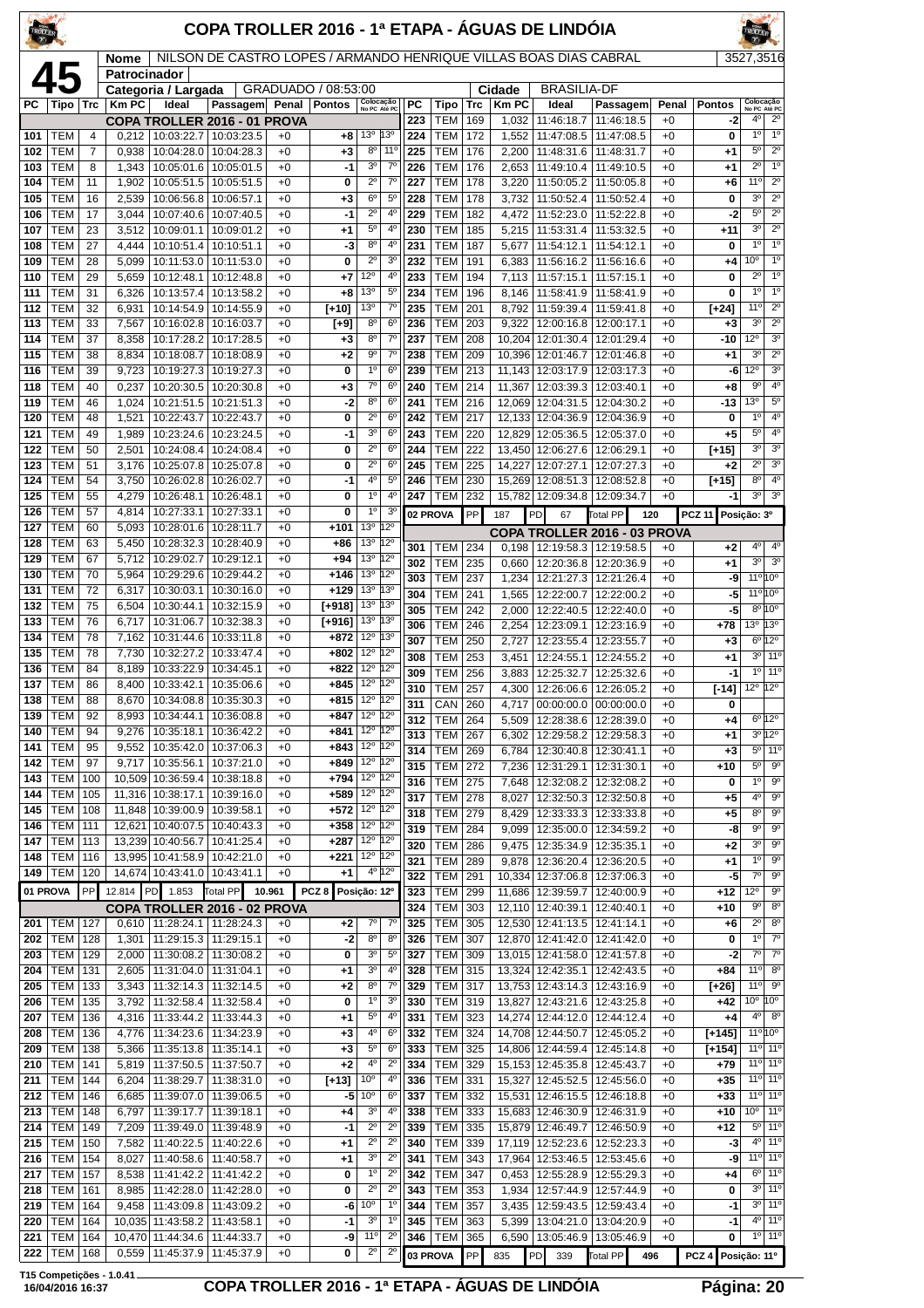| TROLLER    |                          |            |                             |                                               | COPA TROLLER 2016 - 1ª ETAPA - ÁGUAS DE LINDÓIA                   |              |                                  |                                                              |                                  |            |                          |            |                       |                                                       |                                                  |               |                       |                                             |                                                            |
|------------|--------------------------|------------|-----------------------------|-----------------------------------------------|-------------------------------------------------------------------|--------------|----------------------------------|--------------------------------------------------------------|----------------------------------|------------|--------------------------|------------|-----------------------|-------------------------------------------------------|--------------------------------------------------|---------------|-----------------------|---------------------------------------------|------------------------------------------------------------|
|            |                          |            | <b>Nome</b><br>Patrocinador |                                               | NILSON DE CASTRO LOPES / ARMANDO HENRIQUE VILLAS BOAS DIAS CABRAL |              |                                  |                                                              |                                  |            |                          |            |                       |                                                       |                                                  |               |                       | 3527,3516                                   |                                                            |
|            |                          |            |                             | Categoria / Largada                           |                                                                   |              | GRADUADO / 08:53:00              |                                                              |                                  |            |                          |            | Cidade                | <b>BRASILIA-DF</b>                                    |                                                  |               |                       |                                             |                                                            |
| PC.        | Tipo                     | Trc        | <b>Km PC</b>                | Ideal<br>COPA TROLLER 2016 - 01 PROVA         | Passagem Penal                                                    |              | <b>Pontos</b>                    | Colocação<br>No PC Até PC                                    |                                  | РC<br>223  | Tipo<br>TEM              | Trc<br>169 | <b>Km PC</b><br>1,032 | Ideal<br>11:46:18.7                                   | Passagem<br>11:46:18.5                           | Penal<br>$+0$ | <b>Pontos</b><br>$-2$ | Colocação<br>No PC Até PC<br>4 <sup>0</sup> | $2^{\circ}$                                                |
| 101        | <b>TEM</b>               | 4          | 0.212                       | 10:03:22.7                                    | 10:03:23.5                                                        | $+0$         | +8                               | 13°                                                          | 13 <sup>o</sup>                  | 224        | TEM                      | 172        | 1,552                 | 11:47:08.5                                            | 11:47:08.5                                       | $+0$          | 0                     | 1 <sup>0</sup>                              | 1 <sup>0</sup>                                             |
| 102        | TEM                      | 7          | 0,938                       | 10:04:28.0                                    | 10:04:28.3                                                        | $+0$         | $+3$                             | $8^{\circ}$                                                  | $11^{\circ}$                     | 225        | TEM                      | 176        | 2,200                 | 11:48:31.6                                            | 11:48:31.7                                       | $+0$          | +1                    | $5^{\circ}$                                 | $2^{\circ}$                                                |
| 103<br>104 | <b>TEM</b><br>TEM        | 8<br>11    | 1,902                       | 1.343   10:05:01.6   10:05:01.5<br>10:05:51.5 | 10:05:51.5                                                        | $+0$<br>$+0$ | $-1$<br>0                        | 3 <sup>o</sup><br>$2^{\circ}$                                | $7^\circ$<br>$7^\circ$           | 226<br>227 | <b>TEM</b><br>TEM        | 176<br>178 | 2.653<br>3,220        | 11:49:10.4 11:49:10.5<br>11:50:05.2                   | 11:50:05.8                                       | $+0$<br>$+0$  | +1<br>+6              | $2^{\circ}$<br>$11^{\circ}$                 | $\overline{1^0}$<br>$2^{\circ}$                            |
| 105        | TEM                      | 16         | 2,539                       | 10:06:56.8                                    | 10:06:57.1                                                        | $+0$         | $+3$                             | 6 <sup>o</sup>                                               | $5^{\circ}$                      | 228        | TEM                      | 178        | 3,732                 | 11:50:52.4                                            | 11:50:52.4                                       | $+0$          | 0                     | 3 <sup>o</sup>                              | $2^{\circ}$                                                |
| 106        | <b>TEM</b>               | 17         | 3,044                       | 10:07:40.6                                    | 10:07:40.5                                                        | $+0$         | $-1$                             | $\overline{2^0}$                                             | 4 <sup>0</sup>                   | 229        | <b>TEM</b>               | 182        | 4,472                 | 11:52:23.0 11:52:22.8                                 |                                                  | $+0$          | -2                    | $\overline{5^0}$                            | $\overline{2^0}$                                           |
| 107        | <b>TEM</b>               | 23         | 3,512                       | 10:09:01.1                                    | 10:09:01.2                                                        | $+0$         | +1                               | $5^{\circ}$                                                  | 4 <sup>0</sup>                   | 230        | <b>TEM</b>               | 185        | 5,215                 | 11:53:31.4   11:53:32.5                               |                                                  | $+0$          | $+11$                 | 3 <sup>o</sup>                              | $\overline{2^0}$                                           |
| 108<br>109 | TEM<br>TEM               | 27<br>28   | 4,444<br>5,099              | 10:10:51.4<br>10:11:53.0                      | 10:10:51.1<br>10:11:53.0                                          | $+0$<br>$+0$ | -3<br>0                          | 8 <sup>o</sup><br>$2^{\circ}$                                | 4 <sup>0</sup><br>3 <sup>o</sup> | 231<br>232 | TEM<br>TEM               | 187<br>191 | 5,677<br>6,383        | 11:54:12.1<br>11:56:16.2                              | 11:54:12.1<br>11:56:16.6                         | $+0$<br>$+0$  | 0<br>+4               | 1 <sup>0</sup><br>$10^{\circ}$              | 1 <sup>0</sup><br>$\overline{1^{\circ}}$                   |
| 110        | TEM                      | 29         | 5,659                       | 10:12:48.1                                    | 10:12:48.8                                                        | $+0$         | +7                               | $12^{\circ}$                                                 | 4 <sup>0</sup>                   | 233        | <b>TEM</b>               | 194        | 7,113                 | 11:57:15.1   11:57:15.1                               |                                                  | $+0$          | 0                     | $2^{\circ}$                                 | $\overline{1^0}$                                           |
| 111        | TEM                      | 31         | 6,326                       | 10:13:57.4                                    | 10:13:58.2                                                        | $+0$         | +8                               | 13 <sup>0</sup>                                              | 5 <sup>o</sup>                   | 234        | TEM                      | 196        | 8,146                 | 11:58:41.9   11:58:41.9                               |                                                  | $+0$          | 0                     | 1 <sup>0</sup>                              | 1 <sup>0</sup>                                             |
| 112        | TEM                      | 32         | 6,931                       | 10:14:54.9                                    | 10:14:55.9                                                        | $+0$         | $[+10]$                          | 13 <sup>o</sup>                                              | $7^\circ$                        | 235        | TEM                      | 201        | 8,792                 | 11:59:39.4                                            | 11:59:41.8                                       | $+0$          | $[+24]$               | $11^{\circ}$                                | $\overline{2^0}$<br>$2^{\circ}$                            |
| 113<br>114 | TEM<br>TEM               | 33<br>37   | 7,567<br>8,358              | 10:16:02.8<br>10:17:28.2                      | 10:16:03.7<br>10:17:28.5                                          | $+0$<br>$+0$ | $^{[+9]}$<br>$^{+3}$             | 8 <sup>o</sup><br>8 <sup>o</sup>                             | 6 <sup>o</sup><br>$7^\circ$      | 236<br>237 | <b>TEM</b><br><b>TEM</b> | 203<br>208 | 9,322                 | 12:00:16.8<br>10,204 12:01:30.4 12:01:29.4            | 12:00:17.1                                       | $+0$<br>$+0$  | +3<br>$-10$           | 3 <sup>o</sup><br>12°                       | 3 <sup>o</sup>                                             |
| 115        | TEM                      | 38         | 8,834                       | 10:18:08.7                                    | 10:18:08.9                                                        | $+0$         | $+2$                             | $9^{\circ}$                                                  | $7^\circ$                        | 238        | <b>TEM</b>               | 209        |                       | 10,396 12:01:46.7                                     | 12:01:46.8                                       | $+0$          | +1                    | 3 <sup>o</sup>                              | $2^{\circ}$                                                |
| 116        | TEM                      | 39         | 9,723                       | 10:19:27.3                                    | 10:19:27.3                                                        | $+0$         | 0                                | $1^{\circ}$                                                  | $6^{\circ}$                      | 239        | <b>TEM</b>               | 213        |                       | 11,143   12:03:17.9                                   | 12:03:17.3                                       | $+0$          | -6                    | 12°                                         | 3 <sup>0</sup>                                             |
| 118<br>119 | TEM<br>TEM               | 40<br>46   | 0,237                       | 10:20:30.5<br>10:21:51.5                      | 10:20:30.8<br>10:21:51.3                                          | $+0$<br>$+0$ | $+3$                             | $7^{\circ}$<br>8 <sup>o</sup>                                | $6^{\circ}$<br>$6^{\circ}$       | 240<br>241 | <b>TEM</b><br><b>TEM</b> | 214<br>216 | 11,367                | 12:03:39.3 12:03:40.1                                 |                                                  | $+0$<br>$+0$  | +8<br>-13             | 9°<br>13 <sup>o</sup>                       | $\overline{4^0}$<br>$5^{\circ}$                            |
| 120        | TEM                      | 48         | 1,024<br>1,521              | 10:22:43.7                                    | 10:22:43.7                                                        | $+0$         | -2<br>0                          | $2^{\circ}$                                                  | $6^{\circ}$                      | 242        | TEM                      | 217        |                       | 12,069 12:04:31.5<br>12.133 12:04:36.9 12:04:36.9     | 12:04:30.2                                       | $+0$          | 0                     | 10                                          | 4 <sup>0</sup>                                             |
| 121        | TEM                      | 49         | 1,989                       | 10:23:24.6                                    | 10:23:24.5                                                        | $+0$         | $-1$                             | 3 <sup>o</sup>                                               | $6^{\circ}$                      | 243        | <b>TEM</b>               | 220        |                       | 12,829 12:05:36.5                                     | 12:05:37.0                                       | $+0$          | +5                    | $5^{\circ}$                                 | 4°                                                         |
| 122        | TEM                      | 50         | 2,501                       | 10:24:08.4                                    | 10:24:08.4                                                        | $+0$         | 0                                | $2^{\circ}$                                                  | $6^{\circ}$                      | 244        | <b>TEM</b>               | 222        |                       | 13,450 12:06:27.6                                     | 12:06:29.1                                       | $+0$          | $[+15]$               | 3 <sup>o</sup>                              | 3 <sup>o</sup>                                             |
| 123        | TEM                      | 51         | 3,176                       | 10:25:07.8                                    | 10:25:07.8                                                        | $+0$         | 0                                | $2^{\circ}$<br>$4^{\circ}$                                   | 6 <sup>o</sup><br>5 <sup>c</sup> | 245<br>246 | <b>TEM</b><br><b>TEM</b> | 225        |                       | 14,227 12:07:27.1 12:07:27.3                          |                                                  | $+0$          | +2                    | $2^{\circ}$<br>8 <sup>o</sup>               | 3 <sup>0</sup><br>$4^{\circ}$                              |
| 124<br>125 | TEM<br>TEM               | 54<br>55   | 3,750<br>4,279              | 10:26:02.8<br>10:26:48.1                      | 10:26:02.7<br>10:26:48.1                                          | $+0$<br>$+0$ | $-1$<br>0                        | $1^{\circ}$                                                  | 4 <sup>0</sup>                   | 247        | TEM                      | 230<br>232 |                       | 15,269 12:08:51.3<br>15,782 12:09:34.8 12:09:34.7     | 12:08:52.8                                       | $+0$<br>$+0$  | [+15]<br>-1           | 3 <sup>o</sup>                              | 3 <sup>0</sup>                                             |
| 126        | TEM                      | 57         | 4,814                       | 10:27:33.1                                    | 10:27:33.1                                                        | $+0$         | 0                                | $1^{\circ}$                                                  | 3 <sup>o</sup>                   |            | 02 PROVA                 | PP         | 187                   | PD<br>67                                              | <b>Total PP</b><br>120                           |               | <b>PCZ 11</b>         | Posição: 3º                                 |                                                            |
| 127        | <b>TEM</b>               | 60         | 5,093                       | 10:28:01.6                                    | 10:28:11.7                                                        | $+0$         | $+101$                           | 13 <sup>0</sup>                                              | 12°                              |            |                          |            |                       |                                                       | COPA TROLLER 2016 - 03 PROVA                     |               |                       |                                             |                                                            |
| 128        | TEM<br><b>TEM</b>        | 63<br>67   | 5,450<br>5,712              | 10:28:32.3<br>10:29:02.7                      | 10:28:40.9<br>10:29:12.1                                          | $+0$         | +86                              | 13 <sup>o</sup><br>13º 12º                                   | 12°                              | 301        | TEM                      | 234        | 0,198                 |                                                       | 12:19:58.3   12:19:58.5                          | $+0$          | +2                    | 4 <sup>0</sup>                              | $4^{\circ}$                                                |
| 129<br>130 | TEM                      | 70         | 5,964                       | 10:29:29.6                                    | 10:29:44.2                                                        | $+0$<br>$+0$ | +94<br>$+146$                    | 13°                                                          | $12^{\circ}$                     | 302<br>303 | TEM<br>TEM               | 235<br>237 | 0.660<br>1,234        | 12:21:27.3                                            | 12:20:36.8   12:20:36.9<br>12:21:26.4            | $+0$<br>$+0$  | +1<br>-9              | 3 <sup>0</sup><br>$11^{\circ}10^{\circ}$    | 3 <sup>o</sup>                                             |
| 131        | TEM                      | 72         | 6,317                       | 10:30:03.1                                    | 10:30:16.0                                                        | $+0$         | $+129$                           | 13 <sup>o</sup>                                              | 13°                              | 304        | TEM                      | 241        | 1,565                 | 12:22:00.7                                            | 12:22:00.2                                       | $+0$          | -5                    | $11^{\circ}10^{\circ}$                      |                                                            |
| 132        | TEM                      | 75         | 6,504                       | 10:30:44.1                                    | 10:32:15.9                                                        | $+0$         | $[+918]$                         | 13 <sup>o</sup>                                              | 13 <sup>o</sup>                  | 305        | <b>TEM</b>               | 242        | 2,000                 |                                                       | 12:22:40.5   12:22:40.0                          | $+0$          | -5                    |                                             | $8^{\circ}10^{\circ}$                                      |
| 133        | TEM                      | 76         | 6,717                       | 10:31:06.7                                    | 10:32:38.3                                                        | $+0$         | $[+916]$                         | 13°<br>$12^{\circ}$ 13 $^{\circ}$                            | $ 13^{\circ}$                    | 306        | <b>TEM</b>               | 246        | 2,254                 | 12:23:09.1                                            | 12:23:16.9                                       | $+0$          | +78                   | 13 <sup>o</sup>                             | 13°                                                        |
| 134<br>135 | TEM<br>TEM               | 78<br>78   | 7,162<br>7,730              | 10:31:44.6<br>10:32:27.2                      | 10:33:11.8<br>10:33:47.4                                          | $+0$<br>$+0$ | $+872$<br>+802                   | $12^{\circ}$ 12°                                             |                                  | 307        | TEM                      | 250        | 2,727                 | 12:23:55.4                                            | 12:23:55.7                                       | $+0$          | +3                    | $6^{\circ}$<br>3 <sup>o</sup>               | 12°<br>11 <sup>o</sup>                                     |
| 136        | TEM                      | 84         | 8,189                       | 10:33:22.9                                    | 10:34:45.1                                                        | $+0$         | +822                             | $12^{\circ}$                                                 | $12^{\circ}$                     | 308<br>309 | <b>TEM</b><br><b>TEM</b> | 253<br>256 | 3,451<br>3,883        | 12:24:55.1<br>12:25:32.7                              | 12:24:55.2<br>12:25:32.6                         | $+0$<br>$+0$  | +1<br>-1              | 1 <sup>0</sup>                              | 11 <sup>°</sup>                                            |
| 137        | <b>TEM</b>               | 86         | 8,400                       | 10:33:42.1                                    | 10:35:06.6                                                        | $+0$         | $+845$                           | $12^{\circ}$                                                 | $12^{\circ}$                     | 310        | <b>TEM</b>               | 257        | 4,300                 | 12:26:06.6   12:26:05.2                               |                                                  | $+0$          | $[-14]$               | $12^{\circ}$                                | $12^{\circ}$                                               |
| 138<br>139 | <b>TEM</b><br>TEM        | 88         | 8,670                       | 10:34:08.8 10:35:30.3<br>10:34:44.1           | 10:36:08.8                                                        | $+0$<br>$+0$ | $+815$<br>+847                   | $12^{\circ}$ 12 $^{\circ}$<br>12º 12º                        |                                  | 311        | CAN                      | 260        |                       |                                                       | 4,717 00:00:00.0 00:00:00.0                      | $+0$          | 0                     |                                             |                                                            |
| 140        | <b>TEM</b>               | 92<br>94   | 8,993<br>9,276              | 10:35:18.1                                    | 10:36:42.2                                                        | $+0$         | +841                             | 12º 12º                                                      |                                  | 312<br>313 | TEM<br><b>TEM</b>        | 264<br>267 | 5,509<br>6,302        | 12:29:58.2                                            | 12:28:38.6   12:28:39.0<br>12:29:58.3            | $+0$<br>$+0$  | +4<br>$+1$            |                                             | $6^{\circ}$ 12°<br>$3^{\circ}12^{\circ}$                   |
| 141        | <b>TEM</b>               | 95         | 9,552                       | 10:35:42.0                                    | 10:37:06.3                                                        | $+0$         | +843                             | 12º 12º                                                      |                                  | 314        | <b>TEM</b>               | 269        | 6,784                 | 12:30:40.8   12:30:41.1                               |                                                  | $+0$          | $+3$                  |                                             | $5°$ 11 <sup>o</sup>                                       |
| 142        | <b>TEM</b>               | 97         | 9,717                       | 10:35:56.1                                    | 10:37:21.0                                                        | $+0$         | +849                             | 12 <sup>o</sup> 12 <sup>o</sup>                              |                                  | 315        | TEM                      | 272        | 7,236                 | 12:31:29.1                                            | 12:31:30.1                                       | $+0$          | +10                   | $5^{\circ}$                                 | $9^{\circ}$                                                |
| 143<br>144 | <b>TEM</b><br>TEM        | 100<br>105 | 10,509<br>11,316            | 10:36:59.4<br>10:38:17.1                      | 10:38:18.8<br>10:39:16.0                                          | $+0$<br>$+0$ | +794<br>+589                     | $12^{\circ}$ $12^{\circ}$<br>12 <sup>o</sup> 12 <sup>o</sup> |                                  | 316        | <b>TEM</b>               | 275        | 7,648                 |                                                       | 12:32:08.2   12:32:08.2                          | $+0$          | 0                     | $1^{\circ}$                                 | $\overline{9^{\circ}}$                                     |
| 145        | <b>TEM</b>               | 108        |                             | 11,848 10:39:00.9                             | 10:39:58.1                                                        | $+0$         | +572                             | $12^{\circ}$ 12 $^{\circ}$                                   |                                  | 317<br>318 | TEM<br>TEM               | 278<br>279 | 8,027<br>8,429        |                                                       | 12:32:50.3 12:32:50.8<br>12:33:33.3   12:33:33.8 | $+0$<br>$+0$  | +5<br>+5              | $4^{\circ}$<br>8 <sup>o</sup>               | $\overline{9^{\circ}}$<br>$9^{\circ}$                      |
| 146        | TEM                      | 111        |                             | 12,621 10:40:07.5                             | 10:40:43.3                                                        | $+0$         | $+358$                           | 12º 12º                                                      |                                  | 319        | TEM                      | 284        | 9,099                 | 12:35:00.0   12:34:59.2                               |                                                  | $+0$          | -8                    | $\overline{9^{\circ}}$                      | $\overline{9^{\circ}}$                                     |
| 147        | TEM                      | 113        | 13,239                      | 10:40:56.7                                    | 10:41:25.4                                                        | $+0$         | $+287$                           | 12º 12º                                                      |                                  | 320        | <b>TEM</b>               | 286        | 9,475                 | 12:35:34.9 12:35:35.1                                 |                                                  | $+0$          | +2                    | 3 <sup>o</sup>                              | $9^{\circ}$                                                |
| 148<br>149 | <b>TEM</b><br><b>TEM</b> | 116<br>120 |                             | 13,995 10:41:58.9<br>14,674 10:43:41.0        | 10:42:21.0<br>10:43:41.1                                          | $+0$<br>$+0$ | +221<br>$+1$                     | 12º 12º                                                      | 4º 12º                           | 321        | <b>TEM</b>               | 289        | 9,878                 |                                                       | 12:36:20.4   12:36:20.5                          | $+0$          | +1                    | 1 <sup>0</sup>                              | $9^{\circ}$                                                |
| 01 PROVA   |                          | PP         |                             | 12.814 PD 1.853                               | 10.961<br>Total PP                                                |              | PCZ <sub>8</sub><br>Posição: 12º |                                                              |                                  | 322<br>323 | TEM<br>TEM               | 291<br>299 |                       | 10,334 12:37:06.8<br>11,686   12:39:59.7   12:40:00.9 | 12:37:06.3                                       | $+0$<br>$+0$  | -5<br>+12             | $7^{\circ}$<br>12°                          | 90<br>$9^{\circ}$                                          |
|            |                          |            |                             | COPA TROLLER 2016 - 02 PROVA                  |                                                                   |              |                                  |                                                              |                                  | 324        | TEM                      | 303        |                       | 12,110   12:40:39.1   12:40:40.1                      |                                                  | $+0$          | +10                   | 9 <sup>o</sup>                              | 8 <sup>o</sup>                                             |
|            | 201   TEM                | 127        | 0,610                       | 11:28:24.1   11:28:24.3                       |                                                                   | $+0$         | $+2$                             | $7^\circ$                                                    | $7^\circ$                        | 325        | TEM                      | 305        |                       | 12,530 12:41:13.5 12:41:14.1                          |                                                  | $+0$          | +6                    | $2^{\circ}$                                 | 8 <sup>o</sup>                                             |
| 202        | <b>TEM</b>               | 128        | 1,301                       | 11:29:15.3                                    | 11:29:15.1                                                        | $+0$         | $-2$                             | $8^{\circ}$<br>3 <sup>o</sup>                                | 8 <sup>o</sup><br>$5^{\circ}$    | 326        | <b>TEM</b>               | 307        |                       | 12,870 12:41:42.0 12:41:42.0                          |                                                  | $+0$          | 0                     | 1 <sup>0</sup><br>$7^\circ$                 | $\overline{7^{\circ}}$<br>$\overline{7^{\circ}}$           |
| 203<br>204 | <b>TEM</b><br>TEM        | 129<br>131 | 2,605                       | 2,000   11:30:08.2<br>11:31:04.0              | 11:30:08.2<br>11:31:04.1                                          | $+0$<br>$+0$ | 0<br>+1                          | 3 <sup>o</sup>                                               | $4^{\circ}$                      | 327<br>328 | <b>TEM</b><br>TEM        | 309<br>315 |                       | 13,015 12:41:58.0 12:41:57.8<br>13,324 12:42:35.1     | 12:42:43.5                                       | $+0$<br>$+0$  | -2<br>+84             | $11^{\circ}$                                | 8 <sup>o</sup>                                             |
| 205        | <b>TEM</b>               | 133        | 3,343                       | 11:32:14.3                                    | 11:32:14.5                                                        | $+0$         | $^{+2}$                          | 8 <sup>o</sup>                                               | $7^\circ$                        | 329        | TEM                      | 317        |                       | 13,753 12:43:14.3 12:43:16.9                          |                                                  | $+0$          | [+26]                 | 11 <sup>o</sup>                             | $9^{\circ}$                                                |
| 206        | <b>TEM</b>               | 135        | 3,792                       | 11:32:58.4                                    | 11:32:58.4                                                        | $+0$         | 0                                | $1^{\circ}$                                                  | 3 <sup>o</sup>                   | 330        | TEM                      | 319        |                       | 13,827 12:43:21.6 12:43:25.8                          |                                                  | $+0$          | $+42$                 | 10 <sup>°</sup> 10 <sup>°</sup>             |                                                            |
| 207        | <b>TEM</b>               | 136        | 4,316                       | 11:33:44.2                                    | 11:33:44.3                                                        | $+0$         | +1                               | $5^{\circ}$                                                  | $4^{\circ}$                      | 331        | TEM                      | 323        |                       | 14,274 12:44:12.0 12:44:12.4                          |                                                  | $+0$          | +4                    | $4^{\circ}$                                 | $8^{\circ}$                                                |
| 208<br>209 | TEM<br>TEM               | 136<br>138 | 5,366                       | 4,776 11:34:23.6<br>11:35:13.8                | 11:34:23.9<br>11:35:14.1                                          | $+0$<br>$+0$ | $^{+3}$<br>$^{+3}$               | 4 <sup>0</sup><br>$5^{\circ}$                                | 6 <sup>o</sup><br>$6^{\circ}$    | 332<br>333 | TEM<br>TEM               | 324<br>325 |                       | 14,708 12:44:50.7 12:45:05.2<br>14,806 12:44:59.4     | 12:45:14.8                                       | $+0$<br>$+0$  | [+145]<br>[+154]      | 11°10°                                      | $11°$ 11°                                                  |
| 210        | TEM                      | 141        | 5,819                       | 11:37:50.5                                    | 11:37:50.7                                                        | $+0$         | $+2$                             | $4^{\circ}$                                                  | $2^{\circ}$                      | 334        | <b>TEM</b>               | 329        |                       | 15, 153 12: 45: 35.8 12: 45: 43.7                     |                                                  | $+0$          | +79                   |                                             | $11°$ 11°                                                  |
| 211        | TEM                      | 144        | 6,204                       | 11:38:29.7                                    | 11:38:31.0                                                        | $+0$         | $[+13]$                          | 10 <sup>o</sup>                                              | $4^{\circ}$                      | 336        | <b>TEM</b>               | 331        |                       | 15,327 12:45:52.5 12:45:56.0                          |                                                  | $+0$          | $+35$                 |                                             | $11°$ 11°                                                  |
| 212        | <b>TEM</b>               | 146        | 6,685                       | 11:39:07.0                                    | 11:39:06.5                                                        | $+0$         | -5                               | 10 <sup>o</sup>                                              | $6^{\circ}$                      | 337        | TEM                      | 332        |                       | 15,531   12:46:15.5   12:46:18.8                      |                                                  | $+0$          | $+33$                 |                                             | 11º 11º                                                    |
| 213<br>214 | TEM<br><b>TEM</b>        | 148<br>149 | 6,797<br>7,209              | 11:39:17.7<br>11:39:49.0                      | 11:39:18.1<br>11:39:48.9                                          | $+0$<br>$+0$ | +4<br>-1                         | 3 <sup>o</sup><br>$2^{\circ}$                                | $4^{\circ}$<br>$2^{\circ}$       | 338<br>339 | TEM<br>TEM               | 333<br>335 |                       | 15,683 12:46:30.9 12:46:31.9<br>15,879 12:46:49.7     | 12:46:50.9                                       | $+0$<br>$+0$  | $+10$<br>+12          | 10 <sup>o</sup>                             | 11 <sup>0</sup><br>$5^{\circ}$ 11 <sup>°</sup>             |
| 215        | TEM                      | 150        | 7,582                       | 11:40:22.5                                    | 11:40:22.6                                                        | $+0$         | +1                               | $2^{\circ}$                                                  | $2^{\circ}$                      | 340        | TEM                      | 339        |                       | 17,119   12:52:23.6   12:52:23.3                      |                                                  | $+0$          | -3                    |                                             | $4^{\circ}$ 11 <sup>°</sup>                                |
| 216        | TEM                      | 154        | 8,027                       | 11:40:58.6                                    | 11:40:58.7                                                        | $+0$         | $+1$                             | 3 <sup>o</sup>                                               | $2^{\circ}$                      | 341        | TEM                      | 343        |                       | 17,964 12:53:46.5 12:53:45.6                          |                                                  | $+0$          | -9                    |                                             | $11°$ 11°                                                  |
| 217        | <b>TEM</b>               | 157        | 8,538                       | 11:41:42.2                                    | 11:41:42.2                                                        | $+0$         | 0                                | $1^{\circ}$                                                  | $2^{\circ}$                      | 342        | TEM                      | 347        | 0,453                 | 12:55:28.9                                            | 12:55:29.3                                       | $+0$          | +4                    |                                             | $6^{\circ}$ 11 <sup>°</sup><br>$3^{\circ}$ 11 <sup>°</sup> |
| 218<br>219 | <b>TEM</b><br>TEM        | 161<br>164 | 8,985                       | 11:42:28.0<br>9,458   11:43:09.8   11:43:09.2 | 11:42:28.0                                                        | $+0$<br>$+0$ | 0<br>-6                          | $2^{\circ}$<br>10 <sup>o</sup>                               | $2^{\circ}$<br>$1^{\circ}$       | 343<br>344 | <b>TEM</b><br>TEM        | 353<br>357 | 1,934<br>3,435        | 12:57:44.9   12:57:44.9                               | 12:59:43.5 12:59:43.4                            | $+0$<br>$+0$  | 0<br>-1               |                                             | $3^0$ 11 <sup>o</sup>                                      |
| 220        | TEM                      | 164        |                             | 10,035 11:43:58.2                             | 11:43:58.1                                                        | $+0$         | -1                               | 3 <sup>o</sup>                                               | $1^{\circ}$                      | 345        | <b>TEM</b>               | 363        | 5,399                 | 13:04:21.0                                            | 13:04:20.9                                       | $+0$          | -1                    |                                             | $4^{\circ}$ 11 <sup>°</sup>                                |
| 221        | TEM                      | 164        |                             | 10,470 11:44:34.6                             | 11:44:33.7                                                        | $+0$         | -9                               | $11^{\circ}$                                                 | 2º                               | 346        | <b>TEM</b>               | 365        | 6,590                 | 13:05:46.9                                            | 13:05:46.9                                       | $+0$          | 0                     |                                             | 10 110                                                     |
| 222        | <b>TEM</b>               | 168        |                             | 0,559   11:45:37.9   11:45:37.9               |                                                                   | $+0$         | 0                                | $2^{\circ}$                                                  | $2^{\circ}$                      |            | 03 PROVA                 | PP         | 835                   | PD 339                                                | Total PP<br>496                                  |               | PCZ 4 Posição: 11º    |                                             |                                                            |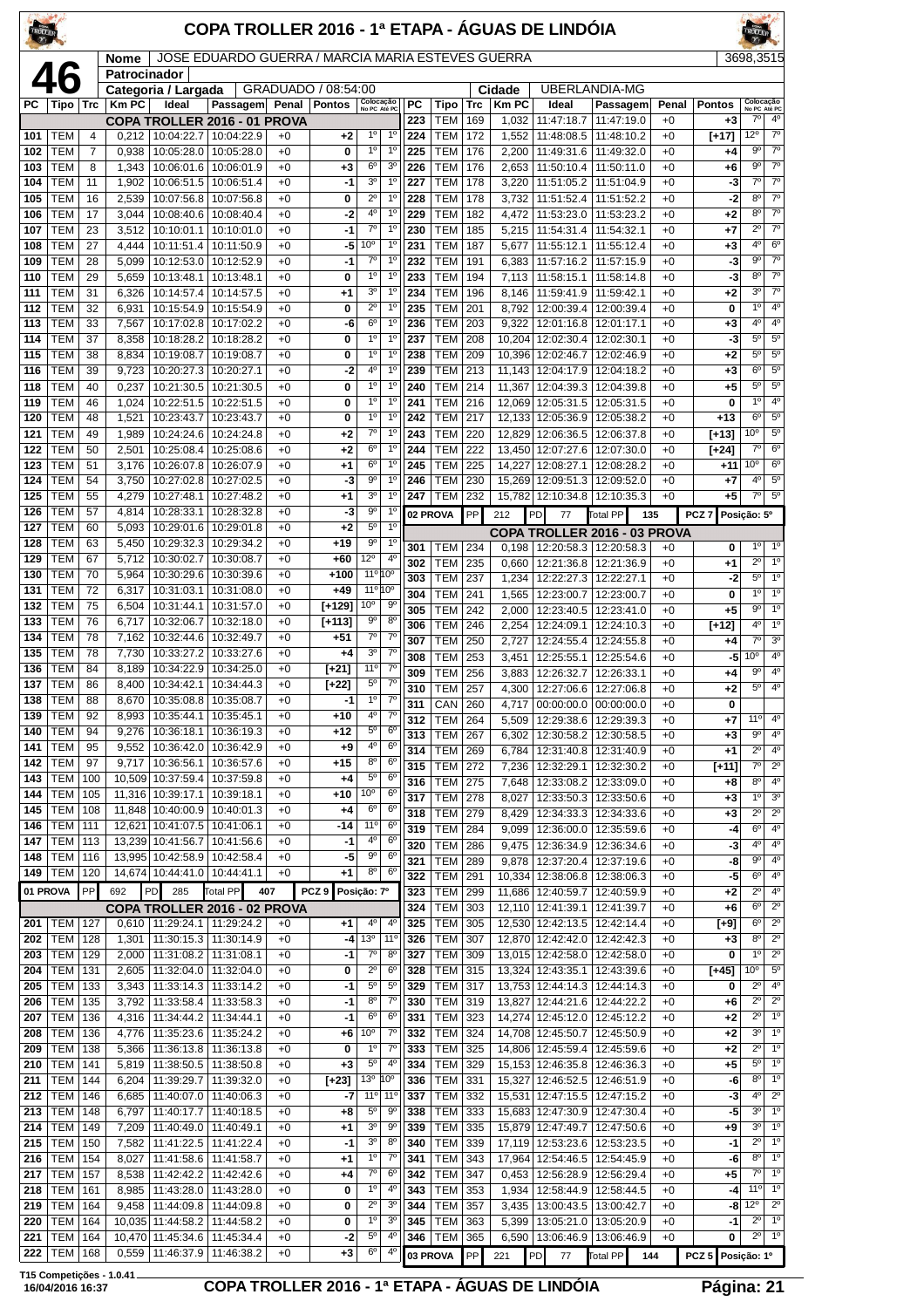| TROLIER    |                          |            |                 |                                            | COPA TROLLER 2016 - 1ª ETAPA - ÁGUAS DE LINDÓIA   |              |                     |                                   |                                  |            |                          |            |                       |                                 |                                                        |               |                       |                                        |                                          |
|------------|--------------------------|------------|-----------------|--------------------------------------------|---------------------------------------------------|--------------|---------------------|-----------------------------------|----------------------------------|------------|--------------------------|------------|-----------------------|---------------------------------|--------------------------------------------------------|---------------|-----------------------|----------------------------------------|------------------------------------------|
|            |                          |            | Nome            |                                            | JOSE EDUARDO GUERRA / MARCIA MARIA ESTEVES GUERRA |              |                     |                                   |                                  |            |                          |            |                       |                                 |                                                        |               |                       | 3698,3515                              |                                          |
|            |                          |            | Patrocinador    | Categoria / Largada                        |                                                   |              | GRADUADO / 08:54:00 |                                   |                                  |            |                          |            | Cidade                |                                 | <b>UBERLANDIA-MG</b>                                   |               |                       |                                        |                                          |
| РC         | Tipo                     | <b>Trc</b> | <b>KmPC</b>     | Ideal                                      | Passagem Penal                                    |              | <b>Pontos</b>       | Colocação<br>No PC Até PC         |                                  | РC<br>223  | Tipo<br><b>TEM</b>       | Trc<br>169 | <b>Km PC</b><br>1,032 | Ideal<br>11:47:18.7             | Passagem<br>11:47:19.0                                 | Penal<br>$+0$ | <b>Pontos</b><br>$+3$ | Colocação<br>No PC Até PC<br>$7^\circ$ | 4 <sup>0</sup>                           |
| 101        | TEM                      | 4          | 0.212           | COPA TROLLER 2016 - 01 PROVA<br>10:04:22.7 | 10:04:22.9                                        | $+0$         | $+2$                | $1^{\circ}$                       | 1 <sup>0</sup>                   | 224        | TEM                      | 172        | 1,552                 | 11:48:08.5                      | 11:48:10.2                                             | $+0$          | [+17]                 | 12°                                    | $7^\circ$                                |
| 102        | TEM                      | 7          | 0,938           | 10:05:28.0                                 | 10:05:28.0                                        | $+0$         | 0                   | $1^{\circ}$                       | 1 <sup>0</sup>                   | 225        | <b>TEM</b>               | 176        | 2,200                 | 11:49:31.6                      | 11:49:32.0                                             | $+0$          | +4                    | $9^{\circ}$                            | $\overline{7^{\circ}}$                   |
| 103<br>104 | TEM<br>TEM               | 8<br>11    | 1,343<br>1,902  | 10:06:51.5                                 | 10:06:01.6   10:06:01.9<br>10:06:51.4             | $+0$<br>$+0$ | $^{+3}$<br>-1       | $6^{\circ}$<br>3 <sup>o</sup>     | 3 <sup>o</sup><br>$1^{\circ}$    | 226<br>227 | <b>TEM</b><br>TEM        | 176<br>178 | 2,653<br>3,220        | 11:51:05.2                      | 11:50:10.4   11:50:11.0<br>11:51:04.9                  | $+0$<br>$+0$  | +6<br>-3              | $9^{\circ}$<br>$7^\circ$               | $\overline{7^\circ}$<br>$7^\circ$        |
| 105        | TEM                      | 16         | 2,539           | 10:07:56.8                                 | 10:07:56.8                                        | $+0$         | 0                   | $2^{\circ}$                       | $1^{\circ}$                      | 228        | <b>TEM</b>               | 178        | 3,732                 | 11:51:52.4                      | 11:51:52.2                                             | $+0$          | -2                    | 8 <sup>o</sup>                         | $7^\circ$                                |
| 106        | TEM                      | 17         | 3.044           | 10:08:40.6                                 | 10:08:40.4                                        | $+0$         | -2                  | 4 <sup>0</sup>                    | 1 <sup>0</sup>                   | 229        | <b>TEM</b>               | 182        | 4,472                 | 11:53:23.0                      | 11:53:23.2                                             | $+0$          | $+2$                  | $8^{\circ}$                            | $7^\circ$                                |
| 107<br>108 | <b>TEM</b><br>TEM        | 23<br>27   | 3,512<br>4,444  | 10:10:01.1<br>10:11:51.4                   | 10:10:01.0<br>10:11:50.9                          | $+0$<br>$+0$ | $-1$<br>-5          | $7^\circ$<br>10 <sup>o</sup>      | 1 <sup>0</sup><br>$1^{\circ}$    | 230<br>231 | <b>TEM</b><br><b>TEM</b> | 185<br>187 | 5,215<br>5,677        | 11:54:31.4<br>11:55:12.1        | 11:54:32.1<br>11:55:12.4                               | $+0$<br>$+0$  | +7<br>+3              | $2^{\circ}$<br>4°                      | $\overline{7^0}$<br>6 <sup>o</sup>       |
| 109        | TEM                      | 28         | 5,099           | 10:12:53.0                                 | 10:12:52.9                                        | $+0$         | $-1$                | $7^\circ$                         | $1^{\circ}$                      | 232        | TEM                      | 191        | 6,383                 | 11:57:16.2                      | 11:57:15.9                                             | $+0$          | -3                    | $9^{\circ}$                            | $\overline{7^\circ}$                     |
| 110        | TEM                      | 29         | 5,659           | 10:13:48.1                                 | 10:13:48.1                                        | $+0$         | 0                   | 1°                                | 1 <sup>0</sup>                   | 233        | <b>TEM</b>               | 194        | 7,113                 | 11:58:15.1                      | 11:58:14.8                                             | $+0$          | -3                    | 8 <sup>o</sup>                         | $\overline{7^\circ}$                     |
| 111<br>112 | TEM<br>TEM               | 31<br>32   | 6,326<br>6,931  | 10:14:57.4<br>10:15:54.9                   | 10:14:57.5<br>10:15:54.9                          | $+0$<br>$+0$ | $+1$<br>0           | 3 <sup>o</sup><br>$2^{\circ}$     | 1 <sup>0</sup><br>$1^{\circ}$    | 234<br>235 | <b>TEM</b><br>TEM        | 196<br>201 | 8,146<br>8,792        | 11:59:41.9<br>12:00:39.4        | 11:59:42.1<br>12:00:39.4                               | $+0$<br>$+0$  | +2<br>0               | 3 <sup>o</sup><br>1 <sup>0</sup>       | $7^\circ$<br>$4^{\circ}$                 |
| 113        | TEM                      | 33         | 7,567           | 10:17:02.8                                 | 10:17:02.2                                        | $+0$         | -6                  | 6 <sup>o</sup>                    | $1^{\circ}$                      | 236        | <b>TEM</b>               | 203        | 9,322                 | 12:01:16.8                      | 12:01:17.1                                             | $+0$          | +3                    | 4 <sup>0</sup>                         | 4 <sup>0</sup>                           |
| 114        | TEM                      | 37         | 8,358           | 10:18:28.2                                 | 10:18:28.2                                        | $+0$         | 0                   | 1 <sup>0</sup>                    | 1 <sup>0</sup>                   | 237        | <b>TEM</b>               | 208        | 10,204                | 12:02:30.4                      | 12:02:30.1                                             | $+0$          | -3                    | 5 <sup>0</sup>                         | $5^{\circ}$                              |
| 115<br>116 | <b>TEM</b><br>TEM        | 38<br>39   | 8,834<br>9,723  | 10:19:08.7<br>10:20:27.3                   | 10:19:08.7<br>10:20:27.1                          | $+0$<br>$+0$ | 0<br>-2             | 1 <sup>0</sup><br>4°              | 1 <sup>0</sup><br>$1^{\circ}$    | 238<br>239 | <b>TEM</b><br><b>TEM</b> | 209<br>213 | 10,396<br>11,143      | 12:02:46.7<br>12:04:17.9        | 12:02:46.9<br>12:04:18.2                               | $+0$<br>$+0$  | +2<br>+3              | $5^{\circ}$<br>6 <sup>o</sup>          | $5^{\circ}$<br>$5^{\circ}$               |
| 118        | TEM                      | 40         | 0,237           | 10:21:30.5                                 | 10:21:30.5                                        | $+0$         | 0                   | 1 <sup>0</sup>                    | 1 <sup>0</sup>                   | 240        | <b>TEM</b>               | 214        | 11,367                | 12:04:39.3                      | 12:04:39.8                                             | $+0$          | +5                    | $5^{\rm o}$                            | $5^{\circ}$                              |
| 119        | TEM                      | 46         | 1,024           | 10:22:51.5                                 | 10:22:51.5                                        | $+0$         | 0                   | $1^{\circ}$                       | 1 <sup>0</sup>                   | 241        | <b>TEM</b>               | 216        | 12,069                | 12:05:31.5                      | 12:05:31.5                                             | $+0$          | 0                     | 1 <sup>0</sup>                         | 4 <sup>0</sup>                           |
| 120        | TEM                      | 48         | 1,521           | 10:23:43.7                                 | 10:23:43.7                                        | $+0$         | 0                   | $1^{\circ}$                       | 1 <sup>0</sup>                   | 242        | <b>TEM</b>               | 217        | 12.133                | 12:05:36.9                      | 12:05:38.2                                             | $+0$          | $+13$                 | $6^{\circ}$                            | $5^{\circ}$                              |
| 121<br>122 | <b>TEM</b><br>TEM        | 49<br>50   | 1,989<br>2,501  | 10:24:24.6<br>10:25:08.4                   | 10:24:24.8<br>10:25:08.6                          | $+0$<br>$+0$ | $+2$<br>$+2$        | $7^{\circ}$<br>6 <sup>o</sup>     | 1 <sup>0</sup><br>1 <sup>0</sup> | 243<br>244 | <b>TEM</b><br><b>TEM</b> | 220<br>222 | 12,829<br>13,450      | 12:06:36.5<br>12:07:27.6        | 12:06:37.8<br>12:07:30.0                               | $+0$<br>$+0$  | $[+13]$<br>[+24]      | 10 <sup>o</sup><br>$7^\circ$           | $5^{\rm o}$<br>$6^{\circ}$               |
| 123        | TEM                      | 51         | 3,176           |                                            | 10:26:07.8   10:26:07.9                           | $+0$         | $+1$                | 6 <sup>o</sup>                    | 1 <sup>0</sup>                   | 245        | <b>TEM</b>               | 225        | 14,227                | 12:08:27.1                      | 12:08:28.2                                             | $+0$          | +11                   | 10 <sup>o</sup>                        | $6^{\circ}$                              |
| 124        | TEM                      | 54         | 3,750           | 10:27:02.8                                 | 10:27:02.5                                        | $+0$         | -3                  | $9^{\circ}$                       | 1 <sup>0</sup>                   | 246        | <b>TEM</b>               | 230        | 15,269                | 12:09:51.3                      | 12:09:52.0                                             | $+0$          | +7                    | $4^{\circ}$                            | $5^{\circ}$                              |
| 125<br>126 | TEM<br>TEM               | 55<br>57   | 4,279<br>4,814  | 10:27:48.1<br>10:28:33.1                   | 10:27:48.2<br>10:28:32.8                          | $+0$<br>$+0$ | $+1$<br>-3          | 3 <sup>0</sup><br>9 <sup>o</sup>  | 1 <sup>0</sup><br>$1^{\circ}$    | 247        | <b>TEM</b>               | 232        | 15,782                | 12:10:34.8                      | 12:10:35.3                                             | $+0$          | +5                    | $7^\circ$                              | $5^{\circ}$                              |
| 127        | TEM                      | 60         | 5,093           | 10:29:01.6                                 | 10:29:01.8                                        | $+0$         | $+2$                | 5 <sup>o</sup>                    | 1 <sup>0</sup>                   |            | 02 PROVA                 | PP         | 212                   | PD<br>77                        | <b>Total PP</b><br>135<br>COPA TROLLER 2016 - 03 PROVA |               | PCZ 7                 | Posição: 5º                            |                                          |
| 128        | TEM                      | 63         | 5,450           | 10:29:32.3                                 | 10:29:34.2                                        | $+0$         | $+19$               | 90                                | 1 <sup>0</sup>                   | 301        | TEM                      | 234        | 0,198                 | 12:20:58.3                      | 12:20:58.3                                             | $+0$          | 0                     | $1^{\circ}$                            | $1^{\circ}$                              |
| 129        | <b>TEM</b>               | 67         | 5,712           | 10:30:02.7                                 | 10:30:08.7                                        | $+0$         | +60                 | $12^{\circ}$<br>11º 10º           | 4 <sup>0</sup>                   | 302        | TEM                      | 235        | 0,660                 |                                 | 12:21:36.8   12:21:36.9                                | $+0$          | +1                    | $2^{\circ}$                            | $1^{\circ}$                              |
| 130<br>131 | TEM<br>TEM               | 70<br>72   | 5,964<br>6,317  | 10:30:29.6<br>10:31:03.1                   | 10:30:39.6<br>10:31:08.0                          | $+0$<br>$+0$ | $+100$<br>$+49$     | 11°10°                            |                                  | 303<br>304 | <b>TEM</b><br><b>TEM</b> | 237<br>241 | 1,234<br>1,565        | 12:22:27.3<br>12:23:00.7        | 12:22:27.1<br>12:23:00.7                               | $+0$<br>$+0$  | -2<br>0               | $5^{\circ}$<br>$1^{\circ}$             | 1 <sup>o</sup><br>$1^{\circ}$            |
| 132        | <b>TEM</b>               | 75         | 6,504           | 10:31:44.1                                 | 10:31:57.0                                        | $+0$         | $[+129]$            | 10 <sup>o</sup>                   | $9^{\circ}$                      | 305        | <b>TEM</b>               | 242        | 2,000                 | 12:23:40.5                      | 12:23:41.0                                             | $+0$          | +5                    | 9 <sup>o</sup>                         | 1 <sup>o</sup>                           |
| 133        | TEM                      | 76         | 6,717           | 10:32:06.7                                 | 10:32:18.0                                        | $+0$         | $[+113]$            | $9^{\circ}$                       | $8^{\circ}$                      | 306        | <b>TEM</b>               | 246        | 2,254                 | 12:24:09.1                      | 12:24:10.3                                             | $+0$          | $[+12]$               | 4 <sup>0</sup>                         | 1 <sup>0</sup>                           |
| 134<br>135 | TEM<br>TEM               | 78<br>78   | 7,162<br>7,730  | 10:33:27.2                                 | 10:32:44.6   10:32:49.7<br>10:33:27.6             | $+0$<br>$+0$ | $+51$<br>+4         | $7^\circ$<br>3 <sup>o</sup>       | $7^\circ$<br>$7^\circ$           | 307        | <b>TEM</b>               | 250        | 2,727                 | 12:24:55.4                      | 12:24:55.8                                             | $+0$          | +4                    | $7^\circ$                              | 3 <sup>0</sup><br>4 <sup>0</sup>         |
| 136        | TEM                      | 84         | 8,189           | 10:34:22.9                                 | 10:34:25.0                                        | $+0$         | $[+21]$             | 11°                               | $7^\circ$                        | 308<br>309 | <b>TEM</b><br><b>TEM</b> | 253<br>256 | 3,451<br>3,883        | 12:25:55.1<br>12:26:32.7        | 12:25:54.6<br>12:26:33.1                               | $+0$<br>$+0$  | -5<br>+4              | 10 <sup>o</sup><br>$9^{\circ}$         | 4 <sup>0</sup>                           |
| 137        | TEM                      | 86         | 8,400           | 10:34:42.1                                 | 10:34:44.3                                        | $+0$         | [+22]               | $5^{\circ}$                       | $7^\circ$                        | 310        | <b>TEM</b>               | 257        | 4,300                 |                                 | 12:27:06.6   12:27:06.8                                | $+0$          | +2                    | $5^{\circ}$                            | $4^{\circ}$                              |
| 138<br>139 | <b>TEM</b><br>TEM        | 88<br>92   | 8,670<br>8,993  | 10:35:44.1                                 | 10:35:08.8   10:35:08.7<br>10:35:45.1             | $+0$<br>$+0$ | $-1$<br>+10         | 1 <sup>0</sup><br>4 <sup>0</sup>  | 7 <sup>o</sup><br>$7^{\circ}$    | 311        | CAN 260                  |            |                       |                                 | 4,717 00:00:00.0 00:00:00.0                            | $+0$          | 0                     |                                        |                                          |
| 140        | TEM                      | 94         | 9,276           | 10:36:18.1                                 | 10:36:19.3                                        | $+0$         | +12                 | $5^{\rm o}$                       | 6 <sup>o</sup>                   | 312<br>313 | <b>TEM</b><br><b>TEM</b> | 264<br>267 | 5,509<br>6,302        | 12:29:38.6<br>12:30:58.2        | 12:29:39.3<br>12:30:58.5                               | $+0$<br>$+0$  | +7<br>$+3$            | 11°<br>9 <sup>o</sup>                  | 40<br>4 <sup>0</sup>                     |
| 141        | TEM                      | 95         | 9,552           | 10:36:42.0                                 | 10:36:42.9                                        | $+0$         | +9                  | $4^{\circ}$                       | 6 <sup>o</sup>                   | 314        | TEM                      | 269        | 6,784                 | 12:31:40.8                      | 12:31:40.9                                             | $+0$          | +1                    | $2^{\circ}$                            | 4 <sup>0</sup>                           |
| 142<br>143 | <b>TEM</b><br>TEM        | 97<br>100  | 9,717<br>10,509 | 10:36:56.1<br>10:37:59.4                   | 10:36:57.6<br>10:37:59.8                          | $+0$<br>$+0$ | +15                 | 8 <sup>o</sup><br>$5^{\circ}$     | 6 <sup>o</sup><br>$6^{\circ}$    | 315        | TEM                      | 272        | 7,236                 | 12:32:29.1                      | 12:32:30.2                                             | $+0$          | [+11]                 | $7^\circ$                              | $2^{\circ}$                              |
| 144        | TEM                      | 105        | 11,316          | 10:39:17.1                                 | 10:39:18.1                                        | $+0$         | +4<br>+10           | 10 <sup>o</sup>                   | 6 <sup>o</sup>                   | 316<br>317 | <b>TEM 275</b><br>TEM    | 278        | 7,648<br>8,027        |                                 | 12:33:08.2   12:33:09.0<br>12:33:50.3   12:33:50.6     | $+0$<br>$+0$  | +8<br>+3              | $\overline{8^0}$<br>1 <sup>0</sup>     | 4 <sup>0</sup><br>$\overline{3^0}$       |
| 145        | <b>TEM</b>               | 108        |                 | 11,848   10:40:00.9   10:40:01.3           |                                                   | $+0$         | +4                  | 6 <sup>o</sup>                    | 6 <sup>o</sup>                   | 318        | TEM                      | 279        | 8,429                 | 12:34:33.3                      | 12:34:33.6                                             | $+0$          | +3                    | $2^{\circ}$                            | $2^{\circ}$                              |
| 146        | TEM                      | 111        | 12,621          | 10:41:07.5                                 | 10:41:06.1                                        | $+0$         | $-14$               | 11°                               | 6 <sup>o</sup>                   | 319        | <b>TEM</b>               | 284        | 9,099                 | 12:36:00.0                      | 12:35:59.6                                             | $+0$          | -4                    | $\overline{6^{\circ}}$                 | $4^{\circ}$                              |
| 147<br>148 | TEM<br><b>TEM</b>        | 113<br>116 | 13,239          | 10:41:56.7<br>13,995 10:42:58.9 10:42:58.4 | 10:41:56.6                                        | $+0$<br>$+0$ | -1<br>-5            | 4 <sup>0</sup><br>$9^{\circ}$     | 6 <sup>o</sup><br>6 <sup>o</sup> | 320        | TEM                      | 286        | 9.475                 | 12:36:34.9                      | 12:36:34.6                                             | $+0$          | -3                    | $4^{\circ}$                            | 4 <sup>0</sup><br>4 <sup>0</sup>         |
| 149        | <b>TEM</b>               | 120        |                 | 14,674 10:44:41.0                          | 10:44:41.1                                        | $+0$         | $+1$                | $8^{\circ}$                       | 6 <sup>o</sup>                   | 321<br>322 | <b>TEM</b><br>TEM        | 289<br>291 | 9,878<br>10,334       | 12:37:20.4<br>12:38:06.8        | 12:37:19.6<br>12:38:06.3                               | $+0$<br>$+0$  | -8<br>-5              | $9^{\circ}$<br>6 <sup>o</sup>          | $4^{\circ}$                              |
|            | 01 PROVA                 | PP         | 692             | PD<br>285                                  | Total PP                                          | 407          | PCZ <sub>9</sub>    | Posição: 7º                       |                                  | 323        | <b>TEM</b>               | 299        | 11,686                | 12:40:59.7                      | 12:40:59.9                                             | $+0$          | $+2$                  | $2^{\circ}$                            | 4 <sup>0</sup>                           |
|            |                          |            |                 | COPA TROLLER 2016 - 02 PROVA               |                                                   |              |                     |                                   |                                  | 324        | <b>TEM</b>               | 303        | 12,110                | 12:41:39.1                      | 12:41:39.7                                             | $+0$          | +6                    | 6 <sup>o</sup>                         | $2^{\circ}$                              |
| 201<br>202 | TEM<br><b>TEM</b>        | 127<br>128 | 0,610<br>1,301  | 11:30:15.3                                 | 11:29:24.1   11:29:24.2<br>11:30:14.9             | +0<br>$+0$   | $+1$<br>-4          | 4 <sup>0</sup><br>13 <sup>o</sup> | 4 <sup>0</sup><br>$11^{\circ}$   | 325<br>326 | <b>TEM</b><br><b>TEM</b> | 305<br>307 | 12,530<br>12,870      | 12:42:13.5<br>12:42:42.0        | 12:42:14.4<br>12:42:42.3                               | $+0$<br>$+0$  | [+9]<br>$+3$          | 6 <sup>o</sup><br>8 <sup>o</sup>       | $2^{\circ}$<br>$\overline{2^{\circ}}$    |
| 203        | <b>TEM</b>               | 129        | 2,000           | 11:31:08.2                                 | 11:31:08.1                                        | $+0$         | $-1$                | $7^\circ$                         | $8^{\circ}$                      | 327        | <b>TEM</b>               | 309        |                       |                                 | 13,015   12:42:58.0   12:42:58.0                       | $+0$          | 0                     | $1^{\circ}$                            | $\overline{2^0}$                         |
| 204        | <b>TEM</b>               | 131        | 2,605           | 11:32:04.0                                 | 11:32:04.0                                        | $+0$         | 0                   | $2^{\circ}$                       | 6 <sup>o</sup>                   | 328        | <b>TEM</b>               | 315        | 13,324                | 12:43:35.1                      | 12:43:39.6                                             | $+0$          | [+45]                 | 10 <sup>o</sup>                        | $5^{\circ}$                              |
| 205<br>206 | <b>TEM</b><br><b>TEM</b> | 133<br>135 | 3,343<br>3,792  | 11:33:14.3<br>11:33:58.4                   | 11:33:14.2<br>11:33:58.3                          | $+0$<br>$+0$ | $-1$<br>-1          | 5 <sup>o</sup><br>8 <sup>0</sup>  | $5^{\circ}$<br>$7^{\circ}$       | 329<br>330 | <b>TEM</b><br><b>TEM</b> | 317<br>319 | 13,827                | 13,753 12:44:14.3<br>12:44:21.6 | 12:44:14.3<br>12:44:22.2                               | $+0$<br>$+0$  | 0<br>+6               | $2^{\circ}$<br>$2^{\circ}$             | 4 <sup>0</sup><br>$2^{\circ}$            |
| 207        | <b>TEM</b>               | 136        | 4,316           | 11:34:44.2                                 | 11:34:44.1                                        | $+0$         | $-1$                | 6 <sup>o</sup>                    | 6 <sup>o</sup>                   | 331        | TEM                      | 323        | 14,274                | 12:45:12.0                      | 12:45:12.2                                             | $+0$          | +2                    | $2^{\circ}$                            | 1 <sup>o</sup>                           |
| 208        | <b>TEM</b>               | 136        | 4,776           |                                            | 11:35:23.6   11:35:24.2                           | $+0$         | +6                  | 10 <sup>o</sup>                   | $7^{\circ}$                      | 332        | <b>TEM</b>               | 324        |                       | 14,708 12:45:50.7               | 12:45:50.9                                             | $+0$          | +2                    | 3 <sup>0</sup>                         | $\overline{1^{\circ}}$                   |
| 209<br>210 | TEM<br><b>TEM</b>        | 138<br>141 | 5,366<br>5,819  | 11:36:13.8<br>11:38:50.5                   | 11:36:13.8<br>11:38:50.8                          | $+0$<br>$+0$ | 0<br>$+3$           | $1^{\circ}$<br>$5^{\circ}$        | $7^{\circ}$<br>$4^{\circ}$       | 333<br>334 | <b>TEM</b><br><b>TEM</b> | 325<br>329 | 14,806<br>15,153      | 12:45:59.4<br>12:46:35.8        | 12:45:59.6<br>12:46:36.3                               | $+0$<br>$+0$  | +2<br>+5              | $2^{\circ}$<br>$5^{\circ}$             | 1 <sup>o</sup><br>$\overline{1^{\circ}}$ |
| 211        | <b>TEM</b>               | 144        | 6,204           | 11:39:29.7                                 | 11:39:32.0                                        | $+0$         | $[+23]$             | 13 <sup>o</sup>                   | 10 <sup>o</sup>                  | 336        | <b>TEM</b>               | 331        |                       |                                 | 15,327 12:46:52.5 12:46:51.9                           | $+0$          | -6                    | 8 <sup>o</sup>                         | $1^\circ$                                |
| 212        | TEM                      | 146        | 6,685           | 11:40:07.0                                 | 11:40:06.3                                        | $+0$         | -7                  | 11°                               | $11^{\circ}$                     | 337        | TEM                      | 332        | 15,531                | 12:47:15.5                      | 12:47:15.2                                             | $+0$          | -3                    | 4 <sup>0</sup>                         | $2^{\circ}$                              |
| 213        | <b>TEM</b>               | 148        | 6,797           | 11:40:17.7                                 | 11:40:18.5                                        | $+0$         | $+8$                | $5^{\circ}$<br>3 <sup>o</sup>     | $9^{\circ}$                      | 338        | TEM                      | 333        | 15,683                | 12:47:30.9                      | 12:47:30.4                                             | $+0$          | -5                    | 3 <sup>o</sup><br>3 <sup>0</sup>       | 1 <sup>o</sup><br>1 <sup>0</sup>         |
| 214<br>215 | <b>TEM</b><br><b>TEM</b> | 149<br>150 | 7,209<br>7,582  | 11:40:49.0<br>11:41:22.5                   | 11:40:49.1<br>11:41:22.4                          | $+0$<br>$+0$ | $+1$<br>$-1$        | $3^{\rm o}$                       | 90<br>8 <sup>o</sup>             | 339<br>340 | TEM  <br><b>TEM</b>      | 335<br>339 | 15,879<br>17,119      | 12:47:49.7<br>12:53:23.6        | 12:47:50.6<br>12:53:23.5                               | $+0$<br>$+0$  | +9<br>$-1$            | $2^{\circ}$                            | 1 <sup>o</sup>                           |
| 216        | <b>TEM</b>               | 154        | 8,027           | 11:41:58.6                                 | 11:41:58.7                                        | $+0$         | $+1$                | 1 <sup>0</sup>                    | $7^\circ$                        | 341        | TEM                      | 343        | 17,964                | 12:54:46.5                      | 12:54:45.9                                             | $+0$          | -6                    | 8 <sup>o</sup>                         | 1 <sup>0</sup>                           |
| 217        | <b>TEM</b>               | 157        | 8,538           | 11:42:42.2                                 | 11:42:42.6                                        | $+0$         | +4                  | $7^\circ$                         | 6 <sup>o</sup>                   | 342        | TEM                      | 347        | 0,453                 | 12:56:28.9                      | 12:56:29.4                                             | $+0$          | +5                    | $7^\circ$                              | $\overline{1^{\circ}}$                   |
| 218<br>219 | <b>TEM</b><br>TEM        | 161<br>164 | 8,985<br>9,458  | 11:43:28.0                                 | 11:43:28.0<br>11:44:09.8   11:44:09.8             | $+0$<br>$+0$ | 0<br>0              | $1^{\circ}$<br>$2^{\circ}$        | $4^{\circ}$<br>3 <sup>o</sup>    | 343<br>344 | TEM<br><b>TEM</b>        | 353<br>357 | 1,934<br>3,435        | 12:58:44.9                      | 12:58:44.5<br>13:00:43.5   13:00:42.7                  | $+0$<br>$+0$  | -4<br>-8              | $11^{\circ}$<br>$12^{\circ}$           | $1^\circ$<br>$2^{\circ}$                 |
| 220        | <b>TEM</b>               | 164        |                 | 10,035 11:44:58.2                          | 11:44:58.2                                        | $+0$         | 0                   | $1^{\circ}$                       | 3 <sup>o</sup>                   | 345        | <b>TEM</b>               | 363        | 5,399                 | 13:05:21.0                      | 13:05:20.9                                             | $+0$          | $-1$                  | $2^{\circ}$                            | $1^\circ$                                |
| 221        | <b>TEM</b>               | 164        |                 | 10,470 11:45:34.6                          | 11:45:34.4                                        | $+0$         | -2                  | $5^{\circ}$                       | 4º                               | 346        | <b>TEM</b>               | 365        | 6,590                 | 13:06:46.9                      | 13:06:46.9                                             | $+0$          | 0                     | $2^{\circ}$                            | $1^{\circ}$                              |
| 222        | <b>TEM</b>               | 168        |                 | 0,559   11:46:37.9   11:46:38.2            |                                                   | $+0$         | $+3$                | 6 <sup>o</sup>                    | $4^{\circ}$                      |            | 03 PROVA                 | PP         | 221                   | <b>PD</b><br>77                 | Total PP<br>144                                        |               | PCZ 5 Posição: 1º     |                                        |                                          |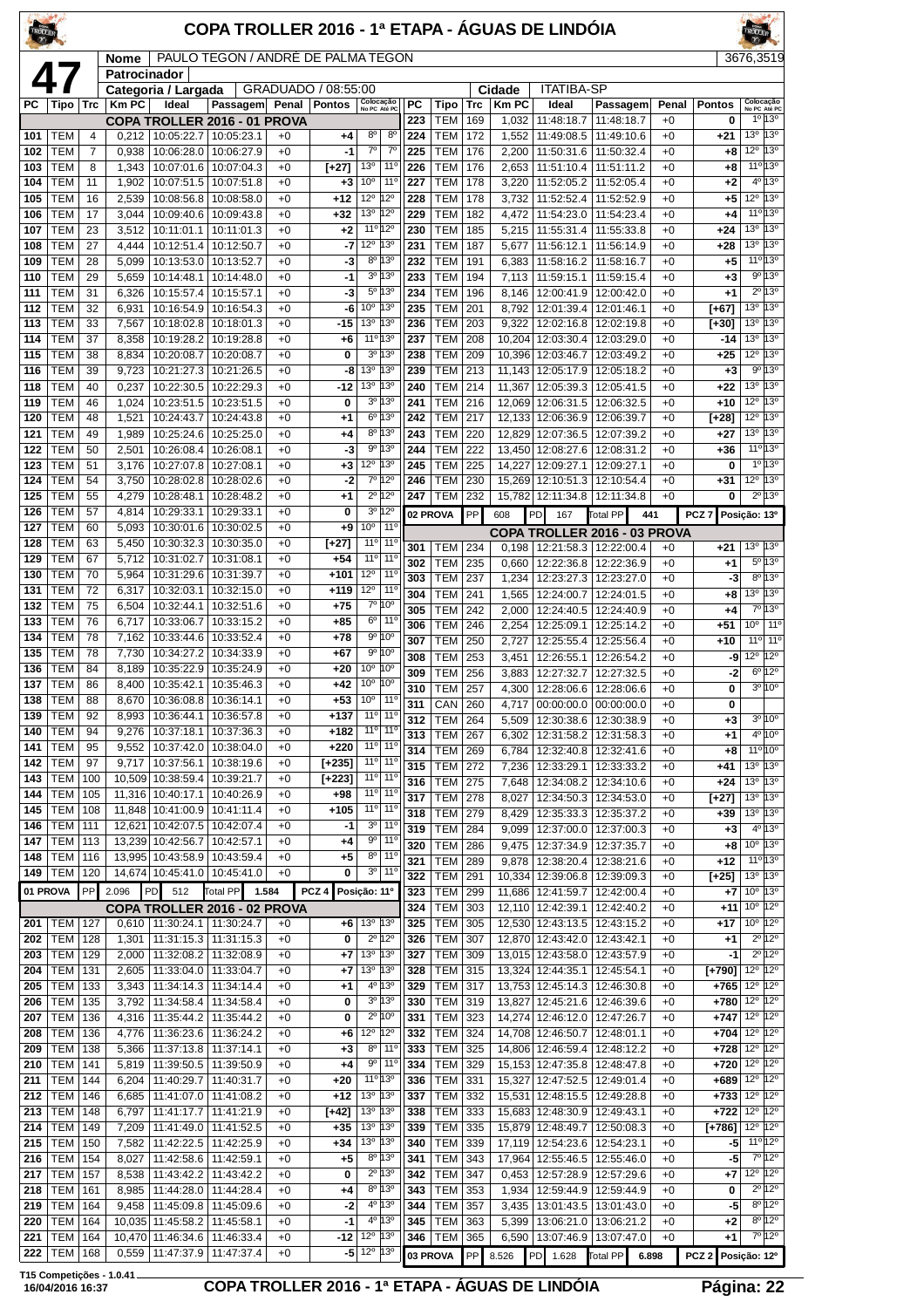| TROLIER    |                          |                |                      |                                               | COPA TROLLER 2016 - 1ª ETAPA - ÁGUAS DE LINDÓIA |              |                     |                                                                    |                         |                              |            |                       |                                 |                                                    |               |                    |                                               |                                              |
|------------|--------------------------|----------------|----------------------|-----------------------------------------------|-------------------------------------------------|--------------|---------------------|--------------------------------------------------------------------|-------------------------|------------------------------|------------|-----------------------|---------------------------------|----------------------------------------------------|---------------|--------------------|-----------------------------------------------|----------------------------------------------|
|            |                          |                | Nome<br>Patrocinador |                                               | PAULO TEGON / ANDRÉ DE PALMA TEGON              |              |                     |                                                                    |                         |                              |            |                       |                                 |                                                    |               |                    | 3676,3519                                     |                                              |
|            | 47                       |                |                      | Categoria / Largada                           |                                                 |              | GRADUADO / 08:55:00 |                                                                    |                         |                              |            | Cidade                | <b>ITATIBA-SP</b>               |                                                    |               |                    |                                               |                                              |
| РC         | Tipo                     | <b>Trc</b>     | <b>Km PC</b>         | Ideal                                         | Passagem Penal                                  |              | <b>Pontos</b>       | Colocação<br>No PC Até PC                                          | РC<br>223               | Tipo<br><b>TEM</b>           | Trc<br>169 | <b>Km PC</b><br>1,032 | Ideal<br>11:48:18.7             | Passagem<br>11:48:18.7                             | Penal<br>$+0$ | <b>Pontos</b><br>0 | Colocação<br>No PC Até PC                     | 10 130                                       |
| 101        | TEM                      | $\overline{4}$ | 0.212                | COPA TROLLER 2016 - 01 PROVA<br>10:05:22.7    | 10:05:23.1                                      | +0           | +4                  | $8^{\circ}$<br>8 <sup>0</sup>                                      | 224                     | TEM                          | 172        | 1,552                 | 11:49:08.5                      | 11:49:10.6                                         | $+0$          | $+21$              | 13 <sup>o</sup>                               | 13°                                          |
| 102        | TEM                      | 7              | 0,938                | 10:06:28.0                                    | 10:06:27.9                                      | $+0$         | $-1$                | $7^{\circ}$<br>$7^{\circ}$                                         | 225                     | <b>TEM</b>                   | 176        | 2,200                 | 11:50:31.6                      | 11:50:32.4                                         | $+0$          | +8                 | 12°                                           | 13°                                          |
| 103        | TEM                      | 8<br>11        | 1,343                |                                               | 10:07:01.6   10:07:04.3                         | $+0$<br>$+0$ | $[+27]$             | 13 <sup>o</sup><br>$11^{\circ}$<br>10 <sup>o</sup><br>$11^{\circ}$ | 226                     | <b>TEM</b>                   | 176        | 2,653                 | 11:51:10.4                      | 11:51:11.2                                         | $+0$<br>$+0$  | +8                 | $4^{\circ}$                                   | $11^{\circ}13^{\circ}$<br>$13^{\circ}$       |
| 104<br>105 | TEM<br>TEM               | 16             | 1,902<br>2,539       | 10:08:56.8                                    | 10:07:51.5   10:07:51.8<br>10:08:58.0           | $+0$         | $+3$<br>$+12$       | 12°<br>$12^{\circ}$                                                | 227<br>228              | TEM<br><b>TEM</b>            | 178<br>178 | 3,220<br>3,732        | 11:52:05.2<br>11:52:52.4        | 11:52:05.4<br>11:52:52.9                           | $+0$          | $+2$<br>+5         | 12°                                           | 13°                                          |
| 106        | TEM                      | 17             | 3.044                | 10:09:40.6                                    | 10:09:43.8                                      | $+0$         | $+32$               | 13 <sup>o</sup><br>12°                                             | 229                     | <b>TEM</b>                   | 182        | 4,472                 | 11:54:23.0                      | 11:54:23.4                                         | $+0$          | +4                 |                                               | $11^{\circ}13^{\circ}$                       |
| 107        | <b>TEM</b>               | 23             | 3,512                | 10:11:01.1                                    | 10:11:01.3                                      | $+0$         | $+2$                | 12°<br>$11^{\circ}$                                                | 230                     | <b>TEM</b>                   | 185        | 5,215                 | 11:55:31.4                      | 11:55:33.8                                         | $+0$          | $+24$              | 13°                                           | 13°                                          |
| 108<br>109 | TEM<br>TEM               | 27<br>28       | 4,444<br>5,099       | 10:12:51.4<br>10:13:53.0                      | 10:12:50.7<br>10:13:52.7                        | $+0$<br>$+0$ | -7<br>-3            | 12°<br>13°<br>8º 13º                                               | 231<br>232              | <b>TEM</b><br>TEM            | 187<br>191 | 5,677<br>6,383        | 11:56:12.1<br>11:58:16.2        | 11:56:14.9<br>11:58:16.7                           | $+0$<br>$+0$  | $+28$<br>+5        | 13 <sup>o</sup>                               | 13°<br>11°13°                                |
| 110        | TEM                      | 29             | 5,659                | 10:14:48.1                                    | 10:14:48.0                                      | $+0$         | $-1$                | $3^0$ 13 <sup>0</sup>                                              | 233                     | <b>TEM</b>                   | 194        | 7,113                 | 11:59:15.1                      | 11:59:15.4                                         | $+0$          | $+3$               |                                               | $9^{\circ}13^{\circ}$                        |
| 111        | TEM                      | 31             | 6,326                | 10:15:57.4                                    | 10:15:57.1                                      | $+0$         | -3                  | $5^{\circ}$<br>13 <sup>o</sup>                                     | 234                     | <b>TEM</b>                   | 196        | 8,146                 | 12:00:41.9                      | 12:00:42.0                                         | $+0$          | +1                 | $2^{\circ}$                                   | 13°                                          |
| 112        | TEM                      | 32             | 6,931                | 10:16:54.9                                    | 10:16:54.3                                      | $+0$         | -6                  | 10 <sup>o</sup><br>13°                                             | 235                     | TEM                          | 201        | 8,792                 | 12:01:39.4                      | 12:01:46.1                                         | $+0$          | [+67]              | 13 <sup>o</sup>                               | $13^{\circ}$                                 |
| 113<br>114 | TEM<br>TEM               | 33<br>37       | 7,567<br>8,358       | 10:18:02.8<br>10:19:28.2                      | 10:18:01.3<br>10:19:28.8                        | $+0$<br>$+0$ | $-15$<br>$+6$       | 13 <sup>o</sup><br>13°<br>11º 13º                                  | 236<br>237              | <b>TEM</b><br><b>TEM</b>     | 203<br>208 | 9,322<br>10,204       | 12:02:16.8<br>12:03:30.4        | 12:02:19.8<br>12:03:29.0                           | $+0$<br>$+0$  | [+30]<br>-14       | 13 <sup>o</sup><br>13 <sup>o</sup>            | 13 <sup>o</sup><br>13°                       |
| 115        | <b>TEM</b>               | 38             | 8,834                | 10:20:08.7                                    | 10:20:08.7                                      | $+0$         | 0                   | $3^0$ 13 <sup>0</sup>                                              | 238                     | <b>TEM</b>                   | 209        | 10,396                | 12:03:46.7                      | 12:03:49.2                                         | $+0$          | $+25$              | 12°                                           | 13°                                          |
| 116        | <b>TEM</b>               | 39             | 9,723                | 10:21:27.3                                    | 10:21:26.5                                      | $+0$         | -8                  | 13 <sup>o</sup><br>13°                                             | 239                     | <b>TEM</b>                   | 213        | 11,143                | 12:05:17.9                      | 12:05:18.2                                         | $+0$          | $+3$               | 90                                            | 13°                                          |
| 118        | TEM                      | 40             | 0,237                | 10:22:30.5                                    | 10:22:29.3                                      | $+0$         | $-12$               | 13 <sup>°</sup><br>13°<br>$3^0$ 13 <sup>0</sup>                    | 240                     | <b>TEM</b>                   | 214        | 11,367                | 12:05:39.3                      | 12:05:41.5                                         | $+0$          | $+22$              | 13 <sup>o</sup><br>$12^{\circ}$               | 13°<br>13 <sup>o</sup>                       |
| 119<br>120 | TEM<br>TEM               | 46<br>48       | 1,024<br>1,521       | 10:23:51.5<br>10:24:43.7                      | 10:23:51.5<br>10:24:43.8                        | $+0$<br>$+0$ | 0<br>$+1$           | 6 <sup>o</sup><br>13 <sup>o</sup>                                  | 241<br>242              | <b>TEM</b><br><b>TEM</b>     | 216<br>217 | 12,069<br>12,133      | 12:06:31.5<br>12:06:36.9        | 12:06:32.5<br>12:06:39.7                           | $+0$<br>$+0$  | $+10$<br>$[+28]$   | $12^{\circ}$                                  | $13^{\circ}$                                 |
| 121        | TEM                      | 49             | 1,989                | 10:25:24.6                                    | 10:25:25.0                                      | $+0$         | +4                  | 8º 13º                                                             | 243                     | <b>TEM</b>                   | 220        | 12,829                | 12:07:36.5                      | 12:07:39.2                                         | $+0$          | $+27$              | 13 <sup>o</sup>                               | 13°                                          |
| 122        | TEM                      | 50             | 2,501                | 10:26:08.4                                    | 10:26:08.1                                      | $+0$         | -3                  | 9° 13°                                                             | 244                     | <b>TEM</b>                   | 222        | 13.450                | 12:08:27.6                      | 12:08:31.2                                         | $+0$          | $+36$              |                                               | $11^{\circ}$ 13°                             |
| 123<br>124 | TEM<br>TEM               | 51<br>54       | 3,176<br>3,750       | 10:28:02.8                                    | 10:27:07.8   10:27:08.1<br>10:28:02.6           | $+0$<br>$+0$ | $+3$<br>-2          | $12^{\circ}$<br>13°<br>7º 12º                                      | 245<br>246              | <b>TEM</b><br><b>TEM</b>     | 225<br>230 | 14,227<br>15,269      | 12:09:27.1<br>12:10:51.3        | 12:09:27.1<br>12:10:54.4                           | $+0$<br>$+0$  | 0<br>$+31$         | 1 <sup>0</sup><br>$12^{\circ}$                | 13°<br>13°                                   |
| 125        | TEM                      | 55             | 4,279                | 10:28:48.1                                    | 10:28:48.2                                      | $+0$         | $+1$                | $2^{\circ}$ 12°                                                    | 247                     | <b>TEM</b>                   | 232        | 15,782                | 12:11:34.8                      | 12:11:34.8                                         | $+0$          | 0                  |                                               | $2^{\circ}$ 13°                              |
| 126        | TEM                      | 57             | 4,814                | 10:29:33.1                                    | 10:29:33.1                                      | $+0$         | 0                   | $3^{\circ}12^{\circ}$                                              |                         | 02 PROVA                     | PP         | 608                   | PD<br>167                       | <b>Total PP</b><br>441                             |               | PCZ <sub>7</sub>   | Posição: 13º                                  |                                              |
| 127        | TEM                      | 60             | 5,093                | 10:30:01.6                                    | 10:30:02.5                                      | $+0$         | $+9$                | 10 <sup>o</sup><br>11 <sup>0</sup>                                 |                         |                              |            |                       |                                 | COPA TROLLER 2016 - 03 PROVA                       |               |                    |                                               |                                              |
| 128<br>129 | TEM<br><b>TEM</b>        | 63<br>67       | 5,450<br>5,712       | 10:30:32.3<br>10:31:02.7                      | 10:30:35.0<br>10:31:08.1                        | $+0$<br>$+0$ | $[+27]$<br>$+54$    | $11^{\circ}$<br>$11^{\circ}$<br>$11°$ 11°                          | 301                     | TEM                          | 234        | 0,198                 | 12:21:58.3                      | 12:22:00.4                                         | $+0$          | $+21$              | 13 <sup>o</sup>                               | 13 <sup>o</sup>                              |
| 130        | <b>TEM</b>               | 70             | 5,964                | 10:31:29.6                                    | 10:31:39.7                                      | $+0$         | $+101$              | $12^{\circ}$<br>$11^{\circ}$                                       | 302<br>303              | <b>TEM</b><br><b>TEM</b>     | 235<br>237 | 0,660<br>1,234        | 12:22:36.8<br>12:23:27.3        | 12:22:36.9<br>12:23:27.0                           | $+0$<br>$+0$  | +1<br>-3           | $8^{\circ}$                                   | $5^{\circ}13^{\circ}$<br>13°                 |
| 131        | TEM                      | 72             | 6,317                | 10:32:03.1                                    | 10:32:15.0                                      | $+0$         | $+119$              | $12^{\circ}$<br>11 <sup>0</sup>                                    | 304                     | <b>TEM</b>                   | 241        | 1,565                 | 12:24:00.7                      | 12:24:01.5                                         | $+0$          | +8                 | 13°                                           | 13°                                          |
| 132        | TEM                      | 75             | 6,504                | 10:32:44.1                                    | 10:32:51.6                                      | $+0$         | $+75$               | $7^{\circ} 10^{\circ}$<br>$11^{\circ}$                             | 305                     | <b>TEM</b>                   | 242        | 2,000                 | 12:24:40.5                      | 12:24:40.9                                         | $+0$          | +4                 |                                               | 7º 13º                                       |
| 133<br>134 | TEM<br>TEM               | 76<br>78       | 6,717<br>7.162       | 10:33:06.7<br>10:33:44.6                      | 10:33:15.2<br>10:33:52.4                        | $+0$<br>$+0$ | $+85$<br>+78        | 6 <sup>o</sup><br>9°10°                                            | 306                     | <b>TEM</b>                   | 246        | 2,254                 | 12:25:09.1                      | 12:25:14.2                                         | $+0$          | +51                | 10 <sup>o</sup><br>$11^{\circ}$               | 11 <sup>o</sup><br>11 <sup>°</sup>           |
| 135        | TEM                      | 78             | 7,730                | 10:34:27.2                                    | 10:34:33.9                                      | $+0$         | $+67$               | 9°10°                                                              | 307<br>308              | <b>TEM</b><br><b>TEM</b>     | 250<br>253 | 2,727<br>3,451        | 12:25:55.4<br>12:26:55.1        | 12:25:56.4<br>12:26:54.2                           | $+0$<br>$+0$  | $+10$<br>-9        | $12^{\circ}$ 12 <sup>°</sup>                  |                                              |
| 136        | <b>TEM</b>               | 84             | 8,189                | 10:35:22.9                                    | 10:35:24.9                                      | $+0$         | $+20$               | 10 <sup>o</sup><br>10°                                             | 309                     | <b>TEM</b>                   | 256        | 3,883                 | 12:27:32.7                      | 12:27:32.5                                         | $+0$          | -2                 | $6^{\circ}$                                   | 12°                                          |
| 137<br>138 | TEM<br><b>TEM</b>        | 86<br>88       | 8,400<br>8,670       | 10:35:42.1<br>10:36:08.8 10:36:14.1           | 10:35:46.3                                      | $+0$<br>$+0$ | $+42$<br>$+53$      | 10 <sup>o</sup><br>10°<br>10 <sup>o</sup><br>11°                   | 310                     | <b>TEM</b>                   | 257        | 4,300                 |                                 | 12:28:06.6   12:28:06.6                            | $+0$          | 0                  |                                               | $3^{\circ}10^{\circ}$                        |
| 139        | TEM                      | 92             | 8,993                | 10:36:44.1                                    | 10:36:57.8                                      | $+0$         | $+137$              | 11 <sup>o</sup> 11 <sup>o</sup>                                    | $\overline{311}$<br>312 | CAN 260<br><b>TEM</b>        | 264        | 4,717<br>5,509        | 12:30:38.6                      | 00:00:00.0 00:00:00.0<br>12:30:38.9                | $+0$<br>$+0$  | 0<br>$+3$          |                                               | $3^{\circ} 10^{\circ}$                       |
| 140        | <b>TEM</b>               | 94             | 9,276                | 10:37:18.1                                    | 10:37:36.3                                      | $+0$         | $+182$              | 11 <sup>o</sup> 11 <sup>o</sup>                                    | 313                     | <b>TEM</b>                   | 267        | 6,302                 | 12:31:58.2                      | 12:31:58.3                                         | $+0$          | $+1$               |                                               | $4^{\circ}10^{\circ}$                        |
| 141        | TEM                      | 95             | 9,552                | 10:37:42.0                                    | 10:38:04.0                                      | $+0$         | $+220$              | $11^{\circ}$<br>11°                                                | 314                     | TEM                          | 269        | 6,784                 | 12:32:40.8                      | 12:32:41.6                                         | $+0$          | +8                 |                                               | $11^{\circ}10^{\circ}$                       |
| 142<br>143 | <b>TEM</b><br>TEM        | 97<br>100      | 9,717<br>10,509      | 10:37:56.1<br>10:38:59.4                      | 10:38:19.6<br>10:39:21.7                        | $+0$<br>$+0$ | [+235]<br>$[+223]$  | 11 <sup>o</sup> 11 <sup>o</sup><br>$11^{\circ}$<br>11°             | 315                     | TEM                          | 272        | 7,236                 | 12:33:29.1                      | 12:33:33.2                                         | $+0$          | +41                | 13 <sup>o</sup><br>$13^{\circ}$ 13 $^{\circ}$ | 13°                                          |
| 144        | TEM                      | 105            | 11,316               | 10:40:17.1                                    | 10:40:26.9                                      | $+0$         | +98                 | 11°<br>$11^{\circ}$                                                | 316<br>317              | <b>TEM 275</b><br>TEM        | 278        | 7,648<br>8,027        |                                 | 12:34:08.2   12:34:10.6<br>12:34:50.3   12:34:53.0 | $+0$<br>$+0$  | $+24$<br>[+27]     | 13 <sup>o</sup>                               | 13 <sup>o</sup>                              |
| 145        | <b>TEM</b>               | 108            |                      | 11,848 10:41:00.9 10:41:11.4                  |                                                 | $+0$         | $+105$              | $11°$ 11°                                                          | 318                     | TEM                          | 279        | 8,429                 | 12:35:33.3                      | 12:35:37.2                                         | $+0$          | $+39$              | 13º 13º                                       |                                              |
| 146        | <b>TEM</b>               | 111            | 12,621               | 10:42:07.5                                    | 10:42:07.4                                      | $+0$         | $-1$                | 11 <sup>0</sup><br>3 <sup>o</sup><br>$9^{\circ}$<br>$11^{\circ}$   | 319                     | <b>TEM</b>                   | 284        | 9,099                 |                                 | 12:37:00.0   12:37:00.3                            | $+0$          | $+3$               |                                               | $4^{\circ}13^{\circ}$                        |
| 147<br>148 | TEM<br><b>TEM</b>        | 113<br>116     | 13,239               | 10:42:56.7<br>13,995 10:43:58.9 10:43:59.4    | 10:42:57.1                                      | $+0$<br>$+0$ | $+4$<br>+5          | $8^{\circ}$ 11°                                                    | 320                     | TEM                          | 286        | 9.475                 | 12:37:34.9                      | 12:37:35.7                                         | $+0$          | $+8$<br>$+12$      | $10^{\circ}$ 13 $^{\circ}$                    | $11^{\circ}$ 13°                             |
| 149        | <b>TEM</b>               | 120            |                      | 14,674 10:45:41.0                             | 10:45:41.0                                      | $+0$         | 0                   | $3^{\circ}$ 11 <sup>°</sup>                                        | 321<br>322              | <b>TEM</b><br>TEM            | 289<br>291 | 9,878<br>10,334       | 12:38:20.4<br>12:39:06.8        | 12:38:21.6<br>12:39:09.3                           | $+0$<br>$+0$  | $[+25]$            | 13º 13º                                       |                                              |
|            | 01 PROVA                 | PP             | 2.096                | 512<br>PD.                                    | Total PP 1.584                                  |              | PCZ <sub>4</sub>    | Posição: 11º                                                       | 323                     | <b>TEM</b>                   | 299        | 11,686                | 12:41:59.7                      | 12:42:00.4                                         | $+0$          | $+7$               | 10 <sup>o</sup>                               | 13°                                          |
|            |                          |                |                      | COPA TROLLER 2016 - 02 PROVA                  |                                                 |              |                     |                                                                    | 324                     | <b>TEM</b>                   | 303        | 12,110                | 12:42:39.1                      | 12:42:40.2                                         | $+0$          | $+11$              | 10 <sup>°</sup> 12 <sup>°</sup>               |                                              |
| 201<br>202 | TEM<br><b>TEM</b>        | 127<br>128     | 1,301                | 0,610   11:30:24.1   11:30:24.7<br>11:31:15.3 | 11:31:15.3                                      | +0<br>$+0$   | +6<br>0             | 13 <sup>o</sup><br>13 <sup>o</sup><br>$2^{\circ}$ 12°              | 325<br>326              | <b>TEM</b><br><b>TEM</b>     | 305<br>307 | 12,530<br>12,870      | 12:43:13.5<br>12:43:42.0        | 12:43:15.2<br>12:43:42.1                           | $+0$<br>$+0$  | $+17$<br>+1        | $10^{\circ}$ 12°                              | $2^{\circ}$ 12°                              |
| 203        | <b>TEM</b>               | 129            | 2,000                | 11:32:08.2                                    | 11:32:08.9                                      | $+0$         | +7                  | $13^{\circ}$ 13 $^{\circ}$                                         | 327                     | <b>TEM</b>                   | 309        |                       |                                 | 13,015 12:43:58.0 12:43:57.9                       | $+0$          | -1                 |                                               | $2^{\circ}12^{\circ}$                        |
| 204        | <b>TEM</b>               | 131            | 2,605                | 11:33:04.0                                    | 11:33:04.7                                      | $+0$         | +7                  | 13 <sup>o</sup><br>$13^{\circ}$                                    | 328                     | <b>TEM</b>                   | 315        | 13,324                | 12:44:35.1                      | 12:45:54.1                                         | $+0$          | $[+790]$           | $12^{\circ}$ 12 $^{\circ}$                    |                                              |
| 205<br>206 | <b>TEM</b><br><b>TEM</b> | 133<br>135     | 3,343<br>3,792       | 11:34:14.3<br>11:34:58.4                      | 11:34:14.4<br>11:34:58.4                        | $+0$<br>$+0$ | $^{+1}$<br>0        | $4^{\circ}$ 13°<br>3º 13º                                          | 329<br>330              | <b>TEM</b><br><b>TEM 319</b> | 317        | 13,827                | 13,753 12:45:14.3<br>12:45:21.6 | 12:46:30.8<br>12:46:39.6                           | $+0$<br>$+0$  | $+765$<br>$+780$   | 12°<br>$12^{\circ}$ $12^{\circ}$              | 12°                                          |
| 207        | <b>TEM</b>               | 136            | 4,316                | 11:35:44.2                                    | 11:35:44.2                                      | $+0$         | 0                   | $2^{\circ}$ 10°                                                    | 331                     | TEM                          | 323        | 14,274                | 12:46:12.0   12:47:26.7         |                                                    | $+0$          | $+747$             | 12 <sup>°</sup> 12 <sup>°</sup>               |                                              |
| 208        | <b>TEM</b>               | 136            | 4,776                |                                               | 11:36:23.6   11:36:24.2                         | $+0$         | +6                  | $12^{\circ}$ 12 <sup>°</sup>                                       | 332                     | <b>TEM</b>                   | 324        |                       | 14,708 12:46:50.7               | 12:48:01.1                                         | $+0$          | +704               | $12^{\circ}$ 12 $^{\circ}$                    |                                              |
| 209        | TEM                      | 138            | 5,366                | 11:37:13.8                                    | 11:37:14.1                                      | $+0$         | $^{+3}$             | $8^{\circ}$<br>  11°                                               | 333                     | <b>TEM</b>                   | 325        | 14,806                | 12:46:59.4                      | 12:48:12.2                                         | $+0$          | $+728$             | $12^{\circ}$ $12^{\circ}$                     |                                              |
| 210<br>211 | <b>TEM</b><br><b>TEM</b> | 141<br>144     | 5,819<br>6,204       | 11:39:50.5<br>11:40:29.7                      | 11:39:50.9<br>11:40:31.7                        | $+0$<br>$+0$ | $+4$<br>+20         | $9^{\circ}$<br>$11^{\circ}$<br>11°13°                              | 334<br>336              | <b>TEM</b><br><b>TEM</b>     | 329<br>331 | 15,153                | 12:47:35.8                      | 12:48:47.8<br>15,327 12:47:52.5 12:49:01.4         | $+0$<br>$+0$  | +720<br>+689       | $12^{\circ}$<br>$12^{\circ}$ 12 $^{\circ}$    | $12^{\circ}$                                 |
| 212        | <b>TEM</b>               | 146            | 6,685                | 11:41:07.0                                    | 11:41:08.2                                      | $+0$         | +12                 | 13 <sup>o</sup><br>13 <sup>o</sup>                                 | 337                     | TEM                          | 332        | 15,531                | 12:48:15.5                      | 12:49:28.8                                         | $+0$          | $+733$             | $12^{\circ}$                                  | 12°                                          |
| 213        | <b>TEM</b>               | 148            | 6,797                | 11:41:17.7                                    | 11:41:21.9                                      | $+0$         | $[+42]$             | 13 <sup>o</sup><br>$13^{\circ}$                                    | 338                     | TEM                          | 333        | 15,683                | 12:48:30.9                      | 12:49:43.1                                         | $+0$          | $+722$             | 12°                                           | $12^{\circ}$                                 |
| 214        | <b>TEM</b><br><b>TEM</b> | 149            | 7,209                | 11:41:49.0                                    | 11:41:52.5                                      | $+0$         | $+35$               | 13º 13º<br>13 <sup>o</sup>                                         | 339                     | TEM                          | 335        | 15,879                | 12:48:49.7                      | 12:50:08.3                                         | $+0$          | [+786]             | 12 <sup>o</sup> 12 <sup>o</sup><br>11º 12º    |                                              |
| 215<br>216 | <b>TEM</b>               | 150<br>154     | 7,582<br>8,027       | 11:42:22.5<br>11:42:58.6                      | 11:42:25.9<br>11:42:59.1                        | $+0$<br>$+0$ | +34<br>$+5$         | 13 <sup>°</sup><br>$8^{\circ}$ 13°                                 | 340<br>341              | <b>TEM</b><br>TEM            | 339<br>343 | 17,119<br>17,964      | 12:54:23.6<br>12:55:46.5        | 12:54:23.1<br>12:55:46.0                           | $+0$<br>$+0$  | -5<br>-5           |                                               | 7°12°                                        |
| 217        | <b>TEM</b>               | 157            | 8,538                | 11:43:42.2                                    | 11:43:42.2                                      | $+0$         | 0                   | $2^{\circ}$ 13°                                                    | 342                     | TEM                          | 347        | 0,453                 | 12:57:28.9                      | 12:57:29.6                                         | $+0$          | +7                 | $12^{\circ}$ 12 $^{\circ}$                    |                                              |
| 218        | <b>TEM</b>               | 161            | 8,985                | 11:44:28.0                                    | 11:44:28.4                                      | $+0$         | $+4$                | $8^{\circ}$ 13°                                                    | 343                     | TEM                          | 353        | 1,934                 | 12:59:44.9                      | 12:59:44.9                                         | $+0$          | 0                  |                                               | $2^{\circ}12^{\circ}$                        |
| 219<br>220 | TEM<br><b>TEM</b>        | 164<br>164     | 9,458<br>10,035      | 11:45:58.2                                    | 11:45:09.8   11:45:09.6<br>11:45:58.1           | $+0$<br>$+0$ | -2<br>-1            | 4º 13º<br>4º 13º                                                   | 344<br>345              | <b>TEM</b><br><b>TEM</b>     | 357<br>363 | 3,435<br>5,399        | 13:06:21.0                      | 13:01:43.5   13:01:43.0<br>13:06:21.2              | $+0$<br>$+0$  | -5<br>+2           |                                               | $8^{\circ}$ 12°<br>$8^{\circ}$ 12 $^{\circ}$ |
| 221        | <b>TEM</b>               | 164            |                      | 10,470 11:46:34.6                             | 11:46:33.4                                      | $+0$         | $-12$               | 12º 13º                                                            | 346                     | TEM                          | 365        | 6,590                 | 13:07:46.9                      | 13:07:47.0                                         | $+0$          | +1                 |                                               | 7º 12º                                       |
| 222        | <b>TEM</b>               | 168            |                      | 0,559   11:47:37.9   11:47:37.4               |                                                 | $+0$         |                     | $-5$ 12 <sup>o</sup> 13 <sup>o</sup>                               |                         | 03 PROVA                     | PP         | 8.526                 | PD 1.628                        | Total PP 6.898                                     |               | PCZ 2 Posição: 12º |                                               |                                              |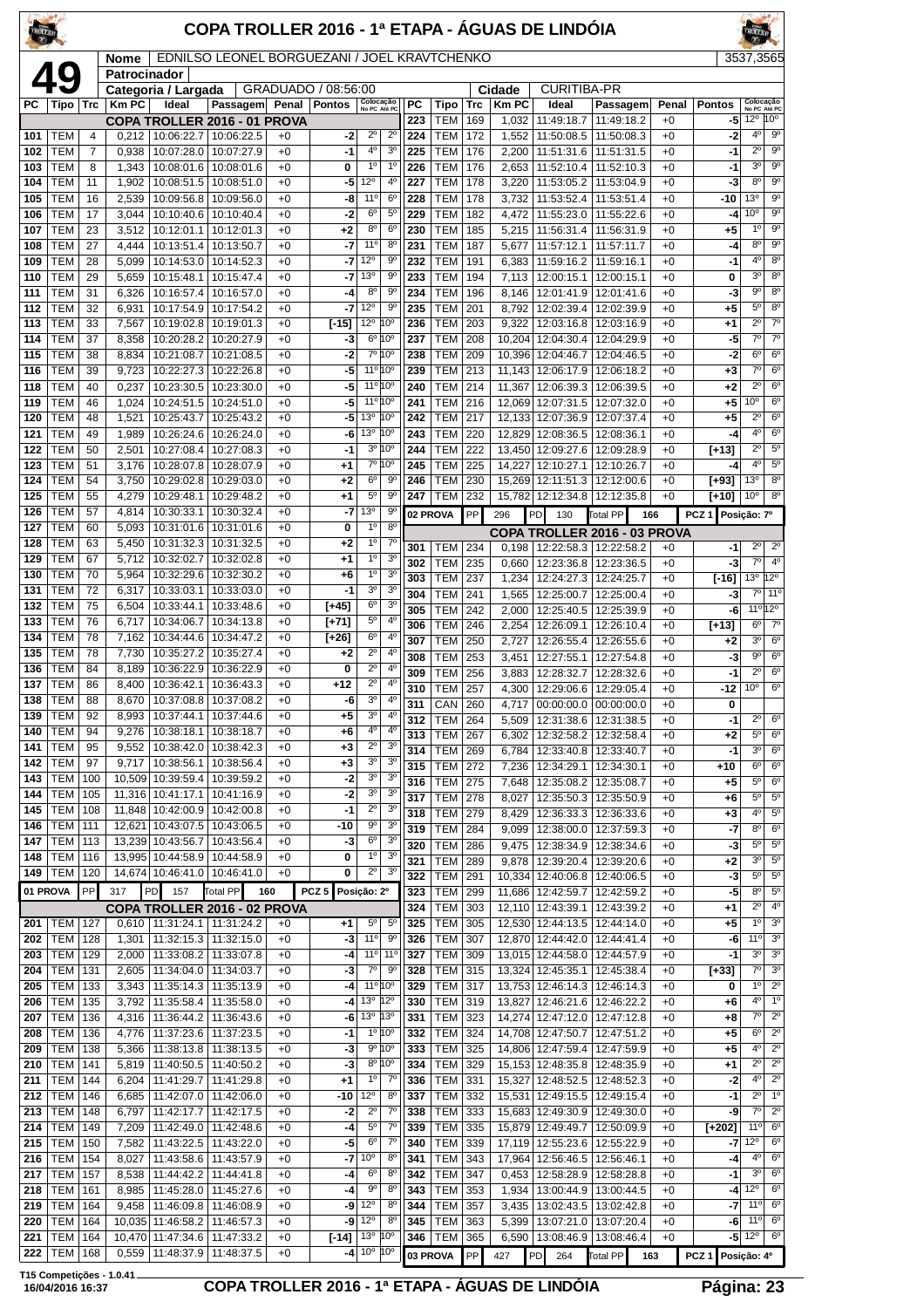| <b>TROLLE</b> |                          |                |                      |                                                   | COPA TROLLER 2016 - 1ª ETAPA - ÁGUAS DE LINDÓIA                |              |                     |                                            |                                  |            |                              |                   |                  |                    |                                                             |              |                                 |                                          |                                  |
|---------------|--------------------------|----------------|----------------------|---------------------------------------------------|----------------------------------------------------------------|--------------|---------------------|--------------------------------------------|----------------------------------|------------|------------------------------|-------------------|------------------|--------------------|-------------------------------------------------------------|--------------|---------------------------------|------------------------------------------|----------------------------------|
|               |                          |                | Nome<br>Patrocinador |                                                   | EDNILSO LEONEL BORGUEZANI / JOEL KRAVTCHENKO                   |              |                     |                                            |                                  |            |                              |                   |                  |                    |                                                             |              |                                 | 3537,3565                                |                                  |
|               | 49                       |                |                      | Categoria / Largada                               |                                                                |              | GRADUADO / 08:56:00 |                                            |                                  |            |                              |                   | Cidade           | <b>CURITIBA-PR</b> |                                                             |              |                                 |                                          |                                  |
| РC            | Tipo                     | <b>Trc</b>     | $ $ Km PC            | Ideal                                             | Passagem Penal Pontos                                          |              |                     | Colocação<br>No PC Até PC                  |                                  | PC<br>223  | Tipo<br>TEM                  | <b>Trc</b><br>169 | <b>Km PC</b>     | Ideal              | Passagem                                                    | Penal        | <b>Pontos</b>                   | Colocação<br>12°                         | 10 <sup>o</sup>                  |
| 101           | TEM                      | $\overline{4}$ | 0,212                |                                                   | <b>COPA TROLLER 2016 - 01 PROVA</b><br>10:06:22.7   10:06:22.5 | $+0$         | -2                  | $2^{\circ}$                                | $2^{\circ}$                      | 224        | <b>TEM</b>                   | 172               | 1,032<br>1,552   | 11:49:18.7         | 11:49:18.2<br>11:50:08.5   11:50:08.3                       | $+0$<br>$+0$ | -5<br>-2                        | 40                                       | $9^{\circ}$                      |
| 102           | TEM                      | $\overline{7}$ | 0,938                | 10:07:28.0                                        | 10:07:27.9                                                     | $+0$         | $-1$                | $4^{\circ}$                                | 3 <sup>o</sup>                   | 225        | <b>TEM</b>                   | 176               | 2,200            |                    | 11:51:31.6 11:51:31.5                                       | $+0$         | -1                              | $2^{\circ}$                              | $9^{\circ}$                      |
| 103           | TEM                      | 8              | 1,343                | 10:08:01.6                                        | 10:08:01.6                                                     | $+0$         | 0                   | 1 <sup>0</sup>                             | $1^{\circ}$                      | 226        | <b>TEM</b>                   | 176               | 2,653            |                    | 11:52:10.4 11:52:10.3                                       | $+0$         | -1                              | 30                                       | $9^{\circ}$                      |
| 104<br>105    | TEM<br>TEM               | 11<br>16       | 1.902<br>2,539       | 10:09:56.8                                        | 10:08:51.5   10:08:51.0<br>10:09:56.0                          | $+0$<br>$+0$ | -5<br>-8            | 12°<br>$11^{\circ}$                        | 4 <sup>0</sup><br>6 <sup>o</sup> | 227<br>228 | <b>TEM</b><br><b>TEM</b>     | 178<br>178        | 3,220<br>3,732   | 11:53:52.4         | 11:53:05.2 11:53:04.9<br>11:53:51.4                         | $+0$<br>$+0$ | -3<br>-10                       | 8 <sup>o</sup><br>13 <sup>0</sup>        | $9^{\circ}$<br>$9^{\circ}$       |
| 106           | тем                      | 17             | 3,044                | 10:10:40.6                                        | 10:10:40.4                                                     | $+0$         | $-2$                | 6 <sup>o</sup>                             | $5^{\circ}$                      | 229        | <b>TEM</b>                   | 182               | 4,472            | 11:55:23.0         | 11:55:22.6                                                  | $+0$         | -4                              | 10 <sup>o</sup>                          | $9^{\circ}$                      |
| 107           | TEM                      | 23             | 3,512                | 10:12:01.1                                        | 10:12:01.3                                                     | $+0$         | $+2$                | 8 <sup>o</sup>                             | 6 <sup>o</sup>                   | 230        | <b>TEM</b>                   | 185               | 5,215            |                    | 11:56:31.4   11:56:31.9                                     | $+0$         | $+5$                            | 1 <sup>0</sup>                           | $\overline{9^{\circ}}$           |
| 108           | TEM                      | 27             | 4,444                | 10:13:51.4                                        | 10:13:50.7                                                     | $+0$         | -7                  | $11^{\circ}$                               | 8 <sup>o</sup>                   | 231        | <b>TEM</b>                   | 187               | 5,677            |                    | 11:57:12.1   11:57:11.7                                     | $+0$         | -4                              | $8^{\circ}$                              | $9^{\circ}$                      |
| 109<br>110    | TEM<br>TEM               | 28<br>29       | 5,099<br>5,659       | 10:14:53.0<br>10:15:48.1                          | 10:14:52.3<br>10:15:47.4                                       | $+0$<br>$+0$ | -7<br>-7            | 12°<br>13 <sup>o</sup>                     | $9^{\circ}$<br>$9^{\circ}$       | 232<br>233 | <b>TEM</b><br>TEM            | 191<br>194        | 6,383<br>7,113   |                    | 11:59:16.2   11:59:16.1<br>12:00:15.1   12:00:15.1          | $+0$<br>$+0$ | -1<br>0                         | 4º<br>$\overline{3^0}$                   | $8^{\circ}$<br>$8^{\circ}$       |
| 111           | TEM                      | 31             | 6,326                | 10:16:57.4                                        | 10:16:57.0                                                     | $+0$         | -4                  | $8^{\circ}$                                | $9^{\circ}$                      | 234        | <b>TEM</b>                   | 196               | 8,146            |                    | 12:01:41.9   12:01:41.6                                     | $+0$         | -3                              | $9^{\circ}$                              | $8^{\circ}$                      |
| 112           | TEM                      | 32             | 6,931                | 10:17:54.9                                        | 10:17:54.2                                                     | $+0$         | -7                  | 12°                                        | $9^{\circ}$                      | 235        | <b>TEM</b>                   | 201               | 8,792            | 12:02:39.4         | 12:02:39.9                                                  | $+0$         | +5                              | $5^{\circ}$                              | $8^{\circ}$                      |
| 113           | TEM                      | 33             | 7,567                | 10:19:02.8                                        | 10:19:01.3                                                     | $+0$         | $[-15]$             | 12°                                        | 10 <sup>o</sup>                  | 236        | <b>TEM</b>                   | 203               | 9,322            |                    | 12:03:16.8   12:03:16.9                                     | $+0$         | $+1$                            | $2^{\circ}$                              | $7^\circ$                        |
| 114<br>115    | TEM<br>TEM               | 37<br>38       | 8,358<br>8,834       | 10:20:28.2<br>10:21:08.7                          | 10:20:27.9<br>10:21:08.5                                       | $+0$<br>$+0$ | -3<br>-2            |                                            | 6º 10°<br>7º 10º                 | 237<br>238 | <b>TEM</b><br><b>TEM</b>     | 208<br>209        | 10,204<br>10,396 | 12:04:46.7         | 12:04:30.4   12:04:29.9<br>12:04:46.5                       | $+0$<br>$+0$ | -5<br>-2                        | 7 <sup>o</sup><br>6 <sup>o</sup>         | 7 <sup>o</sup><br>$6^{\circ}$    |
| 116           | TEM                      | 39             | 9,723                | 10:22:27.3                                        | 10:22:26.8                                                     | $+0$         | -5                  | 11 <sup>o</sup> 10 <sup>o</sup>            |                                  | 239        | <b>TEM</b>                   | 213               | 11,143           | 12:06:17.9         | 12:06:18.2                                                  | $+0$         | $+3$                            | $7^\circ$                                | 6 <sup>o</sup>                   |
| 118           | TEM                      | 40             | 0,237                | 10:23:30.5                                        | 10:23:30.0                                                     | $+0$         | -5                  | 11 <sup>o</sup> 10 <sup>o</sup>            |                                  | 240        | <b>TEM</b>                   | 214               | 11,367           |                    | 12:06:39.3 12:06:39.5                                       | $+0$         | $+2$                            | $2^{\circ}$                              | 6 <sup>o</sup>                   |
| 119           | TEM                      | 46             | 1,024                | 10:24:51.5                                        | 10:24:51.0                                                     | $+0$         | -5                  | 11 <sup>o</sup> 10 <sup>o</sup>            |                                  | 241        | <b>TEM</b>                   | 216               | 12.069           |                    | 12:07:31.5   12:07:32.0                                     | $+0$         | $+5$                            | 10 <sup>o</sup>                          | $6^{\circ}$                      |
| 120<br>121    | TEM<br>TEM               | 48<br>49       | 1,521                | 10:25:43.7                                        | 10:25:43.2<br>10:26:24.0                                       | $+0$<br>$+0$ | -5                  | 13 <sup>o</sup><br>13 <sup>0</sup>         | 10 <sup>o</sup><br>10°           | 242        | <b>TEM</b>                   | 217<br>220        | 12,133           |                    | 12:07:36.9 12:07:37.4<br>12:08:36.5 12:08:36.1              | $+0$         | $+5$<br>-4                      | $\overline{2^0}$<br>4°                   | $6^{\circ}$<br>6 <sup>o</sup>    |
| 122           | TEM                      | 50             | 1,989<br>2,501       | 10:26:24.6<br>10:27:08.4                          | 10:27:08.3                                                     | $+0$         | -6<br>-1            |                                            | $3^{\circ}$ 10°                  | 243<br>244 | <b>TEM</b><br><b>TEM</b>     | 222               | 12,829           |                    | 13,450 12:09:27.6 12:09:28.9                                | $+0$<br>$+0$ | [+13]                           | $\overline{2^0}$                         | $5^{\circ}$                      |
| 123           | TEM                      | 51             | 3,176                | 10:28:07.8                                        | 10:28:07.9                                                     | $+0$         | $+1$                |                                            | 7º 10°                           | 245        | <b>TEM</b>                   | 225               | 14,227           | 12:10:27.1         | 12:10:26.7                                                  | $+0$         | -4                              | 4°                                       | $5^{\circ}$                      |
| 124           | TEM                      | 54             | 3,750                | 10:29:02.8                                        | 10:29:03.0                                                     | $+0$         | $+2$                | $6^{\circ}$                                | $9^{\circ}$                      | 246        | <b>TEM</b>                   | 230               |                  |                    | 15,269 12:11:51.3 12:12:00.6                                | $+0$         | $[+93]$                         | 13 <sup>o</sup>                          | 8 <sup>0</sup>                   |
| 125           | TEM                      | 55             | 4,279                | 10:29:48.1                                        | 10:29:48.2                                                     | $+0$         | $+1$                | $5^{\circ}$                                | $9^{\circ}$                      | 247        | <b>TEM</b>                   | 232               |                  |                    | 15,782 12:12:34.8 12:12:35.8                                | $+0$         | $[+10]$                         | 10 <sup>o</sup>                          | 8 <sup>o</sup>                   |
| 126<br>127    | TEM<br><b>TEM</b>        | 57<br>60       | 4,814<br>5,093       | 10:30:33.1                                        | 10:30:32.4<br>10:31:01.6   10:31:01.6                          | $+0$<br>$+0$ | -7<br>0             | $13^{\circ}$<br>1 <sup>0</sup>             | 90<br>8 <sup>o</sup>             | 02 PROVA   |                              | PP                | 296              | PD<br>130          | Total PP                                                    | 166          | PCZ1<br>Posição: 7º             |                                          |                                  |
| 128           | <b>TEM</b>               | 63             | 5,450                | 10:31:32.3                                        | 10:31:32.5                                                     | $+0$         | $+2$                | $1^{\circ}$                                | $7^\circ$                        | 301        | TEM                          | 234               | 0,198            |                    | COPA TROLLER 2016 - 03 PROVA<br>12:22:58.3   12:22:58.2     | $+0$         | -1                              | $\overline{2^0}$                         | $2^{\circ}$                      |
| 129           | TEM                      | 67             | 5,712                | 10:32:02.7                                        | 10:32:02.8                                                     | $+0$         | $+1$                | $1^{\circ}$                                | 3 <sup>o</sup>                   | 302        | <b>TEM</b>                   | 235               | 0.660            |                    | 12:23:36.8 12:23:36.5                                       | $+0$         | -3                              | $\overline{7}^{\circ}$                   | $4^{\circ}$                      |
| 130           | TEM                      | 70             | 5,964                |                                                   | 10:32:29.6   10:32:30.2                                        | $+0$         | +6                  | 1 <sup>0</sup>                             | 3 <sup>o</sup>                   | 303        | <b>TEM</b>                   | 237               | 1,234            |                    | 12:24:27.3 12:24:25.7                                       | $+0$         | $[-16]$                         | 13 <sup>o</sup>                          | $12^{\circ}$                     |
| 131<br>132    | TEM<br>TEM               | 72<br>75       | 6,317<br>6,504       | 10:33:03.1<br>10:33:44.1                          | 10:33:03.0<br>10:33:48.6                                       | $+0$<br>$+0$ | $-1$<br>[+45]       | 3 <sup>o</sup><br>6 <sup>o</sup>           | 3 <sup>o</sup><br>3 <sup>o</sup> | 304        | <b>TEM</b>                   | 241               | 1,565            |                    | 12:25:00.7   12:25:00.4                                     | $+0$         | -3                              |                                          | $7°$ 11 <sup>o</sup>             |
| 133           | <b>TEM</b>               | 76             | 6.717                | 10:34:06.7                                        | 10:34:13.8                                                     | $+0$         | $[+71]$             | $5^{\circ}$                                | 4 <sup>0</sup>                   | 305<br>306 | <b>TEM</b><br><b>TEM</b>     | 242<br>246        | 2,000<br>2,254   | 12:26:09.1         | 12:25:40.5 12:25:39.9<br>12:26:10.4                         | $+0$<br>$+0$ | -6<br>$[+13]$                   | $11^{\circ}12^{\circ}$<br>6 <sup>o</sup> | $7^{\circ}$                      |
| 134           | TEM                      | 78             | 7,162                | 10:34:44.6                                        | 10:34:47.2                                                     | $+0$         | [+26]               | 6 <sup>o</sup>                             | 4 <sup>0</sup>                   | 307        | TEM                          | 250               | 2,727            |                    | 12:26:55.4   12:26:55.6                                     | $+0$         | $+2$                            | 3 <sup>o</sup>                           | $6^{\circ}$                      |
| 135           | TEM                      | 78             | 7,730                | 10:35:27.2                                        | 10:35:27.4                                                     | $+0$         | +2                  | $2^{\circ}$                                | 4 <sup>0</sup>                   | 308        | <b>TEM</b>                   | 253               | 3,451            | 12:27:55.1         | 12:27:54.8                                                  | $+0$         | -3                              | $9^{\circ}$                              | $6^{\circ}$                      |
| 136<br>137    | TEM<br><b>TEM</b>        | 84<br>86       | 8,189<br>8,400       | 10:36:22.9<br>10:36:42.1                          | 10:36:22.9<br>10:36:43.3                                       | $+0$<br>$+0$ | 0<br>$+12$          | $\overline{2^{\circ}}$<br>$\overline{2^0}$ | 4 <sup>0</sup><br>4 <sup>0</sup> | 309        | <b>TEM</b>                   | 256               | 3,883            | 12:28:32.7         | 12:28:32.6                                                  | $+0$         | $-1$                            | $2^{\circ}$                              | 6 <sup>o</sup>                   |
| 138           | <b>TEM</b>               | 88             |                      | 8,670   10:37:08.8   10:37:08.2                   |                                                                | $+0$         | -6                  | 3 <sup>0</sup>                             | 4 <sup>0</sup>                   | 310<br>311 | <b>TEM</b><br><b>CAN</b> 260 | 257               | 4,300            |                    | 12:29:06.6   12:29:05.4<br>4,717 00:00:00.0 00:00:00.0      | $+0$<br>$+0$ | -12<br>0                        | 10 <sup>o</sup>                          | $6^{\circ}$                      |
| 139           | TEM                      | 92             | 8,993                | 10:37:44.1                                        | 10:37:44.6                                                     | +0           | $+5$                | 3 <sup>o</sup>                             | 4 <sup>0</sup>                   | 312        | TEM                          | 264               |                  |                    | 5,509   12:31:38.6   12:31:38.5                             | $^{+0}$      | $-1$                            | $2^{\circ}$                              | 6 <sup>o</sup>                   |
| 140           | <b>TEM</b>               | 94             | 9,276                | 10:38:18.1                                        | 10:38:18.7                                                     | $+0$         | $+6$                | 4°                                         | $4^{\circ}$                      | 313        | <b>TEM</b>                   | 267               | 6,302            | 12:32:58.2         | 12:32:58.4                                                  | $+0$         | $+2$                            | $5^{\circ}$                              | $6^{\circ}$                      |
| 141<br>142    | <b>TEM</b><br>TEM        | 95<br>97       | 9,552<br>9,717       | 10:38:42.0<br>10:38:56.1                          | 10:38:42.3<br>10:38:56.4                                       | $+0$<br>$+0$ | $+3$<br>$+3$        | $\overline{2^0}$<br>$3^{\rm o}$            | 3 <sup>o</sup><br>3 <sup>o</sup> | 314        | <b>TEM</b>                   | 269               | 6,784            |                    | 12:33:40.8   12:33:40.7                                     | $+0$         | -1                              | 3 <sup>0</sup>                           | 6 <sup>o</sup>                   |
| 143           | <b>TEM</b>               | 100            |                      | 10,509 10:39:59.4                                 | 10:39:59.2                                                     | $+0$         | $-2$                | 3 <sup>o</sup>                             | 3 <sup>o</sup>                   | 315<br>316 | <b>TEM</b><br>TEM            | 272<br>275        | 7,236<br>7,648   |                    | 12:34:29.1   12:34:30.1<br>12:35:08.2   12:35:08.7          | $+0$<br>$+0$ | $+10$<br>+5                     | $6^{\circ}$<br>$5^{\circ}$               | 6 <sup>o</sup><br>6 <sup>o</sup> |
| 144           | <b>TEM</b>               | 105            |                      | 11,316 10:41:17.1                                 | 10:41:16.9                                                     | $+0$         | -2                  | 3 <sup>o</sup>                             | 3 <sup>o</sup>                   | 317        | <b>TEM</b>                   | 278               | 8,027            |                    | 12:35:50.3   12:35:50.9                                     | $+0$         | +6                              | $5^{\circ}$                              | $5^{\circ}$                      |
| 145           | <b>TEM</b>               | 108            |                      | 11,848   10:42:00.9                               | 10:42:00.8                                                     | $+0$         | -1                  | $2^{\circ}$                                | 3 <sup>o</sup>                   | 318        | TEM                          | 279               | 8,429            |                    | 12:36:33.3   12:36:33.6                                     | $+0$         | $+3$                            | 4 <sup>0</sup>                           | $5^{\circ}$                      |
| 146<br>147    | <b>TEM</b><br><b>TEM</b> | 111<br>113     |                      | 12,621 10:43:07.5 10:43:06.5<br>13,239 10:43:56.7 | 10:43:56.4                                                     | $+0$<br>$+0$ | -10<br>-3           | $9^{\circ}$<br>6 <sup>o</sup>              | 3 <sup>o</sup><br>3 <sup>o</sup> | 319        | TEM                          | 284               | 9.099            | 12:38:00.0         | 12:37:59.3                                                  | $+0$         | -7                              | 80                                       | 6 <sup>o</sup>                   |
| 148           | <b>TEM</b>               | 116            |                      | 13,995 10:44:58.9                                 | 10:44:58.9                                                     | $+0$         | 0                   | $1^{\circ}$                                | 3 <sup>o</sup>                   | 320<br>321 | <b>TEM</b><br>TEM            | 286<br>289        | 9,475<br>9,878   |                    | 12:38:34.9 12:38:34.6<br>12:39:20.4   12:39:20.6            | $+0$<br>$+0$ | -3<br>$+2$                      | $5^{\circ}$<br>3 <sup>o</sup>            | $5^{\circ}$<br>$5^{\circ}$       |
| 149           | <b>TEM</b>               | 120            |                      | 14,674 10:46:41.0                                 | 10:46:41.0                                                     | $+0$         | 0                   | $2^{\circ}$                                | 3 <sup>o</sup>                   | 322        | TEM                          | 291               | 10,334           |                    | 12:40:06.8   12:40:06.5                                     | $+0$         | -3                              | $5^{\circ}$                              | $5^{\rm o}$                      |
|               | 01 PROVA                 | PP             | 317                  | PD<br>157                                         | Total PP                                                       | 160          | PCZ <sub>5</sub>    | Posição: 2º                                |                                  | 323        | <b>TEM</b>                   | 299               | 11.686           |                    | 12:42:59.7   12:42:59.2                                     | $+0$         | -5                              | $8^{\circ}$                              | $5^{\circ}$                      |
|               |                          |                |                      |                                                   | COPA TROLLER 2016 - 02 PROVA                                   |              |                     |                                            |                                  | 324        | <b>TEM</b>                   | 303               |                  |                    | 12,110   12:43:39.1   12:43:39.2                            | $+0$         | $+1$                            | $2^{\circ}$                              | 4 <sup>0</sup>                   |
| 201<br>202    | TEM<br><b>TEM</b>        | 127<br>128     | 1,301                | 0,610   11:31:24.1                                | 11:31:24.2<br>11:32:15.0                                       | $+0$<br>$+0$ | $+1$                | $5^{\circ}$<br>11°                         | $5^{\circ}$<br>90                | 325<br>326 | <b>TEM</b><br>TEM            | 305<br>307        | 12,870           | 12:44:42.0         | 12,530   12:44:13.5   12:44:14.0<br>12:44:41.4              | +0<br>$+0$   | +5<br>-6                        | $1^{\circ}$<br>11°                       | 3 <sup>o</sup><br>3 <sup>o</sup> |
| 203           | <b>TEM</b>               | 129            | 2,000                | 11:32:15.3<br>11:33:08.2                          | 11:33:07.8                                                     | $+0$         | -3<br>-4            | 11°                                        | $11^{\circ}$                     | 327        | <b>TEM</b>                   | 309               |                  |                    | 13,015 12:44:58.0 12:44:57.9                                | $+0$         | -1                              | 3 <sup>o</sup>                           | 3 <sup>o</sup>                   |
| 204           | <b>TEM</b>               | 131            | 2,605                | 11:34:04.0                                        | 11:34:03.7                                                     | $+0$         | -3                  | $7^\circ$                                  | 9 <sup>o</sup>                   | 328        | <b>TEM</b>                   | 315               | 13,324           | 12:45:35.1         | 12:45:38.4                                                  | $+0$         | [+33]                           | $7^\circ$                                | 3 <sup>o</sup>                   |
| 205           | <b>TEM</b>               | 133            | 3,343                | 11:35:14.3                                        | 11:35:13.9                                                     | $+0$         | -4                  | $11^{\circ} 10^{\circ}$                    |                                  | 329        | TEM                          | 317               | 13,753           |                    | 12:46:14.3   12:46:14.3                                     | +0           | 0                               | $1^{\circ}$                              | $2^{\circ}$                      |
| 206<br>207    | <b>TEM</b><br>TEM        | 135<br>136     | 3,792<br>4,316       | 11:35:58.4<br>11:36:44.2                          | 11:35:58.0<br>11:36:43.6                                       | $+0$<br>$+0$ | -4<br>-6            | 13 <sup>o</sup><br>13º 13º                 | 12°                              | 330<br>331 | <b>TEM</b><br>TEM            | 319<br>323        | 13,827           |                    | 12:46:21.6   12:46:22.2<br>14,274 12:47:12.0 12:47:12.8     | $+0$<br>$+0$ | +6<br>+8                        | $4^{\circ}$<br>$7^\circ$                 | 1 <sup>o</sup><br>$2^{\circ}$    |
| 208           | <b>TEM</b>               | 136            | 4,776                | 11:37:23.6                                        | 11:37:23.5                                                     | $+0$         | -1                  |                                            | $10 10^{\circ}$                  | 332        | TEM                          | 324               | 14,708           |                    | 12:47:50.7   12:47:51.2                                     | $+0$         | +5                              | $6^{\circ}$                              | $\overline{2^0}$                 |
| 209           | <b>TEM</b>               | 138            | 5,366                | 11:38:13.8                                        | 11:38:13.5                                                     | $+0$         | -3                  |                                            | 9°10°                            | 333        | TEM                          | 325               |                  |                    | 14,806 12:47:59.4 12:47:59.9                                | $+0$         | +5                              | 4 <sup>0</sup>                           | $2^{\circ}$                      |
| 210           | <b>TEM</b>               | 141            | 5,819                | 11:40:50.5                                        | 11:40:50.2                                                     | $+0$         | -3                  |                                            | $8^{\circ}$ 10 <sup>°</sup>      | 334        | TEM                          | 329               |                  |                    | 15, 153   12: 48: 35.8   12: 48: 35.9                       | $+0$         | $+1$                            | $2^{\circ}$                              | $\overline{2^0}$                 |
| 211           | <b>TEM</b>               | 144            | 6,204                | 11:41:29.7                                        | 11:41:29.8                                                     | $+0$         | $+1$                | 1 <sup>0</sup>                             | $7^{\circ}$                      | 336        | <b>TEM</b>                   | 331               | 15,327           | 12:48:52.5         | 12:48:52.3                                                  | $+0$         | -2                              | 4º<br>$2^{\circ}$                        | $2^{\circ}$<br>1 <sup>0</sup>    |
| 212<br>213    | <b>TEM</b><br><b>TEM</b> | 146<br>148     | 6,685<br>6,797       | 11:42:07.0<br>11:42:17.7                          | 11:42:06.0<br>11:42:17.5                                       | $+0$<br>$+0$ | -10<br>-2           | $12^{\circ}$<br>$2^{\circ}$                | $8^{\circ}$<br>$7^{\circ}$       | 337<br>338 | TEM<br>TEM                   | 332<br>333        | 15,531           |                    | 12:49:15.5   12:49:15.4<br>15,683   12:49:30.9   12:49:30.0 | $+0$<br>$+0$ | -1<br>-9                        | $7^\circ$                                | $2^{\circ}$                      |
| 214           | <b>TEM</b>               | 149            | 7,209                | 11:42:49.0                                        | 11:42:48.6                                                     | $+0$         | -4                  | $5^{\circ}$                                | $7^{\circ}$                      | 339        | TEM                          | 335               | 15,879           | 12:49:49.7         | 12:50:09.9                                                  | $+0$         | $[+202]$                        | 11°                                      | $6^{\rm o}$                      |
| 215           | <b>TEM</b>               | 150            | 7,582                | 11:43:22.5                                        | 11:43:22.0                                                     | $+0$         | -5                  | 6 <sup>o</sup>                             | $7^\circ$                        | 340        | <b>TEM</b>                   | 339               |                  |                    | 17,119   12:55:23.6   12:55:22.9                            | $+0$         |                                 | $-7$ 12 <sup>o</sup>                     | 6 <sup>o</sup>                   |
| 216           | <b>TEM</b>               | 154            | 8,027                | 11:43:58.6                                        | 11:43:57.9                                                     | $+0$         | -7                  | 10 <sup>o</sup>                            | 8 <sup>o</sup>                   | 341        | TEM                          | 343               | 17,964           |                    | 12:56:46.5   12:56:46.1                                     | $+0$         | -4                              | $4^{\circ}$                              | 6 <sup>o</sup>                   |
| 217<br>218    | <b>TEM</b><br><b>TEM</b> | 157<br>161     | 8,538<br>8,985       | 11:44:42.2                                        | 11:44:41.8<br>11:45:28.0   11:45:27.6                          | $+0$<br>$+0$ | -4<br>-4            | 6 <sup>o</sup><br>9 <sup>o</sup>           | 8 <sup>o</sup><br>8 <sup>o</sup> | 342<br>343 | TEM<br><b>TEM</b>            | 347<br>353        | 0,453<br>1,934   | 12:58:28.9         | 12:58:28.8<br>13:00:44.9   13:00:44.5                       | $+0$<br>$+0$ | -1                              | 3 <sup>o</sup><br>$-4$ 12 <sup>o</sup>   | 6 <sup>o</sup><br>$6^{\circ}$    |
| 219           | <b>TEM</b>               | 164            | 9,458                | 11:46:09.8                                        | 11:46:08.9                                                     | $+0$         | -9                  | $12^{\circ}$                               | $8^{\circ}$                      | 344        | TEM                          | 357               | 3,435            |                    | 13:02:43.5   13:02:42.8                                     | $+0$         | -7                              | 11°                                      | $6^{\circ}$                      |
| 220           | <b>TEM</b>               | 164            |                      | 10,035 11:46:58.2                                 | 11:46:57.3                                                     | $+0$         | -9                  | $12^{\circ}$                               | $8^{\circ}$                      | 345        | TEM                          | 363               | 5,399            | 13:07:21.0         | 13:07:20.4                                                  | $+0$         | -6                              | 11°                                      | $6^{\circ}$                      |
| 221           | <b>TEM</b>               | 164            |                      | 10,470 11:47:34.6                                 | 11:47:33.2                                                     | $+0$         | $[-14]$             | $13^{\circ}$ $ 10^{\circ}$                 |                                  | 346        | <b>TEM</b>                   | 365               |                  |                    | 6,590   13:08:46.9   13:08:46.4                             | $^{+0}$      |                                 | $-5$ 12 <sup>o</sup>                     | 6 <sup>o</sup>                   |
| 222           | <b>TEM</b>               | 168            |                      | $0,559$   11:48:37.9                              | 11:48:37.5                                                     | $+0$         |                     | $-4$ 10 $^{\circ}$                         | $10^{\circ}$                     | 03 PROVA   |                              | PP                | 427              | PD<br>264          | Total PP                                                    | 163          | PCZ <sub>1</sub><br>Posição: 4º |                                          |                                  |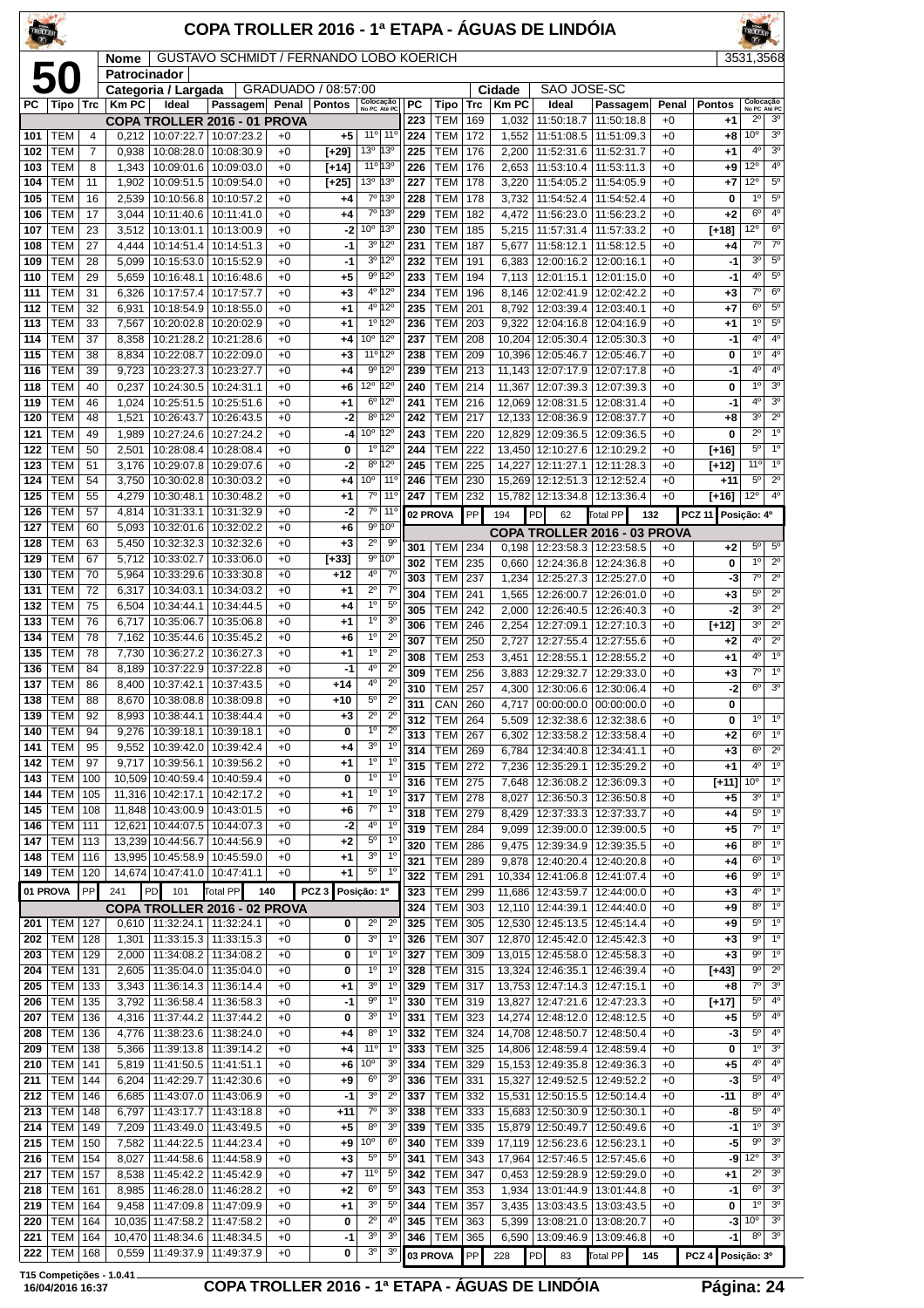| TROLLER    |                          |            |                |                                                   | COPA TROLLER 2016 - 1ª ETAPA - ÁGUAS DE LINDÓIA |              |                     |                                   |                                      |            |                              |            |                  |                                            |                                                         |              |                 | <b>ROLLE</b>                          |                                       |
|------------|--------------------------|------------|----------------|---------------------------------------------------|-------------------------------------------------|--------------|---------------------|-----------------------------------|--------------------------------------|------------|------------------------------|------------|------------------|--------------------------------------------|---------------------------------------------------------|--------------|-----------------|---------------------------------------|---------------------------------------|
|            |                          |            | Nome           |                                                   | GUSTAVO SCHMIDT / FERNANDO LOBO KOERICH         |              |                     |                                   |                                      |            |                              |            |                  |                                            |                                                         |              |                 | 3531.3568                             |                                       |
|            | 50                       |            | Patrocinador   | Categoria / Largada                               |                                                 |              | GRADUADO / 08:57:00 |                                   |                                      |            |                              |            | Cidade           | SAO JOSE-SC                                |                                                         |              |                 |                                       |                                       |
| PС         | Tipo                     | Trc        | <b>Km PC</b>   | Ideal                                             | Passagem Penal                                  |              | <b>Pontos</b>       | Colocação<br>No PC Até PC         |                                      | PC         | Tipo                         | <b>Trc</b> | <b>Km PC</b>     | Ideal                                      | Passagem                                                | Penal        | <b>Pontos</b>   | Colocação                             | No PC Até PC                          |
| 101        | <b>TEM</b>               | 4          | 0.212          | 10:07:22.7                                        | COPA TROLLER 2016 - 01 PROVA<br>10:07:23.2      | $+0$         | +5                  |                                   | 11º 11º                              | 223<br>224 | <b>TEM</b><br><b>TEM</b>     | 169<br>172 | 1,032<br>1,552   | 11:50:18.7<br>11:51:08.5                   | 11:50:18.8<br>11:51:09.3                                | $+0$<br>$+0$ | $+1$<br>+8      | $2^{\circ}$<br>10 <sup>o</sup>        | 3 <sup>o</sup><br>3 <sup>o</sup>      |
| 102        | <b>TEM</b>               | 7          | 0,938          | 10:08:28.0                                        | 10:08:30.9                                      | $+0$         | [+29]               | 13°                               | 13°                                  | 225        | <b>TEM</b>                   | 176        | 2,200            | 11:52:31.6                                 | 11:52:31.7                                              | $+0$         | +1              | 4°                                    | 3 <sup>o</sup>                        |
| 103        | <b>TEM</b>               | 8          | 1,343          | 10:09:01.6                                        | 10:09:03.0                                      | $+0$         | [+14]               | 11°13°                            |                                      | 226        | <b>TEM</b>                   | 176        | 2,653            | 11:53:10.4                                 | 11:53:11.3                                              | $+0$         | +9              | $12^{\circ}$                          | 4 <sup>0</sup>                        |
| 104        | TEM                      | 11         | 1,902          | 10:09:51.5                                        | 10:09:54.0                                      | $+0$         | $[+25]$             | 13º 13º                           |                                      | 227        | <b>TEM</b>                   | 178        | 3,220            | 11:54:05.2                                 | 11:54:05.9                                              | $+0$         | +7              | $12^{\circ}$                          | $5^{\circ}$                           |
| 105<br>106 | <b>TEM</b><br><b>TEM</b> | 16<br>17   | 2,539<br>3,044 | 10:10:56.8<br>10:11:40.6                          | 10:10:57.2<br>10:11:41.0                        | $+0$<br>$+0$ | +4<br>+4            |                                   | 7º 13º<br>7º 13º                     | 228<br>229 | <b>TEM</b><br><b>TEM</b>     | 178<br>182 | 3,732<br>4,472   | 11:54:52.4<br>11:56:23.0                   | 11:54:52.4<br>11:56:23.2                                | $+0$<br>$+0$ | 0<br>$+2$       | $1^{\circ}$<br>$6^{\circ}$            | $5^{\rm o}$<br>4 <sup>0</sup>         |
| 107        | <b>TEM</b>               | 23         | 3,512          | 10:13:01.1                                        | 10:13:00.9                                      | $+0$         | $-2$                | 10 <sup>o</sup> 13 <sup>o</sup>   |                                      | 230        | <b>TEM</b>                   | 185        | 5,215            | 11:57:31.4                                 | 11:57:33.2                                              | $+0$         | $[+18]$         | $12^{\circ}$                          | $6^{\circ}$                           |
| 108        | <b>TEM</b>               | 27         | 4,444          | 10:14:51.4                                        | 10:14:51.3                                      | $+0$         | $-1$                |                                   | 3º 12º                               | 231        | <b>TEM</b>                   | 187        | 5,677            | 11:58:12.1                                 | 11:58:12.5                                              | $+0$         | +4              | $7^\circ$                             | $7^{\circ}$                           |
| 109        | <b>TEM</b>               | 28         | 5,099          | 10:15:53.0                                        | 10:15:52.9                                      | $+0$         | $-1$                |                                   | $3^{\circ}$ 12°                      | 232        | <b>TEM</b>                   | 191        | 6,383            | 12:00:16.2                                 | 12:00:16.1                                              | $+0$         | -1              | 3 <sup>o</sup><br>4 <sup>0</sup>      | $\overline{5^0}$                      |
| 110<br>111 | <b>TEM</b><br><b>TEM</b> | 29<br>31   | 5,659<br>6,326 | 10:16:48.1<br>10:17:57.4                          | 10:16:48.6<br>10:17:57.7                        | $+0$<br>$+0$ | +5<br>$+3$          |                                   | $9^{\circ}$ 12°<br>4º 12º            | 233<br>234 | <b>TEM</b><br><b>TEM</b>     | 194<br>196 | 7,113<br>8,146   | 12:02:41.9                                 | 12:01:15.1   12:01:15.0<br>12:02:42.2                   | $+0$<br>$+0$ | -1<br>$+3$      | $7^\circ$                             | $5^{\circ}$<br>6 <sup>o</sup>         |
| 112        | <b>TEM</b>               | 32         | 6,931          | 10:18:54.9                                        | 10:18:55.0                                      | $+0$         | +1                  |                                   | 4º 12º                               | 235        | <b>TEM</b>                   | 201        | 8,792            | 12:03:39.4                                 | 12:03:40.1                                              | $+0$         | $+7$            | $6^{\circ}$                           | $5^{\circ}$                           |
| 113        | <b>TEM</b>               | 33         | 7,567          | 10:20:02.8                                        | 10:20:02.9                                      | $+0$         | +1                  |                                   | $1^{\circ}$ 12°                      | 236        | <b>TEM</b>                   | 203        | 9,322            | 12:04:16.8                                 | 12:04:16.9                                              | $+0$         | $+1$            | $1^{\circ}$                           | $5^{\circ}$                           |
| 114        | <b>TEM</b><br><b>TEM</b> | 37         | 8,358          | 10:21:28.2                                        | 10:21:28.6                                      | $+0$<br>$+0$ | +4                  | 10 <sup>°</sup> 12 <sup>°</sup>   | $11^{\circ}$ 12°                     | 237<br>238 | <b>TEM</b><br><b>TEM</b>     | 208        | 10.204           | 12:05:30.4<br>12:05:46.7                   | 12:05:30.3                                              | $+0$         | -1              | 4 <sup>0</sup><br>1 <sup>0</sup>      | 4 <sup>0</sup><br>$4^{\circ}$         |
| 115<br>116 | <b>TEM</b>               | 38<br>39   | 8,834<br>9.723 | 10:22:08.7<br>10:23:27.3                          | 10:22:09.0<br>10:23:27.7                        | $+0$         | $+3$<br>+4          |                                   | $9^{\circ}$ 12°                      | 239        | <b>TEM</b>                   | 209<br>213 | 10,396<br>11,143 | 12:07:17.9                                 | 12:05:46.7<br>12:07:17.8                                | $+0$<br>$+0$ | 0<br>-1         | 4º                                    | 4 <sup>0</sup>                        |
| 118        | <b>TEM</b>               | 40         | 0,237          | 10:24:30.5                                        | 10:24:31.1                                      | $+0$         | +6                  | 12º 12º                           |                                      | 240        | <b>TEM</b>                   | 214        | 11,367           | 12:07:39.3                                 | 12:07:39.3                                              | $+0$         | 0               | 1 <sup>0</sup>                        | 3 <sup>o</sup>                        |
| 119        | <b>TEM</b>               | 46         | 1,024          | 10:25:51.5                                        | 10:25:51.6                                      | $+0$         | +1                  |                                   | $6^{\circ}12^{\circ}$                | 241        | <b>TEM</b>                   | 216        | 12,069           | 12:08:31.5                                 | 12:08:31.4                                              | $+0$         | -1              | 4 <sup>0</sup>                        | 3 <sup>o</sup>                        |
| 120<br>121 | <b>TEM</b>               | 48         | 1,521<br>1.989 | 10:26:43.7                                        | 10:26:43.5<br>10:27:24.2                        | $+0$         | -2                  | 10° 12°                           | $8^{\circ}$ 12°                      | 242<br>243 | <b>TEM</b>                   | 217<br>220 | 12,133           | 12:08:36.9                                 | 12:08:37.7                                              | $+0$         | $+8$            | 3 <sup>0</sup><br>$2^{\circ}$         | $2^{\circ}$<br>1 <sup>0</sup>         |
| 122        | <b>TEM</b><br><b>TEM</b> | 49<br>50   | 2,501          | 10:27:24.6<br>10:28:08.4                          | 10:28:08.4                                      | $+0$<br>$+0$ | -4<br>0             |                                   | 10 120                               | 244        | <b>TEM</b><br><b>TEM</b>     | 222        | 12,829<br>13,450 | 12:09:36.5<br>12:10:27.6                   | 12:09:36.5<br>12:10:29.2                                | $+0$<br>$+0$ | 0<br>$[+16]$    | $5^{\circ}$                           | 1 <sup>0</sup>                        |
| 123        | <b>TEM</b>               | 51         | 3,176          | 10:29:07.8                                        | 10:29:07.6                                      | $+0$         | $-2$                |                                   | 8º 12º                               | 245        | <b>TEM</b>                   | 225        | 14,227           | 12:11:27.1                                 | 12:11:28.3                                              | $+0$         | [+12]           | 11 <sup>o</sup>                       | 1 <sup>0</sup>                        |
| 124        | <b>TEM</b>               | 54         | 3.750          | 10:30:02.8                                        | 10:30:03.2                                      | $+0$         | +4                  | 10 <sup>o</sup>                   | $11^{\circ}$                         | 246        | <b>TEM</b>                   | 230        | 15,269           | 12:12:51.3                                 | 12:12:52.4                                              | $+0$         | $+11$           | $5^{\circ}$                           | $2^{\circ}$                           |
| 125<br>126 | <b>TEM</b><br><b>TEM</b> | 55<br>57   | 4,279<br>4,814 | 10:30:48.1<br>10:31:33.1                          | 10:30:48.2<br>10:31:32.9                        | $+0$<br>$+0$ | +1<br>-2            | $7^\circ$                         | $11^{\circ}$<br>$7°$ 11 <sup>°</sup> | 247        | TEM                          | 232        | 15,782           | 12:13:34.8                                 | 12:13:36.4                                              | $+0$         | $[+16]$         | $12^{\circ}$                          | 4 <sup>0</sup>                        |
| 127        | <b>TEM</b>               | 60         | 5.093          | 10:32:01.6                                        | 10:32:02.2                                      | $+0$         | +6                  | $9^{\circ}$                       | $10^{\circ}$                         |            | 02 PROVA                     | PP         | 194              | PD<br>62                                   | <b>Total PP</b><br>132                                  |              | <b>PCZ 11</b>   | Posição: 4º                           |                                       |
| 128        | <b>TEM</b>               | 63         | 5,450          | 10:32:32.3                                        | 10:32:32.6                                      | $+0$         | $+3$                | $2^{\circ}$                       | 90                                   | 301        | TEM                          | 234        | 0,198            |                                            | COPA TROLLER 2016 - 03 PROVA<br>12:23:58.3   12:23:58.5 | $+0$         | $+2$            | $5^{\circ}$                           | $5^{\circ}$                           |
| 129        | <b>TEM</b>               | 67         | 5,712          | 10:33:02.7                                        | 10:33:06.0                                      | $+0$         | $[+33]$             |                                   | 9°10°                                | 302        | <b>TEM</b>                   | 235        | 0,660            | 12:24:36.8                                 | 12:24:36.8                                              | $+0$         | 0               | $1^{\circ}$                           | $2^{\circ}$                           |
| 130<br>131 | <b>TEM</b><br><b>TEM</b> | 70<br>72   | 5,964<br>6,317 | 10:33:29.6<br>10:34:03.1                          | 10:33:30.8<br>10:34:03.2                        | $+0$<br>$+0$ | $+12$<br>+1         | $4^{\circ}$<br>$2^{\circ}$        | $7^\circ$<br>$7^\circ$               | 303        | <b>TEM</b>                   | 237        | 1,234            | 12:25:27.3                                 | 12:25:27.0                                              | $+0$         | -3              | $7^\circ$                             | $2^{\circ}$                           |
| 132        | <b>TEM</b>               | 75         | 6.504          | 10:34:44.1                                        | 10:34:44.5                                      | $+0$         | +4                  | 1 <sup>0</sup>                    | $5^{\circ}$                          | 304<br>305 | <b>TEM</b><br><b>TEM</b>     | 241<br>242 | 1,565<br>2,000   | 12:26:00.7<br>12:26:40.5                   | 12:26:01.0<br>12:26:40.3                                | $+0$<br>$+0$ | $+3$<br>-2      | $5^{\circ}$<br>3 <sup>o</sup>         | $2^{\circ}$<br>$\overline{2^{\circ}}$ |
| 133        | <b>TEM</b>               | 76         | 6,717          | 10:35:06.7                                        | 10:35:06.8                                      | $+0$         | +1                  | 1 <sup>0</sup>                    | 3 <sup>o</sup>                       | 306        | <b>TEM</b>                   | 246        | 2,254            | 12:27:09.1                                 | 12:27:10.3                                              | $+0$         | $[+12]$         | 3 <sup>o</sup>                        | $2^{\circ}$                           |
| 134        | <b>TEM</b>               | 78         | 7,162          | 10:35:44.6                                        | 10:35:45.2                                      | $+0$         | +6                  | 1 <sup>0</sup>                    | $2^{\circ}$                          | 307        | <b>TEM</b>                   | 250        | 2,727            | 12:27:55.4                                 | 12:27:55.6                                              | $+0$         | $+2$            | 4 <sup>0</sup>                        | $2^{\circ}$                           |
| 135<br>136 | <b>TEM</b><br><b>TEM</b> | 78<br>84   | 7,730<br>8,189 | 10:36:27.2<br>10:37:22.9                          | 10:36:27.3<br>10:37:22.8                        | $+0$<br>$+0$ | +1<br>-1            | 1 <sup>0</sup><br>4 <sup>0</sup>  | $2^{\circ}$<br>$2^{\circ}$           | 308        | <b>TEM</b>                   | 253        | 3,451            | 12:28:55.1                                 | 12:28:55.2                                              | $+0$         | +1              | 4°                                    | 1 <sup>0</sup>                        |
| 137        | <b>TEM</b>               | 86         | 8,400          | 10:37:42.1                                        | 10:37:43.5                                      | $+0$         | $+14$               | 4 <sup>0</sup>                    | $2^{\circ}$                          | 309<br>310 | <b>TEM</b><br><b>TEM</b>     | 256<br>257 | 3,883<br>4,300   | 12:29:32.7                                 | 12:29:33.0<br>12:30:06.6   12:30:06.4                   | $+0$<br>$+0$ | +3<br>-2        | $7^\circ$<br>$6^{\circ}$              | 1 <sup>0</sup><br>$\overline{3^0}$    |
| 138        | <b>TEM</b>               | 88         | 8,670          | 10:38:08.8   10:38:09.8                           |                                                 | $+0$         | $+10$               | $5^{\circ}$                       | $2^{\circ}$                          | 311        | <b>CAN 260</b>               |            |                  |                                            | 4,717 00:00:00.0 00:00:00.0                             | $+0$         | 0               |                                       |                                       |
| 139        | TEM                      | 92         |                | 8,993   10:38:44.1                                | 10:38:44.4                                      | +0           | $+3$                | $2^{\circ}$                       | $2^{\circ}$                          | 312        | <b>TEM</b>                   | 264        | 5,509            |                                            | 12:32:38.6   12:32:38.6                                 | $+0$         | 0               | $1^{\circ}$                           | $1^{\circ}$                           |
| 140<br>141 | <b>TEM</b><br><b>TEM</b> | 94<br>95   | 9,276<br>9,552 | 10:39:18.1<br>10:39:42.0                          | 10:39:18.1<br>10:39:42.4                        | $+0$<br>$+0$ | 0<br>+4             | $1^{\circ}$<br>$3^{\rm o}$        | $2^{\circ}$<br>$1^{\circ}$           | 313        | <b>TEM 267</b>               |            | 6,302            | 12:33:58.2                                 | 12:33:58.4                                              | $+0$         | $+2$            | $6^{\circ}$                           | 10                                    |
| 142        | <b>TEM</b>               | 97         | 9,717          | 10:39:56.1                                        | 10:39:56.2                                      | $+0$         | +1                  | $1^{\circ}$                       | $1^{\circ}$                          | 314<br>315 | <b>TEM</b><br><b>TEM</b>     | 269<br>272 | 6,784<br>7,236   | 12:35:29.1                                 | 12:34:40.8   12:34:41.1<br>12:35:29.2                   | $+0$<br>$+0$ | $+3$<br>$+1$    | $6^{\circ}$<br>4°                     | $2^{\circ}$<br>$1^{\circ}$            |
| 143        | <b>TEM</b>               | 100        |                | 10,509 10:40:59.4                                 | 10:40:59.4                                      | $+0$         | 0                   | $1^{\circ}$                       | $1^{\circ}$                          | 316        | <b>TEM 275</b>               |            | 7,648            |                                            | 12:36:08.2   12:36:09.3                                 | $+0$         | [+11]           | 10 <sup>o</sup>                       | $1^{\circ}$                           |
| 144        | <b>TEM</b><br><b>TEM</b> | 105<br>108 |                | 11,316 10:42:17.1<br>11,848 10:43:00.9 10:43:01.5 | 10:42:17.2                                      | $+0$<br>$+0$ | +1                  | $1^{\circ}$<br>7°                 | $1^{\circ}$<br>$1^{\circ}$           | 317        | TEM                          | 278        | 8,027            |                                            | 12:36:50.3   12:36:50.8                                 | $+0$         | $+5$            | 3 <sup>o</sup>                        | 1 <sup>°</sup>                        |
| 145<br>146 | <b>TEM</b>               | 111        |                | 12,621 10:44:07.5                                 | 10:44:07.3                                      | $+0$         | +6<br>-2            | $4^{\rm o}$                       | 1º                                   | 318<br>319 | <b>TEM</b><br><b>TEM 284</b> | 279        | 8,429            |                                            | 12:37:33.3 12:37:33.7                                   | $+0$         | $^{+4}$         | $5^{\circ}$<br>$\overline{7^{\circ}}$ | $1^{\circ}$<br>$1^{\circ}$            |
| 147        | <b>TEM</b>               | 113        |                | 13,239 10:44:56.7                                 | 10:44:56.9                                      | $+0$         | +2                  | $5^{\rm o}$                       | $1^{\circ}$                          | 320        | <b>TEM</b>                   | 286        | 9,099<br>9,475   | 12:39:34.9                                 | 12:39:00.0   12:39:00.5<br>12:39:35.5                   | $+0$<br>$+0$ | $+5$<br>$+6$    | 8 <sup>o</sup>                        | 1 <sup>°</sup>                        |
|            | 148   TEM                | 116        |                | 13,995 10:45:58.9 10:45:59.0                      |                                                 | $+0$         | +1                  | $3^{\circ}$                       | $1^{\circ}$                          | 321        | <b>TEM</b>                   | 289        | 9,878            | 12:40:20.4                                 | 12:40:20.8                                              | $+0$         | $+4$            | 6 <sup>o</sup>                        | 1 <sup>0</sup>                        |
|            | 149   TEM                | 120        |                | 14,674 10:47:41.0 10:47:41.1                      |                                                 | $+0$         | +1                  | $5^{\circ}$                       | 1º                                   | 322        | <b>TEM</b>                   | 291        | 10,334           | 12:41:06.8                                 | 12:41:07.4                                              | $+0$         | +6              | 90                                    | $1^{\circ}$                           |
| 01 PROVA   |                          | PP         | 241            | 101<br>PD                                         | Total PP<br>140<br>COPA TROLLER 2016 - 02 PROVA |              | PCZ <sub>3</sub>    | Posição: 1º                       |                                      | 323<br>324 | <b>TEM</b><br>TEM            | 299<br>303 | 11,686<br>12,110 | 12:43:59.7<br>12:44:39.1                   | 12:44:00.0<br>12:44:40.0                                | $+0$<br>$+0$ | $+3$<br>+9      | 4º<br>8 <sup>o</sup>                  | 1 <sup>°</sup><br>1 <sup>o</sup>      |
|            | 201   TEM                | 127        |                | 0,610   11:32:24.1   11:32:24.1                   |                                                 | $+0$         | 0                   | $2^{\circ}$                       | $2^{\circ}$                          | 325        | <b>TEM</b>                   | 305        | 12,530           | 12:45:13.5                                 | 12:45:14.4                                              | $+0$         | +9              | $5^{\circ}$                           | $1^{\circ}$                           |
| 202        | <b>TEM</b>               | 128        |                | 1,301   11:33:15.3   11:33:15.3                   |                                                 | $+0$         | 0                   | 3 <sup>0</sup>                    | $1^{\circ}$                          | 326        | <b>TEM</b>                   | 307        | 12,870           | 12:45:42.0                                 | 12:45:42.3                                              | $+0$         | $+3$            | 90                                    | $1^{\circ}$                           |
| 203        | <b>TEM</b>               | 129        |                | 2,000   11:34:08.2   11:34:08.2                   |                                                 | $+0$         | 0                   | 1°                                | $1^{\circ}$                          | 327        | <b>TEM 309</b>               |            |                  |                                            | 13,015 12:45:58.0 12:45:58.3                            | $+0$         | $+3$            | $9^{\circ}$                           | 1 <sup>°</sup>                        |
| 204<br>205 | <b>TEM</b><br><b>TEM</b> | 131<br>133 | 2,605          | 11:35:04.0<br>3,343   11:36:14.3                  | 11:35:04.0<br>11:36:14.4                        | $+0$<br>$+0$ | 0<br>+1             | $1^{\circ}$<br>3 <sup>o</sup>     | $1^{\circ}$<br>$1^{\circ}$           | 328<br>329 | <b>TEM</b><br><b>TEM 317</b> | 315        | 13,324           | 12:46:35.1<br>13,753 12:47:14.3 12:47:15.1 | 12:46:39.4                                              | $+0$<br>$+0$ | $[+43]$<br>$+8$ | $9^{\circ}$<br>$7^\circ$              | $2^{\circ}$<br>3 <sup>o</sup>         |
| 206        | TEM                      | 135        | 3,792          | 11:36:58.4                                        | 11:36:58.3                                      | $+0$         | $-1$                | $9^{\rm o}$                       | $1^{\circ}$                          | 330        | <b>TEM</b>                   | 319        | 13,827           | 12:47:21.6                                 | 12:47:23.3                                              | $+0$         | $[+17]$         | $5^{\circ}$                           | $4^{\circ}$                           |
| 207        | TEM                      | 136        | 4,316          | 11:37:44.2                                        | 11:37:44.2                                      | $+0$         | 0                   | $3^{\rm o}$                       | $1^{\circ}$                          | 331        | TEM                          | 323        | 14,274           | 12:48:12.0                                 | 12:48:12.5                                              | $+0$         | +5              | $5^{\rm o}$                           | $4^{\circ}$                           |
| 208        | TEM                      | 136        |                | 4,776   11:38:23.6   11:38:24.0                   |                                                 | $+0$         | +4                  | 8 <sup>o</sup>                    | $1^{\circ}$                          | 332        | <b>TEM</b>                   | 324        | 14,708           | 12:48:50.7                                 | 12:48:50.4                                              | $+0$         | -3              | $5^{\circ}$                           | 4 <sup>0</sup>                        |
| 209<br>210 | <b>TEM</b><br><b>TEM</b> | 138<br>141 | 5,366<br>5,819 | 11:39:13.8<br>11:41:50.5                          | 11:39:14.2<br>11:41:51.1                        | $+0$<br>$+0$ | +4<br>+6            | 11°<br>10 <sup>o</sup>            | $1^{\circ}$<br>3 <sup>o</sup>        | 333<br>334 | <b>TEM</b><br><b>TEM</b>     | 325<br>329 | 14,806<br>15,153 | 12:48:59.4<br>12:49:35.8                   | 12:48:59.4<br>12:49:36.3                                | $+0$<br>$+0$ | 0<br>$+5$       | $1^{\circ}$<br>4°                     | 3 <sup>o</sup><br>$4^{\circ}$         |
| 211        | TEM                      | 144        |                | $6,204$   11:42:29.7                              | 11:42:30.6                                      | $+0$         | +9                  | 6 <sup>o</sup>                    | 3 <sup>o</sup>                       | 336        | <b>TEM</b>                   | 331        | 15,327           |                                            | 12:49:52.5   12:49:52.2                                 | $+0$         | -3              | $5^\circ$                             | 4 <sup>0</sup>                        |
| 212        | <b>TEM</b>               | 146        | 6,685          | 11:43:07.0                                        | 11:43:06.9                                      | $+0$         | -1                  | 3 <sup>o</sup>                    | $2^{\circ}$                          | 337        | <b>TEM</b>                   | 332        | 15,531           | 12:50:15.5                                 | 12:50:14.4                                              | $+0$         | -11             | 8 <sup>0</sup>                        | $4^{\circ}$                           |
| 213        | <b>TEM</b>               | 148        | 6,797          | 11:43:17.7                                        | 11:43:18.8                                      | $+0$         | +11                 | $7^{\circ}$                       | 3 <sup>o</sup>                       | 338        | <b>TEM</b>                   | 333        | 15,683           |                                            | 12:50:30.9   12:50:30.1                                 | $+0$         | -8              | $5^{\circ}$                           | $4^{\circ}$                           |
| 214<br>215 | <b>TEM</b><br><b>TEM</b> | 149<br>150 | 7,209<br>7,582 | 11:43:49.0<br>11:44:22.5                          | 11:43:49.5<br>11:44:23.4                        | $+0$<br>$+0$ | +5<br>+9            | 8 <sup>o</sup><br>10 <sup>o</sup> | 3 <sup>o</sup><br>$6^{\circ}$        | 339<br>340 | <b>TEM 335</b><br><b>TEM</b> | 339        | 17,119           | 15,879 12:50:49.7                          | 12:50:49.6<br>12:56:23.6 12:56:23.1                     | $+0$<br>$+0$ | -1<br>-5        | 1 <sup>0</sup><br>$9^{\circ}$         | 3 <sup>o</sup><br>3 <sup>o</sup>      |
| 216        | <b>TEM</b>               | 154        | 8,027          | 11:44:58.6                                        | 11:44:58.9                                      | $+0$         | $+3$                | $5^{\circ}$                       | $5^{\circ}$                          | 341        | <b>TEM</b>                   | 343        | 17,964           |                                            | 12:57:46.5   12:57:45.6                                 | $+0$         | -9              | 12°                                   | 3 <sup>0</sup>                        |
| 217        | <b>TEM</b>               | 157        | 8,538          | 11:45:42.2                                        | 11:45:42.9                                      | $+0$         | +7                  | 11°                               | $5^{\circ}$                          | 342        | <b>TEM</b>                   | 347        | 0,453            | 12:59:28.9                                 | 12:59:29.0                                              | $+0$         | +1              | $2^{\circ}$                           | 3 <sup>o</sup>                        |
| 218        | <b>TEM</b>               | 161        | 8,985          | 11:46:28.0                                        | 11:46:28.2                                      | $+0$         | +2                  | 6 <sup>o</sup><br>3 <sup>o</sup>  | $5^{\circ}$<br>$5^{\circ}$           | 343        | <b>TEM</b>                   | 353        | 1,934            |                                            | 13:01:44.9   13:01:44.8                                 | $+0$         | -1              | $6^{\circ}$<br>1 <sup>0</sup>         | 3 <sup>o</sup><br>3 <sup>o</sup>      |
| 219<br>220 | TEM<br><b>TEM</b>        | 164<br>164 |                | $9,458$   11:47:09.8  <br>10,035 11:47:58.2       | 11:47:09.9<br>11:47:58.2                        | $+0$<br>$+0$ | +1<br>0             | $2^{\circ}$                       | $4^{\circ}$                          | 344<br>345 | TEM<br><b>TEM</b>            | 357<br>363 | 3,435<br>5,399   | 13:08:21.0                                 | 13:03:43.5   13:03:43.5<br>13:08:20.7                   | $+0$<br>$+0$ | 0<br>-3         | 10 <sup>o</sup>                       | 3 <sup>o</sup>                        |
| 221        | <b>TEM</b>               | 164        |                | 10,470 11:48:34.6                                 | 11:48:34.5                                      | $+0$         | $-1$                | 3 <sup>o</sup>                    | 3 <sup>o</sup>                       | 346        | <b>TEM</b>                   | 365        | 6,590            | 13:09:46.9                                 | 13:09:46.8                                              | $+0$         | -1              | $8^{\circ}$                           | 3 <sup>0</sup>                        |
|            | 222 TEM                  | 168        |                | 0,559   11:49:37.9   11:49:37.9                   |                                                 | $+0$         | 0                   | 3 <sup>0</sup>                    | 3 <sup>o</sup>                       |            | 03 PROVA                     | PP         | 228              | PD<br>83                                   | Total PP<br>145                                         |              | PCZ 4           | Posição: 3º                           |                                       |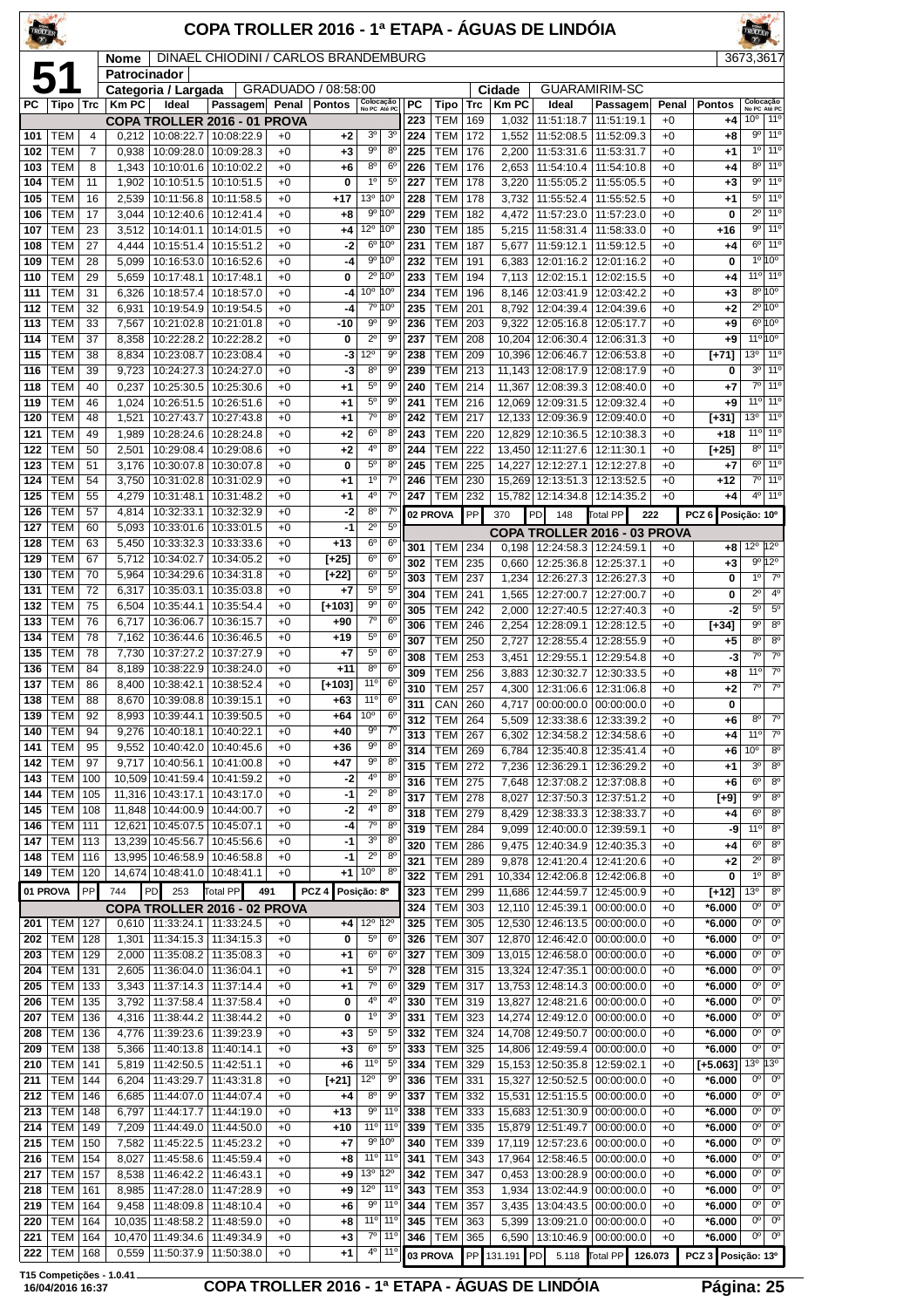| TROTLER    |                          |            |                |                                               | COPA TROLLER 2016 - 1ª ETAPA - ÁGUAS DE LINDÓIA |              |                     |                                                |                                           |            |                              |            |                |                                          |                                               |              |                        |                                   |                                          |
|------------|--------------------------|------------|----------------|-----------------------------------------------|-------------------------------------------------|--------------|---------------------|------------------------------------------------|-------------------------------------------|------------|------------------------------|------------|----------------|------------------------------------------|-----------------------------------------------|--------------|------------------------|-----------------------------------|------------------------------------------|
|            |                          |            | <b>Nome</b>    |                                               | <b>DINAEL CHIODINI / CARLOS BRANDEMBURG</b>     |              |                     |                                                |                                           |            |                              |            |                |                                          |                                               |              |                        | 3673,3617                         |                                          |
|            | 51                       |            | Patrocinador   | Categoria / Largada                           |                                                 |              | GRADUADO / 08:58:00 |                                                |                                           |            |                              |            | Cidade         |                                          | <b>GUARAMIRIM-SC</b>                          |              |                        |                                   |                                          |
| PC l       | Tipo Trc                 |            | Km PC          | Ideal                                         | Passagem Penal Pontos                           |              |                     |                                                | Colocação<br>No PC Até PC                 | РC         | Tipo                         | Trc        | <b>Km PC</b>   | Ideal                                    | Passagem                                      | Penal        | <b>Pontos</b>          | Colocação<br>No PC Até PC         |                                          |
| 101        | <b>TEM</b>               | 4          |                | $0,212$   10:08:22.7                          | COPA TROLLER 2016 - 01 PROVA<br>10:08:22.9      | $+0$         | $+2$                | 3 <sup>o</sup>                                 | 3 <sup>o</sup>                            | 223<br>224 | <b>TEM</b><br>TEM            | 169<br>172 | 1,032<br>1,552 | 11:51:18.7<br>11:52:08.5                 | 11:51:19.1<br>11:52:09.3                      | +0<br>$+0$   | +4<br>$+8$             | 10 <sup>o</sup><br>90             | 11°<br>11°                               |
| 102        | <b>TEM</b>               | 7          | 0,938          | 10:09:28.0                                    | 10:09:28.3                                      | $+0$         | $+3$                | $9^{\circ}$                                    | $8^{\circ}$                               | 225        | TEM                          | 176        | 2,200          | 11:53:31.6                               | 11:53:31.7                                    | $+0$         | $+1$                   | $1^{\circ}$                       | 11°                                      |
| 103        | <b>TEM</b>               | 8          | 1,343          | 10:10:01.6                                    | 10:10:02.2                                      | $+0$<br>$+0$ | $+6$<br>0           | $8^{\circ}$<br>$1^{\circ}$                     | 6 <sup>o</sup><br>$5^{\circ}$             | 226<br>227 | TEM<br>TEM                   | 176<br>178 | 2,653<br>3,220 | 11:54:10.4<br>11:55:05.2                 | 11:54:10.8                                    | $+0$<br>$+0$ | +4                     | $8^{\circ}$<br>90                 | 11 <sup>o</sup><br>11°                   |
| 104<br>105 | <b>TEM</b><br><b>TEM</b> | 11<br>16   | 1,902<br>2,539 | 10:10:51.5<br>10:11:56.8                      | 10:10:51.5<br>10:11:58.5                        | $+0$         | +17                 | $13^{\circ}$                                   | 10 <sup>o</sup>                           | 228        | <b>TEM</b>                   | 178        | 3,732          | 11:55:52.4                               | 11:55:05.5<br>11:55:52.5                      | $+0$         | $+3$<br>$+1$           | $5^{\circ}$                       | 11°                                      |
| 106        | <b>TEM</b>               | 17         | 3,044          | 10:12:40.6                                    | 10:12:41.4                                      | $+0$         | $+8$                |                                                | 9° 10°                                    | 229        | TEM                          | 182        | 4,472          | 11:57:23.0                               | 11:57:23.0                                    | +0           | 0                      | $2^{\circ}$                       | 11 <sup>o</sup>                          |
| 107        | <b>TEM</b>               | 23         | 3,512          | 10:14:01.1                                    | 10:14:01.5                                      | $+0$         | $+4$                | 12 <sup>o</sup> 10 <sup>o</sup>                | $6^{\circ} 10^{\circ}$                    | 230        | <b>TEM</b>                   | 185        | 5,215          | 11:58:31.4                               | 11:58:33.0                                    | $+0$         | +16                    | $9^{\circ}$<br>$6^{\circ}$        | 11 <sup>o</sup><br>11 <sup>o</sup>       |
| 108<br>109 | <b>TEM</b><br>TEM        | 27<br>28   | 4,444<br>5,099 | 10:15:51.4<br>10:16:53.0                      | 10:15:51.2<br>10:16:52.6                        | $+0$<br>$+0$ | -2<br>-4            |                                                | 9º 10º                                    | 231<br>232 | TEM<br>TEM                   | 187<br>191 | 5,677<br>6,383 | 11:59:12.1<br>12:01:16.2                 | 11:59:12.5<br>12:01:16.2                      | +0<br>$+0$   | $+4$<br>0              |                                   | $1^{\circ} 10^{\circ}$                   |
| 110        | <b>TEM</b>               | 29         | 5,659          | 10:17:48.1                                    | 10:17:48.1                                      | $+0$         | 0                   |                                                | 2º 10°                                    | 233        | TEM                          | 194        |                | 7,113   12:02:15.1                       | 12:02:15.5                                    | $+0$         | +4                     |                                   | $11°$ 11°                                |
| 111        | <b>TEM</b>               | 31         | 6,326          | 10:18:57.4                                    | 10:18:57.0                                      | $+0$         | -4                  |                                                | $0^{\circ}$ 10 $^{\circ}$<br>7º 10º       | 234        | <b>TEM</b>                   | 196        | 8,146          | 12:03:41.9                               | 12:03:42.2                                    | $+0$         | $+3$                   |                                   | $8^{\circ}10^{\circ}$<br>$2^{\circ}$ 10° |
| 112<br>113 | TEM<br><b>TEM</b>        | 32<br>33   | 6,931<br>7,567 | 10:19:54.9<br>10:21:02.8                      | 10:19:54.5<br>10:21:01.8                        | $+0$<br>$+0$ | -4<br>-10           | $9^{\circ}$                                    | 9°                                        | 235<br>236 | <b>TEM</b><br>TEM            | 201<br>203 | 8,792<br>9,322 | 12:04:39.4<br>12:05:16.8                 | 12:04:39.6<br>12:05:17.7                      | $+0$<br>+0   | $+2$<br>$^{+9}$        |                                   | $6^{\circ}10^{\circ}$                    |
| 114        | <b>TEM</b>               | 37         | 8,358          | 10:22:28.2                                    | 10:22:28.2                                      | $+0$         | 0                   | $2^{\circ}$                                    | $9^{\circ}$                               | 237        | TEM                          | 208        |                | 10,204 12:06:30.4                        | 12:06:31.3                                    | $+0$         | $+9$                   | $11^{\circ}$                      | 10°                                      |
| 115        | <b>TEM</b>               | 38         | 8,834          | 10:23:08.7                                    | 10:23:08.4                                      | $+0$         | -3                  | $2^{\circ}$                                    | 9 <sup>0</sup>                            | 238        | <b>TEM</b>                   | 209        |                | 10,396 12:06:46.7                        | 12:06:53.8                                    | $+0$         | $[+71]$                | 13 <sup>0</sup>                   | 11°                                      |
| 116<br>118 | <b>TEM</b><br><b>TEM</b> | 39<br>40   | 9,723<br>0,237 | 10:24:27.3<br>10:25:30.5                      | 10:24:27.0<br>10:25:30.6                        | $+0$<br>$+0$ | -3<br>$+1$          | 80<br>$5^{\circ}$                              | 90<br>90                                  | 239<br>240 | TEM<br>TEM                   | 213<br>214 | 11,367         | 11,143 12:08:17.9<br>12:08:39.3          | 12:08:17.9<br>12:08:40.0                      | +0<br>$+0$   | 0<br>$+7$              | 3 <sup>o</sup><br>$7^\circ$       | 11°<br>11°                               |
| 119        | <b>TEM</b>               | 46         | 1,024          | 10:26:51.5                                    | 10:26:51.6                                      | $+0$         | $+1$                | $5^{\circ}$                                    | $9^{\circ}$                               | 241        | TEM                          | 216        |                | 12,069 12:09:31.5                        | 12:09:32.4                                    | $+0$         | +9                     | $11^{\circ}$                      | 11 <sup>o</sup>                          |
| 120        | <b>TEM</b>               | 48         | 1,521          | 10:27:43.7                                    | 10:27:43.8                                      | $+0$         | $+1$                | $7^\circ$                                      | 8 <sup>o</sup>                            | 242        | TEM                          | 217        |                | 12,133 12:09:36.9                        | 12:09:40.0                                    | +0           | $[+31]$                | 13 <sup>o</sup>                   | 11 <sup>°</sup>                          |
| 121        | <b>TEM</b>               | 49         | 1,989          | 10:28:24.6                                    | 10:28:24.8                                      | $+0$         | $+2$                | 6 <sup>0</sup><br>4 <sup>0</sup>               | $8^{\circ}$<br>$8^{\circ}$                | 243        | TEM                          | 220        |                | 12.829 12:10:36.5                        | 12:10:38.3                                    | +0           | $+18$                  | $11^{\circ}$<br>$8^{\circ}$       | 11°<br>11°                               |
| 122<br>123 | <b>TEM</b><br><b>TEM</b> | 50<br>51   | 2,501<br>3,176 | 10:29:08.4<br>10:30:07.8                      | 10:29:08.6<br>10:30:07.8                        | $+0$<br>$+0$ | $+2$<br>0           | $5^{\circ}$                                    | 8 <sup>o</sup>                            | 244<br>245 | TEM<br>TEM                   | 222<br>225 | 14,227         | 13,450 12:11:27.6<br>12:12:27.1          | 12:11:30.1<br>12:12:27.8                      | $+0$<br>$+0$ | $[-25]$<br>$+7$        | $6^{\circ}$                       | 11 <sup>o</sup>                          |
| 124        | <b>TEM</b>               | 54         | 3,750          | 10:31:02.8                                    | 10:31:02.9                                      | $+0$         | $+1$                | $1^{\circ}$                                    | $7^\circ$                                 | 246        | TEM                          | 230        |                | 15,269 12:13:51.3                        | 12:13:52.5                                    | +0           | $+12$                  | $7^\circ$                         | 11 <sup>°</sup>                          |
| 125        | <b>TEM</b>               | 55         | 4,279          | 10:31:48.1                                    | 10:31:48.2                                      | $+0$         | $+1$                | 40                                             | $7^\circ$                                 | 247        | TEM                          | 232        |                | 15,782 12:14:34.8                        | 12:14:35.2                                    | $+0$         | +4                     | 4°                                | 11°                                      |
| 126<br>127 | <b>TEM</b><br><b>TEM</b> | 57<br>60   | 4,814<br>5,093 | 10:32:33.1                                    | 10:32:32.9<br>10:33:01.6   10:33:01.5           | $+0$<br>$+0$ | -2<br>$-1$          | $8^{\circ}$<br>$2^{\circ}$                     | 70<br>$5^{\circ}$                         |            | 02 PROVA                     | PP         | 370            | PD<br>148                                | Total PP                                      | 222          | PCZ <sub>6</sub>       | Posição: 10°                      |                                          |
| 128        | <b>TEM</b>               | 63         | 5,450          | 10:33:32.3                                    | 10:33:33.6                                      | $+0$         | $+13$               | $6^{\circ}$                                    | $6^{\circ}$                               | 301        | <b>TEM 234</b>               |            |                | $0.198$ 12:24:58.3                       | COPA TROLLER 2016 - 03 PROVA<br>12:24:59.1    | $+0$         | +8                     | $12^{\circ}$                      | $12^{\circ}$                             |
| 129        | <b>TEM</b>               | 67         | 5,712          | 10:34:02.7                                    | 10:34:05.2                                      | $+0$         | $[+25]$             | $6^{\circ}$                                    | 6 <sup>o</sup>                            | 302        | <b>TEM</b>                   | 235        | 0,660          | 12:25:36.8                               | 12:25:37.1                                    | $+0$         | $+3$                   | 90                                | $12^{\circ}$                             |
| 130<br>131 | <b>TEM</b><br><b>TEM</b> | 70<br>72   | 5,964<br>6,317 | 10:34:29.6   10:34:31.8<br>10:35:03.1         | 10:35:03.8                                      | $+0$<br>$+0$ | $[+22]$<br>$+7$     | $6^{\circ}$<br>$5^{\circ}$                     | $5^{\circ}$<br>$5^{\circ}$                | 303        | TEM                          | 237        | 1,234          | 12:26:27.3                               | 12:26:27.3                                    | $+0$         | 0                      | 1 <sup>0</sup>                    | $7^\circ$                                |
| 132        | <b>TEM</b>               | 75         | 6,504          | 10:35:44.1                                    | 10:35:54.4                                      | $+0$         | $[+103]$            | $9^{\circ}$                                    | $6^{\circ}$                               | 304<br>305 | <b>TEM</b><br><b>TEM</b>     | 241<br>242 | 1,565<br>2,000 | 12:27:00.7<br>12:27:40.5                 | 12:27:00.7<br>12:27:40.3                      | +0<br>+0     | 0<br>-2                | $2^{\circ}$<br>$5^{\circ}$        | 4 <sup>0</sup><br>$5^{\circ}$            |
| 133        | <b>TEM</b>               | 76         | 6,717          | 10:36:06.7                                    | 10:36:15.7                                      | $+0$         | $+90$               | $7^\circ$                                      | 6 <sup>o</sup>                            | 306        | <b>TEM</b>                   | 246        | 2,254          | 12:28:09.1                               | 12:28:12.5                                    | $+0$         | $[+34]$                | $9^{\circ}$                       | 8 <sup>o</sup>                           |
| 134        | <b>TEM</b>               | 78<br>78   | 7,162          | 10:36:44.6                                    | 10:36:46.5                                      | $+0$         | $+19$               | $5^{\circ}$<br>$5^{\circ}$                     | 6 <sup>o</sup><br>6 <sup>o</sup>          | 307        | TEM                          | 250        | 2,727          | 12:28:55.4                               | 12:28:55.9                                    | $+0$         | $+5$                   | $8^{\circ}$                       | 8 <sup>0</sup>                           |
| 135<br>136 | TEM<br><b>TEM</b>        | 84         | 7,730<br>8,189 | 10:37:27.2<br>10:38:22.9                      | 10:37:27.9<br>10:38:24.0                        | $+0$<br>$+0$ | $+7$<br>$+11$       | 8 <sup>o</sup>                                 | $6^{\circ}$                               | 308<br>309 | <b>TEM</b><br>TEM            | 253<br>256 | 3,451<br>3,883 | 12:29:55.1<br>12:30:32.7                 | 12:29:54.8<br>12:30:33.5                      | $+0$<br>$+0$ | -3<br>$+8$             | $7^\circ$<br>$11^{\circ}$         | $7^\circ$<br>$7^\circ$                   |
| 137        | <b>TEM</b>               | 86         | 8,400          | 10:38:42.1                                    | 10:38:52.4                                      | $+0$         | $[+103]$            | 11°                                            | $6^{\circ}$                               | 310        | <b>TEM</b>                   | 257        | 4,300          | 12:31:06.6                               | 12:31:06.8                                    | +0           | $+2$                   | $7^\circ$                         | $\overline{7^\circ}$                     |
| 138        | <b>TEM</b>               | 88         |                | 8,670   10:39:08.8   10:39:15.1               |                                                 | $+0$         | $+63$               | 11°                                            | 6 <sup>o</sup>                            | 311        | CAN 260                      |            |                |                                          | 4,717 00:00:00.0 00:00:00.0                   | $+0$         | 0                      |                                   |                                          |
| 139<br>140 | <b>TEM</b><br><b>TEM</b> | 92<br>94   | 8,993<br>9,276 | 10:39:44.1<br>10:40:18.1                      | 10:39:50.5<br>10:40:22.1                        | $+0$<br>$+0$ | +64<br>$+40$        | 10 <sup>o</sup><br>90                          | 6 <sup>o</sup><br>$7^\circ$               | 312        | <b>TEM</b>                   | 264        |                |                                          | 5,509   12:33:38.6   12:33:39.2<br>12:34:58.6 | $+0$         | +6                     | 8 <sup>o</sup><br>11 <sup>c</sup> | $7^\circ$<br>$7^{\circ}$                 |
| 141        | <b>TEM</b>               | 95         | 9,552          | 10:40:42.0                                    | 10:40:45.6                                      | $+0$         | $+36$               | 90                                             | 8 <sup>0</sup>                            | 313<br>314 | <b>TEM</b><br>TEM            | 267<br>269 | 6,302<br>6,784 | 12:34:58.2<br>12:35:40.8                 | 12:35:41.4                                    | $+0$<br>$+0$ | +4<br>$+6$             | 10 <sup>o</sup>                   | 8 <sup>o</sup>                           |
| 142        | <b>TEM</b>               | 97         | 9,717          | 10:40:56.1                                    | 10:41:00.8                                      | $+0$         | $+47$               | 90                                             | $8^{\circ}$                               | 315        | <b>TEM</b>                   | 272        | 7,236          | 12:36:29.1                               | 12:36:29.2                                    | $+0$         | +1                     | 3 <sup>o</sup>                    | 8 <sup>o</sup>                           |
| 143<br>144 | <b>TEM</b><br><b>TEM</b> | 100<br>105 | 11,316         | 10,509 10:41:59.4<br>10:43:17.1               | 10:41:59.2<br>10:43:17.0                        | $+0$<br>$+0$ | -2<br>-1            | 4º<br>$2^{\circ}$                              | $8^{\circ}$<br>8 <sup>o</sup>             | 316        | <b>TEM</b>                   | 275        | 7,648          | 12:37:08.2                               | 12:37:08.8                                    | +0           | $+6$                   | 6 <sup>o</sup>                    | 8 <sup>o</sup>                           |
| 145        | <b>TEM</b>               | 108        |                | 11,848 10:44:00.9                             | 10:44:00.7                                      | $+0$         | -2                  | 4 <sup>0</sup>                                 | $8^{\circ}$                               | 317<br>318 | <b>TEM 278</b><br><b>TEM</b> | 279        | 8,027<br>8,429 | 12:37:50.3<br>12:38:33.3                 | 12:37:51.2<br>12:38:33.7                      | $+0$<br>$+0$ | [+9]<br>+4             | $9^{\circ}$<br>$6^{\circ}$        | $8^{\circ}$<br>$8^{\circ}$               |
| 146        | TEM                      | 111        |                | 12,621 10:45:07.5                             | 10:45:07.1                                      | $+0$         | -4                  | $7^\circ$                                      | 8 <sup>0</sup>                            | 319        | <b>TEM</b>                   | 284        | 9,099          | 12:40:00.0                               | 12:39:59.1                                    | +0           | -9                     | 11 <sup>c</sup>                   | 8 <sup>o</sup>                           |
| 147<br>148 | TEM<br><b>TEM</b>        | 113<br>116 |                | 13,239 10:45:56.7<br>13,995 10:46:58.9        | 10:45:56.6<br>10:46:58.8                        | $+0$<br>$+0$ | -1<br>$-1$          | 3 <sup>o</sup><br>$2^{\circ}$                  | $8^{\circ}$<br>$8^{\circ}$                | 320        | <b>TEM</b>                   | 286        | 9,475          | 12:40:34.9                               | 12:40:35.3                                    | $+0$         | +4                     | 6 <sup>o</sup>                    | 8 <sup>o</sup>                           |
| 149        | <b>TEM</b>               | 120        |                | 14,674 10:48:41.0 10:48:41.1                  |                                                 | $+0$         | $+1$                | 10 <sup>o</sup>                                | $8^{\circ}$                               | 321<br>322 | <b>TEM</b><br><b>TEM</b>     | 289<br>291 | 9,878          | 12:41:20.4<br>10,334 12:42:06.8          | 12:41:20.6<br>12:42:06.8                      | +0<br>$+0$   | $+2$<br>0              | $2^{\circ}$<br>1 <sup>0</sup>     | $8^{\circ}$<br>$8^{\circ}$               |
| 01 PROVA   |                          | PP         | 744            | 253<br>PD                                     | <b>Total PP</b><br>491                          |              | PCZ <sub>4</sub>    | Posição: 8º                                    |                                           | 323        | <b>TEM</b>                   | 299        |                | 11,686   12:44:59.7                      | 12:45:00.9                                    | $+0$         | $[+12]$                | 13 <sup>o</sup>                   | $8^{\circ}$                              |
|            |                          |            |                |                                               | COPA TROLLER 2016 - 02 PROVA                    |              |                     |                                                |                                           | 324        | TEM                          | 303        |                | 12,110 12:45:39.1                        | 00:00:00.0                                    | $+0$         | *6.000                 | $0^{\circ}$                       | $0^{\circ}$                              |
| 201<br>202 | TEM<br><b>TEM</b>        | 127<br>128 | 1,301          | 0,610   11:33:24.1   11:33:24.5<br>11:34:15.3 | 11:34:15.3                                      | $+0$<br>$+0$ | $+4$<br>0           | 12 <sup>°</sup> 12 <sup>°</sup><br>$5^{\circ}$ | $6^{\circ}$                               | 325<br>326 | <b>TEM</b><br><b>TEM</b>     | 305<br>307 |                | 12,870 12:46:42.0                        | 12,530 12:46:13.5 00:00:00.0<br>00:00:00.0    | $+0$<br>$+0$ | $*6.000$<br>$*6.000$   | 0°<br>0°                          | 0 <sup>o</sup><br>0 <sup>o</sup>         |
| 203        | TEM                      | 129        | 2,000          | 11:35:08.2                                    | 11:35:08.3                                      | $+0$         | $+1$                | $6^{\circ}$                                    | $6^{\circ}$                               | 327        | <b>TEM</b>                   | 309        |                | 13,015 12:46:58.0                        | 00:00:00.0                                    | $+0$         | $*6.000$               | 0°                                | $0^{\circ}$                              |
| 204        | TEM                      | 131        | 2,605          | 11:36:04.0                                    | 11:36:04.1                                      | $+0$         | $+1$                | $5^{\circ}$                                    | $7^\circ$                                 | 328        | <b>TEM</b>                   | 315        |                | 13,324 12:47:35.1                        | 00:00:00.0                                    | $+0$         | $*6.000$               | $0^{\circ}$                       | $0^{\circ}$                              |
| 205<br>206 | TEM<br>TEM               | 133<br>135 | 3,343<br>3,792 | 11:37:14.3<br>11:37:58.4                      | 11:37:14.4<br>11:37:58.4                        | $+0$<br>$+0$ | $+1$<br>0           | $7^\circ$<br>4°                                | 6 <sup>o</sup><br>$4^{\circ}$             | 329<br>330 | <b>TEM</b><br>TEM            | 317<br>319 |                | 13,753 12:48:14.3<br>13,827 12:48:21.6   | 00:00:00.0<br>00:00:00.0                      | $+0$<br>$+0$ | $*6.000$<br>$*6.000$   | 0°<br>0°                          | $0^{\circ}$<br>$0^{\circ}$               |
| 207        | TEM                      | 136        | 4,316          | 11:38:44.2   11:38:44.2                       |                                                 | $+0$         | 0                   | $1^{\circ}$                                    | 3 <sup>o</sup>                            | 331        | <b>TEM 323</b>               |            |                |                                          | 14,274 12:49:12.0 00:00:00.0                  | $+0$         | $*6.000$               | $0^{\circ}$                       | $0^{\circ}$                              |
| 208        | <b>TEM</b>               | 136        | 4,776          | 11:39:23.6                                    | 11:39:23.9                                      | $+0$         | $+3$                | $5^{\circ}$                                    | $5^{\circ}$                               | 332        | TEM                          | 324        |                | 14,708 12:49:50.7                        | 00:00:00.0                                    | $+0$         | $*6.000$               | 0°                                | 0 <sup>o</sup>                           |
| 209        | <b>TEM</b>               | 138        | 5,366          | 11:40:13.8                                    | 11:40:14.1                                      | $+0$         | $+3$                | $6^{\circ}$                                    | $5^{\circ}$                               | 333        | <b>TEM</b>                   | 325        |                | 14,806 12:49:59.4                        | 00:00:00.0                                    | $+0$         | $*6.000$               | $0^{\circ}$                       | $0^{\circ}$                              |
| 210<br>211 | <b>TEM</b><br><b>TEM</b> | 141<br>144 | 5,819<br>6,204 | 11:42:50.5<br>11:43:29.7                      | 11:42:51.1<br>11:43:31.8                        | $+0$<br>$+0$ | $+6$<br>$[+21]$     | 11°<br>$12^{\circ}$                            | $5^{\circ}$<br>90                         | 334<br>336 | <b>TEM</b><br><b>TEM</b>     | 329<br>331 |                | 15,153 12:50:35.8<br>15,327 12:50:52.5   | 12:59:02.1<br>00:00:00.0                      | $+0$<br>$+0$ | $[+5.063]$<br>$*6.000$ | 13 <sup>o</sup><br>0°             | 13º<br>0 <sup>o</sup>                    |
| 212        | TEM                      | 146        | 6,685          | 11:44:07.0                                    | 11:44:07.4                                      | $+0$         | $+4$                | $8^{\circ}$                                    | $9^{\circ}$                               | 337        | TEM                          | 332        |                | 15,531   12:51:15.5                      | 00:00:00.0                                    | $+0$         | $*6.000$               | $0^{\rm o}$                       | 0 <sup>o</sup>                           |
| 213        | TEM                      | 148        | 6,797          | 11:44:17.7                                    | 11:44:19.0                                      | $+0$         | $+13$               | $9^{\circ}$                                    | 11 <sup>0</sup>                           | 338        | <b>TEM</b>                   | 333        |                | 15,683 12:51:30.9                        | 00:00:00.0                                    | $+0$         | $*6.000$               | 0°                                | $0^{\circ}$                              |
| 214<br>215 | TEM<br>TEM               | 149<br>150 | 7,209<br>7,582 | 11:44:49.0<br>11:45:22.5                      | 11:44:50.0<br>11:45:23.2                        | $+0$<br>$+0$ | $+10$<br>$+7$       |                                                | 11 <sup>o</sup> 11 <sup>o</sup><br>9° 10° | 339<br>340 | TEM<br>TEM                   | 335<br>339 |                | 15,879 12:51:49.7<br>17,119   12:57:23.6 | 00:00:00.0<br>00:00:00.0                      | $+0$<br>$+0$ | $*6.000$<br>$*6.000$   | 0°<br>$0^{\circ}$                 | $0^{\circ}$<br>$0^{\circ}$               |
| 216        | <b>TEM</b>               | 154        | 8,027          | 11:45:58.6                                    | 11:45:59.4                                      | $+0$         | $+8$                |                                                | 11 <sup>o</sup> 11 <sup>o</sup>           | 341        | TEM                          | 343        |                | 17,964 12:58:46.5                        | 00:00:00.0                                    | $+0$         | $*6.000$               | $0^{\circ}$                       | 0 <sup>o</sup>                           |
| 217        | <b>TEM</b>               | 157        | 8,538          | 11:46:42.2                                    | 11:46:43.1                                      | $+0$         | $+9$                | $13^{\circ}$ 12°                               |                                           | 342        | TEM                          | 347        | 0,453          | 13:00:28.9                               | 00:00:00.0                                    | $+0$         | $*6.000$               | 0°                                | $0^{\circ}$                              |
| 218<br>219 | TEM<br><b>TEM</b>        | 161<br>164 | 8,985<br>9,458 | 11:48:09.8                                    | 11:47:28.0   11:47:28.9<br>11:48:10.4           | $+0$<br>$+0$ | $+9$<br>$+6$        |                                                | $12^{\circ}$ 11 <sup>°</sup><br>$9°$ 11°  | 343<br>344 | TEM<br><b>TEM</b>            | 353<br>357 | 3,435          | 1,934   13:02:44.9  <br>13:04:43.5       | 00:00:00.0<br>00:00:00.0                      | $+0$<br>$+0$ | $*6.000$<br>$*6.000$   | $0^{\circ}$<br>0°                 | $0^{\circ}$<br>0 <sup>o</sup>            |
| 220        | <b>TEM</b>               | 164        | 10.035         | 11:48:58.2                                    | 11:48:59.0                                      | $+0$         | $+8$                |                                                | 11 <sup>o</sup> 11 <sup>o</sup>           | 345        | TEM                          | 363        | 5,399          | 13:09:21.0                               | 00:00:00.0                                    | $+0$         | $*6.000$               | 0°                                | $0^{\circ}$                              |
| 221        | <b>TEM</b>               | 164        | 10,470         | 11:49:34.6                                    | 11:49:34.9                                      | $+0$         | $+3$                |                                                | 7º 11º                                    | 346        | TEM                          | 365        |                | 6,590 13:10:46.9                         | 00:00:00.0                                    | $+0$         | $*6.000$               | 0°                                | $0^{\circ}$                              |
| 222        | <b>TEM</b>               | 168        | 0,559          | 11:50:37.9                                    | 11:50:38.0                                      | $+0$         | $+1$                |                                                | 4º   11º                                  | 03 PROVA   |                              |            | PP 131.191 PD  | 5.118                                    | Total PP                                      | 126.073      | PCZ 3 Posição: 13º     |                                   |                                          |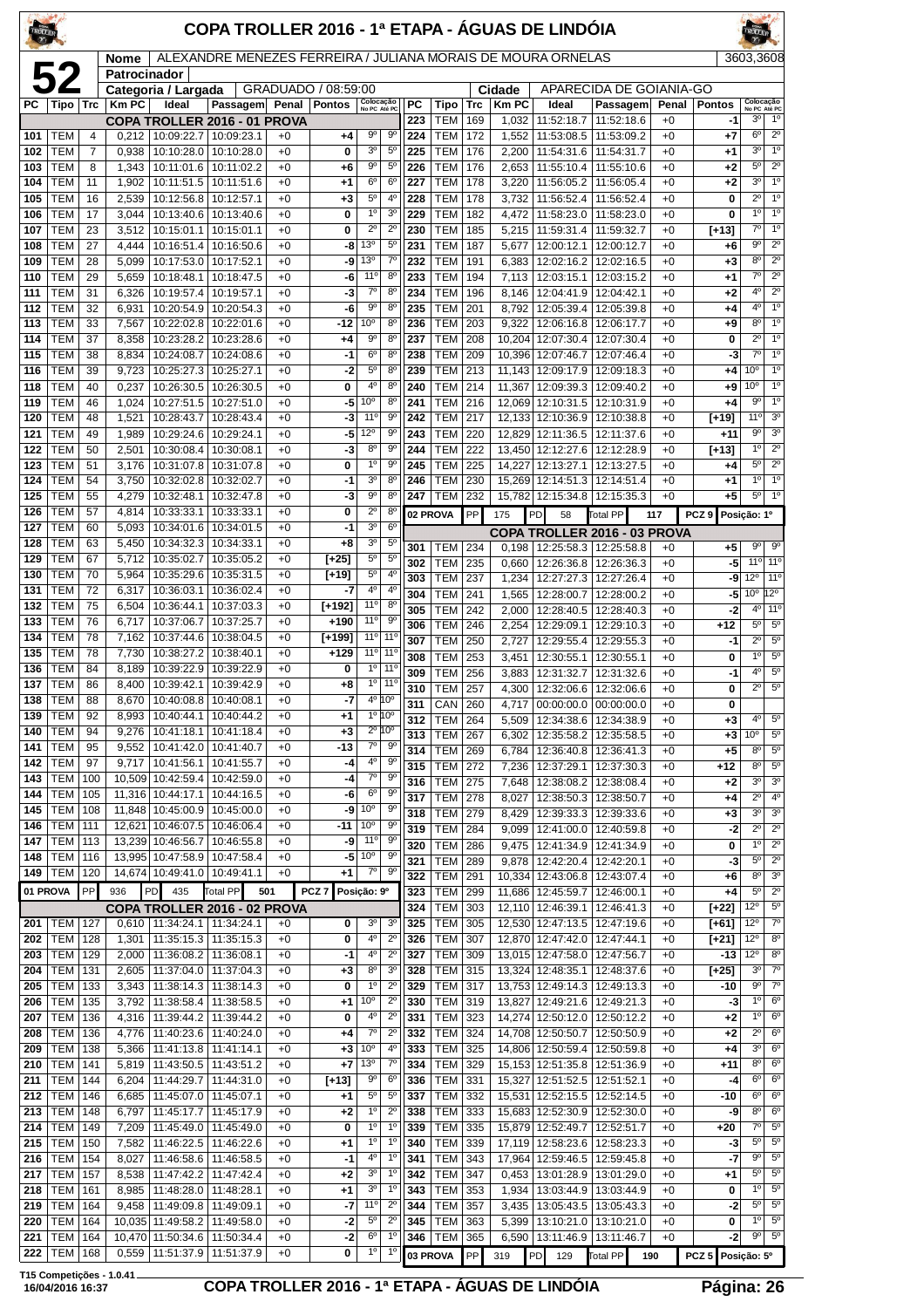| TROLLER    |                          |            |                             |                                               | COPA TROLLER 2016 - 1ª ETAPA - ÁGUAS DE LINDÓIA              |              |                     |                                  |                                            |            |                          |            |                       |                                                              |                                       |               |                     |                                             |                                    |
|------------|--------------------------|------------|-----------------------------|-----------------------------------------------|--------------------------------------------------------------|--------------|---------------------|----------------------------------|--------------------------------------------|------------|--------------------------|------------|-----------------------|--------------------------------------------------------------|---------------------------------------|---------------|---------------------|---------------------------------------------|------------------------------------|
|            | 52                       |            | <b>Nome</b><br>Patrocinador |                                               | ALEXANDRE MENEZES FERREIRA / JULIANA MORAIS DE MOURA ORNELAS |              |                     |                                  |                                            |            |                          |            |                       |                                                              |                                       |               |                     | 3603,3608                                   |                                    |
|            |                          |            |                             | Categoria / Largada                           |                                                              |              | GRADUADO / 08:59:00 |                                  |                                            |            |                          |            | Cidade                |                                                              | APARECIDA DE GOIANIA-GO               |               |                     |                                             |                                    |
|            | $PC$   Tipo   Trc        |            | <b>Km PC</b>                | Ideal<br>COPA TROLLER 2016 - 01 PROVA         | Passagem Penal                                               |              | <b>Pontos</b>       | Colocação<br>No PC Até PC        |                                            | РC<br>223  | Tipo<br>TEM              | Trc<br>169 | <b>Km PC</b><br>1,032 | Ideal<br>11:52:18.7                                          | Passagem<br>11:52:18.6                | Penal<br>$+0$ | <b>Pontos</b><br>-1 | Colocação<br>No PC Até PC<br>3 <sup>0</sup> | 1 <sup>0</sup>                     |
| 101        | <b>TEM</b>               | 4          | 0.212                       | 10:09:22.7   10:09:23.1                       |                                                              | $+0$         | +4                  | $9^{\circ}$                      | 90                                         | 224        | TEM                      | 172        | 1,552                 | 11:53:08.5   11:53:09.2                                      |                                       | $+0$          | +7                  | $6^{\circ}$                                 | $2^{\circ}$                        |
| 102        | TEM                      | 7          | 0,938                       | 10:10:28.0                                    | 10:10:28.0                                                   | $+0$         | 0                   | 3 <sup>o</sup>                   | $5^{\circ}$                                | 225        | TEM                      | 176        | 2,200                 | 11:54:31.6                                                   | 11:54:31.7                            | $+0$          | +1                  | 3 <sup>o</sup><br>$5^{\circ}$               | 1 <sup>o</sup><br>$\overline{2^0}$ |
| 103<br>104 | <b>TEM</b><br>TEM        | 8<br>11    | 1,902                       | 1,343   10:11:01.6   10:11:02.2<br>10:11:51.5 | 10:11:51.6                                                   | $+0$<br>$+0$ | +6<br>+1            | 9 <sup>o</sup><br>6 <sup>o</sup> | $5^{\circ}$<br>$6^{\circ}$                 | 226<br>227 | <b>TEM</b><br>TEM        | 176<br>178 | 2,653<br>3,220        | 11:55:10.4   11:55:10.6<br>11:56:05.2                        | 11:56:05.4                            | $+0$<br>$+0$  | +2<br>+2            | 3 <sup>o</sup>                              | $1^{\circ}$                        |
| 105        | TEM                      | 16         | 2,539                       | 10:12:56.8                                    | 10:12:57.1                                                   | $+0$         | $+3$                | $5^{\circ}$                      | 4 <sup>0</sup>                             | 228        | TEM                      | 178        | 3,732                 | 11:56:52.4                                                   | 11:56:52.4                            | $+0$          | 0                   | $2^{\circ}$                                 | 1 <sup>0</sup>                     |
| 106        | <b>TEM</b>               | 17         | 3,044                       | 10:13:40.6   10:13:40.6                       |                                                              | $+0$         | 0                   | 1 <sup>0</sup>                   | 3 <sup>o</sup>                             | 229        | <b>TEM</b>               | 182        | 4,472                 | 11:58:23.0   11:58:23.0                                      |                                       | $+0$          | 0                   | 10                                          | 1 <sup>0</sup>                     |
| 107        | <b>TEM</b>               | 23         | 3,512                       | 10:15:01.1                                    | 10:15:01.1                                                   | $+0$         | 0                   | $2^{\circ}$<br>13 <sup>o</sup>   | $2^{\circ}$                                | 230        | <b>TEM</b>               | 185        | 5,215                 | 11:59:31.4 11:59:32.7                                        |                                       | $+0$          | $[+13]$             | $7^\circ$                                   | 10<br>$2^{\circ}$                  |
| 108<br>109 | TEM<br>TEM               | 27<br>28   | 4,444<br>5,099              | 10:16:51.4<br>10:17:53.0                      | 10:16:50.6<br>10:17:52.1                                     | $+0$<br>$+0$ | -8<br>-9            | 13 <sup>o</sup>                  | $5^{\circ}$<br>$7^\circ$                   | 231<br>232 | TEM<br>TEM               | 187<br>191 | 5,677<br>6,383        | 12:00:12.1<br>12:02:16.2                                     | 12:00:12.7<br>12:02:16.5              | $+0$<br>$+0$  | +6<br>+3            | $9^{\circ}$<br>8 <sup>o</sup>               | $\overline{2^0}$                   |
| 110        | TEM                      | 29         | 5,659                       | 10:18:48.1                                    | 10:18:47.5                                                   | $+0$         | -6                  | $11^{\circ}$                     | 8 <sup>o</sup>                             | 233        | <b>TEM</b>               | 194        | 7,113                 | 12:03:15.1   12:03:15.2                                      |                                       | $+0$          | +1                  | $7^\circ$                                   | $\overline{2^{\circ}}$             |
| 111        | TEM                      | 31         | 6,326                       | 10:19:57.4                                    | 10:19:57.1                                                   | $+0$         | -3                  | $7^{\circ}$                      | 8 <sup>o</sup>                             | 234        | TEM                      | 196        | 8,146                 | 12:04:41.9 12:04:42.1                                        |                                       | $+0$          | +2                  | 4 <sup>0</sup>                              | $2^{\circ}$                        |
| 112        | TEM                      | 32         | 6,931                       | 10:20:54.9                                    | 10:20:54.3                                                   | $+0$         | -6                  | $9^{\circ}$                      | $8^{\circ}$                                | 235        | TEM                      | 201        | 8,792                 | 12:05:39.4                                                   | 12:05:39.8                            | $+0$          | +4                  | $4^{\circ}$                                 | 1 <sup>0</sup><br>1 <sup>0</sup>   |
| 113<br>114 | TEM<br>TEM               | 33<br>37   | 7,567<br>8,358              | 10:22:02.8<br>10:23:28.2                      | 10:22:01.6<br>10:23:28.6                                     | $+0$<br>$+0$ | $-12$<br>+4         | $10^{\circ}$<br>$9^{\circ}$      | 8 <sup>o</sup><br>8 <sup>o</sup>           | 236<br>237 | TEM<br><b>TEM</b>        | 203<br>208 | 9,322                 | 12:06:16.8<br>10,204 12:07:30.4 12:07:30.4                   | 12:06:17.7                            | $+0$<br>$+0$  | +9<br>0             | $8^{\circ}$<br>$2^{\circ}$                  | 1 <sup>0</sup>                     |
| 115        | TEM                      | 38         | 8,834                       | 10:24:08.7                                    | 10:24:08.6                                                   | $+0$         | $-1$                | 6 <sup>o</sup>                   | 8 <sup>o</sup>                             | 238        | <b>TEM</b>               | 209        |                       | 10,396 12:07:46.7                                            | 12:07:46.4                            | $+0$          | -3                  | $7^\circ$                                   | 1 <sup>0</sup>                     |
| 116        | TEM                      | 39         | 9,723                       | 10:25:27.3                                    | 10:25:27.1                                                   | $+0$         | $-2$                | $5^{\circ}$                      | 8 <sup>o</sup>                             | 239        | <b>TEM</b>               | 213        |                       | 11,143   12:09:17.9   12:09:18.3                             |                                       | $+0$          | +4                  | 10 <sup>o</sup>                             | 10                                 |
| 118        | TEM                      | 40         | 0,237                       | 10:26:30.5                                    | 10:26:30.5                                                   | $+0$         | 0                   | 4 <sup>0</sup>                   | 8 <sup>o</sup>                             | 240        | <b>TEM</b>               | 214        | 11,367                | 12:09:39.3 12:09:40.2                                        |                                       | $+0$          | +9                  | 10 <sup>o</sup>                             | 1 <sup>0</sup>                     |
| 119<br>120 | TEM<br>TEM               | 46<br>48   | 1,024<br>1,521              | 10:27:51.5<br>10:28:43.7                      | 10:27:51.0<br>10:28:43.4                                     | $+0$<br>$+0$ | -5<br>-3            | 10 <sup>o</sup><br>$11^{\circ}$  | 8 <sup>o</sup><br>$9^{\circ}$              | 241<br>242 | <b>TEM</b><br>TEM        | 216<br>217 |                       | 12,069 12:10:31.5<br>12.133 12:10:36.9 12:10:38.8            | 12:10:31.9                            | $+0$<br>$+0$  | +4                  | $9^{\circ}$<br>$11^{\circ}$                 | $\overline{1^0}$<br>3 <sup>0</sup> |
| 121        | TEM                      | 49         | 1,989                       | 10:29:24.6                                    | 10:29:24.1                                                   | $+0$         | -5                  | 12°                              | 90                                         | 243        | <b>TEM</b>               | 220        |                       | 12,829 12:11:36.5                                            | 12:11:37.6                            | $+0$          | $[+19]$<br>$+11$    | $9^{\circ}$                                 | 3 <sup>0</sup>                     |
| 122        | TEM                      | 50         | 2,501                       | 10:30:08.4                                    | 10:30:08.1                                                   | $+0$         | -3                  | 8 <sup>o</sup>                   | 90                                         | 244        | <b>TEM</b>               | 222        |                       | 13,450 12:12:27.6 12:12:28.9                                 |                                       | $+0$          | $[+13]$             | 1 <sup>0</sup>                              | $\overline{2^0}$                   |
| 123        | TEM                      | 51         | 3,176                       | 10:31:07.8   10:31:07.8                       |                                                              | $+0$         | 0                   | 1 <sup>0</sup>                   | 9 <sup>o</sup>                             | 245        | <b>TEM</b>               | 225        |                       | 14,227 12:13:27.1 12:13:27.5                                 |                                       | $+0$          | +4                  | 5 <sup>0</sup>                              | $2^{\circ}$                        |
| 124        | TEM                      | 54         | 3,750                       | 10:32:02.8                                    | 10:32:02.7                                                   | $+0$         | $-1$                | 3 <sup>o</sup>                   | 8 <sup>c</sup>                             | 246        | <b>TEM</b>               | 230        |                       | 15,269 12:14:51.3                                            | 12:14:51.4                            | $+0$          | +1                  | $1^{\circ}$                                 | 1 <sup>0</sup>                     |
| 125<br>126 | TEM<br>TEM               | 55<br>57   | 4,279<br>4,814              | 10:32:48.1<br>10:33:33.1                      | 10:32:47.8<br>10:33:33.1                                     | $+0$<br>$+0$ | -3<br>0             | $9^{\circ}$<br>$2^{\circ}$       | 8 <sup>o</sup><br>$\overline{8}{}^{\rm o}$ | 247        | TEM                      | 232        |                       | 15,782 12:15:34.8 12:15:35.3                                 |                                       | $+0$          | +5                  | $5^{\circ}$                                 | 1 <sup>0</sup>                     |
| 127        | <b>TEM</b>               | 60         | 5,093                       | 10:34:01.6                                    | 10:34:01.5                                                   | $+0$         | -1                  | 3 <sup>0</sup>                   | 6 <sup>o</sup>                             |            | 02 PROVA                 | PP         | 175                   | PD<br>58                                                     | <b>Total PP</b><br>117                |               | PCZ <sub>9</sub>    | Posição: 1º                                 |                                    |
| 128        | TEM                      | 63         | 5,450                       | 10:34:32.3                                    | 10:34:33.1                                                   | $+0$         | +8                  | 3 <sup>o</sup>                   | $5^{\circ}$                                | 301        | TEM                      | 234        | 0,198                 | 12:25:58.3   12:25:58.8                                      | COPA TROLLER 2016 - 03 PROVA          | $+0$          | +5                  | 9 <sup>o</sup>                              | $9^{\circ}$                        |
| 129        | <b>TEM</b>               | 67         | 5,712                       | 10:35:02.7                                    | 10:35:05.2                                                   | $+0$         | $[+25]$             | $5^{\circ}$                      | $5^{\circ}$                                | 302        | TEM                      | 235        | 0.660                 | 12:26:36.8   12:26:36.3                                      |                                       | $+0$          | -5                  | $11°$ 11°                                   |                                    |
| 130        | TEM<br>TEM               | 70<br>72   | 5,964                       | 10:35:29.6<br>10:36:03.1                      | 10:35:31.5                                                   | $+0$<br>$+0$ | [+19]               | $5^{\circ}$<br>4 <sup>0</sup>    | 4°<br>4 <sup>0</sup>                       | 303        | TEM                      | 237        | 1,234                 | 12:27:27.3                                                   | 12:27:26.4                            | $+0$          | -9                  | 12°                                         | 11 <sup>o</sup>                    |
| 131<br>132 | TEM                      | 75         | 6,317<br>6,504              | 10:36:44.1                                    | 10:36:02.4<br>10:37:03.3                                     | $+0$         | -7<br>$[+192]$      | $11^{\circ}$                     | $8^{\circ}$                                | 304        | <b>TEM</b>               | 241        | 1,565                 | 12:28:00.7                                                   | 12:28:00.2                            | $+0$          | -5                  | 10 <sup>o</sup><br>$4^{\circ}$              | $12^{\circ}$<br>11 <sup>o</sup>    |
| 133        | TEM                      | 76         | 6,717                       | 10:37:06.7                                    | 10:37:25.7                                                   | $+0$         | $+190$              | $11^{\circ}$                     | 90                                         | 305<br>306 | <b>TEM</b><br><b>TEM</b> | 242<br>246 | 2,000<br>2,254        | 12:28:40.5   12:28:40.3<br>12:29:09.1                        | 12:29:10.3                            | $+0$<br>$+0$  | -2<br>+12           | 5 <sup>0</sup>                              | $5^{\circ}$                        |
| 134        | TEM                      | 78         | 7,162                       | 10:37:44.6                                    | 10:38:04.5                                                   | $+0$         | [+199]              | 11°                              | 11 <sup>°</sup>                            | 307        | TEM                      | 250        | 2,727                 | 12:29:55.4                                                   | 12:29:55.3                            | $+0$          | -1                  | $2^{\circ}$                                 | $5^{\circ}$                        |
| 135        | TEM                      | 78         | 7,730                       | 10:38:27.2                                    | 10:38:40.1                                                   | $+0$         | $+129$              | 11°                              | $11^{\circ}$                               | 308        | <b>TEM</b>               | 253        | 3,451                 | 12:30:55.1                                                   | 12:30:55.1                            | $+0$          | 0                   | 1 <sup>0</sup>                              | $5^{\circ}$                        |
| 136<br>137 | TEM<br><b>TEM</b>        | 84<br>86   | 8,189<br>8,400              | 10:39:22.9<br>10:39:42.1                      | 10:39:22.9<br>10:39:42.9                                     | $+0$<br>$+0$ | 0<br>+8             | $1^{\circ}$<br>$1^{\circ}$       | $11^{\circ}$<br>$11^{\circ}$               | 309        | <b>TEM</b>               | 256        | 3,883                 | 12:31:32.7                                                   | 12:31:32.6                            | $+0$          | -1                  | 4 <sup>0</sup>                              | $5^{\circ}$<br>$5^{\circ}$         |
| 138        | <b>TEM</b>               | 88         | 8,670                       | 10:40:08.8   10:40:08.1                       |                                                              | $+0$         | $-7$                |                                  | 4º 10°                                     | 310<br>311 | <b>TEM</b><br>CAN        | 257<br>260 | 4,300                 | 12:32:06.6   12:32:06.6                                      | 4,717 00:00:00.0 00:00:00.0           | $+0$<br>$+0$  | 0<br>0              | $2^{\circ}$                                 |                                    |
| 139        | TEM                      | 92         | 8,993                       | 10:40:44.1                                    | 10:40:44.2                                                   | $+0$         | +1                  |                                  | 1° 10°                                     | 312        | TEM                      | 264        | 5,509                 | 12:34:38.6 12:34:38.9                                        |                                       | $+0$          | $+3$                | 4°                                          | $5^{\rm o}$                        |
| 140        | <b>TEM</b>               | 94         | 9,276                       | 10:41:18.1                                    | 10:41:18.4                                                   | $+0$         | $+3$                |                                  | $2^{\circ}$ 10 $^{\circ}$                  | 313        | <b>TEM</b>               | 267        | 6,302                 | 12:35:58.2                                                   | 12:35:58.5                            | $+0$          | $+3$                | 10 <sup>o</sup>                             | $5^{\circ}$                        |
| 141<br>142 | <b>TEM</b><br><b>TEM</b> | 95<br>97   | 9,552<br>9,717              | 10:41:42.0<br>10:41:56.1                      | 10:41:40.7<br>10:41:55.7                                     | $+0$<br>$+0$ | -13<br>-4           | $7^{\circ}$<br>$4^{\rm o}$       | 90<br>$9^{\circ}$                          | 314        | <b>TEM</b>               | 269        | 6,784                 |                                                              | 12:36:40.8   12:36:41.3               | $+0$          | +5                  | 8 <sup>o</sup>                              | $5^{\circ}$                        |
| 143        | <b>TEM</b>               | 100        | 10,509                      | 10:42:59.4                                    | 10:42:59.0                                                   | $+0$         | -4                  | $7^{\circ}$                      | 90                                         | 315<br>316 | TEM<br><b>TEM</b>        | 272<br>275 | 7,236<br>7,648        | 12:37:29.1                                                   | 12:37:30.3<br>12:38:08.2   12:38:08.4 | $+0$<br>$+0$  | +12<br>$+2$         | 8 <sup>o</sup><br>$\overline{3^0}$          | $5^{\circ}$<br>$\overline{3^0}$    |
| 144        | TEM                      | 105        | 11,316                      | 10:44:17.1                                    | 10:44:16.5                                                   | $+0$         | -6                  | 6 <sup>o</sup>                   | 90                                         | 317        | TEM                      | 278        | 8,027                 |                                                              | 12:38:50.3   12:38:50.7               | $+0$          | +4                  | $2^{\circ}$                                 | $4^{\circ}$                        |
| 145        | TEM                      | 108        |                             | 11,848 10:45:00.9                             | 10:45:00.0                                                   | $+0$         | -9                  | 10 <sup>o</sup>                  | $9^{\circ}$                                | 318        | TEM                      | 279        | 8,429                 |                                                              | 12:39:33.3   12:39:33.6               | $+0$          | +3                  | 3 <sup>o</sup>                              | 3 <sup>0</sup>                     |
| 146<br>147 | <b>TEM</b><br>TEM        | 111<br>113 | 13,239                      | 12,621 10:46:07.5<br>10:46:56.7               | 10:46:06.4<br>10:46:55.8                                     | $+0$<br>$+0$ | $-11$<br>-9         | 10 <sup>o</sup><br>11°           | $9^{\circ}$<br>$9^{\circ}$                 | 319        | <b>TEM</b>               | 284        | 9,099                 | 12:41:00.0   12:40:59.8                                      |                                       | $+0$          | -2                  | $\overline{2^0}$                            | $\overline{2^0}$                   |
| 148        | <b>TEM</b>               | 116        |                             | 13,995 10:47:58.9                             | 10:47:58.4                                                   | $+0$         | $-5$                | 10 <sup>o</sup>                  | 90                                         | 320        | <b>TEM</b>               | 286        | 9,475                 | 12:41:34.9 12:41:34.9                                        |                                       | $+0$          | 0                   | 1 <sup>0</sup><br>$5^{\circ}$               | $2^{\circ}$<br>$2^{\circ}$         |
| 149        | <b>TEM</b>               | 120        |                             | 14,674 10:49:41.0                             | 10:49:41.1                                                   | $+0$         | +1                  | $7^\circ$                        | $9^{\circ}$                                | 321<br>322 | <b>TEM</b><br>TEM        | 289<br>291 | 9,878                 | 12:42:20.4   12:42:20.1<br>10,334 12:43:06.8                 | 12:43:07.4                            | $+0$<br>$+0$  | -3<br>+6            | 8 <sup>o</sup>                              | 3 <sup>0</sup>                     |
| 01 PROVA   |                          | PP         | 936                         | PD<br>435                                     | Total PP                                                     | 501          | PCZ <sub>7</sub>    | Posição: 9º                      |                                            | 323        | TEM                      | 299        | 11,686                | 12:45:59.7   12:46:00.1                                      |                                       | $+0$          | +4                  | $5^{\circ}$                                 | $2^{\circ}$                        |
|            |                          |            |                             | COPA TROLLER 2016 - 02 PROVA                  |                                                              |              |                     |                                  |                                            | 324        | TEM                      | 303        |                       | 12,110   12:46:39.1   12:46:41.3                             |                                       | $+0$          | [+22]               | 12°                                         | $5^{\circ}$                        |
|            | 201   TEM                | 127        | 0,610                       | 11:34:24.1   11:34:24.1                       |                                                              | $+0$         | 0<br>0              | 3 <sup>o</sup><br>$4^{\circ}$    | 3 <sup>o</sup><br>$2^{\circ}$              | 325        | TEM                      | 305        |                       | 12,530 12:47:13.5                                            | 12:47:19.6                            | $+0$          | [+61]               | $12^{\circ}$<br>12°                         | $7^\circ$<br>$8^{\circ}$           |
| 202<br>203 | <b>TEM</b><br><b>TEM</b> | 128<br>129 | 1,301                       | 11:35:15.3<br>2,000   11:36:08.2              | 11:35:15.3<br>11:36:08.1                                     | $+0$<br>$+0$ | -1                  | 4 <sup>0</sup>                   | $2^{\circ}$                                | 326<br>327 | <b>TEM</b><br><b>TEM</b> | 307<br>309 |                       | 12,870 12:47:42.0 12:47:44.1<br>13,015 12:47:58.0 12:47:56.7 |                                       | $+0$<br>$+0$  | [+21]<br>-13        | $12^{\circ}$                                | $8^{\circ}$                        |
| 204        | TEM                      | 131        | 2,605                       | 11:37:04.0                                    | 11:37:04.3                                                   | $+0$         | +3                  | 8 <sup>o</sup>                   | 3 <sup>o</sup>                             | 328        | TEM                      | 315        |                       | 13,324 12:48:35.1                                            | 12:48:37.6                            | $+0$          | $[+25]$             | 3 <sup>o</sup>                              | $7^\circ$                          |
| 205        | <b>TEM</b>               | 133        | 3,343                       | 11:38:14.3                                    | 11:38:14.3                                                   | $+0$         | 0                   | $1^{\circ}$                      | $2^{\circ}$                                | 329        | TEM                      | 317        |                       | 13,753 12:49:14.3 12:49:13.3                                 |                                       | $+0$          | $-10$               | 9 <sup>o</sup>                              | $7^\circ$                          |
| 206        | <b>TEM</b>               | 135        | 3,792                       | 11:38:58.4                                    | 11:38:58.5                                                   | $+0$         | +1                  | $10^{\circ}$                     | $2^{\circ}$                                | 330        | TEM                      | 319        |                       | 13,827 12:49:21.6                                            | 12:49:21.3                            | $+0$          | -3                  | 1 <sup>0</sup>                              | 6 <sup>o</sup>                     |
| 207<br>208 | TEM<br>TEM               | 136<br>136 | 4,316                       | 11:39:44.2<br>4,776 11:40:23.6                | 11:39:44.2<br>11:40:24.0                                     | $+0$<br>$+0$ | 0<br>+4             | 4°<br>$7^\circ$                  | $2^{\circ}$<br>$2^{\circ}$                 | 331<br>332 | TEM<br>TEM               | 323<br>324 |                       | 14,274 12:50:12.0 12:50:12.2<br>14,708 12:50:50.7 12:50:50.9 |                                       | $+0$<br>$+0$  | +2<br>+2            | $1^{\circ}$<br>$2^{\circ}$                  | $6^{\circ}$<br>$6^{\circ}$         |
| 209        | TEM                      | 138        | 5,366                       | 11:41:13.8                                    | 11:41:14.1                                                   | $+0$         | +3                  | 10 <sup>o</sup>                  | 4º                                         | 333        | TEM                      | 325        |                       | 14,806 12:50:59.4                                            | 12:50:59.8                            | $+0$          | +4                  | 3 <sup>o</sup>                              | $6^{\circ}$                        |
| 210        | TEM                      | 141        | 5,819                       | 11:43:50.5                                    | 11:43:51.2                                                   | $+0$         | +7                  | 13 <sup>o</sup>                  | 70                                         | 334        | <b>TEM</b>               | 329        |                       | 15,153 12:51:35.8                                            | 12:51:36.9                            | $+0$          | $+11$               | 8 <sup>o</sup>                              | 6 <sup>o</sup>                     |
| 211        | TEM                      | 144        | 6,204                       | 11:44:29.7                                    | 11:44:31.0                                                   | $+0$         | $[+13]$             | $9^{\circ}$                      | 6 <sup>o</sup>                             | 336        | <b>TEM</b>               | 331        |                       | 15,327 12:51:52.5 12:51:52.1                                 |                                       | $+0$          | -4                  | $6^{\circ}$                                 | $6^{\circ}$                        |
| 212        | <b>TEM</b>               | 146        | 6,685                       | 11:45:07.0                                    | 11:45:07.1                                                   | $+0$         | $+1$                | $5^{\circ}$<br>$1^{\circ}$       | $5^{\circ}$<br>$2^{\circ}$                 | 337        | TEM                      | 332        |                       | 15,531   12:52:15.5   12:52:14.5                             |                                       | $+0$          | $-10$               | 6 <sup>o</sup><br>8 <sup>o</sup>            | $6^{\circ}$<br>$6^{\circ}$         |
| 213<br>214 | TEM<br>TEM               | 148<br>149 | 6,797<br>7,209              | 11:45:17.7<br>11:45:49.0                      | 11:45:17.9<br>11:45:49.0                                     | $+0$<br>$+0$ | $+2$<br>0           | $1^{\circ}$                      | $1^{\circ}$                                | 338<br>339 | TEM<br>TEM               | 333<br>335 |                       | 15,683 12:52:30.9 12:52:30.0<br>15,879 12:52:49.7            | 12:52:51.7                            | $+0$<br>$+0$  | -9<br>+20           | $7^{\circ}$                                 | $5^{\circ}$                        |
| 215        | TEM                      | 150        | 7,582                       | 11:46:22.5                                    | 11:46:22.6                                                   | $+0$         | +1                  | $1^{\circ}$                      | $1^{\circ}$                                | 340        | TEM                      | 339        |                       | 17,119   12:58:23.6   12:58:23.3                             |                                       | $+0$          | -3                  | $5^{\circ}$                                 | $5^{\circ}$                        |
| 216        | TEM                      | 154        | 8,027                       | 11:46:58.6                                    | 11:46:58.5                                                   | $+0$         | -1                  | 4 <sup>0</sup>                   | $1^{\circ}$                                | 341        | TEM                      | 343        | 17,964                | 12:59:46.5   12:59:45.8                                      |                                       | $+0$          | -7                  | $9^{\circ}$                                 | $5^{\circ}$                        |
| 217        | TEM                      | 157        | 8,538                       | 11:47:42.2                                    | 11:47:42.4                                                   | $+0$         | $+2$                | 3 <sup>o</sup>                   | $1^{\circ}$                                | 342        | TEM                      | 347        | 0,453                 | 13:01:28.9                                                   | 13:01:29.0                            | $+0$          | +1                  | $5^{\circ}$                                 | $5^{\circ}$<br>$5^{\circ}$         |
| 218<br>219 | TEM<br>TEM               | 161<br>164 | 8,985                       | 11:48:28.0<br>$9,458$   11:49:09.8            | 11:48:28.1<br>  11:49:09.1                                   | $+0$<br>$+0$ | $+1$<br>-7          | 3 <sup>o</sup><br>$11^{\circ}$   | $1^{\circ}$<br>$2^{\circ}$                 | 343<br>344 | <b>TEM</b><br>TEM        | 353<br>357 | 1,934<br>3,435        | 13:03:44.9   13:03:44.9<br>13:05:43.5   13:05:43.3           |                                       | $+0$<br>$+0$  | 0<br>-2             | 1 <sup>0</sup><br>5 <sup>0</sup>            | $5^{\circ}$                        |
| 220        | TEM                      | 164        |                             | 10,035 11:49:58.2                             | 11:49:58.0                                                   | $+0$         | -2                  | $5^{\circ}$                      | $2^{\circ}$                                | 345        | <b>TEM</b>               | 363        | 5,399                 | 13:10:21.0                                                   | 13:10:21.0                            | $+0$          | 0                   | $1^{\circ}$                                 | $5^\circ$                          |
| 221        | TEM                      | 164        |                             | 10,470 11:50:34.6                             | 11:50:34.4                                                   | $+0$         | -2                  | $6^{\circ}$                      | $1^{\circ}$                                | 346        | <b>TEM</b>               | 365        | 6,590                 | 13:11:46.9                                                   | 13:11:46.7                            | $+0$          | -2                  | $9^{\circ}$                                 | $5^{\circ}$                        |
| 222        | <b>TEM</b>               | 168        |                             | 0,559   11:51:37.9   11:51:37.9               |                                                              | $+0$         | 0                   | $1^{\circ}$                      | $1^{\circ}$                                |            | 03 PROVA                 | PP         | 319                   | PD 129                                                       | Total PP<br>190                       |               | PCZ 5 Posição: 5°   |                                             |                                    |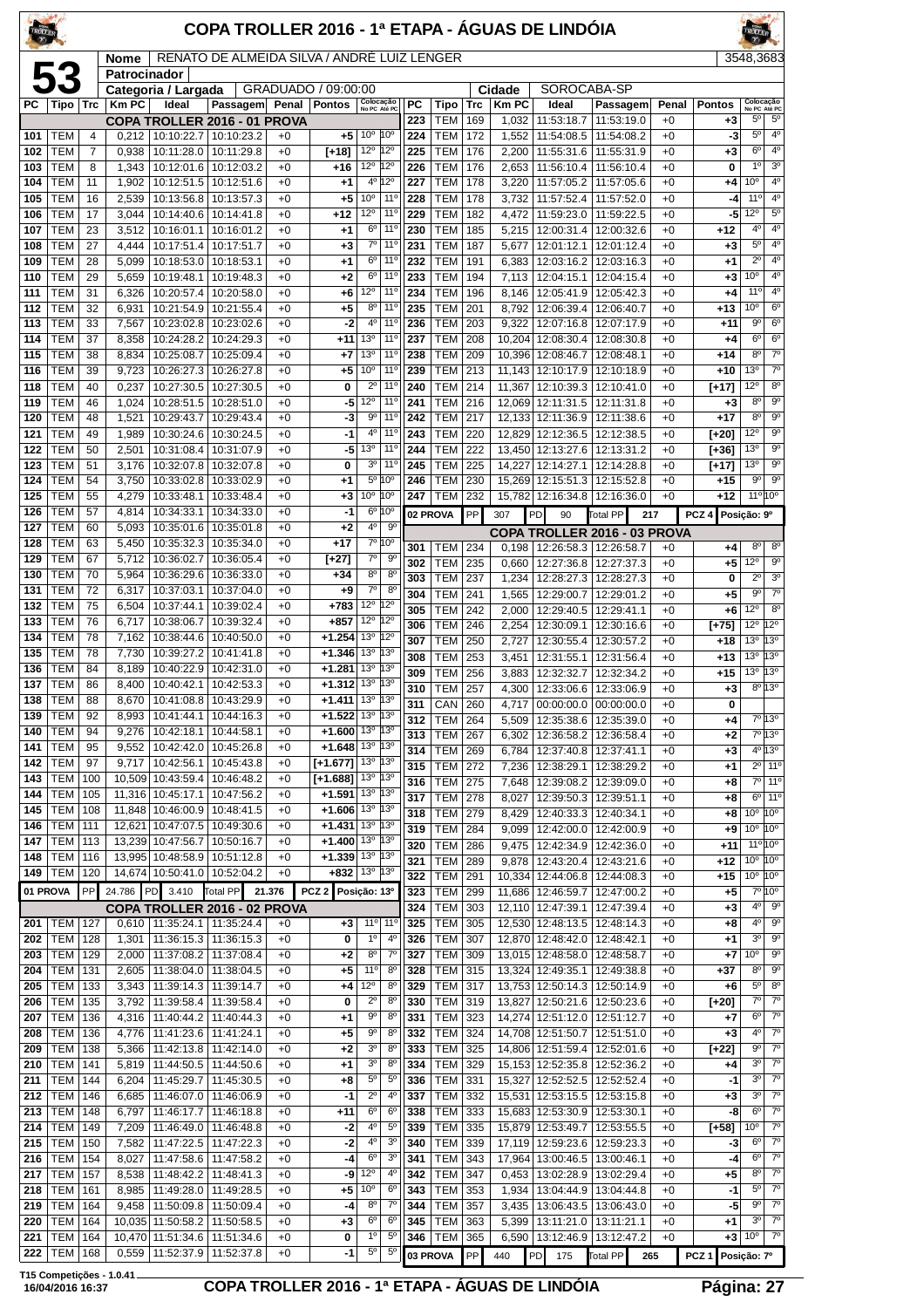| TROLI ER   |                          |                     |                      |                                        | COPA TROLLER 2016 - 1ª ETAPA - ÁGUAS DE LINDÓIA |              |                                                      |                                    |                                  |                  |                          |            |                        |                                        |                                            |                 |                       |                                          |                                          |
|------------|--------------------------|---------------------|----------------------|----------------------------------------|-------------------------------------------------|--------------|------------------------------------------------------|------------------------------------|----------------------------------|------------------|--------------------------|------------|------------------------|----------------------------------------|--------------------------------------------|-----------------|-----------------------|------------------------------------------|------------------------------------------|
|            | 53                       |                     | Nome<br>Patrocinador |                                        | RENATO DE ALMEIDA SILVA / ANDRE LUIZ LENGER     |              |                                                      |                                    |                                  |                  |                          |            |                        |                                        |                                            |                 |                       | 3548,3683                                |                                          |
|            |                          |                     |                      | Categoria / Largada                    |                                                 | Penal        | GRADUADO / 09:00:00                                  |                                    |                                  |                  |                          |            | Cidade<br><b>Km PC</b> | SOROCABA-SP                            |                                            |                 |                       |                                          |                                          |
| PC         | Tipo                     | Trc                 | <b>Km PC</b>         | Ideal                                  | Passagem<br>COPA TROLLER 2016 - 01 PROVA        |              | <b>Pontos</b>                                        | Colocação<br>No PC Até PC          |                                  | <b>PC</b><br>223 | Tipo<br>TEM              | Trc<br>169 | 1,032                  | Ideal<br>11:53:18.7                    | Passagem<br>11:53:19.0                     | Penal<br>$+0$   | <b>Pontos</b><br>$+3$ | Colocação<br>No PC Até PC<br>$5^{\circ}$ | $5^{\circ}$                              |
| 101        | <b>TEM</b>               | $\overline{4}$      | 0,212                |                                        | 10:10:22.7   10:10:23.2                         | $+0$         | $+5$                                                 | 10 <sup>o</sup>                    | 10°                              | 224              | TEM                      | 172        | 1,552                  | 11:54:08.5                             | 11:54:08.2                                 | $+0$            | -3                    | $5^{\circ}$                              | 4 <sup>0</sup>                           |
| 102<br>103 | <b>TEM</b><br>TEM        | $\overline{7}$<br>8 | 0,938<br>1,343       | 10:11:28.0<br>10:12:01.6               | 10:11:29.8<br>10:12:03.2                        | $+0$<br>$+0$ | [+18]<br>+16                                         | 12°<br>12°                         | 12°<br>12°                       | 225<br>226       | <b>TEM</b><br><b>TEM</b> | 176<br>176 | 2,200<br>2,653         | 11:55:31.6<br>11:56:10.4               | 11:55:31.9<br>11:56:10.4                   | $+0$<br>$+0$    | $+3$<br>0             | 6 <sup>o</sup><br>$1^{\circ}$            | $4^{\circ}$<br>3 <sup>o</sup>            |
| 104        | <b>TEM</b>               | 11                  | 1,902                |                                        | 10:12:51.5   10:12:51.6                         | $+0$         | $+1$                                                 |                                    | $4^{\circ}12^{\circ}$            | 227              | <b>TEM</b>               | 178        | 3,220                  | 11:57:05.2                             | 11:57:05.6                                 | $+0$            | $+4$                  | 10 <sup>o</sup>                          | $\overline{4^0}$                         |
| 105        | TEM                      | 16                  | 2,539                | 10:13:56.8                             | 10:13:57.3                                      | $+0$         | $+5$                                                 | 10 <sup>o</sup>                    | $11^{\circ}$                     | 228              | <b>TEM</b>               | 178        | 3,732                  | 11:57:52.4                             | 11:57:52.0                                 | $+0$            | -4                    | $11^{\circ}$                             | $4^{\circ}$                              |
| 106<br>107 | <b>TEM</b><br><b>TEM</b> | 17<br>23            | 3,044<br>3,512       | 10:14:40.6<br>10:16:01.1               | 10:14:41.8<br>10:16:01.2                        | $+0$<br>$+0$ | +12<br>$+1$                                          | 12°<br>$6^{\circ}$                 | $11^{\circ}$<br>$11^{\circ}$     | 229<br>230       | <b>TEM</b><br><b>TEM</b> | 182<br>185 | 4,472<br>5,215         | 11:59:23.0<br>12:00:31.4               | 11:59:22.5<br>12:00:32.6                   | $+0$<br>$+0$    | -5<br>$+12$           | 12°<br>4°                                | $5^{\circ}$<br>4 <sup>0</sup>            |
| 108        | TEM                      | 27                  | 4,444                | 10:17:51.4                             | 10:17:51.7                                      | +0           | $+3$                                                 | $7^{\circ}$                        | $11^{\circ}$                     | 231              | <b>TEM</b>               | 187        | 5,677                  | 12:01:12.1                             | 12:01:12.4                                 | $+0$            | $+3$                  | 5 <sup>o</sup>                           | 4 <sup>0</sup>                           |
| 109        | TEM                      | 28                  | 5,099                | 10:18:53.0                             | 10:18:53.1                                      | $+0$         | +1                                                   | 6 <sup>o</sup>                     | 11 <sup>o</sup>                  | 232              | <b>TEM</b>               | 191        | 6,383                  | 12:03:16.2                             | 12:03:16.3                                 | $+0$            | $+1$                  | $2^{\circ}$                              | $4^{\circ}$<br>4 <sup>0</sup>            |
| 110<br>111 | TEM<br>TEM               | 29<br>31            | 5,659<br>6,326       | 10:19:48.1<br>10:20:57.4               | 10:19:48.3<br>10:20:58.0                        | $+0$<br>+0   | $+2$<br>$+6$                                         | $6^{\circ}$<br>12°                 | $11^{\circ}$<br>$11^{\circ}$     | 233<br>234       | TEM<br><b>TEM</b>        | 194<br>196 | 7,113<br>8,146         | 12:04:15.1<br>12:05:41.9               | 12:04:15.4<br>12:05:42.3                   | $+0$<br>$+0$    | $+3$<br>$^{+4}$       | 10 <sup>o</sup><br>$11^{\circ}$          | $4^{\circ}$                              |
| 112        | <b>TEM</b>               | 32                  | 6,931                | 10:21:54.9                             | 10:21:55.4                                      | $+0$         | $+5$                                                 | $8^{\circ}$                        | 11 <sup>o</sup>                  | 235              | <b>TEM</b>               | 201        | 8,792                  | 12:06:39.4                             | 12:06:40.7                                 | $+0$            | $+13$                 | 10 <sup>o</sup>                          | $6^{\circ}$                              |
| 113        | TEM                      | 33                  | 7,567                | 10:23:02.8                             | 10:23:02.6                                      | $+0$         | -2                                                   | 4 <sup>0</sup><br>13°              | 11 <sup>0</sup><br>$11^{\circ}$  | 236              | <b>TEM</b>               | 203        | 9,322                  | 12:07:16.8                             | 12:07:17.9                                 | $+0$            | +11                   | $9^{\circ}$<br>$6^{\circ}$               | 6 <sup>o</sup><br>6 <sup>o</sup>         |
| 114<br>115 | TEM<br>TEM               | 37<br>38            | 8,358<br>8,834       | 10:24:28.2<br>10:25:08.7               | 10:24:29.3<br>10:25:09.4                        | $+0$<br>$+0$ | $+11$<br>$+7$                                        | 13 <sup>o</sup>                    | $11^{\circ}$                     | 237<br>238       | <b>TEM</b><br><b>TEM</b> | 208<br>209 | 10,204                 | 12:08:30.4<br>10.396 12:08:46.7        | 12:08:30.8<br>12:08:48.1                   | $+0$<br>$+0$    | $+4$<br>$+14$         | 8 <sup>o</sup>                           | $7^\circ$                                |
| 116        | TEM                      | 39                  | 9,723                | 10:26:27.3                             | 10:26:27.8                                      | +0           | $+5$                                                 | 10 <sup>o</sup>                    | $11^{\circ}$                     | 239              | <b>TEM</b>               | 213        |                        | 11,143 12:10:17.9                      | 12:10:18.9                                 | $+0$            | $+10$                 | 13 <sup>0</sup>                          | $\overline{7^0}$                         |
| 118        | TEM                      | 40                  | 0,237                | 10:27:30.5                             | 10:27:30.5<br>10:28:51.0                        | $+0$         | 0                                                    | $2^{\circ}$<br>12°                 | 11 <sup>0</sup><br>$11^{\circ}$  | 240<br>241       | <b>TEM</b>               | 214        | 11,367                 | 12:10:39.3                             | 12:10:41.0                                 | $+0$            | [+17]                 | 12°<br>8 <sup>o</sup>                    | $8^{\circ}$<br>$9^{\circ}$               |
| 119<br>120 | TEM<br>TEM               | 46<br>48            | 1,024<br>1,521       | 10:28:51.5<br>10:29:43.7               | 10:29:43.4                                      | $+0$<br>$+0$ | -5<br>-3                                             | 90                                 | 11 <sup>°</sup>                  | 242              | <b>TEM</b><br><b>TEM</b> | 216<br>217 | 12,069                 | 12:11:31.5<br>12,133 12:11:36.9        | 12:11:31.8<br>12:11:38.6                   | $+0$<br>$+0$    | $+3$<br>$+17$         | 8 <sup>0</sup>                           | $\overline{9^{\circ}}$                   |
| 121        | TEM                      | 49                  | 1,989                | 10:30:24.6                             | 10:30:24.5                                      | $+0$         | -1                                                   | 4 <sup>0</sup>                     | $11^{\circ}$                     | 243              | <b>TEM</b>               | 220        |                        | 12,829 12:12:36.5                      | 12:12:38.5                                 | $+0$            | [+20]                 | 12°                                      | $9^{\circ}$                              |
| 122        | TEM                      | 50                  | 2,501                | 10:31:08.4                             | 10:31:07.9                                      | $+0$         | -5                                                   | 13 <sup>o</sup><br>3 <sup>o</sup>  | 11 <sup>o</sup><br>$11^{\circ}$  | 244              | <b>TEM</b>               | 222        |                        | 13,450 12:13:27.6                      | 12:13:31.2                                 | $+0$            | [+36]                 | 13 <sup>0</sup><br>13 <sup>o</sup>       | $9^{\circ}$<br>9 <sup>o</sup>            |
| 123<br>124 | TEM<br><b>TEM</b>        | 51<br>54            | 3,176<br>3,750       | 10:32:07.8                             | 10:32:07.8<br>10:33:02.8   10:33:02.9           | $+0$<br>$+0$ | 0<br>$+1$                                            |                                    | 5º 10°                           | 245<br>246       | <b>TEM</b><br><b>TEM</b> | 225<br>230 | 14,227                 | 12:14:27.1<br>15,269 12:15:51.3        | 12:14:28.8<br>12:15:52.8                   | $+0$<br>$+0$    | $[+17]$<br>$+15$      | $9^{\circ}$                              | $9^{\circ}$                              |
| 125        | TEM                      | 55                  | 4,279                | 10:33:48.1                             | 10:33:48.4                                      | $+0$         | $+3$                                                 | 10 <sup>o</sup>                    | 10°                              | 247              | <b>TEM</b>               | 232        | 15,782                 | 12:16:34.8                             | 12:16:36.0                                 | $+0$            | $+12$                 | 11° 10°                                  |                                          |
| 126        | TEM                      | 57                  | 4,814                | 10:34:33.1                             | 10:34:33.0                                      | $+0$         | -1<br>$+2$                                           | 6 <sup>o</sup><br>4°               | 10 <sup>o</sup><br>$9^{\circ}$   |                  | 02 PROVA                 | PP         | 307                    | PD<br>90                               | Total PP<br>217                            |                 | PCZ <sub>4</sub>      | Posição: 9º                              |                                          |
| 127<br>128 | TEM<br>TEM               | 60<br>63            | 5,093<br>5,450       | 10:35:01.6<br>10:35:32.3               | 10:35:01.8<br>10:35:34.0                        | $+0$<br>+0   | $+17$                                                |                                    | $7°$ 10°                         | 301              | <b>TEM</b>               | 234        | 0.198                  | 12:26:58.3                             | COPA TROLLER 2016 - 03 PROVA<br>12:26:58.7 | $+0$            | $+4$                  | 8 <sup>o</sup>                           | 8 <sup>o</sup>                           |
| 129        | <b>TEM</b>               | 67                  | 5,712                | 10:36:02.7                             | 10:36:05.4                                      | $+0$         | [+27]                                                | $\overline{7}^{\circ}$             | 9 <sup>o</sup>                   | 302              | <b>TEM</b>               | 235        | 0,660                  | 12:27:36.8                             | 12:27:37.3                                 | $+0$            | $+5$                  | $12^{\circ}$                             | 90                                       |
| 130<br>131 | TEM<br>TEM               | 70<br>72            | 5,964<br>6,317       | 10:36:29.6<br>10:37:03.1               | 10:36:33.0<br>10:37:04.0                        | $+0$<br>+0   | $+34$<br>$+9$                                        | 8 <sup>o</sup><br>$7^{\circ}$      | 8 <sup>0</sup><br>8 <sup>0</sup> | 303              | <b>TEM</b>               | 237        |                        | 1,234   12:28:27.3   12:28:27.3        |                                            | $+0$            | 0                     | $2^{\circ}$                              | 3 <sup>o</sup>                           |
| 132        | <b>TEM</b>               | 75                  | 6,504                | 10:37:44.1                             | 10:39:02.4                                      | $+0$         | $+783$                                               | $12^{\circ}$                       | $12^{\circ}$                     | 304<br>305       | <b>TEM</b><br><b>TEM</b> | 241<br>242 | 1,565<br>2,000         | 12:29:00.7<br>12:29:40.5               | 12:29:01.2<br>12:29:41.1                   | $+0$<br>$+0$    | $+5$<br>+6            | $9^{\circ}$<br>12°                       | $\overline{7}^{\circ}$<br>8 <sup>o</sup> |
| 133        | TEM                      | 76                  | 6,717                | 10:38:06.7                             | 10:39:32.4                                      | $+0$         | $+857$                                               | 12°                                | $12^{\circ}$                     | 306              | <b>TEM</b>               | 246        | 2,254                  | 12:30:09.1                             | 12:30:16.6                                 | $+0$            | $[+75]$               | 12°                                      | $12^{\circ}$                             |
| 134        | TEM<br><b>TEM</b>        | 78<br>78            | 7,162                | 10:38:44.6<br>7,730 10:39:27.2         | 10:40:50.0                                      | +0           | $+1.254$<br>$+1.346$                                 | $13^{\circ}$<br>13 <sup>o</sup>    | 12°<br>13°                       | 307              | <b>TEM</b>               | 250        | 2,727                  | 12:30:55.4                             | 12:30:57.2                                 | $+0$            | $+18$                 | 13 <sup>o</sup>                          | 13°                                      |
| 135<br>136 | TEM                      | 84                  | 8,189                | 10:40:22.9                             | 10:41:41.8<br>10:42:31.0                        | $+0$<br>$+0$ | $+1.281$                                             | 13 <sup>o</sup>                    | 13°                              | 308<br>309       | <b>TEM</b><br><b>TEM</b> | 253<br>256 | 3,451<br>3,883         | 12:31:55.1<br>12:32:32.7               | 12:31:56.4<br>12:32:34.2                   | $+0$<br>$+0$    | $+13$<br>$+15$        | 13 <sup>o</sup><br>13 <sup>o</sup>       | 13°<br>13°                               |
| 137        | TEM                      | 86                  | 8,400                | 10:40:42.1                             | 10:42:53.3                                      | $+0$         | $+1.312$                                             | 13 <sup>°</sup>                    | 13°                              | 310              | <b>TEM</b>               | 257        | 4,300                  | 12:33:06.6   12:33:06.9                |                                            | $+0$            | $+3$                  |                                          | $8^{\circ}$ 13°                          |
| 138<br>139 | <b>TEM</b><br>TEM        | 88<br>92            | 8.670                | 8,993   10:41:44.1                     | 10:41:08.8   10:43:29.9<br>10:44:16.3           | $+0$<br>+0   | $+1.411$<br>$+1.522$ 13 <sup>°</sup> 13 <sup>°</sup> | 13º 13º                            |                                  | 311              | CAN 260                  |            |                        | 4,717 00:00:00.0 00:00:00.0            |                                            | $+0$            | 0                     |                                          |                                          |
| 140        | <b>TEM</b>               | 94                  | 9,276                | 10:42:18.1                             | 10:44:58.1                                      | +0           | $+1.600$                                             | 13 <sup>o</sup>                    | 13 <sup>o</sup>                  | 312<br>313       | <b>TEM</b><br><b>TEM</b> | 264<br>267 | 5,509<br>6,302         | 12:36:58.2                             | 12:35:38.6   12:35:39.0<br>12:36:58.4      | $+0$<br>$+0$    | +4<br>$+2$            |                                          | 7º 13º<br>7º 13º                         |
| 141        | <b>TEM</b>               | 95                  | 9,552                | 10:42:42.0                             | 10:45:26.8                                      | +0           | $+1.648$                                             | 13 <sup>°</sup>                    | $13^{\circ}$                     | 314              | <b>TEM</b>               | 269        | 6,784                  | 12:37:40.8                             | 12:37:41.1                                 | $+0$            | $+3$                  |                                          | 4º 13º                                   |
| 142<br>143 | <b>TEM</b>               | 97<br>100           | 9,717                | 10:42:56.1<br>10,509 10:43:59.4        | 10:45:43.8                                      | +0           | $[-1.677]$                                           | 13 <sup>o</sup><br>13 <sup>o</sup> | $13^{\circ}$<br>$ 13^{\circ}$    | 315              | <b>TEM</b>               | 272        | 7,236                  | 12:38:29.1                             | 12:38:29.2                                 | $+0$            | +1                    |                                          | $2^0$ 11 <sup>o</sup>                    |
| 144        | TEM<br><b>TEM</b>        | 105                 |                      | 11,316 10:45:17.1                      | 10:46:48.2<br>10:47:56.2                        | $+0$<br>+0   | $[-1.688]$<br>$+1.591$                               | 13 <sup>°</sup>                    | $ 13^{\circ} $                   | 316<br>317       | <b>TEM</b><br><b>TEM</b> | 275<br>278 | 7,648<br>8,027         | 12:39:08.2<br>12:39:50.3               | 12:39:09.0<br>12:39:51.1                   | $+0$<br>$^{+0}$ | +8<br>+8              |                                          | $7°$ 11°<br>$6°$ 11 <sup>o</sup>         |
| 145        | <b>TEM</b>               | 108                 |                      | 11,848 10:46:00.9                      | 10:48:41.5                                      | +0           | $+1.606$                                             | 13 <sup>o</sup>                    | 13 <sup>o</sup>                  | 318              | <b>TEM</b>               | 279        | 8,429                  | 12:40:33.3                             | 12:40:34.1                                 | $+0$            | +8                    | $10^{\circ} 10^{\circ}$                  |                                          |
| 146        | <b>TEM</b>               | 111                 |                      | 12,621 10:47:07.5                      | 10:49:30.6                                      | $+0$         | $+1.431$ 13 <sup>o</sup> 13 <sup>o</sup>             |                                    | 13°                              | 319              | <b>TEM</b>               | 284        | 9,099                  | 12:42:00.0                             | 12:42:00.9                                 | $+0$            | $+9$                  | 10 <sup>o</sup>                          | 10 <sup>o</sup>                          |
| 147<br>148 | <b>TEM</b><br><b>TEM</b> | 113<br>116          |                      | 13,239 10:47:56.7<br>13,995 10:48:58.9 | 10:50:16.7<br>10:51:12.8                        | $+0$<br>$+0$ | $+1.400$<br>$+1.339$                                 | 13 <sup>o</sup><br>13 <sup>o</sup> | 13 <sup>o</sup>                  | 320<br>321       | <b>TEM</b><br><b>TEM</b> | 286<br>289 | 9,475<br>9,878         | 12:42:34.9<br>12:43:20.4               | 12:42:36.0<br>12:43:21.6                   | $^{+0}$<br>$+0$ | $+11$<br>$+12$        | 11º 10º<br>10 <sup>o</sup>               | 10 <sup>o</sup>                          |
| 149        | <b>TEM</b>               | 120                 |                      | 14,674 10:50:41.0                      | 10:52:04.2                                      | $+0$         | +832                                                 | $13^{\circ}$ $13^{\circ}$          |                                  | 322              | TEM                      | 291        |                        | 10,334 12:44:06.8 12:44:08.3           |                                            | $+0$            | +15                   | $10^{\circ}$ 10 <sup>°</sup>             |                                          |
| 01 PROVA   |                          | PP                  | 24.786               | PD 3.410                               | Total PP                                        | 21.376       | PCZ 2 Posição: 13º                                   |                                    |                                  | 323              | <b>TEM</b>               | 299        |                        | 11,686 12:46:59.7                      | 12:47:00.2                                 | $+0$            | +5                    |                                          | 7º 10º                                   |
|            | 201   TEM                | 127                 |                      | $0,610$   11:35:24.1                   | COPA TROLLER 2016 - 02 PROVA<br>11:35:24.4      | $+0$         | $+3$                                                 |                                    | $11^{\circ}$ 11 <sup>°</sup>     | 324<br>325       | TEM<br>TEM               | 303<br>305 | 12,110                 | 12:47:39.1<br>12,530 12:48:13.5        | 12:47:39.4<br>12:48:14.3                   | $+0$<br>$+0$    | $+3$<br>+8            | 4º                                       | $9^{\circ}$<br>$4^{\circ}$ $9^{\circ}$   |
| 202        | <b>TEM</b>               | 128                 | 1,301                | 11:36:15.3                             | 11:36:15.3                                      | $+0$         | 0                                                    | $1^{\circ}$                        | $4^{\circ}$                      | 326              | <b>TEM</b>               | 307        |                        | 12,870 12:48:42.0                      | 12:48:42.1                                 | $+0$            | $+1$                  | 3 <sup>0</sup>                           | $9^{\circ}$                              |
| 203        | TEM                      | 129                 | 2,000                | 11:37:08.2                             | 11:37:08.4                                      | $+0$         | $+2$                                                 | 8 <sup>0</sup>                     | $7^{\circ}$                      | 327              | <b>TEM</b>               | 309        |                        | 13,015 12:48:58.0                      | 12:48:58.7                                 | $+0$            | +7                    | 10 <sup>o</sup>                          | 90                                       |
| 204<br>205 | TEM<br><b>TEM</b>        | 131<br>133          | 2,605<br>3,343       | 11:38:04.0<br>11:39:14.3               | 11:38:04.5<br>11:39:14.7                        | $+0$<br>+0   | +5<br>+4                                             | 11°<br>12°                         | $8^{\circ}$<br>$8^{\circ}$       | 328<br>329       | TEM<br><b>TEM</b>        | 315<br>317 |                        | 13,324 12:49:35.1<br>13,753 12:50:14.3 | 12:49:38.8<br>12:50:14.9                   | $+0$<br>$+0$    | $+37$<br>+6           | $8^{\circ}$<br>$5^{\circ}$               | $\overline{9^{\circ}}$<br>8 <sup>o</sup> |
| 206        | <b>TEM</b>               | 135                 | 3,792                | 11:39:58.4                             | 11:39:58.4                                      | $+0$         | 0                                                    | $2^{\circ}$                        | 8 <sup>o</sup>                   | 330              | <b>TEM</b>               | 319        |                        | 13,827 12:50:21.6                      | 12:50:23.6                                 | $+0$            | [+20]                 | 7º                                       | $7^\circ$                                |
| 207        | <b>TEM</b>               | 136                 | 4,316                | 11:40:44.2                             | 11:40:44.3                                      | +0           | +1                                                   | $9^{\circ}$                        | 8 <sup>o</sup>                   | 331              | <b>TEM</b>               | 323        |                        | 14,274 12:51:12.0                      | 12:51:12.7                                 | +0              | +7                    | $6^{\circ}$                              | $7^\circ$                                |
| 208<br>209 | TEM<br><b>TEM</b>        | 136<br>138          | 4,776<br>5,366       | 11:41:23.6<br>11:42:13.8               | 11:41:24.1<br>11:42:14.0                        | $+0$<br>$+0$ | $+5$<br>$+2$                                         | $9^{\circ}$<br>3 <sup>o</sup>      | 8 <sup>o</sup><br>8 <sup>0</sup> | 332<br>333       | <b>TEM</b><br><b>TEM</b> | 324<br>325 |                        | 14,708 12:51:50.7<br>14,806 12:51:59.4 | 12:51:51.0<br>12:52:01.6                   | $+0$<br>$+0$    | $+3$<br>[+22]         | $4^{\circ}$<br>$9^{\circ}$               | $7^\circ$<br>$\overline{7^0}$            |
| 210        | <b>TEM</b>               | 141                 | 5,819                | 11:44:50.5                             | 11:44:50.6                                      | $+0$         | +1                                                   | 3 <sup>0</sup>                     | $8^{\circ}$                      | 334              | <b>TEM</b>               | 329        |                        | 15,153 12:52:35.8                      | 12:52:36.2                                 | +0              | +4                    | 30                                       | $7^\circ$                                |
| 211        | <b>TEM</b>               | 144                 | 6,204                | 11:45:29.7                             | 11:45:30.5                                      | $+0$         | $+8$                                                 | $5^{\circ}$                        | $5^{\circ}$                      | 336              | <b>TEM</b>               | 331        |                        | 15,327 12:52:52.5                      | 12:52:52.4                                 | $+0$            | $-1$                  | $3^{\circ}$                              | $7^\circ$                                |
| 212<br>213 | <b>TEM</b><br><b>TEM</b> | 146<br>148          | 6,685<br>6,797       | 11:46:07.0<br>11:46:17.7               | 11:46:06.9<br>11:46:18.8                        | $+0$<br>$+0$ | -1<br>+11                                            | $2^{\circ}$<br>6 <sup>o</sup>      | 4 <sup>0</sup><br>6 <sup>o</sup> | 337<br>338       | <b>TEM</b><br><b>TEM</b> | 332<br>333 |                        | 15,531 12:53:15.5<br>15,683 12:53:30.9 | 12:53:15.8<br>12:53:30.1                   | $+0$<br>$+0$    | $+3$<br>-8            | 30<br>6 <sup>o</sup>                     | $7^\circ$<br>$7^\circ$                   |
| 214        | <b>TEM</b>               | 149                 | 7,209                | 11:46:49.0                             | 11:46:48.8                                      | $+0$         | $-2$                                                 | $4^{\circ}$                        | $5^{\rm o}$                      | 339              | TEM                      | 335        |                        | 15,879 12:53:49.7                      | 12:53:55.5                                 | $+0$            | $[+58]$               | 10 <sup>o</sup>                          | $7^\circ$                                |
| 215        | <b>TEM</b>               | 150                 | 7,582                | 11:47:22.5                             | 11:47:22.3                                      | $^{+0}$      | $-2$                                                 | 4 <sup>0</sup>                     | 3 <sup>o</sup>                   | 340              | <b>TEM</b>               | 339        |                        | 17,119 12:59:23.6                      | 12:59:23.3                                 | +0              | -3                    | $6^{\circ}$                              | $7^\circ$                                |
| 216<br>217 | <b>TEM</b><br><b>TEM</b> | 154                 | 8,027                | 11:47:58.6                             | 11:47:58.2                                      | $+0$<br>$+0$ | -4<br>-9                                             | 6 <sup>o</sup><br>12 <sup>o</sup>  | 3 <sup>o</sup><br>$4^{\circ}$    | 341<br>342       | <b>TEM</b><br><b>TEM</b> | 343<br>347 | 17,964                 | 13:00:46.5                             | 13:00:46.1                                 | $+0$<br>$+0$    | -4                    | 6 <sup>o</sup><br>$8^{\circ}$            | $7^\circ$<br>$\overline{7^{\circ}}$      |
| 218        | TEM                      | 157<br>161          | 8,538<br>8,985       | 11:48:42.2<br>11:49:28.0               | 11:48:41.3<br>11:49:28.5                        | $+0$         | $+5$                                                 | 10 <sup>o</sup>                    | 6 <sup>o</sup>                   | 343              | <b>TEM</b>               | 353        | 0,453<br>1,934         | 13:02:28.9<br>13:04:44.9               | 13:02:29.4<br>13:04:44.8                   | $+0$            | +5<br>-1              | $5^{\circ}$                              | $7^\circ$                                |
| 219        | TEM                      | 164                 | 9,458                | 11:50:09.8                             | 11:50:09.4                                      | $+0$         | -4                                                   | $8^{\circ}$                        | $7^\circ$                        | 344              | <b>TEM</b>               | 357        | 3,435                  | 13:06:43.5                             | 13:06:43.0                                 | +0              | -5                    | 9°                                       | $7^\circ$                                |
| 220<br>221 | <b>TEM</b><br>TEM        | 164<br>164          |                      | 10,035 11:50:58.2<br>10,470 11:51:34.6 | 11:50:58.5<br>11:51:34.6                        | $+0$<br>$+0$ | $^{+3}$<br>0                                         | 6 <sup>o</sup><br>$1^{\circ}$      | 6 <sup>o</sup><br>$5^{\circ}$    | 345<br>346       | <b>TEM</b><br><b>TEM</b> | 363<br>365 | 5,399                  | 13:11:21.0<br>13:12:46.9               | 13:11:21.1                                 | $+0$<br>$+0$    | +1<br>$+3$            | 3 <sup>o</sup><br>10 <sup>o</sup>        | $\overline{7^{\circ}}$<br>$7^{\circ}$    |
| 222        | TEM                      | 168                 |                      | 0,559   11:52:37.9                     | 11:52:37.8                                      | $+0$         | $-1$                                                 | $5^{\circ}$                        | $5^{\circ}$                      |                  | 03 PROVA                 | PP         | 6,590<br>440           | PD 175                                 | 13:12:47.2<br>Total PP<br>265              |                 | PCZ <sub>1</sub>      | Posição: 7º                              |                                          |